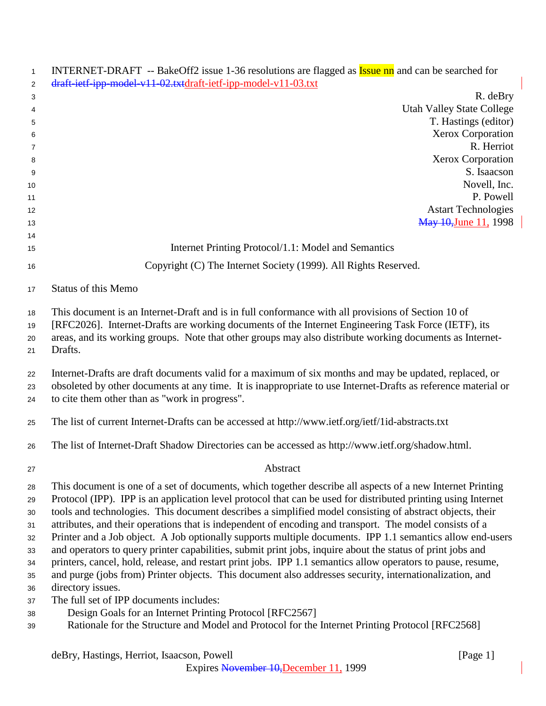| $\mathbf{1}$ | INTERNET-DRAFT -- BakeOff2 issue 1-36 resolutions are flagged as <b>Issue nn</b> and can be searched for                                                                                                                |
|--------------|-------------------------------------------------------------------------------------------------------------------------------------------------------------------------------------------------------------------------|
| 2            | draft-ietf-ipp-model-v11-02.txtdraft-ietf-ipp-model-v11-03.txt                                                                                                                                                          |
| 3            | R. deBry                                                                                                                                                                                                                |
| 4            | <b>Utah Valley State College</b>                                                                                                                                                                                        |
| 5            | T. Hastings (editor)                                                                                                                                                                                                    |
| 6            | Xerox Corporation<br>R. Herriot                                                                                                                                                                                         |
| 7<br>8       | Xerox Corporation                                                                                                                                                                                                       |
| 9            | S. Isaacson                                                                                                                                                                                                             |
| 10           | Novell, Inc.                                                                                                                                                                                                            |
| 11           | P. Powell                                                                                                                                                                                                               |
| 12           | <b>Astart Technologies</b>                                                                                                                                                                                              |
| 13           | May 10, June 11, 1998                                                                                                                                                                                                   |
| 14           |                                                                                                                                                                                                                         |
| 15           | Internet Printing Protocol/1.1: Model and Semantics                                                                                                                                                                     |
| 16           | Copyright (C) The Internet Society (1999). All Rights Reserved.                                                                                                                                                         |
| 17           | <b>Status of this Memo</b>                                                                                                                                                                                              |
| 18           | This document is an Internet-Draft and is in full conformance with all provisions of Section 10 of                                                                                                                      |
| 19           | [RFC2026]. Internet-Drafts are working documents of the Internet Engineering Task Force (IETF), its                                                                                                                     |
| 20           | areas, and its working groups. Note that other groups may also distribute working documents as Internet-                                                                                                                |
| 21           | Drafts.                                                                                                                                                                                                                 |
| 22           | Internet-Drafts are draft documents valid for a maximum of six months and may be updated, replaced, or                                                                                                                  |
| 23           | obsoleted by other documents at any time. It is inappropriate to use Internet-Drafts as reference material or                                                                                                           |
| 24           | to cite them other than as "work in progress".                                                                                                                                                                          |
| 25           | The list of current Internet-Drafts can be accessed at http://www.ietf.org/ietf/1id-abstracts.txt                                                                                                                       |
| 26           | The list of Internet-Draft Shadow Directories can be accessed as http://www.ietf.org/shadow.html.                                                                                                                       |
| 27           | Abstract                                                                                                                                                                                                                |
| 28           | This document is one of a set of documents, which together describe all aspects of a new Internet Printing                                                                                                              |
| 29           | Protocol (IPP). IPP is an application level protocol that can be used for distributed printing using Internet                                                                                                           |
| 30           | tools and technologies. This document describes a simplified model consisting of abstract objects, their                                                                                                                |
| 31           | attributes, and their operations that is independent of encoding and transport. The model consists of a                                                                                                                 |
| 32           | Printer and a Job object. A Job optionally supports multiple documents. IPP 1.1 semantics allow end-users                                                                                                               |
| 33           | and operators to query printer capabilities, submit print jobs, inquire about the status of print jobs and                                                                                                              |
| 34           | printers, cancel, hold, release, and restart print jobs. IPP 1.1 semantics allow operators to pause, resume,<br>and purge (jobs from) Printer objects. This document also addresses security, internationalization, and |
| 35           | directory issues.                                                                                                                                                                                                       |
| 36<br>37     | The full set of IPP documents includes:                                                                                                                                                                                 |
| 38           | Design Goals for an Internet Printing Protocol [RFC2567]                                                                                                                                                                |
| 39           | Rationale for the Structure and Model and Protocol for the Internet Printing Protocol [RFC2568]                                                                                                                         |
|              |                                                                                                                                                                                                                         |
|              | deBry, Hastings, Herriot, Isaacson, Powell<br>[Page 1]                                                                                                                                                                  |
|              | Expires November 10, December 11, 1999                                                                                                                                                                                  |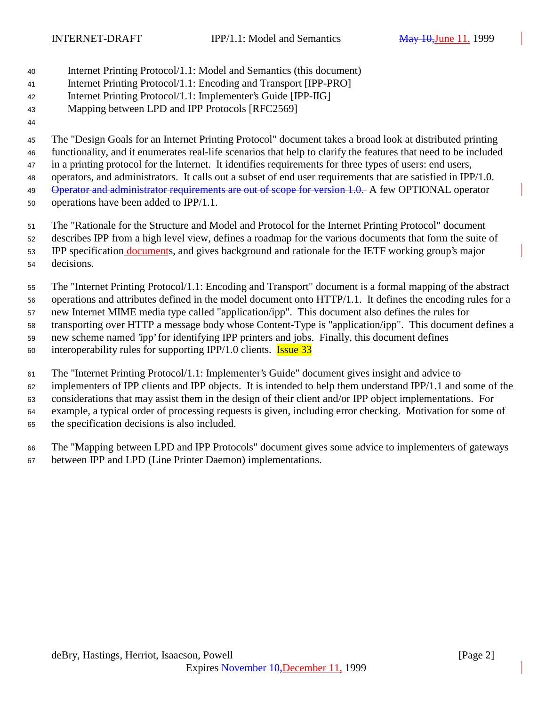- Internet Printing Protocol/1.1: Model and Semantics (this document)
- Internet Printing Protocol/1.1: Encoding and Transport [IPP-PRO]
- Internet Printing Protocol/1.1: Implementer's Guide [IPP-IIG]
- Mapping between LPD and IPP Protocols [RFC2569]
- 

The "Design Goals for an Internet Printing Protocol" document takes a broad look at distributed printing

functionality, and it enumerates real-life scenarios that help to clarify the features that need to be included

 in a printing protocol for the Internet. It identifies requirements for three types of users: end users, operators, and administrators. It calls out a subset of end user requirements that are satisfied in IPP/1.0.

49 Operator and administrator requirements are out of scope for version 1.0. A few OPTIONAL operator

operations have been added to IPP/1.1.

The "Rationale for the Structure and Model and Protocol for the Internet Printing Protocol" document

- describes IPP from a high level view, defines a roadmap for the various documents that form the suite of
- 53 IPP specification documents, and gives background and rationale for the IETF working group's major decisions.
- The "Internet Printing Protocol/1.1: Encoding and Transport" document is a formal mapping of the abstract operations and attributes defined in the model document onto HTTP/1.1. It defines the encoding rules for a new Internet MIME media type called "application/ipp". This document also defines the rules for transporting over HTTP a message body whose Content-Type is "application/ipp". This document defines a new scheme named 'ipp' for identifying IPP printers and jobs. Finally, this document defines
- 60 interoperability rules for supporting IPP/1.0 clients. **Issue 33**
- The "Internet Printing Protocol/1.1: Implementer's Guide" document gives insight and advice to
- implementers of IPP clients and IPP objects. It is intended to help them understand IPP/1.1 and some of the
- considerations that may assist them in the design of their client and/or IPP object implementations. For example, a typical order of processing requests is given, including error checking. Motivation for some of the specification decisions is also included.
- The "Mapping between LPD and IPP Protocols" document gives some advice to implementers of gateways between IPP and LPD (Line Printer Daemon) implementations.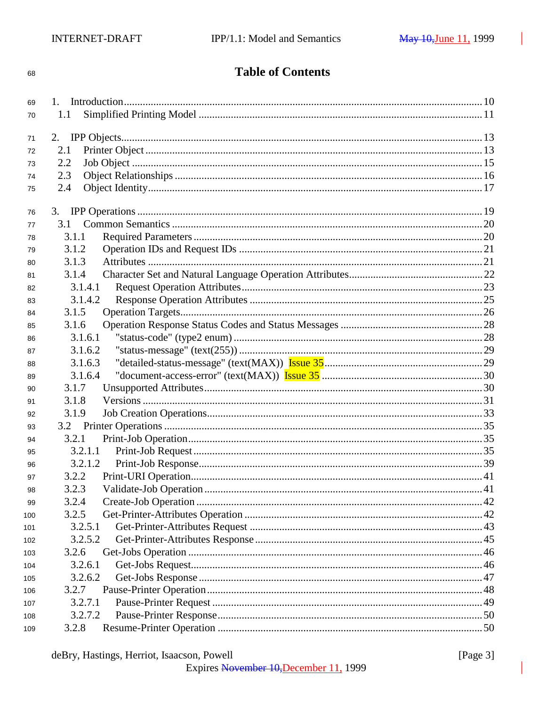# **Table of Contents**

| 69  |         |  |
|-----|---------|--|
| 70  | 1.1     |  |
|     |         |  |
| 71  | 2.      |  |
| 72  | 2.1     |  |
| 73  | 2.2     |  |
| 74  | 2.3     |  |
| 75  | 2.4     |  |
| 76  |         |  |
| 77  |         |  |
| 78  | 3.1.1   |  |
| 79  | 3.1.2   |  |
| 80  | 3.1.3   |  |
| 81  | 3.1.4   |  |
| 82  | 3.1.4.1 |  |
| 83  | 3.1.4.2 |  |
| 84  | 3.1.5   |  |
| 85  | 3.1.6   |  |
| 86  | 3.1.6.1 |  |
| 87  | 3.1.6.2 |  |
| 88  | 3.1.6.3 |  |
| 89  | 3.1.6.4 |  |
| 90  | 3.1.7   |  |
| 91  | 3.1.8   |  |
| 92  | 3.1.9   |  |
| 93  |         |  |
| 94  | 3.2.1   |  |
| 95  | 3.2.1.1 |  |
| 96  | 3.2.1.2 |  |
| 97  | 3.2.2   |  |
| 98  | 3.2.3   |  |
| 99  | 3.2.4   |  |
| 100 | 3.2.5   |  |
| 101 | 3.2.5.1 |  |
| 102 | 3.2.5.2 |  |
| 103 | 3.2.6   |  |
| 104 | 3.2.6.1 |  |
| 105 | 3.2.6.2 |  |
| 106 | 3.2.7   |  |
| 107 | 3.2.7.1 |  |
| 108 | 3.2.7.2 |  |
| 109 | 3.2.8   |  |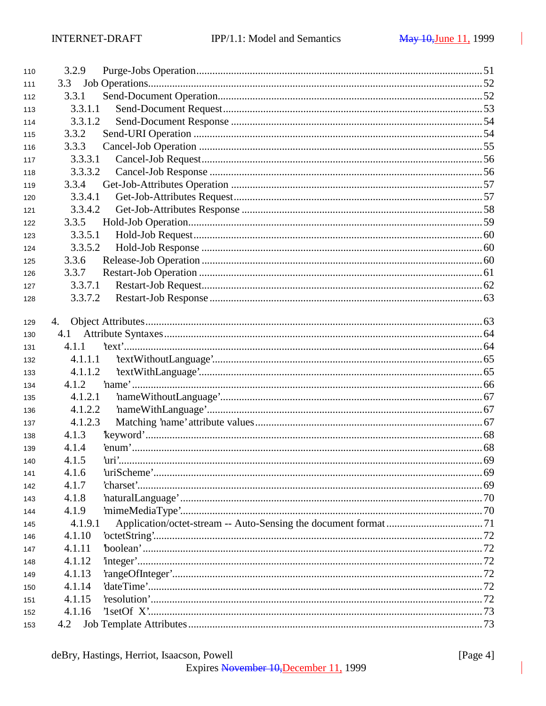| 110 | 3.2.9   |  |
|-----|---------|--|
| 111 | 3.3     |  |
| 112 | 3.3.1   |  |
| 113 | 3.3.1.1 |  |
| 114 | 3.3.1.2 |  |
| 115 | 3.3.2   |  |
| 116 | 3.3.3   |  |
| 117 | 3.3.3.1 |  |
| 118 | 3.3.3.2 |  |
| 119 | 3.3.4   |  |
| 120 | 3.3.4.1 |  |
| 121 | 3.3.4.2 |  |
| 122 | 3.3.5   |  |
| 123 | 3.3.5.1 |  |
| 124 | 3.3.5.2 |  |
| 125 | 3.3.6   |  |
| 126 | 3.3.7   |  |
| 127 | 3.3.7.1 |  |
| 128 | 3.3.7.2 |  |
|     |         |  |
| 129 | 4.      |  |
| 130 | 4.1     |  |
| 131 | 4.1.1   |  |
| 132 | 4.1.1.1 |  |
| 133 | 4.1.1.2 |  |
| 134 | 4.1.2   |  |
| 135 | 4.1.2.1 |  |
| 136 | 4.1.2.2 |  |
| 137 | 4.1.2.3 |  |
| 138 | 4.1.3   |  |
| 139 | 4.1.4   |  |
| 140 | 4.1.5   |  |
| 141 | 4.1.6   |  |
| 142 | 4.1.7   |  |
| 143 | 4.1.8   |  |
| 144 | 4.1.9   |  |
| 145 | 4.1.9.1 |  |
| 146 | 4.1.10  |  |
| 147 | 4.1.11  |  |
| 148 | 4.1.12  |  |
| 149 | 4.1.13  |  |
| 150 | 4.1.14  |  |
| 151 | 4.1.15  |  |
| 152 | 4.1.16  |  |
| 153 | 4.2     |  |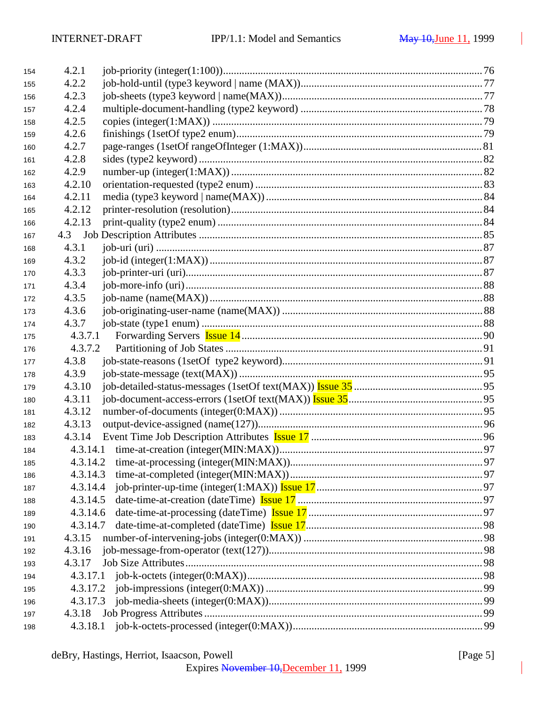| 4.2.2<br>155<br>4.2.3<br>156 |  |
|------------------------------|--|
|                              |  |
|                              |  |
| 4.2.4<br>157                 |  |
| 4.2.5<br>158                 |  |
| 4.2.6<br>159                 |  |
| 4.2.7<br>160                 |  |
| 4.2.8<br>161                 |  |
| 4.2.9<br>162                 |  |
| 4.2.10<br>163                |  |
| 4.2.11<br>164                |  |
| 4.2.12<br>165                |  |
| 4.2.13<br>166                |  |
| 167                          |  |
| 4.3.1<br>168                 |  |
| 4.3.2<br>169                 |  |
| 4.3.3<br>170                 |  |
| 4.3.4<br>171                 |  |
| 4.3.5<br>172                 |  |
| 4.3.6<br>173                 |  |
| 4.3.7<br>174                 |  |
| 4.3.7.1<br>175               |  |
| 4.3.7.2<br>176               |  |
| 4.3.8<br>177                 |  |
| 4.3.9<br>178                 |  |
| 4.3.10<br>179                |  |
| 4.3.11<br>180                |  |
| 4.3.12<br>181                |  |
| 4.3.13<br>182                |  |
| 4.3.14<br>183                |  |
| 184                          |  |
| 185                          |  |
| 4.3.14.3<br>186              |  |
| 4.3.14.4<br>187              |  |
| 4.3.14.5<br>188              |  |
| 4.3.14.6<br>189              |  |
| 4.3.14.7<br>190              |  |
| 4.3.15<br>191                |  |
| 4.3.16<br>192                |  |
| 4.3.17<br>193                |  |
| 194                          |  |
| 4.3.17.2<br>195              |  |
| 4.3.17.3<br>196              |  |
| 4.3.18<br>197                |  |
| 198                          |  |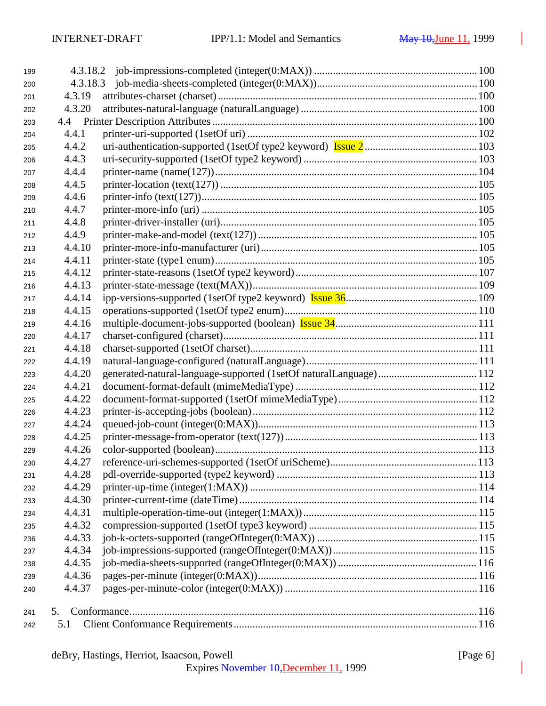| 199 |        |  |
|-----|--------|--|
| 200 |        |  |
| 201 | 4.3.19 |  |
| 202 | 4.3.20 |  |
| 203 |        |  |
| 204 | 4.4.1  |  |
| 205 | 4.4.2  |  |
| 206 | 4.4.3  |  |
| 207 | 4.4.4  |  |
| 208 | 4.4.5  |  |
| 209 | 4.4.6  |  |
| 210 | 4.4.7  |  |
| 211 | 4.4.8  |  |
| 212 | 4.4.9  |  |
| 213 | 4.4.10 |  |
| 214 | 4.4.11 |  |
| 215 | 4.4.12 |  |
| 216 | 4.4.13 |  |
| 217 | 4.4.14 |  |
| 218 | 4.4.15 |  |
| 219 | 4.4.16 |  |
| 220 | 4.4.17 |  |
| 221 | 4.4.18 |  |
| 222 | 4.4.19 |  |
| 223 | 4.4.20 |  |
| 224 | 4.4.21 |  |
| 225 | 4.4.22 |  |
| 226 | 4.4.23 |  |
| 227 | 4.4.24 |  |
| 228 | 4.4.25 |  |
| 229 | 4.4.26 |  |
| 230 | 4.4.27 |  |
| 231 | 4.4.28 |  |
| 232 | 4.4.29 |  |
| 233 | 4.4.30 |  |
| 234 | 4.4.31 |  |
| 235 | 4.4.32 |  |
| 236 | 4.4.33 |  |
| 237 | 4.4.34 |  |
| 238 | 4.4.35 |  |
| 239 | 4.4.36 |  |
| 240 | 4.4.37 |  |
| 241 | 5.     |  |
| 242 | 5.1    |  |
|     |        |  |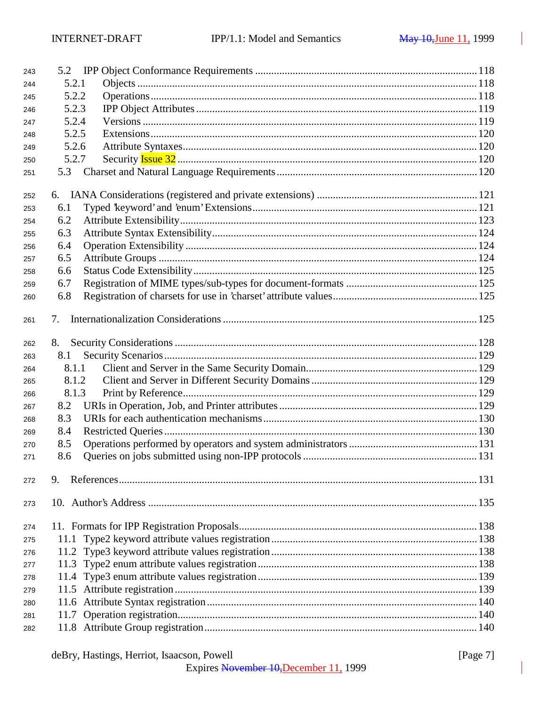| 243 | 5.2   |  |
|-----|-------|--|
| 244 | 5.2.1 |  |
| 245 | 5.2.2 |  |
| 246 | 5.2.3 |  |
| 247 | 5.2.4 |  |
| 248 | 5.2.5 |  |
| 249 | 5.2.6 |  |
| 250 | 5.2.7 |  |
| 251 | 5.3   |  |
| 252 |       |  |
| 253 | 6.1   |  |
| 254 | 6.2   |  |
| 255 | 6.3   |  |
| 256 | 6.4   |  |
| 257 | 6.5   |  |
| 258 | 6.6   |  |
| 259 | 6.7   |  |
| 260 | 6.8   |  |
| 261 | 7.    |  |
| 262 | 8.    |  |
| 263 | 8.1   |  |
| 264 | 8.1.1 |  |
| 265 | 8.1.2 |  |
| 266 | 8.1.3 |  |
| 267 | 8.2   |  |
| 268 | 8.3   |  |
| 269 | 8.4   |  |
| 270 | 8.5   |  |
| 271 | 8.6   |  |
| 272 | 9.    |  |
| 273 |       |  |
| 274 |       |  |
| 275 | 11.1  |  |
| 276 |       |  |
| 277 |       |  |
| 278 |       |  |
| 279 |       |  |
| 280 |       |  |
| 281 |       |  |
| 282 |       |  |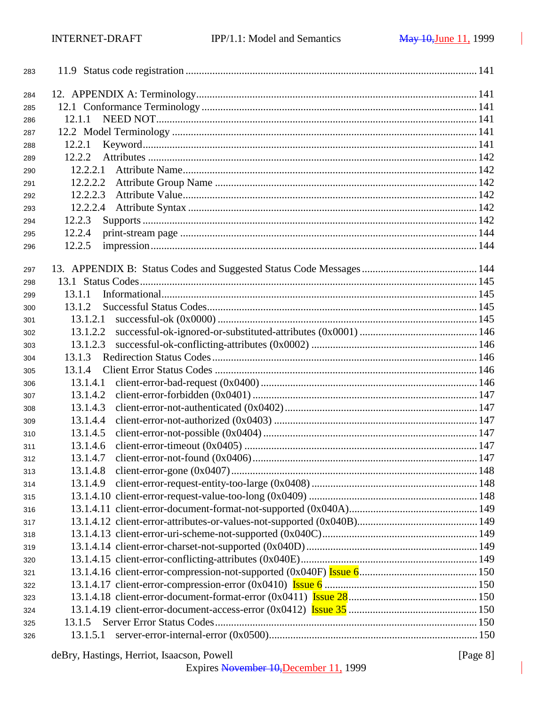| 284<br>285<br>12.1.1<br>286<br>287<br>12.2.1<br>288<br>12.2.2<br>289<br>290<br>12.2.2.2<br>291<br>12.2.2.3<br>292<br>12.2.2.4<br>293<br>12.2.3<br>294<br>12.2.4<br>295<br>12.2.5<br>296<br>297<br>298<br>13.1.1<br>299<br>13.1.2<br>300<br>13.1.2.1<br>301<br>13.1.2.2<br>302<br>13.1.2.3<br>303<br>13.1.3<br>304<br>13.1.4<br>305<br>13.1.4.1<br>306<br>13.1.4.2<br>307<br>13.1.4.3<br>308<br>13.1.4.4<br>309<br>13.1.4.5<br>310<br>13.1.4.6<br>311<br>13.1.4.7<br>312<br>13.1.4.8<br>313<br>13.1.4.9<br>314 |  |
|---------------------------------------------------------------------------------------------------------------------------------------------------------------------------------------------------------------------------------------------------------------------------------------------------------------------------------------------------------------------------------------------------------------------------------------------------------------------------------------------------------------|--|
|                                                                                                                                                                                                                                                                                                                                                                                                                                                                                                               |  |
|                                                                                                                                                                                                                                                                                                                                                                                                                                                                                                               |  |
|                                                                                                                                                                                                                                                                                                                                                                                                                                                                                                               |  |
|                                                                                                                                                                                                                                                                                                                                                                                                                                                                                                               |  |
|                                                                                                                                                                                                                                                                                                                                                                                                                                                                                                               |  |
|                                                                                                                                                                                                                                                                                                                                                                                                                                                                                                               |  |
|                                                                                                                                                                                                                                                                                                                                                                                                                                                                                                               |  |
|                                                                                                                                                                                                                                                                                                                                                                                                                                                                                                               |  |
|                                                                                                                                                                                                                                                                                                                                                                                                                                                                                                               |  |
|                                                                                                                                                                                                                                                                                                                                                                                                                                                                                                               |  |
|                                                                                                                                                                                                                                                                                                                                                                                                                                                                                                               |  |
|                                                                                                                                                                                                                                                                                                                                                                                                                                                                                                               |  |
|                                                                                                                                                                                                                                                                                                                                                                                                                                                                                                               |  |
|                                                                                                                                                                                                                                                                                                                                                                                                                                                                                                               |  |
|                                                                                                                                                                                                                                                                                                                                                                                                                                                                                                               |  |
|                                                                                                                                                                                                                                                                                                                                                                                                                                                                                                               |  |
|                                                                                                                                                                                                                                                                                                                                                                                                                                                                                                               |  |
|                                                                                                                                                                                                                                                                                                                                                                                                                                                                                                               |  |
|                                                                                                                                                                                                                                                                                                                                                                                                                                                                                                               |  |
|                                                                                                                                                                                                                                                                                                                                                                                                                                                                                                               |  |
|                                                                                                                                                                                                                                                                                                                                                                                                                                                                                                               |  |
|                                                                                                                                                                                                                                                                                                                                                                                                                                                                                                               |  |
|                                                                                                                                                                                                                                                                                                                                                                                                                                                                                                               |  |
|                                                                                                                                                                                                                                                                                                                                                                                                                                                                                                               |  |
|                                                                                                                                                                                                                                                                                                                                                                                                                                                                                                               |  |
|                                                                                                                                                                                                                                                                                                                                                                                                                                                                                                               |  |
|                                                                                                                                                                                                                                                                                                                                                                                                                                                                                                               |  |
|                                                                                                                                                                                                                                                                                                                                                                                                                                                                                                               |  |
|                                                                                                                                                                                                                                                                                                                                                                                                                                                                                                               |  |
|                                                                                                                                                                                                                                                                                                                                                                                                                                                                                                               |  |
|                                                                                                                                                                                                                                                                                                                                                                                                                                                                                                               |  |
| 315                                                                                                                                                                                                                                                                                                                                                                                                                                                                                                           |  |
| 316                                                                                                                                                                                                                                                                                                                                                                                                                                                                                                           |  |
| 317                                                                                                                                                                                                                                                                                                                                                                                                                                                                                                           |  |
| 318                                                                                                                                                                                                                                                                                                                                                                                                                                                                                                           |  |
| 319                                                                                                                                                                                                                                                                                                                                                                                                                                                                                                           |  |
| 320                                                                                                                                                                                                                                                                                                                                                                                                                                                                                                           |  |
| 321                                                                                                                                                                                                                                                                                                                                                                                                                                                                                                           |  |
| 322                                                                                                                                                                                                                                                                                                                                                                                                                                                                                                           |  |
| 323                                                                                                                                                                                                                                                                                                                                                                                                                                                                                                           |  |
| 324                                                                                                                                                                                                                                                                                                                                                                                                                                                                                                           |  |
| 13.1.5<br>325                                                                                                                                                                                                                                                                                                                                                                                                                                                                                                 |  |
| 13.1.5.1<br>326                                                                                                                                                                                                                                                                                                                                                                                                                                                                                               |  |

deBry, Hastings, Herriot, Isaacson, Powell [Page 8]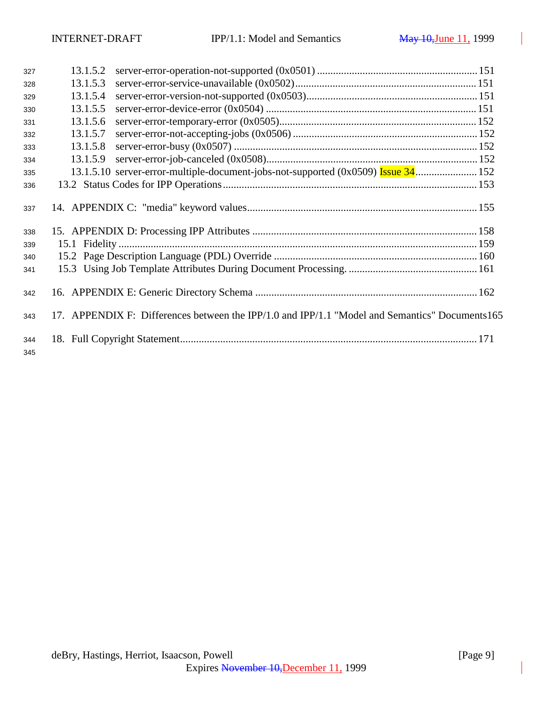| 327        | 13.1.5.2 |                                                                                                 |  |
|------------|----------|-------------------------------------------------------------------------------------------------|--|
| 328        | 13.1.5.3 |                                                                                                 |  |
| 329        | 13.1.5.4 |                                                                                                 |  |
| 330        | 13.1.5.5 |                                                                                                 |  |
| 331        | 13.1.5.6 |                                                                                                 |  |
| 332        | 13.1.5.7 |                                                                                                 |  |
| 333        | 13.1.5.8 |                                                                                                 |  |
| 334        | 13.1.5.9 |                                                                                                 |  |
| 335        |          |                                                                                                 |  |
| 336        |          |                                                                                                 |  |
| 337        |          |                                                                                                 |  |
| 338        |          |                                                                                                 |  |
| 339        |          |                                                                                                 |  |
| 340        |          |                                                                                                 |  |
| 341        |          |                                                                                                 |  |
| 342        |          |                                                                                                 |  |
| 343        |          | 17. APPENDIX F: Differences between the IPP/1.0 and IPP/1.1 "Model and Semantics" Documents 165 |  |
| 344<br>345 |          |                                                                                                 |  |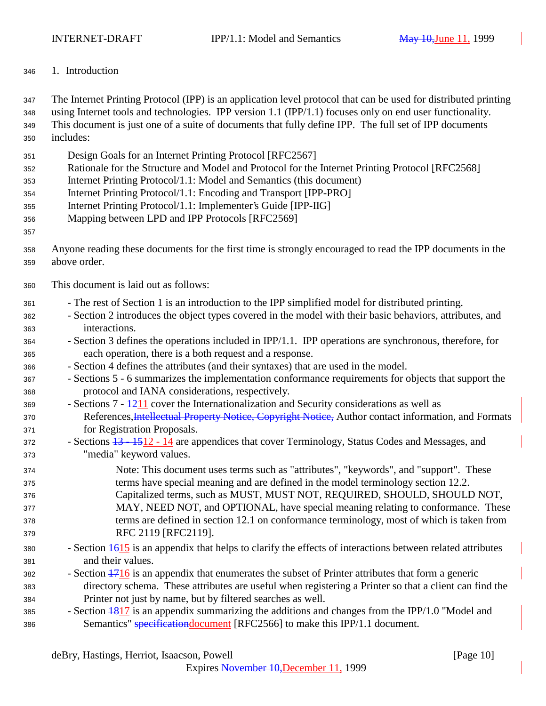1. Introduction

 The Internet Printing Protocol (IPP) is an application level protocol that can be used for distributed printing using Internet tools and technologies. IPP version 1.1 (IPP/1.1) focuses only on end user functionality. This document is just one of a suite of documents that fully define IPP. The full set of IPP documents includes:

- Design Goals for an Internet Printing Protocol [RFC2567]
- Rationale for the Structure and Model and Protocol for the Internet Printing Protocol [RFC2568]
- Internet Printing Protocol/1.1: Model and Semantics (this document)
- Internet Printing Protocol/1.1: Encoding and Transport [IPP-PRO]
- Internet Printing Protocol/1.1: Implementer's Guide [IPP-IIG]
- Mapping between LPD and IPP Protocols [RFC2569]
- 
- Anyone reading these documents for the first time is strongly encouraged to read the IPP documents in the above order.
- This document is laid out as follows:
- The rest of Section 1 is an introduction to the IPP simplified model for distributed printing.
- Section 2 introduces the object types covered in the model with their basic behaviors, attributes, and interactions.
- Section 3 defines the operations included in IPP/1.1. IPP operations are synchronous, therefore, for each operation, there is a both request and a response.
- Section 4 defines the attributes (and their syntaxes) that are used in the model.
- Sections 5 6 summarizes the implementation conformance requirements for objects that support the protocol and IANA considerations, respectively.
- Sections  $7 1211$  cover the Internationalization and Security considerations as well as 370 References, *Intellectual Property Notice*, Copyright Notice, Author contact information, and Formats for Registration Proposals.
- 372 Sections <del>13 15</del>12 14 are appendices that cover Terminology, Status Codes and Messages, and "media" keyword values.
- Note: This document uses terms such as "attributes", "keywords", and "support". These terms have special meaning and are defined in the model terminology section 12.2. Capitalized terms, such as MUST, MUST NOT, REQUIRED, SHOULD, SHOULD NOT, MAY, NEED NOT, and OPTIONAL, have special meaning relating to conformance. These terms are defined in section 12.1 on conformance terminology, most of which is taken from RFC 2119 [RFC2119].
- 380 Section  $\frac{1615}{16}$  is an appendix that helps to clarify the effects of interactions between related attributes and their values.
- Section  $\frac{1716}{12}$  is an appendix that enumerates the subset of Printer attributes that form a generic directory schema. These attributes are useful when registering a Printer so that a client can find the Printer not just by name, but by filtered searches as well.
- 385 Section  $\frac{1817}{3}$  is an appendix summarizing the additions and changes from the IPP/1.0 "Model and 386 Semantics" specification document [RFC2566] to make this IPP/1.1 document.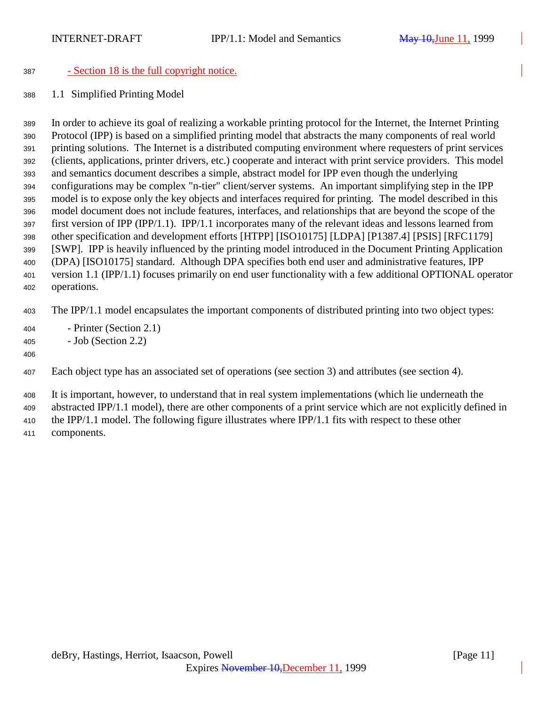### - Section 18 is the full copyright notice.

1.1 Simplified Printing Model

 In order to achieve its goal of realizing a workable printing protocol for the Internet, the Internet Printing Protocol (IPP) is based on a simplified printing model that abstracts the many components of real world printing solutions. The Internet is a distributed computing environment where requesters of print services (clients, applications, printer drivers, etc.) cooperate and interact with print service providers. This model and semantics document describes a simple, abstract model for IPP even though the underlying configurations may be complex "n-tier" client/server systems. An important simplifying step in the IPP model is to expose only the key objects and interfaces required for printing. The model described in this model document does not include features, interfaces, and relationships that are beyond the scope of the first version of IPP (IPP/1.1). IPP/1.1 incorporates many of the relevant ideas and lessons learned from other specification and development efforts [HTPP] [ISO10175] [LDPA] [P1387.4] [PSIS] [RFC1179] [SWP]. IPP is heavily influenced by the printing model introduced in the Document Printing Application (DPA) [ISO10175] standard. Although DPA specifies both end user and administrative features, IPP version 1.1 (IPP/1.1) focuses primarily on end user functionality with a few additional OPTIONAL operator operations.

The IPP/1.1 model encapsulates the important components of distributed printing into two object types:

- Printer (Section 2.1)
- Job (Section 2.2)
- 

Each object type has an associated set of operations (see section 3) and attributes (see section 4).

 It is important, however, to understand that in real system implementations (which lie underneath the abstracted IPP/1.1 model), there are other components of a print service which are not explicitly defined in the IPP/1.1 model. The following figure illustrates where IPP/1.1 fits with respect to these other components.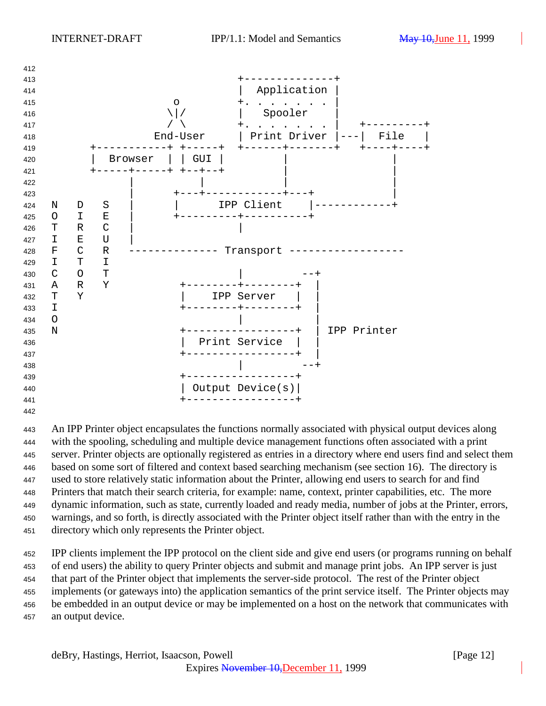

 An IPP Printer object encapsulates the functions normally associated with physical output devices along with the spooling, scheduling and multiple device management functions often associated with a print server. Printer objects are optionally registered as entries in a directory where end users find and select them based on some sort of filtered and context based searching mechanism (see section 16). The directory is used to store relatively static information about the Printer, allowing end users to search for and find Printers that match their search criteria, for example: name, context, printer capabilities, etc. The more dynamic information, such as state, currently loaded and ready media, number of jobs at the Printer, errors, warnings, and so forth, is directly associated with the Printer object itself rather than with the entry in the directory which only represents the Printer object.

 IPP clients implement the IPP protocol on the client side and give end users (or programs running on behalf of end users) the ability to query Printer objects and submit and manage print jobs. An IPP server is just that part of the Printer object that implements the server-side protocol. The rest of the Printer object implements (or gateways into) the application semantics of the print service itself. The Printer objects may be embedded in an output device or may be implemented on a host on the network that communicates with an output device.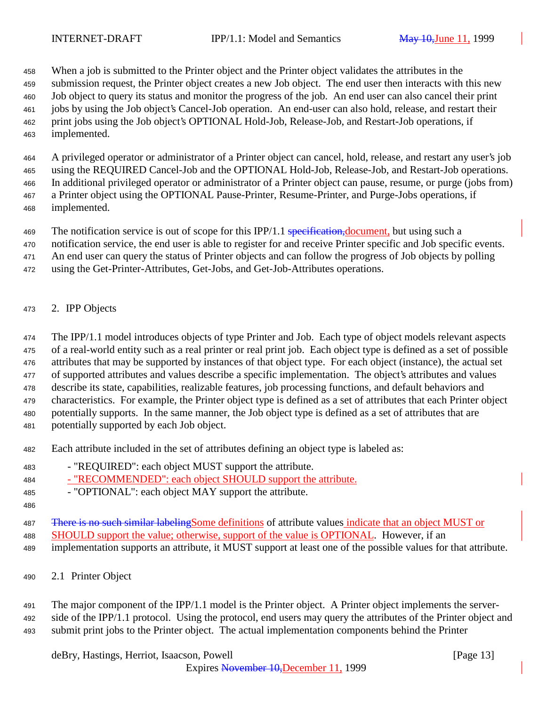When a job is submitted to the Printer object and the Printer object validates the attributes in the

 submission request, the Printer object creates a new Job object. The end user then interacts with this new Job object to query its status and monitor the progress of the job. An end user can also cancel their print jobs by using the Job object's Cancel-Job operation. An end-user can also hold, release, and restart their print jobs using the Job object's OPTIONAL Hold-Job, Release-Job, and Restart-Job operations, if implemented.

 A privileged operator or administrator of a Printer object can cancel, hold, release, and restart any user's job using the REQUIRED Cancel-Job and the OPTIONAL Hold-Job, Release-Job, and Restart-Job operations. In additional privileged operator or administrator of a Printer object can pause, resume, or purge (jobs from) a Printer object using the OPTIONAL Pause-Printer, Resume-Printer, and Purge-Jobs operations, if implemented.

469 The notification service is out of scope for this IPP/1.1 specification, document, but using such a

notification service, the end user is able to register for and receive Printer specific and Job specific events.

An end user can query the status of Printer objects and can follow the progress of Job objects by polling

- using the Get-Printer-Attributes, Get-Jobs, and Get-Job-Attributes operations.
- 2. IPP Objects

 The IPP/1.1 model introduces objects of type Printer and Job. Each type of object models relevant aspects of a real-world entity such as a real printer or real print job. Each object type is defined as a set of possible attributes that may be supported by instances of that object type. For each object (instance), the actual set of supported attributes and values describe a specific implementation. The object's attributes and values describe its state, capabilities, realizable features, job processing functions, and default behaviors and characteristics. For example, the Printer object type is defined as a set of attributes that each Printer object potentially supports. In the same manner, the Job object type is defined as a set of attributes that are potentially supported by each Job object.

- Each attribute included in the set of attributes defining an object type is labeled as:
- "REQUIRED": each object MUST support the attribute.
- 484 "RECOMMENDED": each object SHOULD support the attribute.
- "OPTIONAL": each object MAY support the attribute.
- 

487 There is no such similar labeling Some definitions of attribute values indicate that an object MUST or SHOULD support the value; otherwise, support of the value is OPTIONAL. However, if an

implementation supports an attribute, it MUST support at least one of the possible values for that attribute.

2.1 Printer Object

 The major component of the IPP/1.1 model is the Printer object. A Printer object implements the server-492 side of the IPP/1.1 protocol. Using the protocol, end users may query the attributes of the Printer object and submit print jobs to the Printer object. The actual implementation components behind the Printer

deBry, Hastings, Herriot, Isaacson, Powell **Example 20** (Page 13)

Expires November 10,December 11, 1999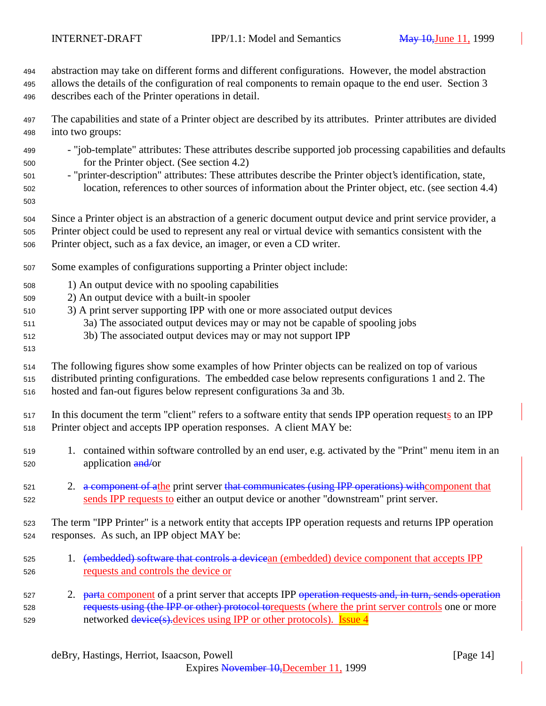abstraction may take on different forms and different configurations. However, the model abstraction allows the details of the configuration of real components to remain opaque to the end user. Section 3 describes each of the Printer operations in detail.

 The capabilities and state of a Printer object are described by its attributes. Printer attributes are divided into two groups:

- "job-template" attributes: These attributes describe supported job processing capabilities and defaults for the Printer object. (See section 4.2)
- "printer-description" attributes: These attributes describe the Printer object's identification, state, location, references to other sources of information about the Printer object, etc. (see section 4.4)
- 
- Since a Printer object is an abstraction of a generic document output device and print service provider, a
- Printer object could be used to represent any real or virtual device with semantics consistent with the Printer object, such as a fax device, an imager, or even a CD writer.
- Some examples of configurations supporting a Printer object include:
- 1) An output device with no spooling capabilities
- 2) An output device with a built-in spooler
- 3) A print server supporting IPP with one or more associated output devices
- 3a) The associated output devices may or may not be capable of spooling jobs
- 3b) The associated output devices may or may not support IPP
- 

 The following figures show some examples of how Printer objects can be realized on top of various distributed printing configurations. The embedded case below represents configurations 1 and 2. The hosted and fan-out figures below represent configurations 3a and 3b.

 In this document the term "client" refers to a software entity that sends IPP operation requests to an IPP Printer object and accepts IPP operation responses. A client MAY be:

- 1. contained within software controlled by an end user, e.g. activated by the "Print" menu item in an 520 application and/or
- 521 2. a component of athe print server that communicates (using IPP operations) with component that sends IPP requests to either an output device or another "downstream" print server.

 The term "IPP Printer" is a network entity that accepts IPP operation requests and returns IPP operation responses. As such, an IPP object MAY be:

- 525 1. (embedded) software that controls a devicean (embedded) device component that accepts IPP requests and controls the device or
- 527 2. <del>part</del>a component of a print server that accepts IPP operation requests and, in turn, sends operation 528 requests using (the IPP or other) protocol torquests (where the print server controls one or more 529 networked device(s)-devices using IPP or other protocols). Issue 4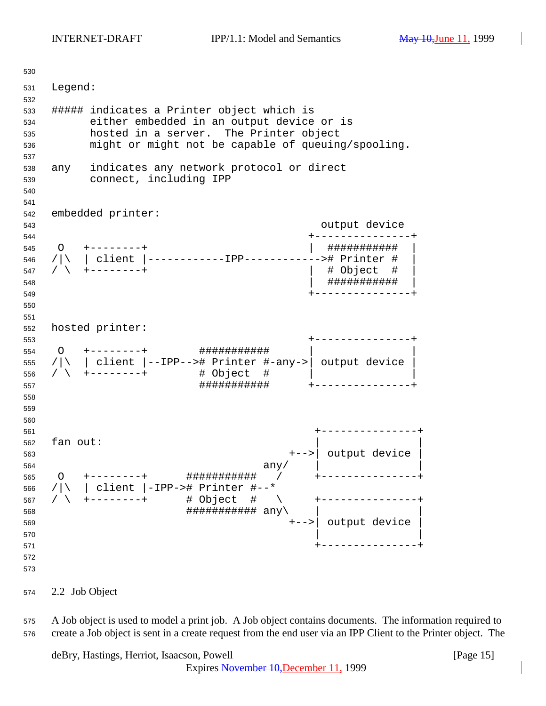Legend: ##### indicates a Printer object which is either embedded in an output device or is hosted in a server. The Printer object might or might not be capable of queuing/spooling. any indicates any network protocol or direct connect, including IPP embedded printer: output device +---------------+ O +--------+ | ########### | /|\ | client |------------IPP------------># Printer # | / \ +--------+ | # Object # | | ########### | +---------------+ hosted printer: +---------------+ O +--------+ ########### | | /|\ | client |--IPP--># Printer #-any->| output device | / \ +--------+ # Object # | | ########### +---------------+ +---------------+ fan out: +-->| output device | any/  $\vert$  O +--------+ ########### / +---------------+ /|\ | client |-IPP-># Printer #--\* / \ +--------+ # Object # \ +---------------+  $\# \# \# \# \# \# \# \# \# \# \# \ \text{any} \setminus$  +-->| output device |  $\qquad \qquad$  +---------------+ 

2.2 Job Object

 A Job object is used to model a print job. A Job object contains documents. The information required to create a Job object is sent in a create request from the end user via an IPP Client to the Printer object. The

deBry, Hastings, Herriot, Isaacson, Powell [Page 15]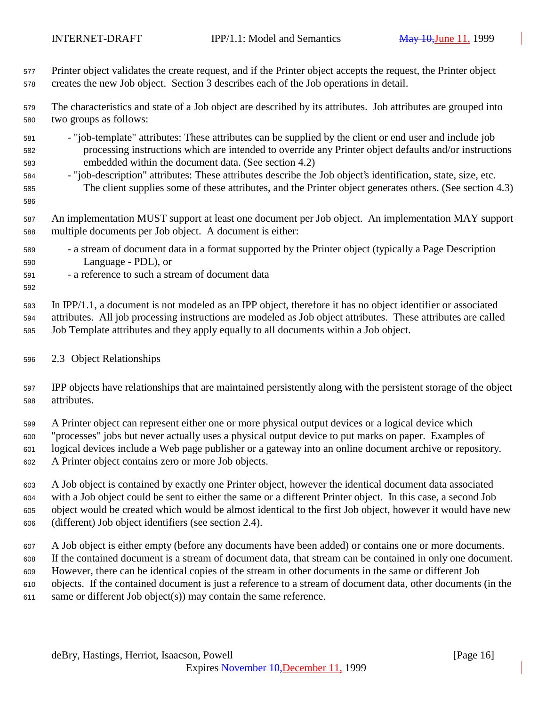Printer object validates the create request, and if the Printer object accepts the request, the Printer object creates the new Job object. Section 3 describes each of the Job operations in detail.

 The characteristics and state of a Job object are described by its attributes. Job attributes are grouped into two groups as follows:

- "job-template" attributes: These attributes can be supplied by the client or end user and include job processing instructions which are intended to override any Printer object defaults and/or instructions embedded within the document data. (See section 4.2)
- "job-description" attributes: These attributes describe the Job object's identification, state, size, etc. The client supplies some of these attributes, and the Printer object generates others. (See section 4.3)

 An implementation MUST support at least one document per Job object. An implementation MAY support multiple documents per Job object. A document is either:

- a stream of document data in a format supported by the Printer object (typically a Page Description Language - PDL), or
- a reference to such a stream of document data

 In IPP/1.1, a document is not modeled as an IPP object, therefore it has no object identifier or associated attributes. All job processing instructions are modeled as Job object attributes. These attributes are called Job Template attributes and they apply equally to all documents within a Job object.

#### 2.3 Object Relationships

 IPP objects have relationships that are maintained persistently along with the persistent storage of the object attributes.

 A Printer object can represent either one or more physical output devices or a logical device which "processes" jobs but never actually uses a physical output device to put marks on paper. Examples of logical devices include a Web page publisher or a gateway into an online document archive or repository. A Printer object contains zero or more Job objects.

 A Job object is contained by exactly one Printer object, however the identical document data associated with a Job object could be sent to either the same or a different Printer object. In this case, a second Job object would be created which would be almost identical to the first Job object, however it would have new (different) Job object identifiers (see section 2.4).

 A Job object is either empty (before any documents have been added) or contains one or more documents. If the contained document is a stream of document data, that stream can be contained in only one document. However, there can be identical copies of the stream in other documents in the same or different Job objects. If the contained document is just a reference to a stream of document data, other documents (in the same or different Job object(s)) may contain the same reference.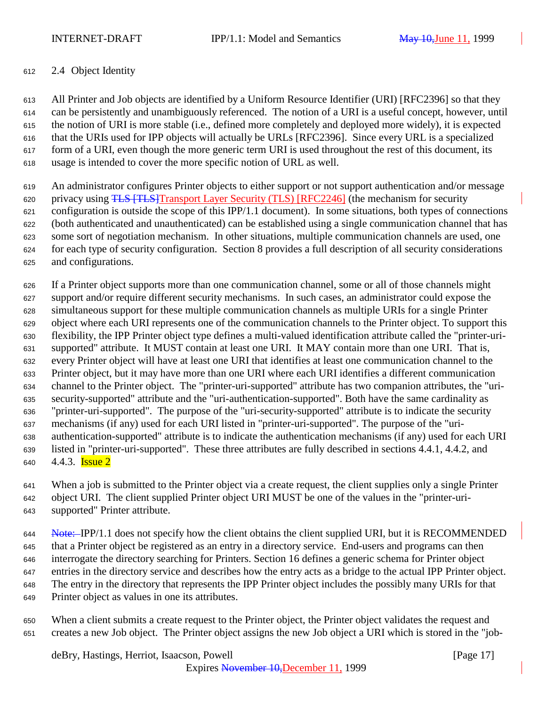## 2.4 Object Identity

 All Printer and Job objects are identified by a Uniform Resource Identifier (URI) [RFC2396] so that they can be persistently and unambiguously referenced. The notion of a URI is a useful concept, however, until the notion of URI is more stable (i.e., defined more completely and deployed more widely), it is expected that the URIs used for IPP objects will actually be URLs [RFC2396]. Since every URL is a specialized form of a URI, even though the more generic term URI is used throughout the rest of this document, its usage is intended to cover the more specific notion of URL as well.

 An administrator configures Printer objects to either support or not support authentication and/or message 620 privacy using TLS [TLS] Transport Layer Security (TLS) [RFC2246] (the mechanism for security configuration is outside the scope of this IPP/1.1 document). In some situations, both types of connections (both authenticated and unauthenticated) can be established using a single communication channel that has some sort of negotiation mechanism. In other situations, multiple communication channels are used, one for each type of security configuration. Section 8 provides a full description of all security considerations and configurations.

 If a Printer object supports more than one communication channel, some or all of those channels might support and/or require different security mechanisms. In such cases, an administrator could expose the simultaneous support for these multiple communication channels as multiple URIs for a single Printer object where each URI represents one of the communication channels to the Printer object. To support this flexibility, the IPP Printer object type defines a multi-valued identification attribute called the "printer-uri- supported" attribute. It MUST contain at least one URI. It MAY contain more than one URI. That is, every Printer object will have at least one URI that identifies at least one communication channel to the Printer object, but it may have more than one URI where each URI identifies a different communication channel to the Printer object. The "printer-uri-supported" attribute has two companion attributes, the "uri- security-supported" attribute and the "uri-authentication-supported". Both have the same cardinality as "printer-uri-supported". The purpose of the "uri-security-supported" attribute is to indicate the security mechanisms (if any) used for each URI listed in "printer-uri-supported". The purpose of the "uri- authentication-supported" attribute is to indicate the authentication mechanisms (if any) used for each URI listed in "printer-uri-supported". These three attributes are fully described in sections 4.4.1, 4.4.2, and  $4.4.3$ . **Issue 2** 

 When a job is submitted to the Printer object via a create request, the client supplies only a single Printer object URI. The client supplied Printer object URI MUST be one of the values in the "printer-uri-supported" Printer attribute.

644 Note: IPP/1.1 does not specify how the client obtains the client supplied URI, but it is RECOMMENDED that a Printer object be registered as an entry in a directory service. End-users and programs can then interrogate the directory searching for Printers. Section 16 defines a generic schema for Printer object entries in the directory service and describes how the entry acts as a bridge to the actual IPP Printer object. The entry in the directory that represents the IPP Printer object includes the possibly many URIs for that Printer object as values in one its attributes.

 When a client submits a create request to the Printer object, the Printer object validates the request and creates a new Job object. The Printer object assigns the new Job object a URI which is stored in the "job-

deBry, Hastings, Herriot, Isaacson, Powell [Page 17]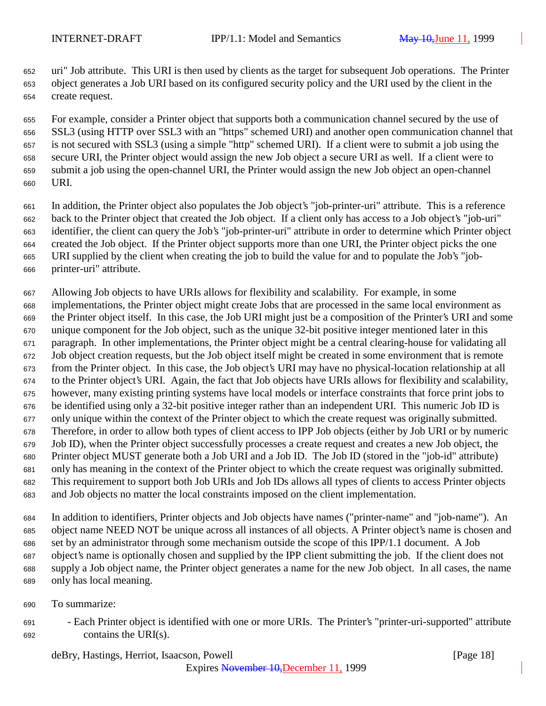uri" Job attribute. This URI is then used by clients as the target for subsequent Job operations. The Printer object generates a Job URI based on its configured security policy and the URI used by the client in the create request.

 For example, consider a Printer object that supports both a communication channel secured by the use of SSL3 (using HTTP over SSL3 with an "https" schemed URI) and another open communication channel that is not secured with SSL3 (using a simple "http" schemed URI). If a client were to submit a job using the secure URI, the Printer object would assign the new Job object a secure URI as well. If a client were to submit a job using the open-channel URI, the Printer would assign the new Job object an open-channel URI.

- In addition, the Printer object also populates the Job object's "job-printer-uri" attribute. This is a reference back to the Printer object that created the Job object. If a client only has access to a Job object's "job-uri" identifier, the client can query the Job's "job-printer-uri" attribute in order to determine which Printer object created the Job object. If the Printer object supports more than one URI, the Printer object picks the one URI supplied by the client when creating the job to build the value for and to populate the Job's "job-printer-uri" attribute.
- Allowing Job objects to have URIs allows for flexibility and scalability. For example, in some implementations, the Printer object might create Jobs that are processed in the same local environment as the Printer object itself. In this case, the Job URI might just be a composition of the Printer's URI and some unique component for the Job object, such as the unique 32-bit positive integer mentioned later in this paragraph. In other implementations, the Printer object might be a central clearing-house for validating all Job object creation requests, but the Job object itself might be created in some environment that is remote from the Printer object. In this case, the Job object's URI may have no physical-location relationship at all to the Printer object's URI. Again, the fact that Job objects have URIs allows for flexibility and scalability, however, many existing printing systems have local models or interface constraints that force print jobs to be identified using only a 32-bit positive integer rather than an independent URI. This numeric Job ID is only unique within the context of the Printer object to which the create request was originally submitted. Therefore, in order to allow both types of client access to IPP Job objects (either by Job URI or by numeric Job ID), when the Printer object successfully processes a create request and creates a new Job object, the Printer object MUST generate both a Job URI and a Job ID. The Job ID (stored in the "job-id" attribute) only has meaning in the context of the Printer object to which the create request was originally submitted. This requirement to support both Job URIs and Job IDs allows all types of clients to access Printer objects and Job objects no matter the local constraints imposed on the client implementation.
- In addition to identifiers, Printer objects and Job objects have names ("printer-name" and "job-name"). An object name NEED NOT be unique across all instances of all objects. A Printer object's name is chosen and set by an administrator through some mechanism outside the scope of this IPP/1.1 document. A Job object's name is optionally chosen and supplied by the IPP client submitting the job. If the client does not supply a Job object name, the Printer object generates a name for the new Job object. In all cases, the name only has local meaning.
- To summarize:
- Each Printer object is identified with one or more URIs. The Printer's "printer-uri-supported" attribute contains the URI(s).

deBry, Hastings, Herriot, Isaacson, Powell **Example 20** (Page 18)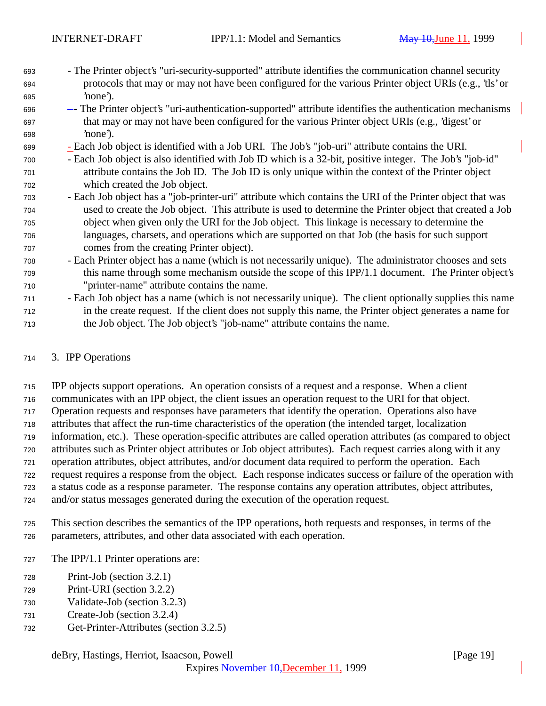- The Printer object's "uri-security-supported" attribute identifies the communication channel security protocols that may or may not have been configured for the various Printer object URIs (e.g., 'tls' or 'none').
- - The Printer object's "uri-authentication-supported" attribute identifies the authentication mechanisms that may or may not have been configured for the various Printer object URIs (e.g., 'digest' or 'none').
- Each Job object is identified with a Job URI. The Job's "job-uri" attribute contains the URI.
- Each Job object is also identified with Job ID which is a 32-bit, positive integer. The Job's "job-id" attribute contains the Job ID. The Job ID is only unique within the context of the Printer object which created the Job object.
- Each Job object has a "job-printer-uri" attribute which contains the URI of the Printer object that was used to create the Job object. This attribute is used to determine the Printer object that created a Job object when given only the URI for the Job object. This linkage is necessary to determine the languages, charsets, and operations which are supported on that Job (the basis for such support comes from the creating Printer object).
- Each Printer object has a name (which is not necessarily unique). The administrator chooses and sets this name through some mechanism outside the scope of this IPP/1.1 document. The Printer object's "printer-name" attribute contains the name.
- Each Job object has a name (which is not necessarily unique). The client optionally supplies this name in the create request. If the client does not supply this name, the Printer object generates a name for the Job object. The Job object's "job-name" attribute contains the name.

# 3. IPP Operations

 IPP objects support operations. An operation consists of a request and a response. When a client communicates with an IPP object, the client issues an operation request to the URI for that object. Operation requests and responses have parameters that identify the operation. Operations also have attributes that affect the run-time characteristics of the operation (the intended target, localization information, etc.). These operation-specific attributes are called operation attributes (as compared to object attributes such as Printer object attributes or Job object attributes). Each request carries along with it any operation attributes, object attributes, and/or document data required to perform the operation. Each request requires a response from the object. Each response indicates success or failure of the operation with a status code as a response parameter. The response contains any operation attributes, object attributes, and/or status messages generated during the execution of the operation request.

- This section describes the semantics of the IPP operations, both requests and responses, in terms of the parameters, attributes, and other data associated with each operation.
- The IPP/1.1 Printer operations are:
- Print-Job (section 3.2.1)
- Print-URI (section 3.2.2)
- Validate-Job (section 3.2.3)
- Create-Job (section 3.2.4)
- Get-Printer-Attributes (section 3.2.5)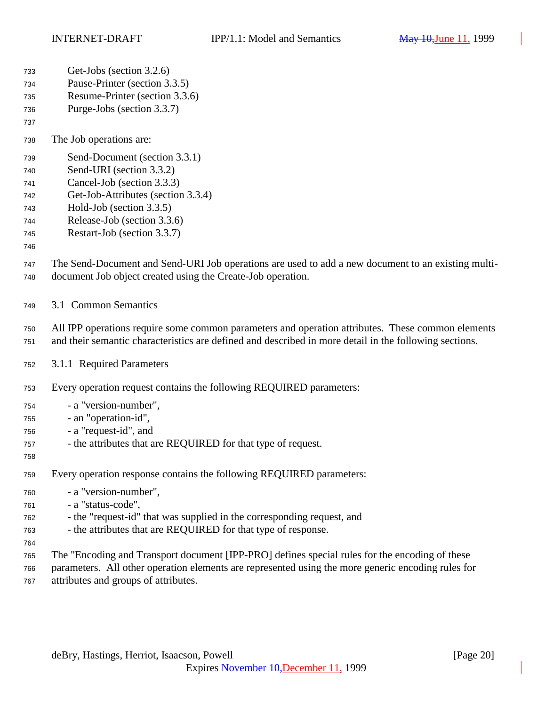| 733<br>734<br>735<br>736<br>737                      | Get-Jobs (section 3.2.6)<br>Pause-Printer (section 3.3.5)<br>Resume-Printer (section 3.3.6)<br>Purge-Jobs (section 3.3.7)                                                                                                                                                                |
|------------------------------------------------------|------------------------------------------------------------------------------------------------------------------------------------------------------------------------------------------------------------------------------------------------------------------------------------------|
| 738                                                  | The Job operations are:                                                                                                                                                                                                                                                                  |
| 739<br>740<br>741<br>742<br>743<br>744<br>745<br>746 | Send-Document (section 3.3.1)<br>Send-URI (section 3.3.2)<br>Cancel-Job (section 3.3.3)<br>Get-Job-Attributes (section 3.3.4)<br>Hold-Job (section 3.3.5)<br>Release-Job (section 3.3.6)<br>Restart-Job (section 3.3.7)                                                                  |
| 747<br>748                                           | The Send-Document and Send-URI Job operations are used to add a new document to an existing multi-<br>document Job object created using the Create-Job operation.                                                                                                                        |
| 749                                                  | 3.1 Common Semantics                                                                                                                                                                                                                                                                     |
| 750<br>751                                           | All IPP operations require some common parameters and operation attributes. These common elements<br>and their semantic characteristics are defined and described in more detail in the following sections.                                                                              |
| 752                                                  | 3.1.1 Required Parameters                                                                                                                                                                                                                                                                |
| 753                                                  | Every operation request contains the following REQUIRED parameters:                                                                                                                                                                                                                      |
| 754<br>755<br>756<br>757<br>758                      | - a "version-number",<br>- an "operation-id",<br>- a "request-id", and<br>- the attributes that are REQUIRED for that type of request.                                                                                                                                                   |
| 759                                                  | Every operation response contains the following REQUIRED parameters:                                                                                                                                                                                                                     |
| 760<br>761<br>762<br>763<br>764<br>765               | - a "version-number",<br>- a "status-code",<br>- the "request-id" that was supplied in the corresponding request, and<br>- the attributes that are REQUIRED for that type of response.<br>The "Encoding and Transport document [IPP-PRO] defines special rules for the encoding of these |
| 766<br>767                                           | parameters. All other operation elements are represented using the more generic encoding rules for<br>attributes and groups of attributes.                                                                                                                                               |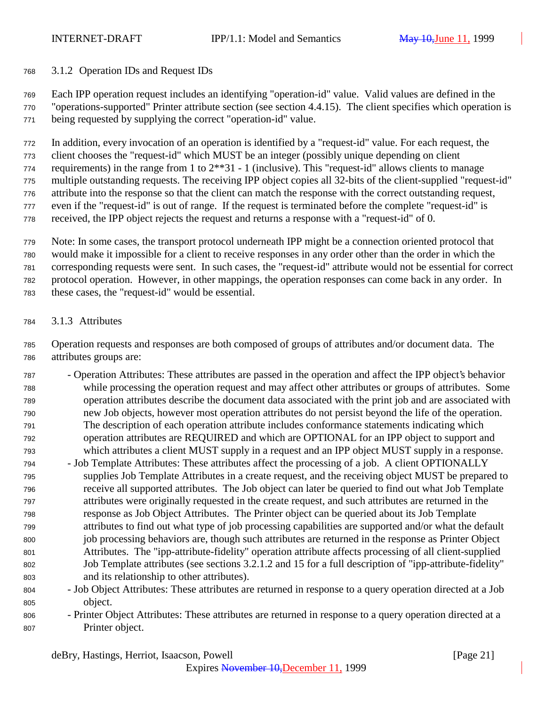### 3.1.2 Operation IDs and Request IDs

 Each IPP operation request includes an identifying "operation-id" value. Valid values are defined in the "operations-supported" Printer attribute section (see section 4.4.15). The client specifies which operation is being requested by supplying the correct "operation-id" value.

 In addition, every invocation of an operation is identified by a "request-id" value. For each request, the client chooses the "request-id" which MUST be an integer (possibly unique depending on client 774 requirements) in the range from 1 to  $2^{**}31 - 1$  (inclusive). This "request-id" allows clients to manage multiple outstanding requests. The receiving IPP object copies all 32-bits of the client-supplied "request-id" attribute into the response so that the client can match the response with the correct outstanding request, even if the "request-id" is out of range. If the request is terminated before the complete "request-id" is received, the IPP object rejects the request and returns a response with a "request-id" of 0.

 Note: In some cases, the transport protocol underneath IPP might be a connection oriented protocol that would make it impossible for a client to receive responses in any order other than the order in which the corresponding requests were sent. In such cases, the "request-id" attribute would not be essential for correct protocol operation. However, in other mappings, the operation responses can come back in any order. In these cases, the "request-id" would be essential.

3.1.3 Attributes

 Operation requests and responses are both composed of groups of attributes and/or document data. The attributes groups are:

- Operation Attributes: These attributes are passed in the operation and affect the IPP object's behavior while processing the operation request and may affect other attributes or groups of attributes. Some operation attributes describe the document data associated with the print job and are associated with new Job objects, however most operation attributes do not persist beyond the life of the operation. The description of each operation attribute includes conformance statements indicating which operation attributes are REQUIRED and which are OPTIONAL for an IPP object to support and which attributes a client MUST supply in a request and an IPP object MUST supply in a response.
- Job Template Attributes: These attributes affect the processing of a job. A client OPTIONALLY supplies Job Template Attributes in a create request, and the receiving object MUST be prepared to receive all supported attributes. The Job object can later be queried to find out what Job Template attributes were originally requested in the create request, and such attributes are returned in the response as Job Object Attributes. The Printer object can be queried about its Job Template attributes to find out what type of job processing capabilities are supported and/or what the default job processing behaviors are, though such attributes are returned in the response as Printer Object Attributes. The "ipp-attribute-fidelity" operation attribute affects processing of all client-supplied Job Template attributes (see sections 3.2.1.2 and 15 for a full description of "ipp-attribute-fidelity" and its relationship to other attributes).
- Job Object Attributes: These attributes are returned in response to a query operation directed at a Job object.
- Printer Object Attributes: These attributes are returned in response to a query operation directed at a Printer object.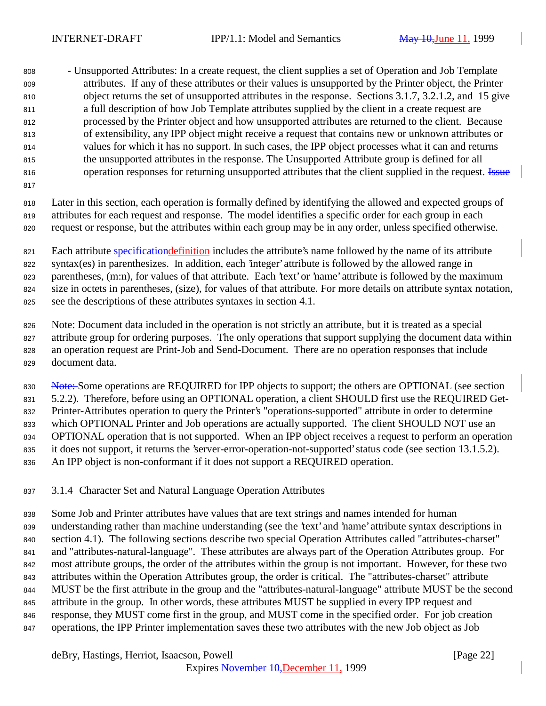- Unsupported Attributes: In a create request, the client supplies a set of Operation and Job Template attributes. If any of these attributes or their values is unsupported by the Printer object, the Printer object returns the set of unsupported attributes in the response. Sections 3.1.7, 3.2.1.2, and 15 give a full description of how Job Template attributes supplied by the client in a create request are processed by the Printer object and how unsupported attributes are returned to the client. Because of extensibility, any IPP object might receive a request that contains new or unknown attributes or values for which it has no support. In such cases, the IPP object processes what it can and returns the unsupported attributes in the response. The Unsupported Attribute group is defined for all 816 operation responses for returning unsupported attributes that the client supplied in the request. Issue

 Later in this section, each operation is formally defined by identifying the allowed and expected groups of attributes for each request and response. The model identifies a specific order for each group in each request or response, but the attributes within each group may be in any order, unless specified otherwise.

821 Each attribute specification definition includes the attribute's name followed by the name of its attribute syntax(es) in parenthesizes. In addition, each 'integer' attribute is followed by the allowed range in parentheses, (m:n), for values of that attribute. Each 'text' or 'name' attribute is followed by the maximum size in octets in parentheses, (size), for values of that attribute. For more details on attribute syntax notation, see the descriptions of these attributes syntaxes in section 4.1.

 Note: Document data included in the operation is not strictly an attribute, but it is treated as a special attribute group for ordering purposes. The only operations that support supplying the document data within an operation request are Print-Job and Send-Document. There are no operation responses that include document data.

830 Note: Some operations are REQUIRED for IPP objects to support; the others are OPTIONAL (see section 5.2.2). Therefore, before using an OPTIONAL operation, a client SHOULD first use the REQUIRED Get- Printer-Attributes operation to query the Printer's "operations-supported" attribute in order to determine which OPTIONAL Printer and Job operations are actually supported. The client SHOULD NOT use an OPTIONAL operation that is not supported. When an IPP object receives a request to perform an operation it does not support, it returns the 'server-error-operation-not-supported' status code (see section 13.1.5.2). An IPP object is non-conformant if it does not support a REQUIRED operation.

3.1.4 Character Set and Natural Language Operation Attributes

 Some Job and Printer attributes have values that are text strings and names intended for human understanding rather than machine understanding (see the 'text' and 'name' attribute syntax descriptions in section 4.1). The following sections describe two special Operation Attributes called "attributes-charset" and "attributes-natural-language". These attributes are always part of the Operation Attributes group. For most attribute groups, the order of the attributes within the group is not important. However, for these two attributes within the Operation Attributes group, the order is critical. The "attributes-charset" attribute MUST be the first attribute in the group and the "attributes-natural-language" attribute MUST be the second attribute in the group. In other words, these attributes MUST be supplied in every IPP request and response, they MUST come first in the group, and MUST come in the specified order. For job creation operations, the IPP Printer implementation saves these two attributes with the new Job object as Job

deBry, Hastings, Herriot, Isaacson, Powell [Page 22]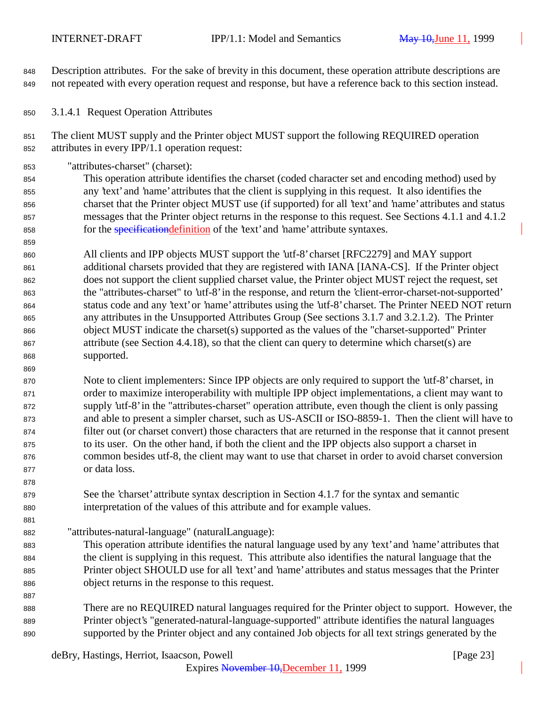Description attributes. For the sake of brevity in this document, these operation attribute descriptions are not repeated with every operation request and response, but have a reference back to this section instead.

3.1.4.1 Request Operation Attributes

 The client MUST supply and the Printer object MUST support the following REQUIRED operation attributes in every IPP/1.1 operation request:

"attributes-charset" (charset):

 This operation attribute identifies the charset (coded character set and encoding method) used by any 'text' and 'name' attributes that the client is supplying in this request. It also identifies the charset that the Printer object MUST use (if supported) for all 'text' and 'name' attributes and status messages that the Printer object returns in the response to this request. See Sections 4.1.1 and 4.1.2 858 for the *specification definition* of the 'text' and 'name' attribute syntaxes.

 All clients and IPP objects MUST support the 'utf-8' charset [RFC2279] and MAY support additional charsets provided that they are registered with IANA [IANA-CS]. If the Printer object does not support the client supplied charset value, the Printer object MUST reject the request, set the "attributes-charset" to 'utf-8' in the response, and return the 'client-error-charset-not-supported' status code and any 'text' or 'name' attributes using the 'utf-8' charset. The Printer NEED NOT return any attributes in the Unsupported Attributes Group (See sections 3.1.7 and 3.2.1.2). The Printer object MUST indicate the charset(s) supported as the values of the "charset-supported" Printer attribute (see Section 4.4.18), so that the client can query to determine which charset(s) are supported.

 Note to client implementers: Since IPP objects are only required to support the 'utf-8' charset, in order to maximize interoperability with multiple IPP object implementations, a client may want to supply 'utf-8' in the "attributes-charset" operation attribute, even though the client is only passing and able to present a simpler charset, such as US-ASCII or ISO-8859-1. Then the client will have to filter out (or charset convert) those characters that are returned in the response that it cannot present to its user. On the other hand, if both the client and the IPP objects also support a charset in common besides utf-8, the client may want to use that charset in order to avoid charset conversion or data loss.

- See the 'charset' attribute syntax description in Section 4.1.7 for the syntax and semantic interpretation of the values of this attribute and for example values.
- "attributes-natural-language" (naturalLanguage):
- This operation attribute identifies the natural language used by any 'text' and 'name' attributes that the client is supplying in this request. This attribute also identifies the natural language that the Printer object SHOULD use for all 'text' and 'name' attributes and status messages that the Printer object returns in the response to this request.
- There are no REQUIRED natural languages required for the Printer object to support. However, the Printer object's "generated-natural-language-supported" attribute identifies the natural languages supported by the Printer object and any contained Job objects for all text strings generated by the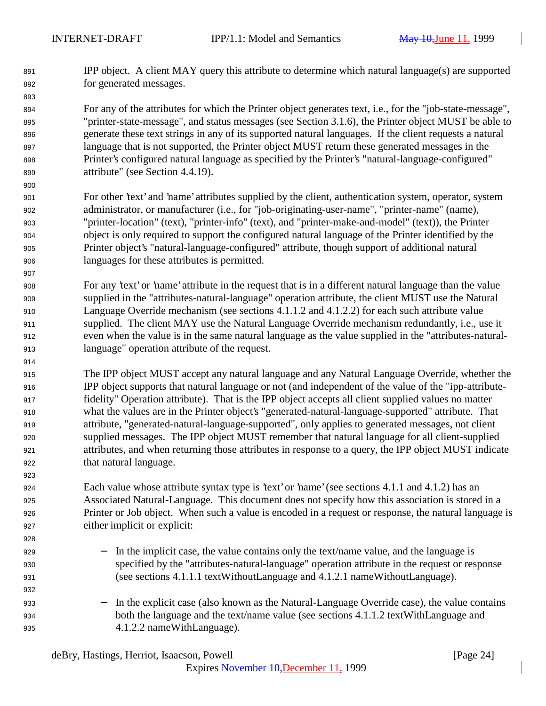IPP object. A client MAY query this attribute to determine which natural language(s) are supported for generated messages.

 For any of the attributes for which the Printer object generates text, i.e., for the "job-state-message", "printer-state-message", and status messages (see Section 3.1.6), the Printer object MUST be able to generate these text strings in any of its supported natural languages. If the client requests a natural language that is not supported, the Printer object MUST return these generated messages in the Printer's configured natural language as specified by the Printer's "natural-language-configured" attribute" (see Section 4.4.19).

- For other 'text' and 'name' attributes supplied by the client, authentication system, operator, system administrator, or manufacturer (i.e., for "job-originating-user-name", "printer-name" (name), "printer-location" (text), "printer-info" (text), and "printer-make-and-model" (text)), the Printer object is only required to support the configured natural language of the Printer identified by the Printer object's "natural-language-configured" attribute, though support of additional natural languages for these attributes is permitted.
- For any 'text' or 'name' attribute in the request that is in a different natural language than the value supplied in the "attributes-natural-language" operation attribute, the client MUST use the Natural Language Override mechanism (see sections 4.1.1.2 and 4.1.2.2) for each such attribute value supplied. The client MAY use the Natural Language Override mechanism redundantly, i.e., use it even when the value is in the same natural language as the value supplied in the "attributes-natural-language" operation attribute of the request.
- The IPP object MUST accept any natural language and any Natural Language Override, whether the IPP object supports that natural language or not (and independent of the value of the "ipp-attribute- fidelity" Operation attribute). That is the IPP object accepts all client supplied values no matter what the values are in the Printer object's "generated-natural-language-supported" attribute. That attribute, "generated-natural-language-supported", only applies to generated messages, not client supplied messages. The IPP object MUST remember that natural language for all client-supplied attributes, and when returning those attributes in response to a query, the IPP object MUST indicate that natural language.

 Each value whose attribute syntax type is 'text' or 'name' (see sections 4.1.1 and 4.1.2) has an Associated Natural-Language. This document does not specify how this association is stored in a Printer or Job object. When such a value is encoded in a request or response, the natural language is either implicit or explicit:

- 929 − In the implicit case, the value contains only the text/name value, and the language is specified by the "attributes-natural-language" operation attribute in the request or response (see sections 4.1.1.1 textWithoutLanguage and 4.1.2.1 nameWithoutLanguage).
- − In the explicit case (also known as the Natural-Language Override case), the value contains both the language and the text/name value (see sections 4.1.1.2 textWithLanguage and 4.1.2.2 nameWithLanguage).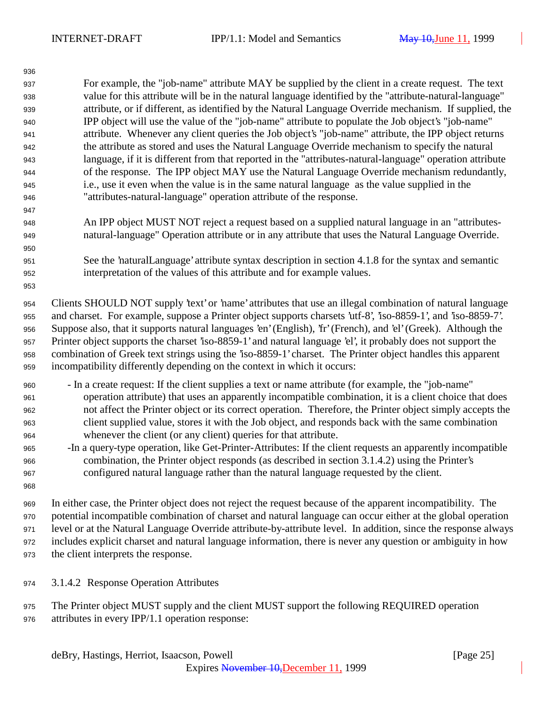For example, the "job-name" attribute MAY be supplied by the client in a create request. The text value for this attribute will be in the natural language identified by the "attribute-natural-language" attribute, or if different, as identified by the Natural Language Override mechanism. If supplied, the IPP object will use the value of the "job-name" attribute to populate the Job object's "job-name" attribute. Whenever any client queries the Job object's "job-name" attribute, the IPP object returns the attribute as stored and uses the Natural Language Override mechanism to specify the natural language, if it is different from that reported in the "attributes-natural-language" operation attribute of the response. The IPP object MAY use the Natural Language Override mechanism redundantly, i.e., use it even when the value is in the same natural language as the value supplied in the "attributes-natural-language" operation attribute of the response.

- An IPP object MUST NOT reject a request based on a supplied natural language in an "attributes-natural-language" Operation attribute or in any attribute that uses the Natural Language Override.
- See the 'naturalLanguage' attribute syntax description in section 4.1.8 for the syntax and semantic interpretation of the values of this attribute and for example values.

 Clients SHOULD NOT supply 'text' or 'name' attributes that use an illegal combination of natural language and charset. For example, suppose a Printer object supports charsets 'utf-8', 'iso-8859-1', and 'iso-8859-7'. Suppose also, that it supports natural languages 'en' (English), 'fr' (French), and 'el' (Greek). Although the Printer object supports the charset 'iso-8859-1' and natural language 'el', it probably does not support the combination of Greek text strings using the 'iso-8859-1' charset. The Printer object handles this apparent incompatibility differently depending on the context in which it occurs:

- In a create request: If the client supplies a text or name attribute (for example, the "job-name" operation attribute) that uses an apparently incompatible combination, it is a client choice that does not affect the Printer object or its correct operation. Therefore, the Printer object simply accepts the client supplied value, stores it with the Job object, and responds back with the same combination whenever the client (or any client) queries for that attribute.
- -In a query-type operation, like Get-Printer-Attributes: If the client requests an apparently incompatible combination, the Printer object responds (as described in section 3.1.4.2) using the Printer's configured natural language rather than the natural language requested by the client.
- 

 In either case, the Printer object does not reject the request because of the apparent incompatibility. The potential incompatible combination of charset and natural language can occur either at the global operation level or at the Natural Language Override attribute-by-attribute level. In addition, since the response always includes explicit charset and natural language information, there is never any question or ambiguity in how the client interprets the response.

- 3.1.4.2 Response Operation Attributes
- The Printer object MUST supply and the client MUST support the following REQUIRED operation attributes in every IPP/1.1 operation response: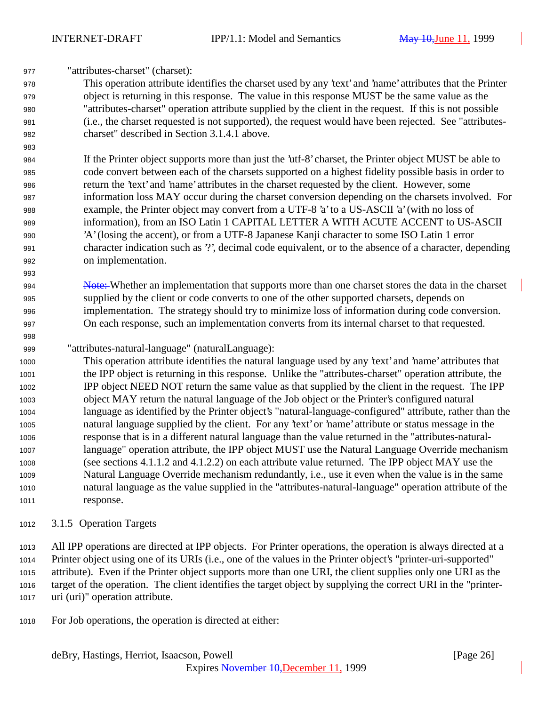"attributes-charset" (charset):

 This operation attribute identifies the charset used by any 'text' and 'name' attributes that the Printer object is returning in this response. The value in this response MUST be the same value as the "attributes-charset" operation attribute supplied by the client in the request. If this is not possible (i.e., the charset requested is not supported), the request would have been rejected. See "attributes-charset" described in Section 3.1.4.1 above.

 If the Printer object supports more than just the 'utf-8' charset, the Printer object MUST be able to code convert between each of the charsets supported on a highest fidelity possible basis in order to return the 'text' and 'name' attributes in the charset requested by the client. However, some information loss MAY occur during the charset conversion depending on the charsets involved. For example, the Printer object may convert from a UTF-8 'a' to a US-ASCII 'a' (with no loss of information), from an ISO Latin 1 CAPITAL LETTER A WITH ACUTE ACCENT to US-ASCII 'A' (losing the accent), or from a UTF-8 Japanese Kanji character to some ISO Latin 1 error character indication such as '?', decimal code equivalent, or to the absence of a character, depending on implementation.

**Note:** Whether an implementation that supports more than one charset stores the data in the charset supplied by the client or code converts to one of the other supported charsets, depends on implementation. The strategy should try to minimize loss of information during code conversion. On each response, such an implementation converts from its internal charset to that requested.

"attributes-natural-language" (naturalLanguage):

 This operation attribute identifies the natural language used by any 'text' and 'name' attributes that the IPP object is returning in this response. Unlike the "attributes-charset" operation attribute, the IPP object NEED NOT return the same value as that supplied by the client in the request. The IPP object MAY return the natural language of the Job object or the Printer's configured natural language as identified by the Printer object's "natural-language-configured" attribute, rather than the natural language supplied by the client. For any 'text' or 'name' attribute or status message in the response that is in a different natural language than the value returned in the "attributes-natural- language" operation attribute, the IPP object MUST use the Natural Language Override mechanism (see sections 4.1.1.2 and 4.1.2.2) on each attribute value returned. The IPP object MAY use the Natural Language Override mechanism redundantly, i.e., use it even when the value is in the same natural language as the value supplied in the "attributes-natural-language" operation attribute of the response.

3.1.5 Operation Targets

 All IPP operations are directed at IPP objects. For Printer operations, the operation is always directed at a Printer object using one of its URIs (i.e., one of the values in the Printer object's "printer-uri-supported" attribute). Even if the Printer object supports more than one URI, the client supplies only one URI as the target of the operation. The client identifies the target object by supplying the correct URI in the "printer-uri (uri)" operation attribute.

For Job operations, the operation is directed at either: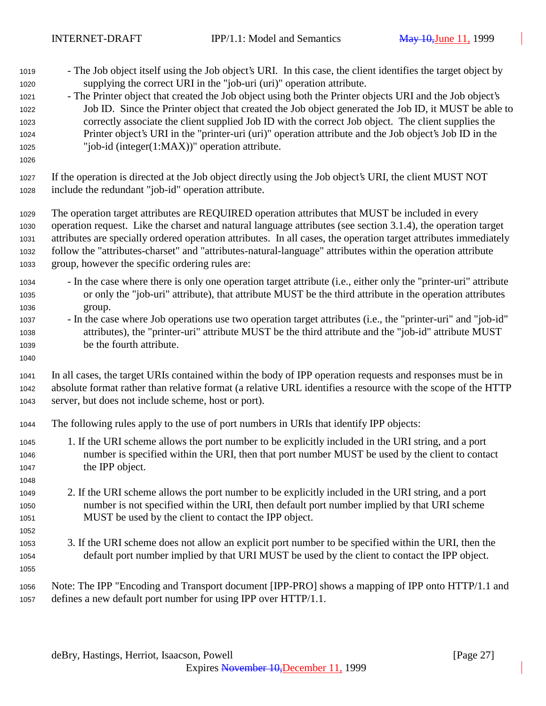- The Job object itself using the Job object's URI. In this case, the client identifies the target object by supplying the correct URI in the "job-uri (uri)" operation attribute.
- The Printer object that created the Job object using both the Printer objects URI and the Job object's Job ID. Since the Printer object that created the Job object generated the Job ID, it MUST be able to correctly associate the client supplied Job ID with the correct Job object. The client supplies the Printer object's URI in the "printer-uri (uri)" operation attribute and the Job object's Job ID in the "job-id (integer(1:MAX))" operation attribute.
- 

 If the operation is directed at the Job object directly using the Job object's URI, the client MUST NOT include the redundant "job-id" operation attribute.

 The operation target attributes are REQUIRED operation attributes that MUST be included in every operation request. Like the charset and natural language attributes (see section 3.1.4), the operation target attributes are specially ordered operation attributes. In all cases, the operation target attributes immediately follow the "attributes-charset" and "attributes-natural-language" attributes within the operation attribute group, however the specific ordering rules are:

- In the case where there is only one operation target attribute (i.e., either only the "printer-uri" attribute or only the "job-uri" attribute), that attribute MUST be the third attribute in the operation attributes group.
- In the case where Job operations use two operation target attributes (i.e., the "printer-uri" and "job-id" attributes), the "printer-uri" attribute MUST be the third attribute and the "job-id" attribute MUST be the fourth attribute.
- In all cases, the target URIs contained within the body of IPP operation requests and responses must be in absolute format rather than relative format (a relative URL identifies a resource with the scope of the HTTP server, but does not include scheme, host or port).
- The following rules apply to the use of port numbers in URIs that identify IPP objects:
- 1. If the URI scheme allows the port number to be explicitly included in the URI string, and a port number is specified within the URI, then that port number MUST be used by the client to contact the IPP object.
- 2. If the URI scheme allows the port number to be explicitly included in the URI string, and a port number is not specified within the URI, then default port number implied by that URI scheme MUST be used by the client to contact the IPP object.
- 3. If the URI scheme does not allow an explicit port number to be specified within the URI, then the default port number implied by that URI MUST be used by the client to contact the IPP object.
- 

 Note: The IPP "Encoding and Transport document [IPP-PRO] shows a mapping of IPP onto HTTP/1.1 and defines a new default port number for using IPP over HTTP/1.1.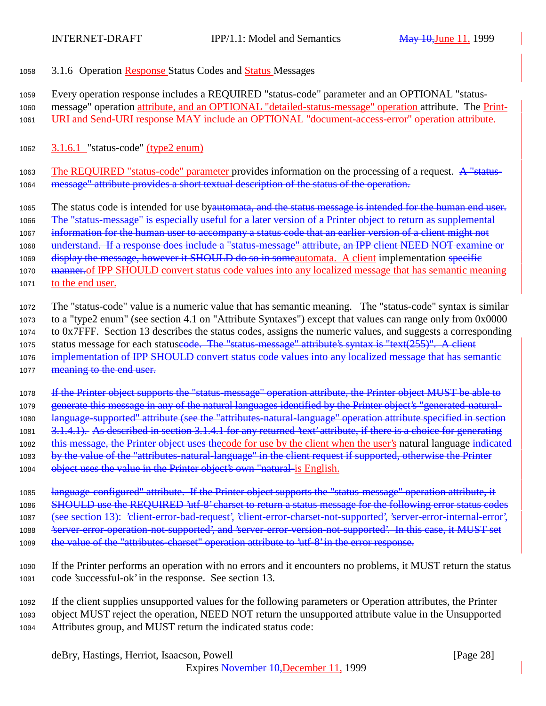- <sup>1058</sup> 3.1.6 Operation Response Status Codes and Status Messages
- <sup>1059</sup> Every operation response includes a REQUIRED "status-code" parameter and an OPTIONAL "status-
- <sup>1060</sup> message" operation attribute, and an OPTIONAL "detailed-status-message" operation attribute. The Print-
- <sup>1061</sup> URI and Send-URI response MAY include an OPTIONAL "document-access-error" operation attribute.
- 1062 3.1.6.1 "status-code" (type2 enum)
- 1063 The REQUIRED "status-code" parameter provides information on the processing of a request. A "status-1064 message" attribute provides a short textual description of the status of the operation.
- 1065 The status code is intended for use byautomata, and the status message is intended for the human end user.
- 1066 The "status-message" is especially useful for a later version of a Printer object to return as supplemental
- 1067 information for the human user to accompany a status code that an earlier version of a client might not
- 1068 understand. If a response does include a "status-message" attribute, an IPP client NEED NOT examine or
- 1069 display the message, however it SHOULD do so in some automata. A client implementation specific
- 1070 manuter meaning metal-of IPP SHOULD convert status code values into any localized message that has semantic meaning <sup>1071</sup> to the end user.
- <sup>1072</sup> The "status-code" value is a numeric value that has semantic meaning. The "status-code" syntax is similar <sup>1073</sup> to a "type2 enum" (see section 4.1 on "Attribute Syntaxes") except that values can range only from 0x0000 <sup>1074</sup> to 0x7FFF. Section 13 describes the status codes, assigns the numeric values, and suggests a corresponding 1075 status message for each statuseode. The "status-message" attribute's syntax is "text(255)". A client 1076 implementation of IPP SHOULD convert status code values into any localized message that has semantic 1077 meaning to the end user.
- 1078 If the Printer object supports the "status-message" operation attribute, the Printer object MUST be able to 1079 generate this message in any of the natural languages identified by the Printer object's "generated-natural-1080 language-supported" attribute (see the "attributes-natural-language" operation attribute specified in section 1081 3.1.4.1). As described in section 3.1.4.1 for any returned 'text' attribute, if there is a choice for generating 1082 this message, the Printer object uses the code for use by the client when the user's natural language indicated 1083 by the value of the "attributes-natural-language" in the client request if supported, otherwise the Printer 1084 object uses the value in the Printer object's own "natural-is English.
- 1085 language-configured" attribute. If the Printer object supports the "status-message" operation attribute, it 1086 SHOULD use the REQUIRED 'utf-8' charset to return a status message for the following error status codes 1087 (see section 13): 'client-error-bad-request', 'client-error-charset-not-supported', 'server-error-internal-error', 1088 
Server-error-operation-not-supported', and 'server-error-version-not-supported'. In this case, it MUST set 1089 the value of the "attributes-charset" operation attribute to 'utf-8' in the error response.
- <sup>1090</sup> If the Printer performs an operation with no errors and it encounters no problems, it MUST return the status <sup>1091</sup> code 'successful-ok' in the response. See section 13.
- <sup>1092</sup> If the client supplies unsupported values for the following parameters or Operation attributes, the Printer <sup>1093</sup> object MUST reject the operation, NEED NOT return the unsupported attribute value in the Unsupported <sup>1094</sup> Attributes group, and MUST return the indicated status code: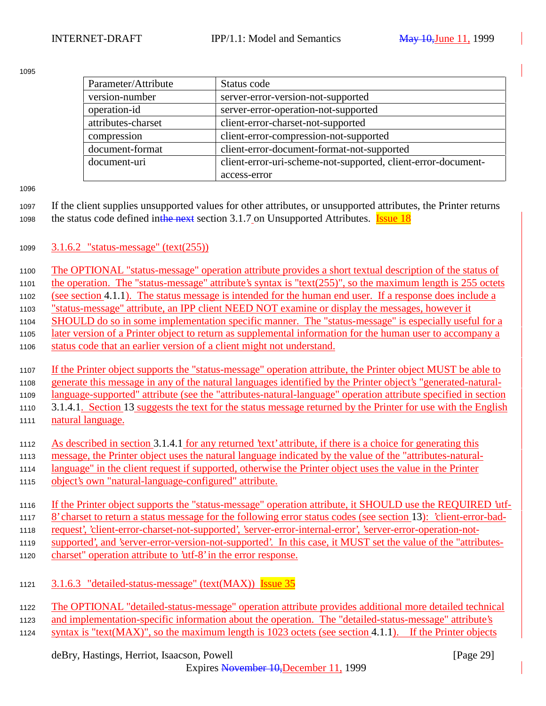| Parameter/Attribute | Status code                                                   |
|---------------------|---------------------------------------------------------------|
| version-number      | server-error-version-not-supported                            |
| operation-id        | server-error-operation-not-supported                          |
| attributes-charset  | client-error-charset-not-supported                            |
| compression         | client-error-compression-not-supported                        |
| document-format     | client-error-document-format-not-supported                    |
| document-uri        | client-error-uri-scheme-not-supported, client-error-document- |
|                     | access-error                                                  |

 If the client supplies unsupported values for other attributes, or unsupported attributes, the Printer returns 1098 the status code defined inthe next section 3.1.7 on Unsupported Attributes. **Issue 18** 

3.1.6.2 "status-message" (text(255))

The OPTIONAL "status-message" operation attribute provides a short textual description of the status of

the operation. The "status-message" attribute's syntax is "text(255)", so the maximum length is 255 octets

(see section 4.1.1). The status message is intended for the human end user. If a response does include a

"status-message" attribute, an IPP client NEED NOT examine or display the messages, however it

1104 SHOULD do so in some implementation specific manner. The "status-message" is especially useful for a

 later version of a Printer object to return as supplemental information for the human user to accompany a status code that an earlier version of a client might not understand.

 If the Printer object supports the "status-message" operation attribute, the Printer object MUST be able to generate this message in any of the natural languages identified by the Printer object's "generated-natural-language-supported" attribute (see the "attributes-natural-language" operation attribute specified in section

- 1110 3.1.4.1. Section 13 suggests the text for the status message returned by the Printer for use with the English natural language.
- As described in section 3.1.4.1 for any returned 'text' attribute, if there is a choice for generating this
- message, the Printer object uses the natural language indicated by the value of the "attributes-natural-
- language" in the client request if supported, otherwise the Printer object uses the value in the Printer
- object's own "natural-language-configured" attribute.
- If the Printer object supports the "status-message" operation attribute, it SHOULD use the REQUIRED 'utf-

8' charset to return a status message for the following error status codes (see section 13): 'client-error-bad-

request', 'client-error-charset-not-supported', 'server-error-internal-error', 'server-error-operation-not-

supported', and 'server-error-version-not-supported'. In this case, it MUST set the value of the "attributes-

- charset" operation attribute to 'utf-8' in the error response.
- 1121 3.1.6.3 "detailed-status-message" (text(MAX)) Issue 35

The OPTIONAL "detailed-status-message" operation attribute provides additional more detailed technical

and implementation-specific information about the operation. The "detailed-status-message" attribute's

syntax is "text(MAX)", so the maximum length is 1023 octets (see section 4.1.1). If the Printer objects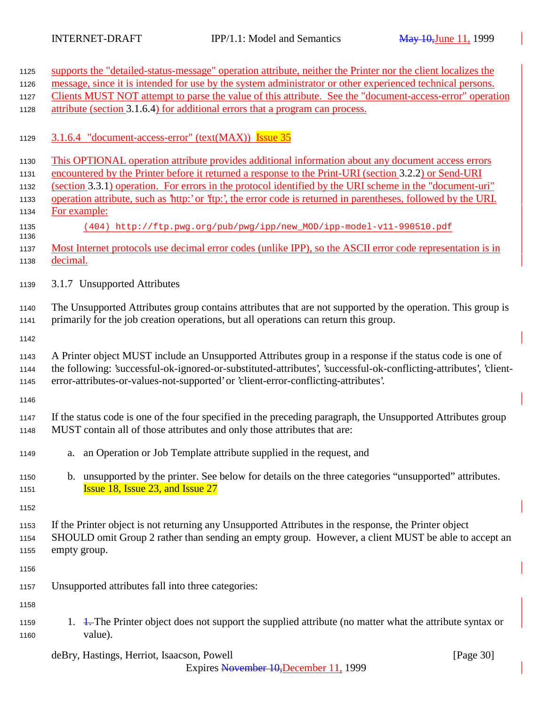| 1125         | supports the "detailed-status-message" operation attribute, neither the Printer nor the client localizes the                                                                             |  |  |
|--------------|------------------------------------------------------------------------------------------------------------------------------------------------------------------------------------------|--|--|
| 1126         | message, since it is intended for use by the system administrator or other experienced technical persons.                                                                                |  |  |
| 1127         | Clients MUST NOT attempt to parse the value of this attribute. See the "document-access-error" operation                                                                                 |  |  |
| 1128         | attribute (section 3.1.6.4) for additional errors that a program can process.                                                                                                            |  |  |
| 1129         | 3.1.6.4 "document-access-error" (text(MAX)) Issue 35                                                                                                                                     |  |  |
| 1130         | This OPTIONAL operation attribute provides additional information about any document access errors                                                                                       |  |  |
| 1131         | encountered by the Printer before it returned a response to the Print-URI (section 3.2.2) or Send-URI                                                                                    |  |  |
| 1132         | (section 3.3.1) operation. For errors in the protocol identified by the URI scheme in the "document-uri"                                                                                 |  |  |
| 1133         | operation attribute, such as 'http:' or 'ftp:', the error code is returned in parentheses, followed by the URI.                                                                          |  |  |
| 1134         | For example:                                                                                                                                                                             |  |  |
| 1135<br>1136 | (404) http://ftp.pwg.org/pub/pwg/ipp/new_MOD/ipp-model-v11-990510.pdf                                                                                                                    |  |  |
| 1137         | Most Internet protocols use decimal error codes (unlike IPP), so the ASCII error code representation is in                                                                               |  |  |
| 1138         | decimal.                                                                                                                                                                                 |  |  |
| 1139         | 3.1.7 Unsupported Attributes                                                                                                                                                             |  |  |
| 1140         | The Unsupported Attributes group contains attributes that are not supported by the operation. This group is                                                                              |  |  |
| 1141         | primarily for the job creation operations, but all operations can return this group.                                                                                                     |  |  |
| 1142         |                                                                                                                                                                                          |  |  |
| 1143         | A Printer object MUST include an Unsupported Attributes group in a response if the status code is one of                                                                                 |  |  |
| 1144         | the following: 'successful-ok-ignored-or-substituted-attributes', 'successful-ok-conflicting-attributes', 'client-                                                                       |  |  |
| 1145         | error-attributes-or-values-not-supported' or 'client-error-conflicting-attributes'.                                                                                                      |  |  |
| 1146         |                                                                                                                                                                                          |  |  |
| 1147<br>1148 | If the status code is one of the four specified in the preceding paragraph, the Unsupported Attributes group<br>MUST contain all of those attributes and only those attributes that are: |  |  |
|              |                                                                                                                                                                                          |  |  |
| 1149         | a. an Operation or Job Template attribute supplied in the request, and                                                                                                                   |  |  |
| 1150         | b. unsupported by the printer. See below for details on the three categories "unsupported" attributes.                                                                                   |  |  |
| 1151         | <b>Issue 18, Issue 23, and Issue 27</b>                                                                                                                                                  |  |  |
|              |                                                                                                                                                                                          |  |  |
| 1152         |                                                                                                                                                                                          |  |  |
| 1153         | If the Printer object is not returning any Unsupported Attributes in the response, the Printer object                                                                                    |  |  |
| 1154         | SHOULD omit Group 2 rather than sending an empty group. However, a client MUST be able to accept an                                                                                      |  |  |
| 1155         | empty group.                                                                                                                                                                             |  |  |
| 1156         |                                                                                                                                                                                          |  |  |
| 1157         | Unsupported attributes fall into three categories:                                                                                                                                       |  |  |
| 1158         |                                                                                                                                                                                          |  |  |
| 1159         | 1. 1. The Printer object does not support the supplied attribute (no matter what the attribute syntax or                                                                                 |  |  |
| 1160         | value).                                                                                                                                                                                  |  |  |
|              | [Page 30]<br>deBry, Hastings, Herriot, Isaacson, Powell                                                                                                                                  |  |  |

Expires November 10,December 11, 1999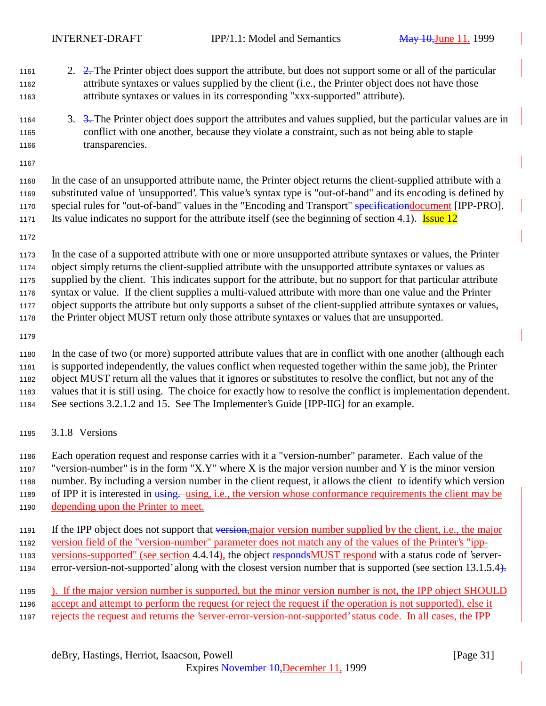- 2. 2. The Printer object does support the attribute, but does not support some or all of the particular attribute syntaxes or values supplied by the client (i.e., the Printer object does not have those attribute syntaxes or values in its corresponding "xxx-supported" attribute).
- 3. 3. The Printer object does support the attributes and values supplied, but the particular values are in conflict with one another, because they violate a constraint, such as not being able to staple transparencies.
- 

 In the case of an unsupported attribute name, the Printer object returns the client-supplied attribute with a substituted value of 'unsupported'. This value's syntax type is "out-of-band" and its encoding is defined by 1170 special rules for "out-of-band" values in the "Encoding and Transport" specificationdocument [IPP-PRO]. 1171 Its value indicates no support for the attribute itself (see the beginning of section 4.1). Issue 12

 In the case of a supported attribute with one or more unsupported attribute syntaxes or values, the Printer object simply returns the client-supplied attribute with the unsupported attribute syntaxes or values as supplied by the client. This indicates support for the attribute, but no support for that particular attribute syntax or value. If the client supplies a multi-valued attribute with more than one value and the Printer object supports the attribute but only supports a subset of the client-supplied attribute syntaxes or values, the Printer object MUST return only those attribute syntaxes or values that are unsupported.

 In the case of two (or more) supported attribute values that are in conflict with one another (although each is supported independently, the values conflict when requested together within the same job), the Printer object MUST return all the values that it ignores or substitutes to resolve the conflict, but not any of the values that it is still using. The choice for exactly how to resolve the conflict is implementation dependent. See sections 3.2.1.2 and 15. See The Implementer's Guide [IPP-IIG] for an example.

3.1.8 Versions

 Each operation request and response carries with it a "version-number" parameter. Each value of the 1187 "version-number" is in the form "X.Y" where X is the major version number and Y is the minor version number. By including a version number in the client request, it allows the client to identify which version 1189 of IPP it is interested in using. using, i.e., the version whose conformance requirements the client may be depending upon the Printer to meet.

- 1191 If the IPP object does not support that version,major version number supplied by the client, i.e., the major version field of the "version-number" parameter does not match any of the values of the Printer's "ipp-
- 1193 versions-supported" (see section 4.4.14), the object respondsMUST respond with a status code of 'server-
- 1194 error-version-not-supported' along with the closest version number that is supported (see section 13.1.5.4).
- ). If the major version number is supported, but the minor version number is not, the IPP object SHOULD accept and attempt to perform the request (or reject the request if the operation is not supported), else it
- rejects the request and returns the 'server-error-version-not-supported' status code. In all cases, the IPP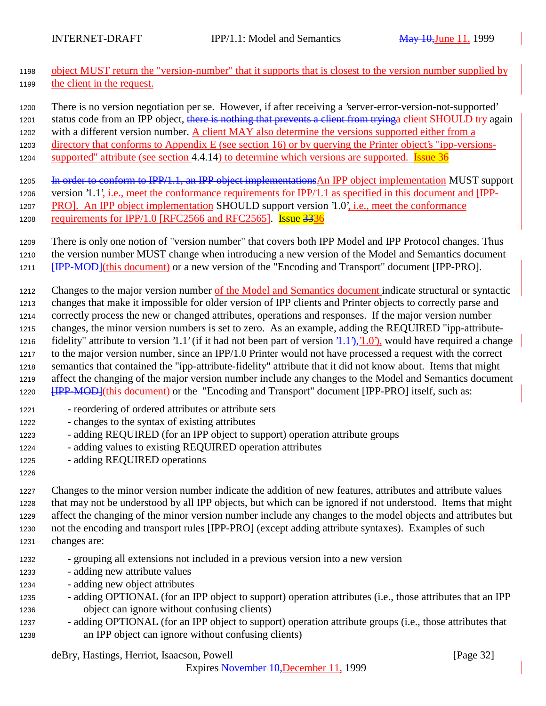- object MUST return the "version-number" that it supports that is closest to the version number supplied by the client in the request.
- There is no version negotiation per se. However, if after receiving a 'server-error-version-not-supported'
- 1201 status code from an IPP object, there is nothing that prevents a client from tryinga client SHOULD try again
- 1202 with a different version number. A client MAY also determine the versions supported either from a
- directory that conforms to Appendix E (see section 16) or by querying the Printer object's "ipp-versions-
- 1204 supported" attribute (see section 4.4.14) to determine which versions are supported. **Issue 36**
- 1205 In order to conform to IPP/1.1, an IPP object implementations An IPP object implementation MUST support version '1.1', i.e., meet the conformance requirements for IPP/1.1 as specified in this document and [IPP-1207 PRO]. An IPP object implementation SHOULD support version '1.0', i.e., meet the conformance 1208 requirements for IPP/1.0 [RFC2566 and RFC2565]. **Issue 3336**
- There is only one notion of "version number" that covers both IPP Model and IPP Protocol changes. Thus
- the version number MUST change when introducing a new version of the Model and Semantics document **[IPP-MOD]**(this document) or a new version of the "Encoding and Transport" document [IPP-PRO].
- Changes to the major version number of the Model and Semantics document indicate structural or syntactic
- changes that make it impossible for older version of IPP clients and Printer objects to correctly parse and
- correctly process the new or changed attributes, operations and responses. If the major version number
- changes, the minor version numbers is set to zero. As an example, adding the REQUIRED "ipp-attribute-1216 fidelity" attribute to version '1.1' (if it had not been part of version  $\overline{(1,1,1)}$ , '1.0'), would have required a change
- to the major version number, since an IPP/1.0 Printer would not have processed a request with the correct semantics that contained the "ipp-attribute-fidelity" attribute that it did not know about. Items that might affect the changing of the major version number include any changes to the Model and Semantics document **[IPP-MOD]**(this document) or the "Encoding and Transport" document [IPP-PRO] itself, such as:
- reordering of ordered attributes or attribute sets
- changes to the syntax of existing attributes
- adding REQUIRED (for an IPP object to support) operation attribute groups
- adding values to existing REQUIRED operation attributes
- adding REQUIRED operations
- 

 Changes to the minor version number indicate the addition of new features, attributes and attribute values that may not be understood by all IPP objects, but which can be ignored if not understood. Items that might affect the changing of the minor version number include any changes to the model objects and attributes but not the encoding and transport rules [IPP-PRO] (except adding attribute syntaxes). Examples of such changes are:

- grouping all extensions not included in a previous version into a new version
- adding new attribute values
- adding new object attributes
- adding OPTIONAL (for an IPP object to support) operation attributes (i.e., those attributes that an IPP object can ignore without confusing clients)
- adding OPTIONAL (for an IPP object to support) operation attribute groups (i.e., those attributes that an IPP object can ignore without confusing clients)

# deBry, Hastings, Herriot, Isaacson, Powell [Page 32]

Expires November 10,December 11, 1999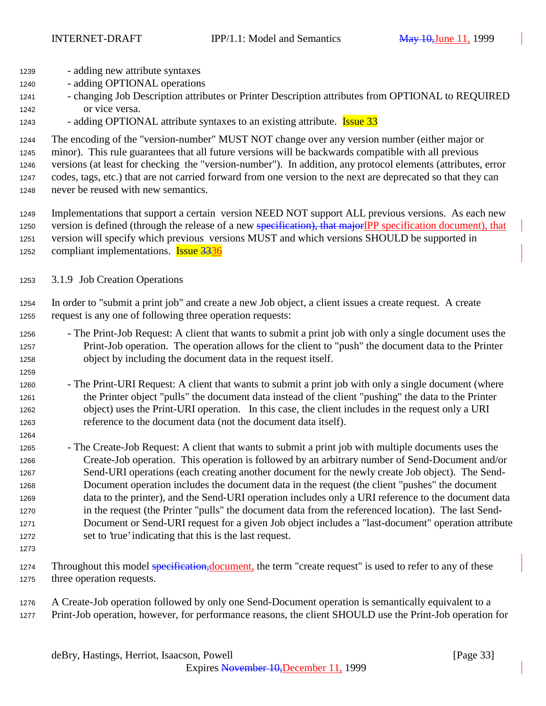- adding new attribute syntaxes
- adding OPTIONAL operations
- changing Job Description attributes or Printer Description attributes from OPTIONAL to REQUIRED or vice versa.
- 1243 adding OPTIONAL attribute syntaxes to an existing attribute. **Issue 33**

 The encoding of the "version-number" MUST NOT change over any version number (either major or minor). This rule guarantees that all future versions will be backwards compatible with all previous versions (at least for checking the "version-number"). In addition, any protocol elements (attributes, error codes, tags, etc.) that are not carried forward from one version to the next are deprecated so that they can never be reused with new semantics.

- Implementations that support a certain version NEED NOT support ALL previous versions. As each new 1250 version is defined (through the release of a new specification), that majorIPP specification document), that version will specify which previous versions MUST and which versions SHOULD be supported in 1252 compliant implementations. **Issue 3336**
- 3.1.9 Job Creation Operations
- In order to "submit a print job" and create a new Job object, a client issues a create request. A create request is any one of following three operation requests:
- The Print-Job Request: A client that wants to submit a print job with only a single document uses the Print-Job operation. The operation allows for the client to "push" the document data to the Printer object by including the document data in the request itself.
- The Print-URI Request: A client that wants to submit a print job with only a single document (where the Printer object "pulls" the document data instead of the client "pushing" the data to the Printer object) uses the Print-URI operation. In this case, the client includes in the request only a URI reference to the document data (not the document data itself).
- The Create-Job Request: A client that wants to submit a print job with multiple documents uses the Create-Job operation. This operation is followed by an arbitrary number of Send-Document and/or Send-URI operations (each creating another document for the newly create Job object). The Send- Document operation includes the document data in the request (the client "pushes" the document data to the printer), and the Send-URI operation includes only a URI reference to the document data in the request (the Printer "pulls" the document data from the referenced location). The last Send- Document or Send-URI request for a given Job object includes a "last-document" operation attribute set to 'true' indicating that this is the last request.
- 

- 1274 Throughout this model specification, document, the term "create request" is used to refer to any of these three operation requests.
- A Create-Job operation followed by only one Send-Document operation is semantically equivalent to a Print-Job operation, however, for performance reasons, the client SHOULD use the Print-Job operation for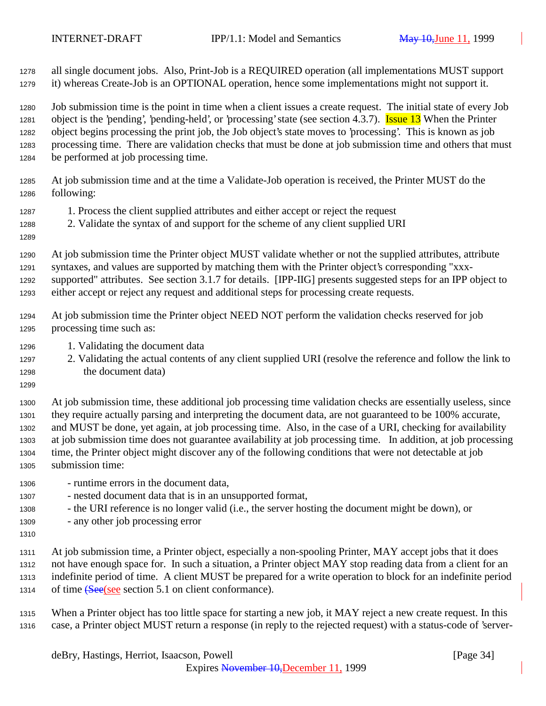all single document jobs. Also, Print-Job is a REQUIRED operation (all implementations MUST support it) whereas Create-Job is an OPTIONAL operation, hence some implementations might not support it.

 Job submission time is the point in time when a client issues a create request. The initial state of every Job 1281 object is the 'pending', 'pending-held', or 'processing' state (see section 4.3.7). **Issue 13** When the Printer object begins processing the print job, the Job object's state moves to 'processing'. This is known as job processing time. There are validation checks that must be done at job submission time and others that must be performed at job processing time.

- At job submission time and at the time a Validate-Job operation is received, the Printer MUST do the following:
- 1. Process the client supplied attributes and either accept or reject the request
- 2. Validate the syntax of and support for the scheme of any client supplied URI
- 

 At job submission time the Printer object MUST validate whether or not the supplied attributes, attribute syntaxes, and values are supported by matching them with the Printer object's corresponding "xxx- supported" attributes. See section 3.1.7 for details. [IPP-IIG] presents suggested steps for an IPP object to either accept or reject any request and additional steps for processing create requests.

- At job submission time the Printer object NEED NOT perform the validation checks reserved for job processing time such as:
- 1. Validating the document data
- 2. Validating the actual contents of any client supplied URI (resolve the reference and follow the link to the document data)
- 

 At job submission time, these additional job processing time validation checks are essentially useless, since they require actually parsing and interpreting the document data, are not guaranteed to be 100% accurate, and MUST be done, yet again, at job processing time. Also, in the case of a URI, checking for availability at job submission time does not guarantee availability at job processing time. In addition, at job processing time, the Printer object might discover any of the following conditions that were not detectable at job submission time:

- runtime errors in the document data,
- nested document data that is in an unsupported format,
- the URI reference is no longer valid (i.e., the server hosting the document might be down), or
- any other job processing error
- 

 At job submission time, a Printer object, especially a non-spooling Printer, MAY accept jobs that it does not have enough space for. In such a situation, a Printer object MAY stop reading data from a client for an indefinite period of time. A client MUST be prepared for a write operation to block for an indefinite period 1314 of time (See (see section 5.1 on client conformance).

 When a Printer object has too little space for starting a new job, it MAY reject a new create request. In this case, a Printer object MUST return a response (in reply to the rejected request) with a status-code of 'server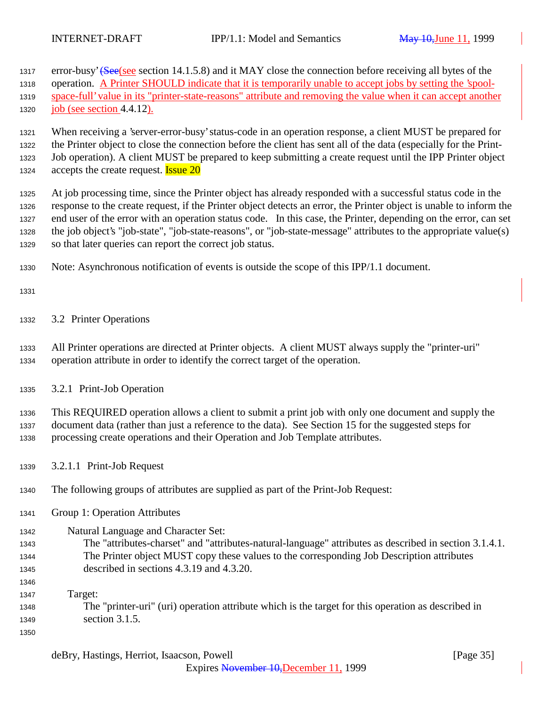1317 error-busy' (See (see section 14.1.5.8) and it MAY close the connection before receiving all bytes of the

 operation. A Printer SHOULD indicate that it is temporarily unable to accept jobs by setting the 'spool-space-full' value in its "printer-state-reasons" attribute and removing the value when it can accept another

job (see section 4.4.12).

 When receiving a 'server-error-busy' status-code in an operation response, a client MUST be prepared for the Printer object to close the connection before the client has sent all of the data (especially for the Print- Job operation). A client MUST be prepared to keep submitting a create request until the IPP Printer object 1324 accepts the create request. **Issue 20** 

 At job processing time, since the Printer object has already responded with a successful status code in the response to the create request, if the Printer object detects an error, the Printer object is unable to inform the end user of the error with an operation status code. In this case, the Printer, depending on the error, can set the job object's "job-state", "job-state-reasons", or "job-state-message" attributes to the appropriate value(s) so that later queries can report the correct job status.

Note: Asynchronous notification of events is outside the scope of this IPP/1.1 document.

3.2 Printer Operations

 All Printer operations are directed at Printer objects. A client MUST always supply the "printer-uri" operation attribute in order to identify the correct target of the operation.

3.2.1 Print-Job Operation

 This REQUIRED operation allows a client to submit a print job with only one document and supply the document data (rather than just a reference to the data). See Section 15 for the suggested steps for processing create operations and their Operation and Job Template attributes.

3.2.1.1 Print-Job Request

The following groups of attributes are supplied as part of the Print-Job Request:

Group 1: Operation Attributes

Natural Language and Character Set:

- The "attributes-charset" and "attributes-natural-language" attributes as described in section 3.1.4.1. The Printer object MUST copy these values to the corresponding Job Description attributes described in sections 4.3.19 and 4.3.20.
- 

 Target: The "printer-uri" (uri) operation attribute which is the target for this operation as described in section 3.1.5.

Expires November 10,December 11, 1999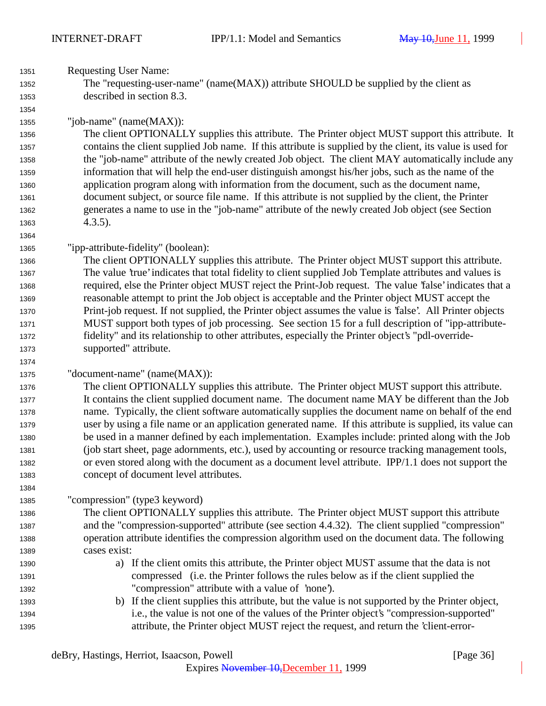Requesting User Name: The "requesting-user-name" (name(MAX)) attribute SHOULD be supplied by the client as described in section 8.3. "job-name" (name(MAX)): The client OPTIONALLY supplies this attribute. The Printer object MUST support this attribute. It contains the client supplied Job name. If this attribute is supplied by the client, its value is used for the "job-name" attribute of the newly created Job object. The client MAY automatically include any information that will help the end-user distinguish amongst his/her jobs, such as the name of the application program along with information from the document, such as the document name, document subject, or source file name. If this attribute is not supplied by the client, the Printer generates a name to use in the "job-name" attribute of the newly created Job object (see Section 4.3.5). "ipp-attribute-fidelity" (boolean): The client OPTIONALLY supplies this attribute. The Printer object MUST support this attribute. The value 'true' indicates that total fidelity to client supplied Job Template attributes and values is required, else the Printer object MUST reject the Print-Job request. The value 'false' indicates that a reasonable attempt to print the Job object is acceptable and the Printer object MUST accept the Print-job request. If not supplied, the Printer object assumes the value is 'false'. All Printer objects MUST support both types of job processing. See section 15 for a full description of "ipp-attribute- fidelity" and its relationship to other attributes, especially the Printer object's "pdl-override- supported" attribute. "document-name" (name(MAX)): The client OPTIONALLY supplies this attribute. The Printer object MUST support this attribute. It contains the client supplied document name. The document name MAY be different than the Job name. Typically, the client software automatically supplies the document name on behalf of the end user by using a file name or an application generated name. If this attribute is supplied, its value can be used in a manner defined by each implementation. Examples include: printed along with the Job (job start sheet, page adornments, etc.), used by accounting or resource tracking management tools, or even stored along with the document as a document level attribute. IPP/1.1 does not support the concept of document level attributes. "compression" (type3 keyword) The client OPTIONALLY supplies this attribute. The Printer object MUST support this attribute and the "compression-supported" attribute (see section 4.4.32). The client supplied "compression" operation attribute identifies the compression algorithm used on the document data. The following cases exist: a) If the client omits this attribute, the Printer object MUST assume that the data is not compressed (i.e. the Printer follows the rules below as if the client supplied the "compression" attribute with a value of 'none'). b) If the client supplies this attribute, but the value is not supported by the Printer object, i.e., the value is not one of the values of the Printer object's "compression-supported" attribute, the Printer object MUST reject the request, and return the 'client-error-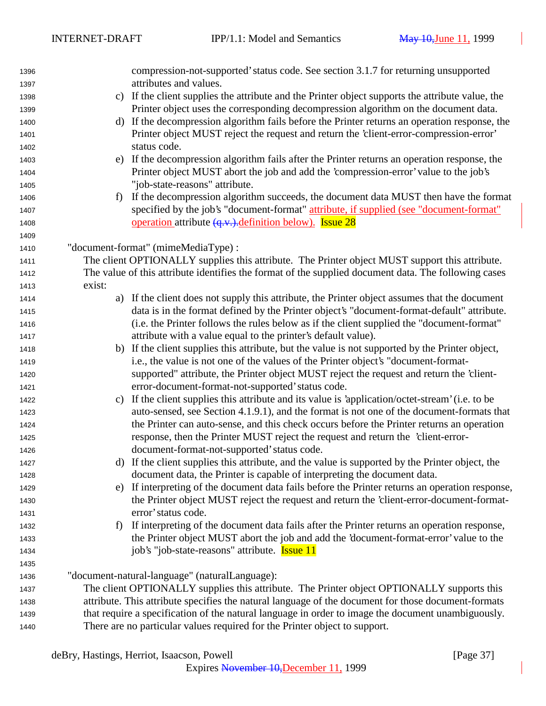| 1396 |                                                                                                     | compression-not-supported' status code. See section 3.1.7 for returning unsupported                  |  |
|------|-----------------------------------------------------------------------------------------------------|------------------------------------------------------------------------------------------------------|--|
| 1397 |                                                                                                     | attributes and values.                                                                               |  |
| 1398 | $\mathbf{c}$ )                                                                                      | If the client supplies the attribute and the Printer object supports the attribute value, the        |  |
| 1399 |                                                                                                     | Printer object uses the corresponding decompression algorithm on the document data.                  |  |
| 1400 | d)                                                                                                  | If the decompression algorithm fails before the Printer returns an operation response, the           |  |
| 1401 |                                                                                                     | Printer object MUST reject the request and return the 'client-error-compression-error'               |  |
| 1402 |                                                                                                     | status code.                                                                                         |  |
| 1403 | e)                                                                                                  | If the decompression algorithm fails after the Printer returns an operation response, the            |  |
| 1404 |                                                                                                     | Printer object MUST abort the job and add the 'compression-error' value to the job's                 |  |
| 1405 |                                                                                                     | "job-state-reasons" attribute.                                                                       |  |
| 1406 | f)                                                                                                  | If the decompression algorithm succeeds, the document data MUST then have the format                 |  |
| 1407 |                                                                                                     | specified by the job's "document-format" attribute, if supplied (see "document-format"               |  |
| 1408 |                                                                                                     | <u>operation</u> attribute $\left(\frac{q}{v}\right)$ . <u>definition below)</u> . <b>Issue 28</b>   |  |
| 1409 |                                                                                                     |                                                                                                      |  |
| 1410 |                                                                                                     | "document-format" (mimeMediaType) :                                                                  |  |
| 1411 |                                                                                                     | The client OPTIONALLY supplies this attribute. The Printer object MUST support this attribute.       |  |
| 1412 |                                                                                                     | The value of this attribute identifies the format of the supplied document data. The following cases |  |
| 1413 | exist:                                                                                              |                                                                                                      |  |
| 1414 |                                                                                                     | a) If the client does not supply this attribute, the Printer object assumes that the document        |  |
| 1415 |                                                                                                     | data is in the format defined by the Printer object's "document-format-default" attribute.           |  |
| 1416 |                                                                                                     | (i.e. the Printer follows the rules below as if the client supplied the "document-format"            |  |
| 1417 |                                                                                                     | attribute with a value equal to the printer's default value).                                        |  |
| 1418 | b)                                                                                                  | If the client supplies this attribute, but the value is not supported by the Printer object,         |  |
| 1419 |                                                                                                     | i.e., the value is not one of the values of the Printer object's "document-format-                   |  |
| 1420 |                                                                                                     | supported" attribute, the Printer object MUST reject the request and return the 'client-             |  |
| 1421 |                                                                                                     | error-document-format-not-supported' status code.                                                    |  |
| 1422 | C)                                                                                                  | If the client supplies this attribute and its value is 'application/octet-stream' (i.e. to be        |  |
| 1423 |                                                                                                     | auto-sensed, see Section 4.1.9.1), and the format is not one of the document-formats that            |  |
| 1424 |                                                                                                     | the Printer can auto-sense, and this check occurs before the Printer returns an operation            |  |
| 1425 |                                                                                                     | response, then the Printer MUST reject the request and return the 'client-error-                     |  |
| 1426 |                                                                                                     | document-format-not-supported' status code.                                                          |  |
| 1427 |                                                                                                     | d) If the client supplies this attribute, and the value is supported by the Printer object, the      |  |
| 1428 |                                                                                                     | document data, the Printer is capable of interpreting the document data.                             |  |
| 1429 | e)                                                                                                  | If interpreting of the document data fails before the Printer returns an operation response,         |  |
| 1430 |                                                                                                     | the Printer object MUST reject the request and return the 'client-error-document-format-             |  |
| 1431 |                                                                                                     | error' status code.                                                                                  |  |
| 1432 | f                                                                                                   | If interpreting of the document data fails after the Printer returns an operation response,          |  |
| 1433 |                                                                                                     | the Printer object MUST abort the job and add the 'document-format-error' value to the               |  |
| 1434 |                                                                                                     | job's "job-state-reasons" attribute. <b>Issue 11</b>                                                 |  |
| 1435 |                                                                                                     |                                                                                                      |  |
| 1436 |                                                                                                     | "document-natural-language" (naturalLanguage):                                                       |  |
| 1437 | The client OPTIONALLY supplies this attribute. The Printer object OPTIONALLY supports this          |                                                                                                      |  |
| 1438 | attribute. This attribute specifies the natural language of the document for those document-formats |                                                                                                      |  |
| 1439 |                                                                                                     | that require a specification of the natural language in order to image the document unambiguously.   |  |
| 1440 |                                                                                                     | There are no particular values required for the Printer object to support.                           |  |
|      |                                                                                                     |                                                                                                      |  |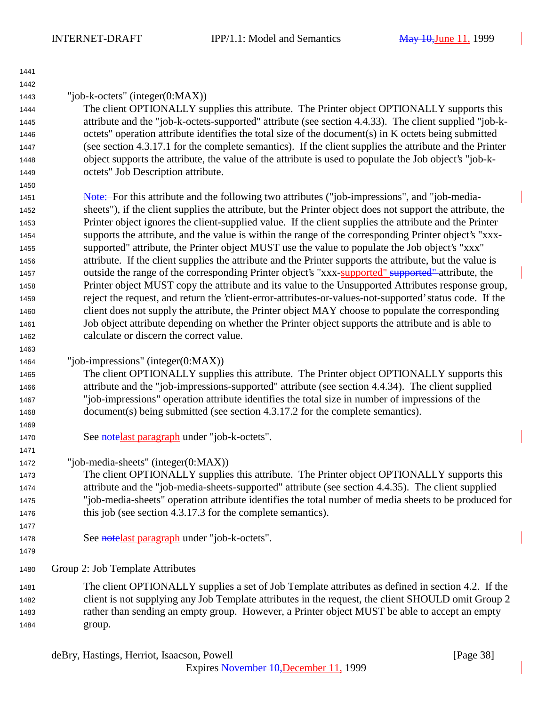| 1441 |                                                                                                            |
|------|------------------------------------------------------------------------------------------------------------|
| 1442 |                                                                                                            |
| 1443 | "job-k-octets" (integer $(0:MAX)$ )                                                                        |
| 1444 | The client OPTIONALLY supplies this attribute. The Printer object OPTIONALLY supports this                 |
| 1445 | attribute and the "job-k-octets-supported" attribute (see section 4.4.33). The client supplied "job-k-     |
| 1446 | octets" operation attribute identifies the total size of the document(s) in K octets being submitted       |
| 1447 | (see section 4.3.17.1 for the complete semantics). If the client supplies the attribute and the Printer    |
| 1448 | object supports the attribute, the value of the attribute is used to populate the Job object's "job-k-     |
| 1449 | octets" Job Description attribute.                                                                         |
| 1450 |                                                                                                            |
| 1451 | Note: For this attribute and the following two attributes ("job-impressions", and "job-media-              |
| 1452 | sheets"), if the client supplies the attribute, but the Printer object does not support the attribute, the |
| 1453 | Printer object ignores the client-supplied value. If the client supplies the attribute and the Printer     |
| 1454 | supports the attribute, and the value is within the range of the corresponding Printer object's "xxx-      |
| 1455 | supported" attribute, the Printer object MUST use the value to populate the Job object's "xxx"             |
| 1456 | attribute. If the client supplies the attribute and the Printer supports the attribute, but the value is   |
| 1457 | outside the range of the corresponding Printer object's "xxx-supported" supported" attribute, the          |
| 1458 | Printer object MUST copy the attribute and its value to the Unsupported Attributes response group,         |
| 1459 | reject the request, and return the 'client-error-attributes-or-values-not-supported' status code. If the   |
| 1460 | client does not supply the attribute, the Printer object MAY choose to populate the corresponding          |
| 1461 | Job object attribute depending on whether the Printer object supports the attribute and is able to         |
| 1462 | calculate or discern the correct value.                                                                    |
| 1463 |                                                                                                            |
| 1464 | "job-impressions" (integer $(0:MAX)$ )                                                                     |
| 1465 | The client OPTIONALLY supplies this attribute. The Printer object OPTIONALLY supports this                 |
| 1466 | attribute and the "job-impressions-supported" attribute (see section 4.4.34). The client supplied          |
| 1467 | "job-impressions" operation attribute identifies the total size in number of impressions of the            |
| 1468 | document(s) being submitted (see section 4.3.17.2 for the complete semantics).                             |
| 1469 |                                                                                                            |
| 1470 | See notelast paragraph under "job-k-octets".                                                               |
| 1471 |                                                                                                            |
| 1472 | "job-media-sheets" (integer(0:MAX))                                                                        |
| 1473 | The client OPTIONALLY supplies this attribute. The Printer object OPTIONALLY supports this                 |
| 1474 | attribute and the "job-media-sheets-supported" attribute (see section 4.4.35). The client supplied         |
| 1475 | "job-media-sheets" operation attribute identifies the total number of media sheets to be produced for      |
| 1476 | this job (see section 4.3.17.3 for the complete semantics).                                                |
| 1477 |                                                                                                            |
| 1478 | See notelast paragraph under "job-k-octets".                                                               |
| 1479 |                                                                                                            |
| 1480 | Group 2: Job Template Attributes                                                                           |
| 1481 | The client OPTIONALLY supplies a set of Job Template attributes as defined in section 4.2. If the          |
| 1482 | client is not supplying any Job Template attributes in the request, the client SHOULD omit Group 2         |
| 1483 | rather than sending an empty group. However, a Printer object MUST be able to accept an empty              |
| 1484 | group.                                                                                                     |
|      |                                                                                                            |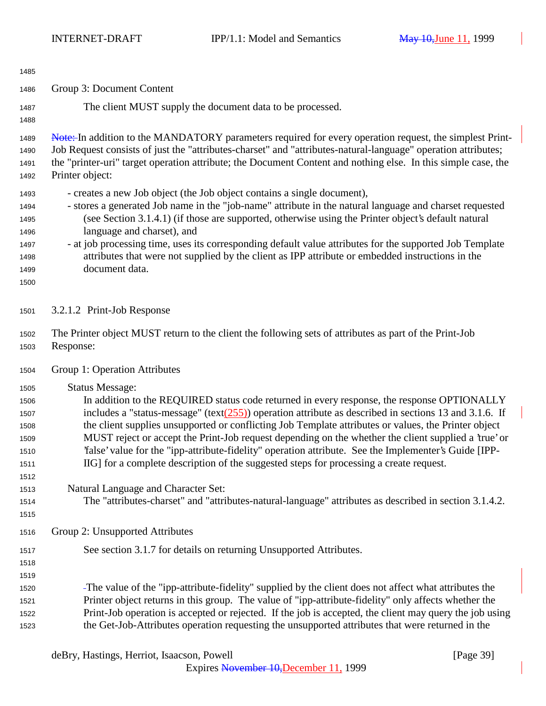| 1485                                                                 |                                                                                                                                                                                                                                                                                                                                                                                                                                                                                                                                                                                                                                                                                               |  |
|----------------------------------------------------------------------|-----------------------------------------------------------------------------------------------------------------------------------------------------------------------------------------------------------------------------------------------------------------------------------------------------------------------------------------------------------------------------------------------------------------------------------------------------------------------------------------------------------------------------------------------------------------------------------------------------------------------------------------------------------------------------------------------|--|
| 1486                                                                 | Group 3: Document Content                                                                                                                                                                                                                                                                                                                                                                                                                                                                                                                                                                                                                                                                     |  |
| 1487<br>1488                                                         | The client MUST supply the document data to be processed.                                                                                                                                                                                                                                                                                                                                                                                                                                                                                                                                                                                                                                     |  |
| 1489<br>1490<br>1491<br>1492                                         | Note: In addition to the MANDATORY parameters required for every operation request, the simplest Print-<br>Job Request consists of just the "attributes-charset" and "attributes-natural-language" operation attributes;<br>the "printer-uri" target operation attribute; the Document Content and nothing else. In this simple case, the<br>Printer object:                                                                                                                                                                                                                                                                                                                                  |  |
| 1493<br>1494<br>1495<br>1496<br>1497<br>1498<br>1499<br>1500         | - creates a new Job object (the Job object contains a single document),<br>- stores a generated Job name in the "job-name" attribute in the natural language and charset requested<br>(see Section 3.1.4.1) (if those are supported, otherwise using the Printer object's default natural<br>language and charset), and<br>- at job processing time, uses its corresponding default value attributes for the supported Job Template<br>attributes that were not supplied by the client as IPP attribute or embedded instructions in the<br>document data.                                                                                                                                     |  |
| 1501                                                                 | 3.2.1.2 Print-Job Response                                                                                                                                                                                                                                                                                                                                                                                                                                                                                                                                                                                                                                                                    |  |
| 1502<br>1503                                                         | The Printer object MUST return to the client the following sets of attributes as part of the Print-Job<br>Response:                                                                                                                                                                                                                                                                                                                                                                                                                                                                                                                                                                           |  |
| 1504                                                                 | Group 1: Operation Attributes                                                                                                                                                                                                                                                                                                                                                                                                                                                                                                                                                                                                                                                                 |  |
| 1505<br>1506<br>1507<br>1508<br>1509<br>1510<br>1511<br>1512<br>1513 | <b>Status Message:</b><br>In addition to the REQUIRED status code returned in every response, the response OPTIONALLY<br>includes a "status-message" (text $(255)$ ) operation attribute as described in sections 13 and 3.1.6. If<br>the client supplies unsupported or conflicting Job Template attributes or values, the Printer object<br>MUST reject or accept the Print-Job request depending on the whether the client supplied a 'true' or<br>'false' value for the "ipp-attribute-fidelity" operation attribute. See the Implementer's Guide [IPP-<br>IIG] for a complete description of the suggested steps for processing a create request.<br>Natural Language and Character Set: |  |
| 1514<br>1515                                                         | The "attributes-charset" and "attributes-natural-language" attributes as described in section 3.1.4.2.                                                                                                                                                                                                                                                                                                                                                                                                                                                                                                                                                                                        |  |
| 1516                                                                 | Group 2: Unsupported Attributes                                                                                                                                                                                                                                                                                                                                                                                                                                                                                                                                                                                                                                                               |  |
| 1517<br>1518<br>1519                                                 | See section 3.1.7 for details on returning Unsupported Attributes.                                                                                                                                                                                                                                                                                                                                                                                                                                                                                                                                                                                                                            |  |
| 1520<br>1521<br>1522<br>1523                                         | -The value of the "ipp-attribute-fidelity" supplied by the client does not affect what attributes the<br>Printer object returns in this group. The value of "ipp-attribute-fidelity" only affects whether the<br>Print-Job operation is accepted or rejected. If the job is accepted, the client may query the job using<br>the Get-Job-Attributes operation requesting the unsupported attributes that were returned in the                                                                                                                                                                                                                                                                  |  |

deBry, Hastings, Herriot, Isaacson, Powell [Page 39]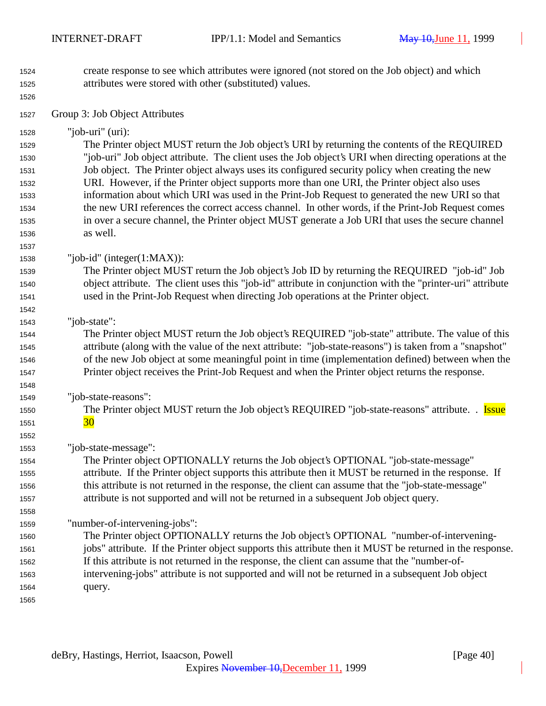- create response to see which attributes were ignored (not stored on the Job object) and which attributes were stored with other (substituted) values.
	-

Group 3: Job Object Attributes

"job-uri" (uri):

 The Printer object MUST return the Job object's URI by returning the contents of the REQUIRED "job-uri" Job object attribute. The client uses the Job object's URI when directing operations at the Job object. The Printer object always uses its configured security policy when creating the new URI. However, if the Printer object supports more than one URI, the Printer object also uses information about which URI was used in the Print-Job Request to generated the new URI so that the new URI references the correct access channel. In other words, if the Print-Job Request comes in over a secure channel, the Printer object MUST generate a Job URI that uses the secure channel as well.

"job-id" (integer(1:MAX)):

 The Printer object MUST return the Job object's Job ID by returning the REQUIRED "job-id" Job object attribute. The client uses this "job-id" attribute in conjunction with the "printer-uri" attribute used in the Print-Job Request when directing Job operations at the Printer object.

"job-state":

 The Printer object MUST return the Job object's REQUIRED "job-state" attribute. The value of this attribute (along with the value of the next attribute: "job-state-reasons") is taken from a "snapshot" of the new Job object at some meaningful point in time (implementation defined) between when the Printer object receives the Print-Job Request and when the Printer object returns the response.

"job-state-reasons":

 The Printer object MUST return the Job object's REQUIRED "job-state-reasons" attribute. . Issue 1551  $\frac{30}{ }$ 

"job-state-message":

 The Printer object OPTIONALLY returns the Job object's OPTIONAL "job-state-message" attribute. If the Printer object supports this attribute then it MUST be returned in the response. If this attribute is not returned in the response, the client can assume that the "job-state-message" attribute is not supported and will not be returned in a subsequent Job object query.

"number-of-intervening-jobs":

 The Printer object OPTIONALLY returns the Job object's OPTIONAL "number-of-intervening- jobs" attribute. If the Printer object supports this attribute then it MUST be returned in the response. If this attribute is not returned in the response, the client can assume that the "number-of- intervening-jobs" attribute is not supported and will not be returned in a subsequent Job object query.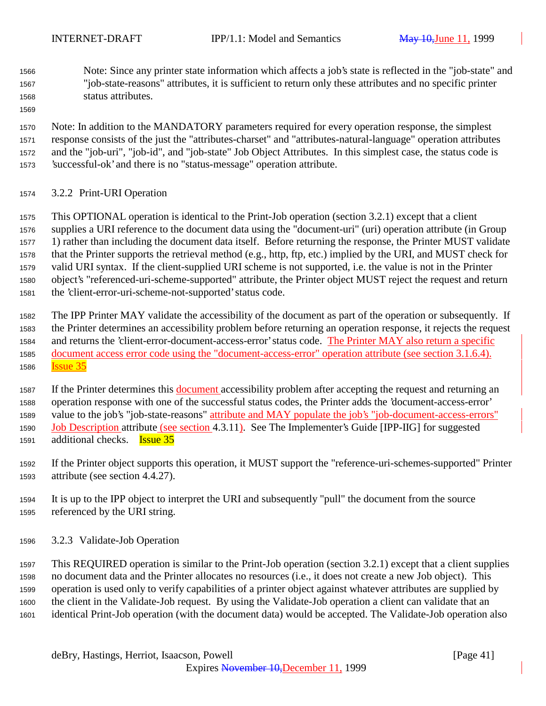Note: Since any printer state information which affects a job's state is reflected in the "job-state" and "job-state-reasons" attributes, it is sufficient to return only these attributes and no specific printer status attributes.

 Note: In addition to the MANDATORY parameters required for every operation response, the simplest response consists of the just the "attributes-charset" and "attributes-natural-language" operation attributes and the "job-uri", "job-id", and "job-state" Job Object Attributes. In this simplest case, the status code is 'successful-ok' and there is no "status-message" operation attribute.

3.2.2 Print-URI Operation

 This OPTIONAL operation is identical to the Print-Job operation (section 3.2.1) except that a client supplies a URI reference to the document data using the "document-uri" (uri) operation attribute (in Group 1) rather than including the document data itself. Before returning the response, the Printer MUST validate that the Printer supports the retrieval method (e.g., http, ftp, etc.) implied by the URI, and MUST check for valid URI syntax. If the client-supplied URI scheme is not supported, i.e. the value is not in the Printer object's "referenced-uri-scheme-supported" attribute, the Printer object MUST reject the request and return the 'client-error-uri-scheme-not-supported' status code.

 The IPP Printer MAY validate the accessibility of the document as part of the operation or subsequently. If the Printer determines an accessibility problem before returning an operation response, it rejects the request and returns the 'client-error-document-access-error' status code. The Printer MAY also return a specific document access error code using the "document-access-error" operation attribute (see section 3.1.6.4). Issue 35

1587 If the Printer determines this document accessibility problem after accepting the request and returning an operation response with one of the successful status codes, the Printer adds the 'document-access-error' value to the job's "job-state-reasons" attribute and MAY populate the job's "job-document-access-errors" Job Description attribute (see section 4.3.11). See The Implementer's Guide [IPP-IIG] for suggested additional checks. Issue 35

 If the Printer object supports this operation, it MUST support the "reference-uri-schemes-supported" Printer attribute (see section 4.4.27).

- It is up to the IPP object to interpret the URI and subsequently "pull" the document from the source referenced by the URI string.
- 3.2.3 Validate-Job Operation

 This REQUIRED operation is similar to the Print-Job operation (section 3.2.1) except that a client supplies no document data and the Printer allocates no resources (i.e., it does not create a new Job object). This operation is used only to verify capabilities of a printer object against whatever attributes are supplied by the client in the Validate-Job request. By using the Validate-Job operation a client can validate that an identical Print-Job operation (with the document data) would be accepted. The Validate-Job operation also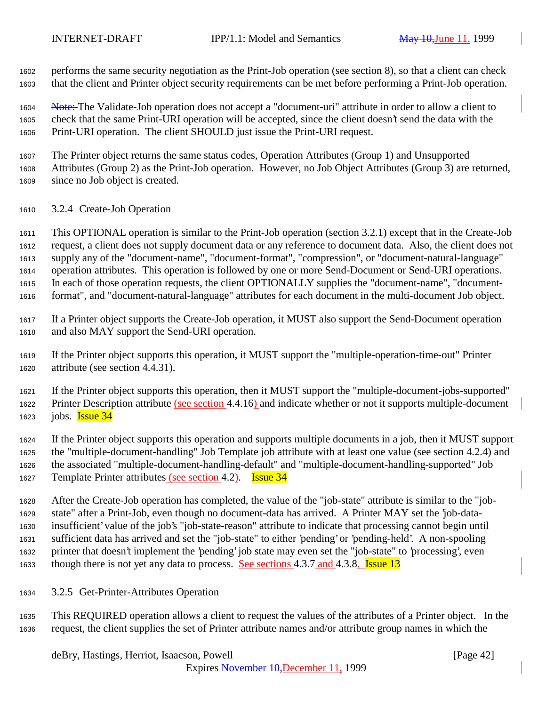performs the same security negotiation as the Print-Job operation (see section 8), so that a client can check that the client and Printer object security requirements can be met before performing a Print-Job operation.

1604 Note: The Validate-Job operation does not accept a "document-uri" attribute in order to allow a client to check that the same Print-URI operation will be accepted, since the client doesn't send the data with the Print-URI operation. The client SHOULD just issue the Print-URI request.

 The Printer object returns the same status codes, Operation Attributes (Group 1) and Unsupported Attributes (Group 2) as the Print-Job operation. However, no Job Object Attributes (Group 3) are returned, since no Job object is created.

3.2.4 Create-Job Operation

 This OPTIONAL operation is similar to the Print-Job operation (section 3.2.1) except that in the Create-Job request, a client does not supply document data or any reference to document data. Also, the client does not supply any of the "document-name", "document-format", "compression", or "document-natural-language" operation attributes. This operation is followed by one or more Send-Document or Send-URI operations. In each of those operation requests, the client OPTIONALLY supplies the "document-name", "document-format", and "document-natural-language" attributes for each document in the multi-document Job object.

 If a Printer object supports the Create-Job operation, it MUST also support the Send-Document operation and also MAY support the Send-URI operation.

 If the Printer object supports this operation, it MUST support the "multiple-operation-time-out" Printer attribute (see section 4.4.31).

 If the Printer object supports this operation, then it MUST support the "multiple-document-jobs-supported" 1622 Printer Description attribute (see section 4.4.16) and indicate whether or not it supports multiple-document 1623 jobs. **Issue 34** 

 If the Printer object supports this operation and supports multiple documents in a job, then it MUST support the "multiple-document-handling" Job Template job attribute with at least one value (see section 4.2.4) and the associated "multiple-document-handling-default" and "multiple-document-handling-supported" Job Template Printer attributes (see section 4.2). Issue 34

 After the Create-Job operation has completed, the value of the "job-state" attribute is similar to the "job- state" after a Print-Job, even though no document-data has arrived. A Printer MAY set the 'job-data- insufficient' value of the job's "job-state-reason" attribute to indicate that processing cannot begin until sufficient data has arrived and set the "job-state" to either 'pending' or 'pending-held'. A non-spooling printer that doesn't implement the 'pending' job state may even set the "job-state" to 'processing', even 1633 though there is not yet any data to process. See sections 4.3.7 and 4.3.8. **Issue 13** 

3.2.5 Get-Printer-Attributes Operation

 This REQUIRED operation allows a client to request the values of the attributes of a Printer object. In the request, the client supplies the set of Printer attribute names and/or attribute group names in which the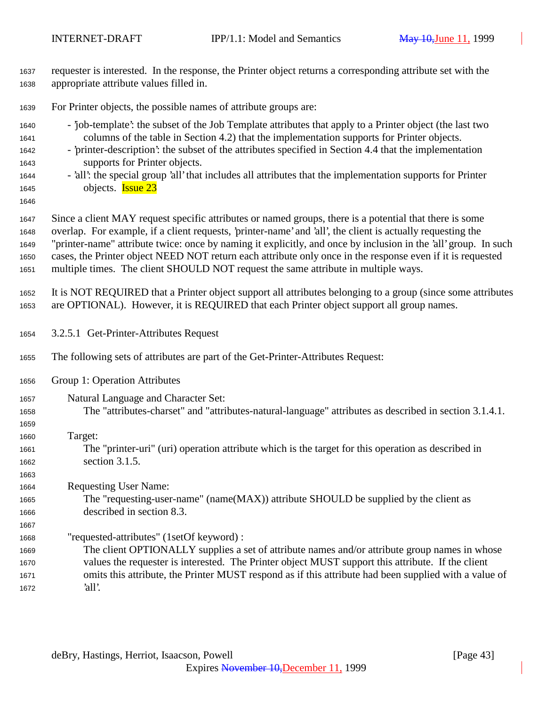| 1637<br>1638                                         | requester is interested. In the response, the Printer object returns a corresponding attribute set with the<br>appropriate attribute values filled in.                                                                                                                                                                                                                                                                                                                                                                                        |  |  |  |
|------------------------------------------------------|-----------------------------------------------------------------------------------------------------------------------------------------------------------------------------------------------------------------------------------------------------------------------------------------------------------------------------------------------------------------------------------------------------------------------------------------------------------------------------------------------------------------------------------------------|--|--|--|
| 1639                                                 | For Printer objects, the possible names of attribute groups are:                                                                                                                                                                                                                                                                                                                                                                                                                                                                              |  |  |  |
| 1640<br>1641<br>1642<br>1643<br>1644<br>1645<br>1646 | - job-template': the subset of the Job Template attributes that apply to a Printer object (the last two<br>columns of the table in Section 4.2) that the implementation supports for Printer objects.<br>- 'printer-description': the subset of the attributes specified in Section 4.4 that the implementation<br>supports for Printer objects.<br>- 'all': the special group 'all' that includes all attributes that the implementation supports for Printer<br>objects. <b>Issue 23</b>                                                    |  |  |  |
| 1647<br>1648<br>1649<br>1650<br>1651                 | Since a client MAY request specific attributes or named groups, there is a potential that there is some<br>overlap. For example, if a client requests, 'printer-name' and 'all', the client is actually requesting the<br>"printer-name" attribute twice: once by naming it explicitly, and once by inclusion in the 'all' group. In such<br>cases, the Printer object NEED NOT return each attribute only once in the response even if it is requested<br>multiple times. The client SHOULD NOT request the same attribute in multiple ways. |  |  |  |
| 1652<br>1653                                         | It is NOT REQUIRED that a Printer object support all attributes belonging to a group (since some attributes<br>are OPTIONAL). However, it is REQUIRED that each Printer object support all group names.                                                                                                                                                                                                                                                                                                                                       |  |  |  |
| 1654                                                 | 3.2.5.1 Get-Printer-Attributes Request                                                                                                                                                                                                                                                                                                                                                                                                                                                                                                        |  |  |  |
| 1655                                                 | The following sets of attributes are part of the Get-Printer-Attributes Request:                                                                                                                                                                                                                                                                                                                                                                                                                                                              |  |  |  |
| 1656                                                 | Group 1: Operation Attributes                                                                                                                                                                                                                                                                                                                                                                                                                                                                                                                 |  |  |  |
| 1657<br>1658<br>1659                                 | Natural Language and Character Set:<br>The "attributes-charset" and "attributes-natural-language" attributes as described in section 3.1.4.1.                                                                                                                                                                                                                                                                                                                                                                                                 |  |  |  |
| 1660<br>1661<br>1662                                 | Target:<br>The "printer-uri" (uri) operation attribute which is the target for this operation as described in<br>section 3.1.5.                                                                                                                                                                                                                                                                                                                                                                                                               |  |  |  |
| 1663<br>1664<br>1665<br>1666<br>1667                 | <b>Requesting User Name:</b><br>The "requesting-user-name" (name(MAX)) attribute SHOULD be supplied by the client as<br>described in section 8.3.                                                                                                                                                                                                                                                                                                                                                                                             |  |  |  |
| 1668<br>1669<br>1670<br>1671<br>1672                 | "requested-attributes" (1setOf keyword):<br>The client OPTIONALLY supplies a set of attribute names and/or attribute group names in whose<br>values the requester is interested. The Printer object MUST support this attribute. If the client<br>omits this attribute, the Printer MUST respond as if this attribute had been supplied with a value of<br>'all'.                                                                                                                                                                             |  |  |  |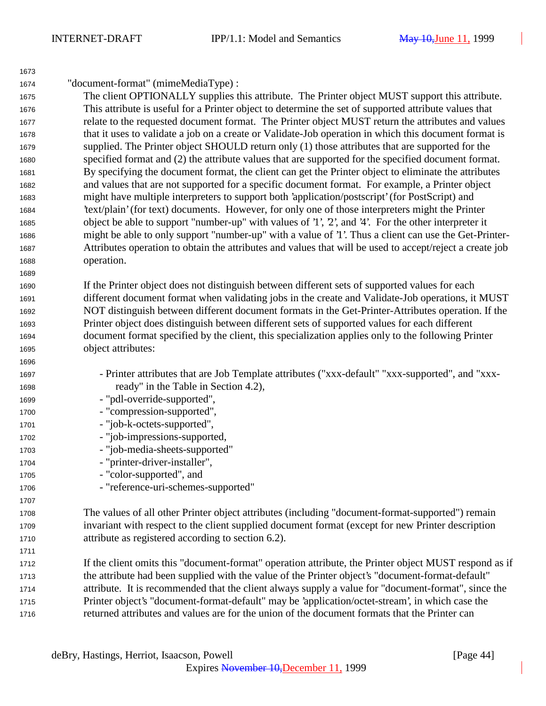| "document-format" (mimeMediaType) :<br>The client OPTIONALLY supplies this attribute. The Printer object MUST support this attribute.<br>This attribute is useful for a Printer object to determine the set of supported attribute values that<br>relate to the requested document format. The Printer object MUST return the attributes and values<br>that it uses to validate a job on a create or Validate-Job operation in which this document format is<br>supplied. The Printer object SHOULD return only (1) those attributes that are supported for the<br>specified format and (2) the attribute values that are supported for the specified document format.<br>By specifying the document format, the client can get the Printer object to eliminate the attributes<br>and values that are not supported for a specific document format. For example, a Printer object<br>might have multiple interpreters to support both 'application/postscript' (for PostScript) and<br>'text/plain' (for text) documents. However, for only one of those interpreters might the Printer<br>object be able to support "number-up" with values of '1', '2', and '4'. For the other interpreter it<br>might be able to only support "number-up" with a value of '1'. Thus a client can use the Get-Printer-<br>Attributes operation to obtain the attributes and values that will be used to accept/reject a create job<br>operation.<br>If the Printer object does not distinguish between different sets of supported values for each<br>different document format when validating jobs in the create and Validate-Job operations, it MUST<br>NOT distinguish between different document formats in the Get-Printer-Attributes operation. If the<br>Printer object does distinguish between different sets of supported values for each different<br>document format specified by the client, this specialization applies only to the following Printer<br>object attributes:<br>1695<br>1696<br>- Printer attributes that are Job Template attributes ("xxx-default" "xxx-supported", and "xxx-<br>ready" in the Table in Section 4.2),<br>- "pdl-override-supported",<br>- "compression-supported",<br>1700<br>- "job-k-octets-supported",<br>- "job-impressions-supported,<br>- "job-media-sheets-supported"<br>1703<br>- "printer-driver-installer",<br>1704<br>- "color-supported", and<br>- "reference-uri-schemes-supported"<br>1706<br>1707<br>The values of all other Printer object attributes (including "document-format-supported") remain<br>1708<br>invariant with respect to the client supplied document format (except for new Printer description<br>1709<br>attribute as registered according to section 6.2).<br>1710<br>1711<br>If the client omits this "document-format" operation attribute, the Printer object MUST respond as if<br>1712<br>the attribute had been supplied with the value of the Printer object's "document-format-default"<br>1713<br>attribute. It is recommended that the client always supply a value for "document-format", since the<br>1714<br>Printer object's "document-format-default" may be 'application/octet-stream', in which case the<br>1715 | 1673 |                                                                                               |
|----------------------------------------------------------------------------------------------------------------------------------------------------------------------------------------------------------------------------------------------------------------------------------------------------------------------------------------------------------------------------------------------------------------------------------------------------------------------------------------------------------------------------------------------------------------------------------------------------------------------------------------------------------------------------------------------------------------------------------------------------------------------------------------------------------------------------------------------------------------------------------------------------------------------------------------------------------------------------------------------------------------------------------------------------------------------------------------------------------------------------------------------------------------------------------------------------------------------------------------------------------------------------------------------------------------------------------------------------------------------------------------------------------------------------------------------------------------------------------------------------------------------------------------------------------------------------------------------------------------------------------------------------------------------------------------------------------------------------------------------------------------------------------------------------------------------------------------------------------------------------------------------------------------------------------------------------------------------------------------------------------------------------------------------------------------------------------------------------------------------------------------------------------------------------------------------------------------------------------------------------------------------------------------------------------------------------------------------------------------------------------------------------------------------------------------------------------------------------------------------------------------------------------------------------------------------------------------------------------------------------------------------------------------------------------------------------------------------------------------------------------------------------------------------------------------------------------------------------------------------------------------------------------------------------------------------------------------------------------------------------------------------------------------------------------------------------------------------------------------------------------------------------------------------------------------------------------|------|-----------------------------------------------------------------------------------------------|
|                                                                                                                                                                                                                                                                                                                                                                                                                                                                                                                                                                                                                                                                                                                                                                                                                                                                                                                                                                                                                                                                                                                                                                                                                                                                                                                                                                                                                                                                                                                                                                                                                                                                                                                                                                                                                                                                                                                                                                                                                                                                                                                                                                                                                                                                                                                                                                                                                                                                                                                                                                                                                                                                                                                                                                                                                                                                                                                                                                                                                                                                                                                                                                                                          | 1674 |                                                                                               |
|                                                                                                                                                                                                                                                                                                                                                                                                                                                                                                                                                                                                                                                                                                                                                                                                                                                                                                                                                                                                                                                                                                                                                                                                                                                                                                                                                                                                                                                                                                                                                                                                                                                                                                                                                                                                                                                                                                                                                                                                                                                                                                                                                                                                                                                                                                                                                                                                                                                                                                                                                                                                                                                                                                                                                                                                                                                                                                                                                                                                                                                                                                                                                                                                          | 1675 |                                                                                               |
|                                                                                                                                                                                                                                                                                                                                                                                                                                                                                                                                                                                                                                                                                                                                                                                                                                                                                                                                                                                                                                                                                                                                                                                                                                                                                                                                                                                                                                                                                                                                                                                                                                                                                                                                                                                                                                                                                                                                                                                                                                                                                                                                                                                                                                                                                                                                                                                                                                                                                                                                                                                                                                                                                                                                                                                                                                                                                                                                                                                                                                                                                                                                                                                                          | 1676 |                                                                                               |
|                                                                                                                                                                                                                                                                                                                                                                                                                                                                                                                                                                                                                                                                                                                                                                                                                                                                                                                                                                                                                                                                                                                                                                                                                                                                                                                                                                                                                                                                                                                                                                                                                                                                                                                                                                                                                                                                                                                                                                                                                                                                                                                                                                                                                                                                                                                                                                                                                                                                                                                                                                                                                                                                                                                                                                                                                                                                                                                                                                                                                                                                                                                                                                                                          | 1677 |                                                                                               |
|                                                                                                                                                                                                                                                                                                                                                                                                                                                                                                                                                                                                                                                                                                                                                                                                                                                                                                                                                                                                                                                                                                                                                                                                                                                                                                                                                                                                                                                                                                                                                                                                                                                                                                                                                                                                                                                                                                                                                                                                                                                                                                                                                                                                                                                                                                                                                                                                                                                                                                                                                                                                                                                                                                                                                                                                                                                                                                                                                                                                                                                                                                                                                                                                          | 1678 |                                                                                               |
|                                                                                                                                                                                                                                                                                                                                                                                                                                                                                                                                                                                                                                                                                                                                                                                                                                                                                                                                                                                                                                                                                                                                                                                                                                                                                                                                                                                                                                                                                                                                                                                                                                                                                                                                                                                                                                                                                                                                                                                                                                                                                                                                                                                                                                                                                                                                                                                                                                                                                                                                                                                                                                                                                                                                                                                                                                                                                                                                                                                                                                                                                                                                                                                                          | 1679 |                                                                                               |
|                                                                                                                                                                                                                                                                                                                                                                                                                                                                                                                                                                                                                                                                                                                                                                                                                                                                                                                                                                                                                                                                                                                                                                                                                                                                                                                                                                                                                                                                                                                                                                                                                                                                                                                                                                                                                                                                                                                                                                                                                                                                                                                                                                                                                                                                                                                                                                                                                                                                                                                                                                                                                                                                                                                                                                                                                                                                                                                                                                                                                                                                                                                                                                                                          | 1680 |                                                                                               |
|                                                                                                                                                                                                                                                                                                                                                                                                                                                                                                                                                                                                                                                                                                                                                                                                                                                                                                                                                                                                                                                                                                                                                                                                                                                                                                                                                                                                                                                                                                                                                                                                                                                                                                                                                                                                                                                                                                                                                                                                                                                                                                                                                                                                                                                                                                                                                                                                                                                                                                                                                                                                                                                                                                                                                                                                                                                                                                                                                                                                                                                                                                                                                                                                          | 1681 |                                                                                               |
|                                                                                                                                                                                                                                                                                                                                                                                                                                                                                                                                                                                                                                                                                                                                                                                                                                                                                                                                                                                                                                                                                                                                                                                                                                                                                                                                                                                                                                                                                                                                                                                                                                                                                                                                                                                                                                                                                                                                                                                                                                                                                                                                                                                                                                                                                                                                                                                                                                                                                                                                                                                                                                                                                                                                                                                                                                                                                                                                                                                                                                                                                                                                                                                                          | 1682 |                                                                                               |
|                                                                                                                                                                                                                                                                                                                                                                                                                                                                                                                                                                                                                                                                                                                                                                                                                                                                                                                                                                                                                                                                                                                                                                                                                                                                                                                                                                                                                                                                                                                                                                                                                                                                                                                                                                                                                                                                                                                                                                                                                                                                                                                                                                                                                                                                                                                                                                                                                                                                                                                                                                                                                                                                                                                                                                                                                                                                                                                                                                                                                                                                                                                                                                                                          | 1683 |                                                                                               |
|                                                                                                                                                                                                                                                                                                                                                                                                                                                                                                                                                                                                                                                                                                                                                                                                                                                                                                                                                                                                                                                                                                                                                                                                                                                                                                                                                                                                                                                                                                                                                                                                                                                                                                                                                                                                                                                                                                                                                                                                                                                                                                                                                                                                                                                                                                                                                                                                                                                                                                                                                                                                                                                                                                                                                                                                                                                                                                                                                                                                                                                                                                                                                                                                          | 1684 |                                                                                               |
|                                                                                                                                                                                                                                                                                                                                                                                                                                                                                                                                                                                                                                                                                                                                                                                                                                                                                                                                                                                                                                                                                                                                                                                                                                                                                                                                                                                                                                                                                                                                                                                                                                                                                                                                                                                                                                                                                                                                                                                                                                                                                                                                                                                                                                                                                                                                                                                                                                                                                                                                                                                                                                                                                                                                                                                                                                                                                                                                                                                                                                                                                                                                                                                                          | 1685 |                                                                                               |
|                                                                                                                                                                                                                                                                                                                                                                                                                                                                                                                                                                                                                                                                                                                                                                                                                                                                                                                                                                                                                                                                                                                                                                                                                                                                                                                                                                                                                                                                                                                                                                                                                                                                                                                                                                                                                                                                                                                                                                                                                                                                                                                                                                                                                                                                                                                                                                                                                                                                                                                                                                                                                                                                                                                                                                                                                                                                                                                                                                                                                                                                                                                                                                                                          | 1686 |                                                                                               |
|                                                                                                                                                                                                                                                                                                                                                                                                                                                                                                                                                                                                                                                                                                                                                                                                                                                                                                                                                                                                                                                                                                                                                                                                                                                                                                                                                                                                                                                                                                                                                                                                                                                                                                                                                                                                                                                                                                                                                                                                                                                                                                                                                                                                                                                                                                                                                                                                                                                                                                                                                                                                                                                                                                                                                                                                                                                                                                                                                                                                                                                                                                                                                                                                          | 1687 |                                                                                               |
|                                                                                                                                                                                                                                                                                                                                                                                                                                                                                                                                                                                                                                                                                                                                                                                                                                                                                                                                                                                                                                                                                                                                                                                                                                                                                                                                                                                                                                                                                                                                                                                                                                                                                                                                                                                                                                                                                                                                                                                                                                                                                                                                                                                                                                                                                                                                                                                                                                                                                                                                                                                                                                                                                                                                                                                                                                                                                                                                                                                                                                                                                                                                                                                                          | 1688 |                                                                                               |
|                                                                                                                                                                                                                                                                                                                                                                                                                                                                                                                                                                                                                                                                                                                                                                                                                                                                                                                                                                                                                                                                                                                                                                                                                                                                                                                                                                                                                                                                                                                                                                                                                                                                                                                                                                                                                                                                                                                                                                                                                                                                                                                                                                                                                                                                                                                                                                                                                                                                                                                                                                                                                                                                                                                                                                                                                                                                                                                                                                                                                                                                                                                                                                                                          | 1689 |                                                                                               |
|                                                                                                                                                                                                                                                                                                                                                                                                                                                                                                                                                                                                                                                                                                                                                                                                                                                                                                                                                                                                                                                                                                                                                                                                                                                                                                                                                                                                                                                                                                                                                                                                                                                                                                                                                                                                                                                                                                                                                                                                                                                                                                                                                                                                                                                                                                                                                                                                                                                                                                                                                                                                                                                                                                                                                                                                                                                                                                                                                                                                                                                                                                                                                                                                          | 1690 |                                                                                               |
|                                                                                                                                                                                                                                                                                                                                                                                                                                                                                                                                                                                                                                                                                                                                                                                                                                                                                                                                                                                                                                                                                                                                                                                                                                                                                                                                                                                                                                                                                                                                                                                                                                                                                                                                                                                                                                                                                                                                                                                                                                                                                                                                                                                                                                                                                                                                                                                                                                                                                                                                                                                                                                                                                                                                                                                                                                                                                                                                                                                                                                                                                                                                                                                                          | 1691 |                                                                                               |
|                                                                                                                                                                                                                                                                                                                                                                                                                                                                                                                                                                                                                                                                                                                                                                                                                                                                                                                                                                                                                                                                                                                                                                                                                                                                                                                                                                                                                                                                                                                                                                                                                                                                                                                                                                                                                                                                                                                                                                                                                                                                                                                                                                                                                                                                                                                                                                                                                                                                                                                                                                                                                                                                                                                                                                                                                                                                                                                                                                                                                                                                                                                                                                                                          | 1692 |                                                                                               |
|                                                                                                                                                                                                                                                                                                                                                                                                                                                                                                                                                                                                                                                                                                                                                                                                                                                                                                                                                                                                                                                                                                                                                                                                                                                                                                                                                                                                                                                                                                                                                                                                                                                                                                                                                                                                                                                                                                                                                                                                                                                                                                                                                                                                                                                                                                                                                                                                                                                                                                                                                                                                                                                                                                                                                                                                                                                                                                                                                                                                                                                                                                                                                                                                          | 1693 |                                                                                               |
|                                                                                                                                                                                                                                                                                                                                                                                                                                                                                                                                                                                                                                                                                                                                                                                                                                                                                                                                                                                                                                                                                                                                                                                                                                                                                                                                                                                                                                                                                                                                                                                                                                                                                                                                                                                                                                                                                                                                                                                                                                                                                                                                                                                                                                                                                                                                                                                                                                                                                                                                                                                                                                                                                                                                                                                                                                                                                                                                                                                                                                                                                                                                                                                                          | 1694 |                                                                                               |
|                                                                                                                                                                                                                                                                                                                                                                                                                                                                                                                                                                                                                                                                                                                                                                                                                                                                                                                                                                                                                                                                                                                                                                                                                                                                                                                                                                                                                                                                                                                                                                                                                                                                                                                                                                                                                                                                                                                                                                                                                                                                                                                                                                                                                                                                                                                                                                                                                                                                                                                                                                                                                                                                                                                                                                                                                                                                                                                                                                                                                                                                                                                                                                                                          |      |                                                                                               |
|                                                                                                                                                                                                                                                                                                                                                                                                                                                                                                                                                                                                                                                                                                                                                                                                                                                                                                                                                                                                                                                                                                                                                                                                                                                                                                                                                                                                                                                                                                                                                                                                                                                                                                                                                                                                                                                                                                                                                                                                                                                                                                                                                                                                                                                                                                                                                                                                                                                                                                                                                                                                                                                                                                                                                                                                                                                                                                                                                                                                                                                                                                                                                                                                          |      |                                                                                               |
|                                                                                                                                                                                                                                                                                                                                                                                                                                                                                                                                                                                                                                                                                                                                                                                                                                                                                                                                                                                                                                                                                                                                                                                                                                                                                                                                                                                                                                                                                                                                                                                                                                                                                                                                                                                                                                                                                                                                                                                                                                                                                                                                                                                                                                                                                                                                                                                                                                                                                                                                                                                                                                                                                                                                                                                                                                                                                                                                                                                                                                                                                                                                                                                                          | 1697 |                                                                                               |
|                                                                                                                                                                                                                                                                                                                                                                                                                                                                                                                                                                                                                                                                                                                                                                                                                                                                                                                                                                                                                                                                                                                                                                                                                                                                                                                                                                                                                                                                                                                                                                                                                                                                                                                                                                                                                                                                                                                                                                                                                                                                                                                                                                                                                                                                                                                                                                                                                                                                                                                                                                                                                                                                                                                                                                                                                                                                                                                                                                                                                                                                                                                                                                                                          | 1698 |                                                                                               |
|                                                                                                                                                                                                                                                                                                                                                                                                                                                                                                                                                                                                                                                                                                                                                                                                                                                                                                                                                                                                                                                                                                                                                                                                                                                                                                                                                                                                                                                                                                                                                                                                                                                                                                                                                                                                                                                                                                                                                                                                                                                                                                                                                                                                                                                                                                                                                                                                                                                                                                                                                                                                                                                                                                                                                                                                                                                                                                                                                                                                                                                                                                                                                                                                          | 1699 |                                                                                               |
|                                                                                                                                                                                                                                                                                                                                                                                                                                                                                                                                                                                                                                                                                                                                                                                                                                                                                                                                                                                                                                                                                                                                                                                                                                                                                                                                                                                                                                                                                                                                                                                                                                                                                                                                                                                                                                                                                                                                                                                                                                                                                                                                                                                                                                                                                                                                                                                                                                                                                                                                                                                                                                                                                                                                                                                                                                                                                                                                                                                                                                                                                                                                                                                                          |      |                                                                                               |
|                                                                                                                                                                                                                                                                                                                                                                                                                                                                                                                                                                                                                                                                                                                                                                                                                                                                                                                                                                                                                                                                                                                                                                                                                                                                                                                                                                                                                                                                                                                                                                                                                                                                                                                                                                                                                                                                                                                                                                                                                                                                                                                                                                                                                                                                                                                                                                                                                                                                                                                                                                                                                                                                                                                                                                                                                                                                                                                                                                                                                                                                                                                                                                                                          | 1701 |                                                                                               |
|                                                                                                                                                                                                                                                                                                                                                                                                                                                                                                                                                                                                                                                                                                                                                                                                                                                                                                                                                                                                                                                                                                                                                                                                                                                                                                                                                                                                                                                                                                                                                                                                                                                                                                                                                                                                                                                                                                                                                                                                                                                                                                                                                                                                                                                                                                                                                                                                                                                                                                                                                                                                                                                                                                                                                                                                                                                                                                                                                                                                                                                                                                                                                                                                          | 1702 |                                                                                               |
|                                                                                                                                                                                                                                                                                                                                                                                                                                                                                                                                                                                                                                                                                                                                                                                                                                                                                                                                                                                                                                                                                                                                                                                                                                                                                                                                                                                                                                                                                                                                                                                                                                                                                                                                                                                                                                                                                                                                                                                                                                                                                                                                                                                                                                                                                                                                                                                                                                                                                                                                                                                                                                                                                                                                                                                                                                                                                                                                                                                                                                                                                                                                                                                                          |      |                                                                                               |
|                                                                                                                                                                                                                                                                                                                                                                                                                                                                                                                                                                                                                                                                                                                                                                                                                                                                                                                                                                                                                                                                                                                                                                                                                                                                                                                                                                                                                                                                                                                                                                                                                                                                                                                                                                                                                                                                                                                                                                                                                                                                                                                                                                                                                                                                                                                                                                                                                                                                                                                                                                                                                                                                                                                                                                                                                                                                                                                                                                                                                                                                                                                                                                                                          |      |                                                                                               |
|                                                                                                                                                                                                                                                                                                                                                                                                                                                                                                                                                                                                                                                                                                                                                                                                                                                                                                                                                                                                                                                                                                                                                                                                                                                                                                                                                                                                                                                                                                                                                                                                                                                                                                                                                                                                                                                                                                                                                                                                                                                                                                                                                                                                                                                                                                                                                                                                                                                                                                                                                                                                                                                                                                                                                                                                                                                                                                                                                                                                                                                                                                                                                                                                          | 1705 |                                                                                               |
|                                                                                                                                                                                                                                                                                                                                                                                                                                                                                                                                                                                                                                                                                                                                                                                                                                                                                                                                                                                                                                                                                                                                                                                                                                                                                                                                                                                                                                                                                                                                                                                                                                                                                                                                                                                                                                                                                                                                                                                                                                                                                                                                                                                                                                                                                                                                                                                                                                                                                                                                                                                                                                                                                                                                                                                                                                                                                                                                                                                                                                                                                                                                                                                                          |      |                                                                                               |
|                                                                                                                                                                                                                                                                                                                                                                                                                                                                                                                                                                                                                                                                                                                                                                                                                                                                                                                                                                                                                                                                                                                                                                                                                                                                                                                                                                                                                                                                                                                                                                                                                                                                                                                                                                                                                                                                                                                                                                                                                                                                                                                                                                                                                                                                                                                                                                                                                                                                                                                                                                                                                                                                                                                                                                                                                                                                                                                                                                                                                                                                                                                                                                                                          |      |                                                                                               |
|                                                                                                                                                                                                                                                                                                                                                                                                                                                                                                                                                                                                                                                                                                                                                                                                                                                                                                                                                                                                                                                                                                                                                                                                                                                                                                                                                                                                                                                                                                                                                                                                                                                                                                                                                                                                                                                                                                                                                                                                                                                                                                                                                                                                                                                                                                                                                                                                                                                                                                                                                                                                                                                                                                                                                                                                                                                                                                                                                                                                                                                                                                                                                                                                          |      |                                                                                               |
|                                                                                                                                                                                                                                                                                                                                                                                                                                                                                                                                                                                                                                                                                                                                                                                                                                                                                                                                                                                                                                                                                                                                                                                                                                                                                                                                                                                                                                                                                                                                                                                                                                                                                                                                                                                                                                                                                                                                                                                                                                                                                                                                                                                                                                                                                                                                                                                                                                                                                                                                                                                                                                                                                                                                                                                                                                                                                                                                                                                                                                                                                                                                                                                                          |      |                                                                                               |
|                                                                                                                                                                                                                                                                                                                                                                                                                                                                                                                                                                                                                                                                                                                                                                                                                                                                                                                                                                                                                                                                                                                                                                                                                                                                                                                                                                                                                                                                                                                                                                                                                                                                                                                                                                                                                                                                                                                                                                                                                                                                                                                                                                                                                                                                                                                                                                                                                                                                                                                                                                                                                                                                                                                                                                                                                                                                                                                                                                                                                                                                                                                                                                                                          |      |                                                                                               |
|                                                                                                                                                                                                                                                                                                                                                                                                                                                                                                                                                                                                                                                                                                                                                                                                                                                                                                                                                                                                                                                                                                                                                                                                                                                                                                                                                                                                                                                                                                                                                                                                                                                                                                                                                                                                                                                                                                                                                                                                                                                                                                                                                                                                                                                                                                                                                                                                                                                                                                                                                                                                                                                                                                                                                                                                                                                                                                                                                                                                                                                                                                                                                                                                          |      |                                                                                               |
|                                                                                                                                                                                                                                                                                                                                                                                                                                                                                                                                                                                                                                                                                                                                                                                                                                                                                                                                                                                                                                                                                                                                                                                                                                                                                                                                                                                                                                                                                                                                                                                                                                                                                                                                                                                                                                                                                                                                                                                                                                                                                                                                                                                                                                                                                                                                                                                                                                                                                                                                                                                                                                                                                                                                                                                                                                                                                                                                                                                                                                                                                                                                                                                                          |      |                                                                                               |
|                                                                                                                                                                                                                                                                                                                                                                                                                                                                                                                                                                                                                                                                                                                                                                                                                                                                                                                                                                                                                                                                                                                                                                                                                                                                                                                                                                                                                                                                                                                                                                                                                                                                                                                                                                                                                                                                                                                                                                                                                                                                                                                                                                                                                                                                                                                                                                                                                                                                                                                                                                                                                                                                                                                                                                                                                                                                                                                                                                                                                                                                                                                                                                                                          |      |                                                                                               |
|                                                                                                                                                                                                                                                                                                                                                                                                                                                                                                                                                                                                                                                                                                                                                                                                                                                                                                                                                                                                                                                                                                                                                                                                                                                                                                                                                                                                                                                                                                                                                                                                                                                                                                                                                                                                                                                                                                                                                                                                                                                                                                                                                                                                                                                                                                                                                                                                                                                                                                                                                                                                                                                                                                                                                                                                                                                                                                                                                                                                                                                                                                                                                                                                          |      |                                                                                               |
|                                                                                                                                                                                                                                                                                                                                                                                                                                                                                                                                                                                                                                                                                                                                                                                                                                                                                                                                                                                                                                                                                                                                                                                                                                                                                                                                                                                                                                                                                                                                                                                                                                                                                                                                                                                                                                                                                                                                                                                                                                                                                                                                                                                                                                                                                                                                                                                                                                                                                                                                                                                                                                                                                                                                                                                                                                                                                                                                                                                                                                                                                                                                                                                                          |      |                                                                                               |
|                                                                                                                                                                                                                                                                                                                                                                                                                                                                                                                                                                                                                                                                                                                                                                                                                                                                                                                                                                                                                                                                                                                                                                                                                                                                                                                                                                                                                                                                                                                                                                                                                                                                                                                                                                                                                                                                                                                                                                                                                                                                                                                                                                                                                                                                                                                                                                                                                                                                                                                                                                                                                                                                                                                                                                                                                                                                                                                                                                                                                                                                                                                                                                                                          | 1716 | returned attributes and values are for the union of the document formats that the Printer can |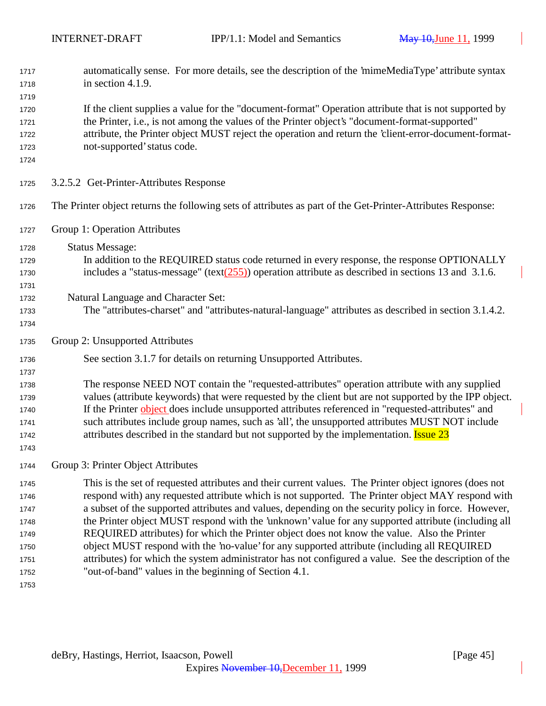| 1717         | automatically sense. For more details, see the description of the 'mimeMediaType' attribute syntax<br>in section 4.1.9.                                        |  |  |  |
|--------------|----------------------------------------------------------------------------------------------------------------------------------------------------------------|--|--|--|
| 1718<br>1719 |                                                                                                                                                                |  |  |  |
| 1720         | If the client supplies a value for the "document-format" Operation attribute that is not supported by                                                          |  |  |  |
| 1721         | the Printer, i.e., is not among the values of the Printer object's "document-format-supported"                                                                 |  |  |  |
| 1722         | attribute, the Printer object MUST reject the operation and return the 'client-error-document-format-                                                          |  |  |  |
| 1723         | not-supported' status code.                                                                                                                                    |  |  |  |
| 1724         |                                                                                                                                                                |  |  |  |
| 1725         | 3.2.5.2 Get-Printer-Attributes Response                                                                                                                        |  |  |  |
| 1726         | The Printer object returns the following sets of attributes as part of the Get-Printer-Attributes Response:                                                    |  |  |  |
| 1727         | Group 1: Operation Attributes                                                                                                                                  |  |  |  |
| 1728         | <b>Status Message:</b>                                                                                                                                         |  |  |  |
| 1729         | In addition to the REQUIRED status code returned in every response, the response OPTIONALLY                                                                    |  |  |  |
| 1730         | includes a "status-message" (text $(255)$ ) operation attribute as described in sections 13 and 3.1.6.                                                         |  |  |  |
| 1731         |                                                                                                                                                                |  |  |  |
| 1732         | Natural Language and Character Set:                                                                                                                            |  |  |  |
| 1733         | The "attributes-charset" and "attributes-natural-language" attributes as described in section 3.1.4.2.                                                         |  |  |  |
| 1734         |                                                                                                                                                                |  |  |  |
| 1735         | Group 2: Unsupported Attributes                                                                                                                                |  |  |  |
| 1736<br>1737 | See section 3.1.7 for details on returning Unsupported Attributes.                                                                                             |  |  |  |
| 1738         | The response NEED NOT contain the "requested-attributes" operation attribute with any supplied                                                                 |  |  |  |
| 1739         | values (attribute keywords) that were requested by the client but are not supported by the IPP object.                                                         |  |  |  |
| 1740         | If the Printer object does include unsupported attributes referenced in "requested-attributes" and                                                             |  |  |  |
| 1741         | such attributes include group names, such as 'all', the unsupported attributes MUST NOT include                                                                |  |  |  |
| 1742         | attributes described in the standard but not supported by the implementation. <b>Issue 23</b>                                                                  |  |  |  |
| 1743         |                                                                                                                                                                |  |  |  |
| 1744         | Group 3: Printer Object Attributes                                                                                                                             |  |  |  |
| 1745         | This is the set of requested attributes and their current values. The Printer object ignores (does not                                                         |  |  |  |
| 1746         | respond with) any requested attribute which is not supported. The Printer object MAY respond with                                                              |  |  |  |
| 1747         | a subset of the supported attributes and values, depending on the security policy in force. However,                                                           |  |  |  |
| 1748         | the Printer object MUST respond with the 'unknown' value for any supported attribute (including all                                                            |  |  |  |
| 1749         | REQUIRED attributes) for which the Printer object does not know the value. Also the Printer                                                                    |  |  |  |
| 1750         | object MUST respond with the 'no-value' for any supported attribute (including all REQUIRED                                                                    |  |  |  |
| 1751<br>1752 | attributes) for which the system administrator has not configured a value. See the description of the<br>"out-of-band" values in the beginning of Section 4.1. |  |  |  |
| 1753         |                                                                                                                                                                |  |  |  |
|              |                                                                                                                                                                |  |  |  |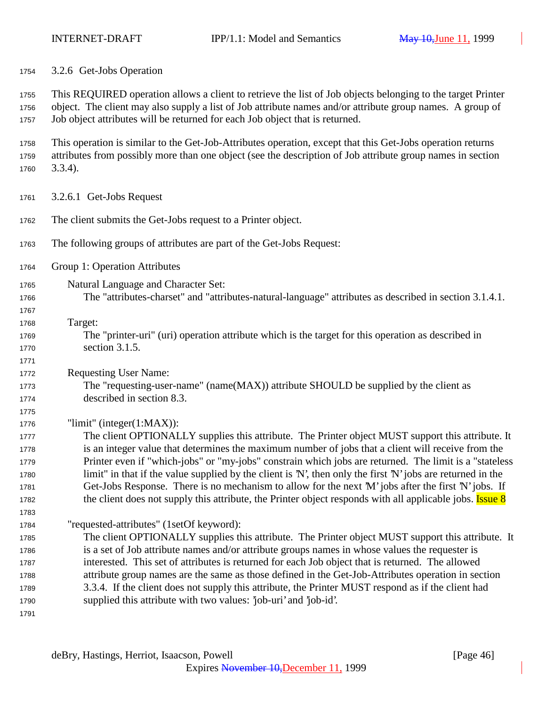3.2.6 Get-Jobs Operation

 This REQUIRED operation allows a client to retrieve the list of Job objects belonging to the target Printer object. The client may also supply a list of Job attribute names and/or attribute group names. A group of Job object attributes will be returned for each Job object that is returned.

 This operation is similar to the Get-Job-Attributes operation, except that this Get-Jobs operation returns attributes from possibly more than one object (see the description of Job attribute group names in section 3.3.4).

3.2.6.1 Get-Jobs Request

- The client submits the Get-Jobs request to a Printer object.
- The following groups of attributes are part of the Get-Jobs Request:
- Group 1: Operation Attributes
- Natural Language and Character Set:
- The "attributes-charset" and "attributes-natural-language" attributes as described in section 3.1.4.1.

 Target:

 The "printer-uri" (uri) operation attribute which is the target for this operation as described in section 3.1.5.

Requesting User Name:

 The "requesting-user-name" (name(MAX)) attribute SHOULD be supplied by the client as described in section 8.3.

"limit" (integer(1:MAX)):

 The client OPTIONALLY supplies this attribute. The Printer object MUST support this attribute. It is an integer value that determines the maximum number of jobs that a client will receive from the Printer even if "which-jobs" or "my-jobs" constrain which jobs are returned. The limit is a "stateless limit" in that if the value supplied by the client is 'N', then only the first 'N' jobs are returned in the Get-Jobs Response. There is no mechanism to allow for the next 'M' jobs after the first 'N' jobs. If 1782 the client does not supply this attribute, the Printer object responds with all applicable jobs. **Issue 8** 

"requested-attributes" (1setOf keyword):

 The client OPTIONALLY supplies this attribute. The Printer object MUST support this attribute. It is a set of Job attribute names and/or attribute groups names in whose values the requester is interested. This set of attributes is returned for each Job object that is returned. The allowed attribute group names are the same as those defined in the Get-Job-Attributes operation in section 3.3.4. If the client does not supply this attribute, the Printer MUST respond as if the client had supplied this attribute with two values: 'job-uri' and 'job-id'.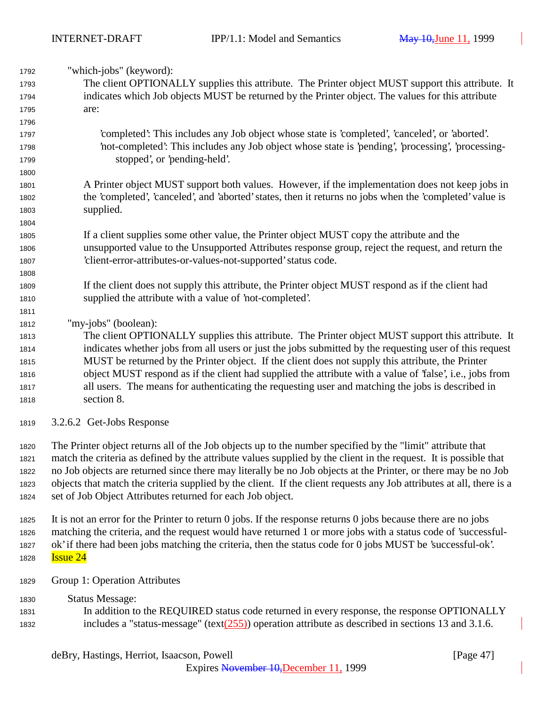| 1792 | "which-jobs" (keyword):                                                                                          |
|------|------------------------------------------------------------------------------------------------------------------|
| 1793 | The client OPTIONALLY supplies this attribute. The Printer object MUST support this attribute. It                |
| 1794 | indicates which Job objects MUST be returned by the Printer object. The values for this attribute                |
| 1795 | are:                                                                                                             |
| 1796 |                                                                                                                  |
| 1797 | 'completed': This includes any Job object whose state is 'completed', 'canceled', or 'aborted'.                  |
| 1798 | 'not-completed': This includes any Job object whose state is 'pending', 'processing', 'processing-               |
| 1799 | stopped', or 'pending-held'.                                                                                     |
| 1800 |                                                                                                                  |
| 1801 | A Printer object MUST support both values. However, if the implementation does not keep jobs in                  |
| 1802 | the 'completed', 'canceled', and 'aborted' states, then it returns no jobs when the 'completed' value is         |
| 1803 | supplied.                                                                                                        |
| 1804 |                                                                                                                  |
| 1805 | If a client supplies some other value, the Printer object MUST copy the attribute and the                        |
| 1806 | unsupported value to the Unsupported Attributes response group, reject the request, and return the               |
| 1807 | 'client-error-attributes-or-values-not-supported' status code.                                                   |
| 1808 |                                                                                                                  |
| 1809 | If the client does not supply this attribute, the Printer object MUST respond as if the client had               |
| 1810 | supplied the attribute with a value of 'not-completed'.                                                          |
| 1811 |                                                                                                                  |
| 1812 | "my-jobs" (boolean):                                                                                             |
| 1813 | The client OPTIONALLY supplies this attribute. The Printer object MUST support this attribute. It                |
| 1814 | indicates whether jobs from all users or just the jobs submitted by the requesting user of this request          |
| 1815 | MUST be returned by the Printer object. If the client does not supply this attribute, the Printer                |
| 1816 | object MUST respond as if the client had supplied the attribute with a value of 'false', i.e., jobs from         |
| 1817 | all users. The means for authenticating the requesting user and matching the jobs is described in                |
| 1818 | section 8.                                                                                                       |
| 1819 | 3.2.6.2 Get-Jobs Response                                                                                        |
| 1820 | The Printer object returns all of the Job objects up to the number specified by the "limit" attribute that       |
| 1821 | match the criteria as defined by the attribute values supplied by the client in the request. It is possible that |
| 1822 | no Job objects are returned since there may literally be no Job objects at the Printer, or there may be no Job   |

 no Job objects are returned since there may literally be no Job objects at the Printer, or there may be no Job objects that match the criteria supplied by the client. If the client requests any Job attributes at all, there is a set of Job Object Attributes returned for each Job object.

 It is not an error for the Printer to return 0 jobs. If the response returns 0 jobs because there are no jobs matching the criteria, and the request would have returned 1 or more jobs with a status code of 'successful- ok' if there had been jobs matching the criteria, then the status code for 0 jobs MUST be 'successful-ok'. **Issue 24** 

Group 1: Operation Attributes

Status Message:

 In addition to the REQUIRED status code returned in every response, the response OPTIONALLY 1832 includes a "status-message" (text()) operation attribute as described in sections 13 and 3.1.6.

deBry, Hastings, Herriot, Isaacson, Powell [Page 47]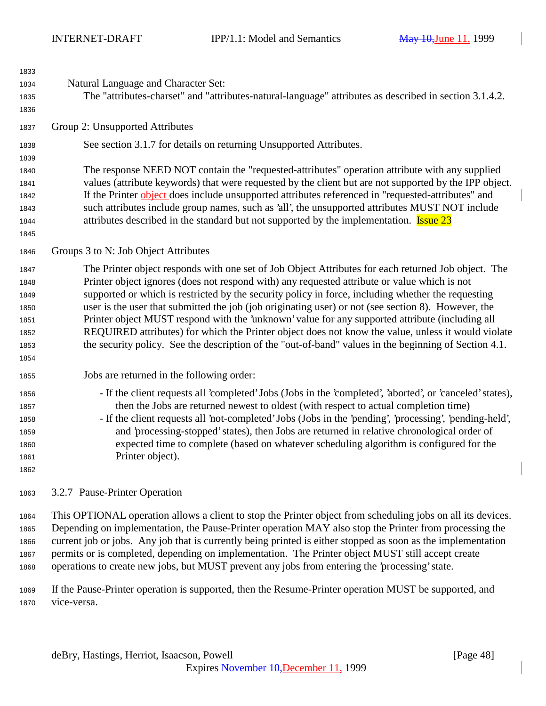| 1833<br>1834<br>1835<br>1836                                 | Natural Language and Character Set:<br>The "attributes-charset" and "attributes-natural-language" attributes as described in section 3.1.4.2.                                                                                                                                                                                                                                                                                                                                                                                                                                                                                                                                                                                      |
|--------------------------------------------------------------|------------------------------------------------------------------------------------------------------------------------------------------------------------------------------------------------------------------------------------------------------------------------------------------------------------------------------------------------------------------------------------------------------------------------------------------------------------------------------------------------------------------------------------------------------------------------------------------------------------------------------------------------------------------------------------------------------------------------------------|
| 1837                                                         | Group 2: Unsupported Attributes                                                                                                                                                                                                                                                                                                                                                                                                                                                                                                                                                                                                                                                                                                    |
| 1838<br>1839<br>1840<br>1841<br>1842<br>1843<br>1844<br>1845 | See section 3.1.7 for details on returning Unsupported Attributes.<br>The response NEED NOT contain the "requested-attributes" operation attribute with any supplied<br>values (attribute keywords) that were requested by the client but are not supported by the IPP object.<br>If the Printer object does include unsupported attributes referenced in "requested-attributes" and<br>such attributes include group names, such as 'all', the unsupported attributes MUST NOT include<br>attributes described in the standard but not supported by the implementation. <b>Issue 23</b>                                                                                                                                           |
| 1846                                                         | Groups 3 to N: Job Object Attributes                                                                                                                                                                                                                                                                                                                                                                                                                                                                                                                                                                                                                                                                                               |
| 1847<br>1848<br>1849<br>1850<br>1851<br>1852<br>1853<br>1854 | The Printer object responds with one set of Job Object Attributes for each returned Job object. The<br>Printer object ignores (does not respond with) any requested attribute or value which is not<br>supported or which is restricted by the security policy in force, including whether the requesting<br>user is the user that submitted the job (job originating user) or not (see section 8). However, the<br>Printer object MUST respond with the 'unknown' value for any supported attribute (including all<br>REQUIRED attributes) for which the Printer object does not know the value, unless it would violate<br>the security policy. See the description of the "out-of-band" values in the beginning of Section 4.1. |
| 1855                                                         | Jobs are returned in the following order:                                                                                                                                                                                                                                                                                                                                                                                                                                                                                                                                                                                                                                                                                          |
| 1856<br>1857<br>1858<br>1859<br>1860<br>1861<br>1862         | - If the client requests all 'completed' Jobs (Jobs in the 'completed', 'aborted', or 'canceled' states),<br>then the Jobs are returned newest to oldest (with respect to actual completion time)<br>- If the client requests all 'not-completed' Jobs (Jobs in the 'pending', 'processing', 'pending-held',<br>and 'processing-stopped' states), then Jobs are returned in relative chronological order of<br>expected time to complete (based on whatever scheduling algorithm is configured for the<br>Printer object).                                                                                                                                                                                                         |
| 1863                                                         | 3.2.7 Pause-Printer Operation                                                                                                                                                                                                                                                                                                                                                                                                                                                                                                                                                                                                                                                                                                      |

 This OPTIONAL operation allows a client to stop the Printer object from scheduling jobs on all its devices. Depending on implementation, the Pause-Printer operation MAY also stop the Printer from processing the current job or jobs. Any job that is currently being printed is either stopped as soon as the implementation permits or is completed, depending on implementation. The Printer object MUST still accept create operations to create new jobs, but MUST prevent any jobs from entering the 'processing' state.

 If the Pause-Printer operation is supported, then the Resume-Printer operation MUST be supported, and vice-versa.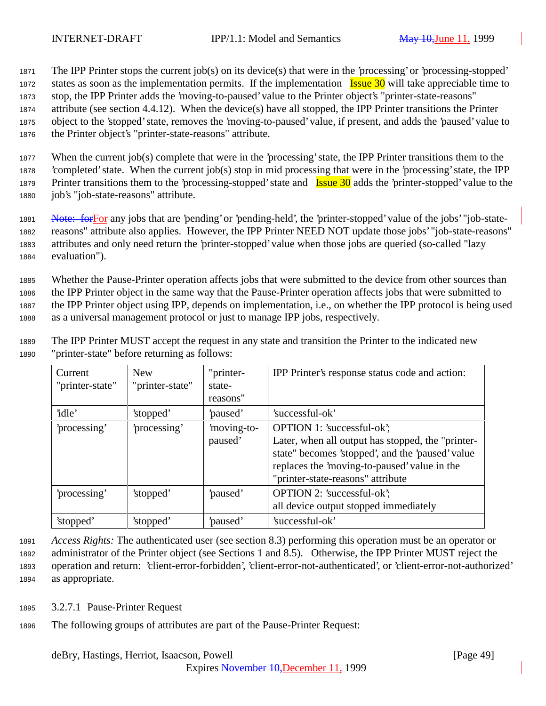The IPP Printer stops the current job(s) on its device(s) that were in the 'processing' or 'processing-stopped' 1872 states as soon as the implementation permits. If the implementation  $\frac{I_{\text{ssue}}}{I_{\text{ssue}}}$  30 will take appreciable time to stop, the IPP Printer adds the 'moving-to-paused' value to the Printer object's "printer-state-reasons" attribute (see section 4.4.12). When the device(s) have all stopped, the IPP Printer transitions the Printer object to the 'stopped' state, removes the 'moving-to-paused' value, if present, and adds the 'paused' value to the Printer object's "printer-state-reasons" attribute.

 When the current job(s) complete that were in the 'processing' state, the IPP Printer transitions them to the 'completed' state. When the current job(s) stop in mid processing that were in the 'processing' state, the IPP 1879 Printer transitions them to the 'processing-stopped' state and **Issue 30** adds the 'printer-stopped' value to the job's "job-state-reasons" attribute.

1881 Note: for For any jobs that are 'pending' or 'pending-held', the 'printer-stopped' value of the jobs' "job-state- reasons" attribute also applies. However, the IPP Printer NEED NOT update those jobs' "job-state-reasons" attributes and only need return the 'printer-stopped' value when those jobs are queried (so-called "lazy evaluation").

 Whether the Pause-Printer operation affects jobs that were submitted to the device from other sources than the IPP Printer object in the same way that the Pause-Printer operation affects jobs that were submitted to the IPP Printer object using IPP, depends on implementation, i.e., on whether the IPP protocol is being used as a universal management protocol or just to manage IPP jobs, respectively.

<sup>1889</sup> The IPP Printer MUST accept the request in any state and transition the Printer to the indicated new <sup>1890</sup> "printer-state" before returning as follows:

| Current<br>"printer-state" | <b>New</b><br>"printer-state" | "printer-<br>state-<br>reasons" | IPP Printer's response status code and action:                                                                                                                                                                           |
|----------------------------|-------------------------------|---------------------------------|--------------------------------------------------------------------------------------------------------------------------------------------------------------------------------------------------------------------------|
| 'idle'                     | 'stopped'                     | paused'                         | 'successful-ok'                                                                                                                                                                                                          |
| processing'                | processing'                   | moving-to-<br>paused'           | OPTION 1: 'successful-ok';<br>Later, when all output has stopped, the "printer-<br>state" becomes 'stopped', and the 'paused' value<br>replaces the 'moving-to-paused' value in the<br>"printer-state-reasons" attribute |
| processing'                | 'stopped'                     | paused'                         | OPTION 2: 'successful-ok';<br>all device output stopped immediately                                                                                                                                                      |
| 'stopped'                  | 'stopped'                     | 'paused'                        | 'successful-ok'                                                                                                                                                                                                          |

 *Access Rights:* The authenticated user (see section 8.3) performing this operation must be an operator or administrator of the Printer object (see Sections 1 and 8.5). Otherwise, the IPP Printer MUST reject the operation and return: 'client-error-forbidden', 'client-error-not-authenticated', or 'client-error-not-authorized' as appropriate.

- <sup>1895</sup> 3.2.7.1 Pause-Printer Request
- <sup>1896</sup> The following groups of attributes are part of the Pause-Printer Request: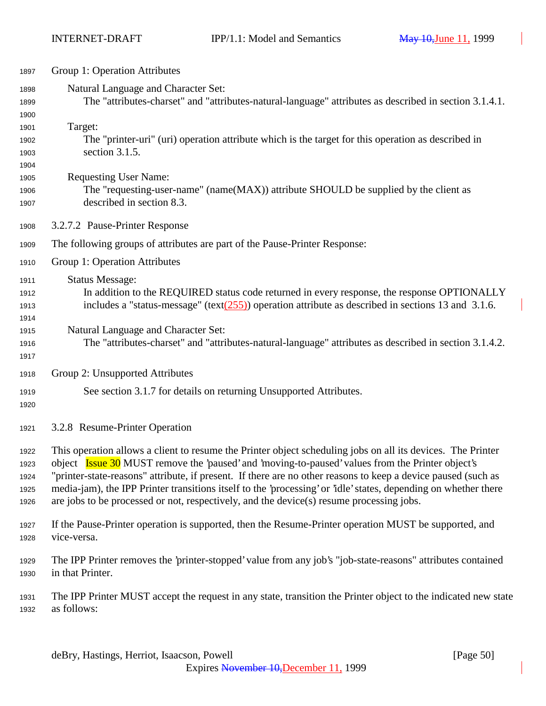| 1897                                 | Group 1: Operation Attributes                                                                                                                                                                                                                                                                                                                                                                                                                                                                                                                              |
|--------------------------------------|------------------------------------------------------------------------------------------------------------------------------------------------------------------------------------------------------------------------------------------------------------------------------------------------------------------------------------------------------------------------------------------------------------------------------------------------------------------------------------------------------------------------------------------------------------|
| 1898<br>1899<br>1900                 | Natural Language and Character Set:<br>The "attributes-charset" and "attributes-natural-language" attributes as described in section 3.1.4.1.                                                                                                                                                                                                                                                                                                                                                                                                              |
| 1901<br>1902<br>1903<br>1904         | Target:<br>The "printer-uri" (uri) operation attribute which is the target for this operation as described in<br>section $3.1.5$ .                                                                                                                                                                                                                                                                                                                                                                                                                         |
| 1905<br>1906<br>1907                 | <b>Requesting User Name:</b><br>The "requesting-user-name" (name(MAX)) attribute SHOULD be supplied by the client as<br>described in section 8.3.                                                                                                                                                                                                                                                                                                                                                                                                          |
| 1908                                 | 3.2.7.2 Pause-Printer Response                                                                                                                                                                                                                                                                                                                                                                                                                                                                                                                             |
| 1909                                 | The following groups of attributes are part of the Pause-Printer Response:                                                                                                                                                                                                                                                                                                                                                                                                                                                                                 |
| 1910                                 | Group 1: Operation Attributes                                                                                                                                                                                                                                                                                                                                                                                                                                                                                                                              |
| 1911<br>1912<br>1913<br>1914         | <b>Status Message:</b><br>In addition to the REQUIRED status code returned in every response, the response OPTIONALLY<br>includes a "status-message" (text $(255)$ ) operation attribute as described in sections 13 and 3.1.6.                                                                                                                                                                                                                                                                                                                            |
| 1915<br>1916<br>1917                 | Natural Language and Character Set:<br>The "attributes-charset" and "attributes-natural-language" attributes as described in section 3.1.4.2.                                                                                                                                                                                                                                                                                                                                                                                                              |
| 1918                                 | Group 2: Unsupported Attributes                                                                                                                                                                                                                                                                                                                                                                                                                                                                                                                            |
| 1919<br>1920                         | See section 3.1.7 for details on returning Unsupported Attributes.                                                                                                                                                                                                                                                                                                                                                                                                                                                                                         |
| 1921                                 | 3.2.8 Resume-Printer Operation                                                                                                                                                                                                                                                                                                                                                                                                                                                                                                                             |
| 1922<br>1923<br>1924<br>1925<br>1926 | This operation allows a client to resume the Printer object scheduling jobs on all its devices. The Printer<br>object <b>Issue 30</b> MUST remove the 'paused' and 'moving-to-paused' values from the Printer object's<br>"printer-state-reasons" attribute, if present. If there are no other reasons to keep a device paused (such as<br>media-jam), the IPP Printer transitions itself to the 'processing' or 'idle' states, depending on whether there<br>are jobs to be processed or not, respectively, and the device( $s$ ) resume processing jobs. |
| 1927<br>1928                         | If the Pause-Printer operation is supported, then the Resume-Printer operation MUST be supported, and<br>vice-versa.                                                                                                                                                                                                                                                                                                                                                                                                                                       |
| 1929<br>1930                         | The IPP Printer removes the 'printer-stopped' value from any job's "job-state-reasons" attributes contained<br>in that Printer.                                                                                                                                                                                                                                                                                                                                                                                                                            |
| 1931<br>1932                         | The IPP Printer MUST accept the request in any state, transition the Printer object to the indicated new state<br>as follows:                                                                                                                                                                                                                                                                                                                                                                                                                              |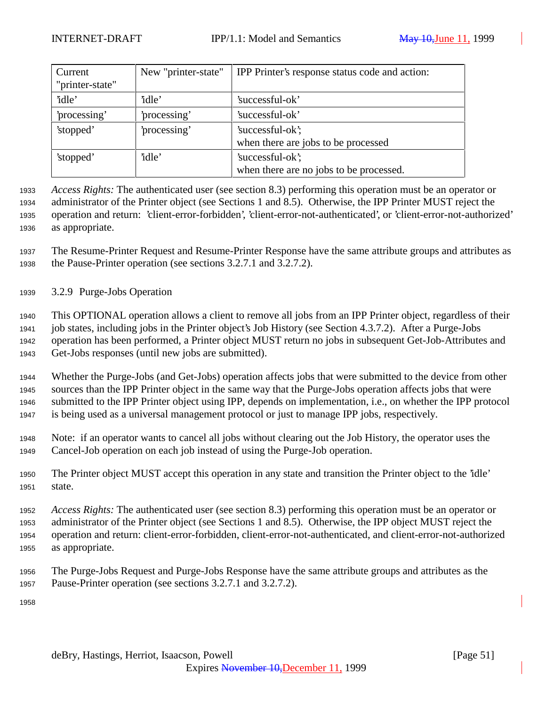| New "printer-state"<br>Current |              | <b>IPP</b> Printer's response status code and action: |
|--------------------------------|--------------|-------------------------------------------------------|
| "printer-state"                |              |                                                       |
| 'idle'                         | 'idle'       | 'successful-ok'                                       |
| 'processing'                   | 'processing' | 'successful-ok'                                       |
| 'stopped'                      | 'processing' | 'successful-ok';                                      |
|                                |              | when there are jobs to be processed                   |
| 'stopped'                      | 'idle'       | 'successful-ok';                                      |
|                                |              | when there are no jobs to be processed.               |

 *Access Rights:* The authenticated user (see section 8.3) performing this operation must be an operator or administrator of the Printer object (see Sections 1 and 8.5). Otherwise, the IPP Printer MUST reject the operation and return: 'client-error-forbidden', 'client-error-not-authenticated', or 'client-error-not-authorized' as appropriate.

 The Resume-Printer Request and Resume-Printer Response have the same attribute groups and attributes as the Pause-Printer operation (see sections 3.2.7.1 and 3.2.7.2).

3.2.9 Purge-Jobs Operation

 This OPTIONAL operation allows a client to remove all jobs from an IPP Printer object, regardless of their job states, including jobs in the Printer object's Job History (see Section 4.3.7.2). After a Purge-Jobs operation has been performed, a Printer object MUST return no jobs in subsequent Get-Job-Attributes and Get-Jobs responses (until new jobs are submitted).

 Whether the Purge-Jobs (and Get-Jobs) operation affects jobs that were submitted to the device from other sources than the IPP Printer object in the same way that the Purge-Jobs operation affects jobs that were submitted to the IPP Printer object using IPP, depends on implementation, i.e., on whether the IPP protocol is being used as a universal management protocol or just to manage IPP jobs, respectively.

 Note: if an operator wants to cancel all jobs without clearing out the Job History, the operator uses the Cancel-Job operation on each job instead of using the Purge-Job operation.

 The Printer object MUST accept this operation in any state and transition the Printer object to the 'idle' state.

 *Access Rights:* The authenticated user (see section 8.3) performing this operation must be an operator or administrator of the Printer object (see Sections 1 and 8.5). Otherwise, the IPP object MUST reject the operation and return: client-error-forbidden, client-error-not-authenticated, and client-error-not-authorized as appropriate.

 The Purge-Jobs Request and Purge-Jobs Response have the same attribute groups and attributes as the Pause-Printer operation (see sections 3.2.7.1 and 3.2.7.2).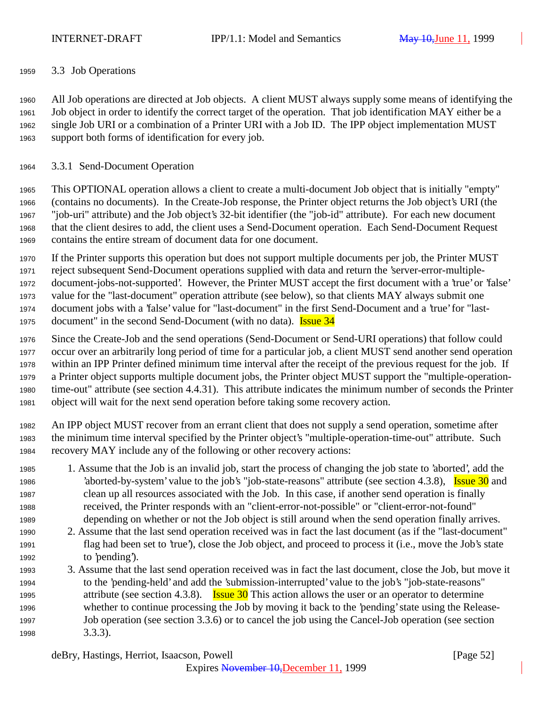3.3 Job Operations

 All Job operations are directed at Job objects. A client MUST always supply some means of identifying the Job object in order to identify the correct target of the operation. That job identification MAY either be a single Job URI or a combination of a Printer URI with a Job ID. The IPP object implementation MUST support both forms of identification for every job.

3.3.1 Send-Document Operation

 This OPTIONAL operation allows a client to create a multi-document Job object that is initially "empty" (contains no documents). In the Create-Job response, the Printer object returns the Job object's URI (the "job-uri" attribute) and the Job object's 32-bit identifier (the "job-id" attribute). For each new document that the client desires to add, the client uses a Send-Document operation. Each Send-Document Request contains the entire stream of document data for one document.

 If the Printer supports this operation but does not support multiple documents per job, the Printer MUST reject subsequent Send-Document operations supplied with data and return the 'server-error-multiple- document-jobs-not-supported'. However, the Printer MUST accept the first document with a 'true' or 'false' value for the "last-document" operation attribute (see below), so that clients MAY always submit one document jobs with a 'false' value for "last-document" in the first Send-Document and a 'true' for "last-1975 document" in the second Send-Document (with no data). **Issue 34** 

 Since the Create-Job and the send operations (Send-Document or Send-URI operations) that follow could occur over an arbitrarily long period of time for a particular job, a client MUST send another send operation within an IPP Printer defined minimum time interval after the receipt of the previous request for the job. If a Printer object supports multiple document jobs, the Printer object MUST support the "multiple-operation- time-out" attribute (see section 4.4.31). This attribute indicates the minimum number of seconds the Printer object will wait for the next send operation before taking some recovery action.

 An IPP object MUST recover from an errant client that does not supply a send operation, sometime after the minimum time interval specified by the Printer object's "multiple-operation-time-out" attribute. Such recovery MAY include any of the following or other recovery actions:

- 1. Assume that the Job is an invalid job, start the process of changing the job state to 'aborted', add the 1986 'aborted-by-system' value to the job's "job-state-reasons" attribute (see section 4.3.8), Issue 30 and clean up all resources associated with the Job. In this case, if another send operation is finally received, the Printer responds with an "client-error-not-possible" or "client-error-not-found" depending on whether or not the Job object is still around when the send operation finally arrives.
- 2. Assume that the last send operation received was in fact the last document (as if the "last-document" flag had been set to 'true'), close the Job object, and proceed to process it (i.e., move the Job's state to 'pending').
- 3. Assume that the last send operation received was in fact the last document, close the Job, but move it to the 'pending-held' and add the 'submission-interrupted' value to the job's "job-state-reasons" 1995 attribute (see section 4.3.8). **Issue 30** This action allows the user or an operator to determine whether to continue processing the Job by moving it back to the 'pending' state using the Release- Job operation (see section 3.3.6) or to cancel the job using the Cancel-Job operation (see section 3.3.3).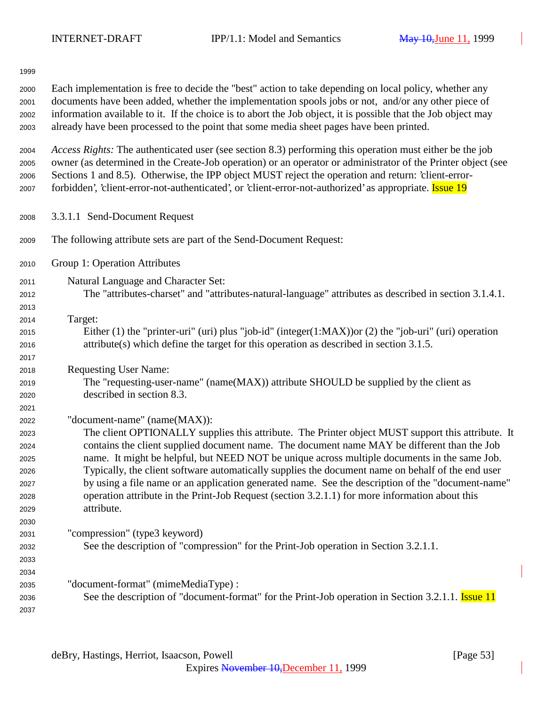| 1999                                                                 |                                                                                                                                                                                                                                                                                                                                                                                                                                                                                                                                                                                                                                                            |
|----------------------------------------------------------------------|------------------------------------------------------------------------------------------------------------------------------------------------------------------------------------------------------------------------------------------------------------------------------------------------------------------------------------------------------------------------------------------------------------------------------------------------------------------------------------------------------------------------------------------------------------------------------------------------------------------------------------------------------------|
| 2000<br>2001<br>2002<br>2003                                         | Each implementation is free to decide the "best" action to take depending on local policy, whether any<br>documents have been added, whether the implementation spools jobs or not, and/or any other piece of<br>information available to it. If the choice is to abort the Job object, it is possible that the Job object may<br>already have been processed to the point that some media sheet pages have been printed.                                                                                                                                                                                                                                  |
| 2004<br>2005<br>2006<br>2007                                         | Access Rights: The authenticated user (see section 8.3) performing this operation must either be the job<br>owner (as determined in the Create-Job operation) or an operator or administrator of the Printer object (see<br>Sections 1 and 8.5). Otherwise, the IPP object MUST reject the operation and return: 'client-error-<br>forbidden', 'client-error-not-authenticated', or 'client-error-not-authorized' as appropriate. <b>Issue 19</b>                                                                                                                                                                                                          |
| 2008                                                                 | 3.3.1.1 Send-Document Request                                                                                                                                                                                                                                                                                                                                                                                                                                                                                                                                                                                                                              |
| 2009                                                                 | The following attribute sets are part of the Send-Document Request:                                                                                                                                                                                                                                                                                                                                                                                                                                                                                                                                                                                        |
| 2010                                                                 | Group 1: Operation Attributes                                                                                                                                                                                                                                                                                                                                                                                                                                                                                                                                                                                                                              |
| 2011<br>2012<br>2013                                                 | Natural Language and Character Set:<br>The "attributes-charset" and "attributes-natural-language" attributes as described in section 3.1.4.1.                                                                                                                                                                                                                                                                                                                                                                                                                                                                                                              |
| 2014<br>2015<br>2016<br>2017                                         | Target:<br>Either (1) the "printer-uri" (uri) plus "job-id" (integer(1:MAX)) or (2) the "job-uri" (uri) operation<br>$attribute(s)$ which define the target for this operation as described in section 3.1.5.                                                                                                                                                                                                                                                                                                                                                                                                                                              |
| 2018<br>2019<br>2020                                                 | <b>Requesting User Name:</b><br>The "requesting-user-name" (name(MAX)) attribute SHOULD be supplied by the client as<br>described in section 8.3.                                                                                                                                                                                                                                                                                                                                                                                                                                                                                                          |
| 2021<br>2022<br>2023<br>2024<br>2025<br>2026<br>2027<br>2028<br>2029 | "document-name" (name(MAX)):<br>The client OPTIONALLY supplies this attribute. The Printer object MUST support this attribute. It<br>contains the client supplied document name. The document name MAY be different than the Job<br>name. It might be helpful, but NEED NOT be unique across multiple documents in the same Job.<br>Typically, the client software automatically supplies the document name on behalf of the end user<br>by using a file name or an application generated name. See the description of the "document-name"<br>operation attribute in the Print-Job Request (section 3.2.1.1) for more information about this<br>attribute. |
| 2030<br>2031<br>2032<br>2033                                         | "compression" (type3 keyword)<br>See the description of "compression" for the Print-Job operation in Section 3.2.1.1.                                                                                                                                                                                                                                                                                                                                                                                                                                                                                                                                      |
| 2034<br>2035<br>2036<br>2037                                         | "document-format" (mimeMediaType) :<br>See the description of "document-format" for the Print-Job operation in Section 3.2.1.1. <b>Issue 11</b>                                                                                                                                                                                                                                                                                                                                                                                                                                                                                                            |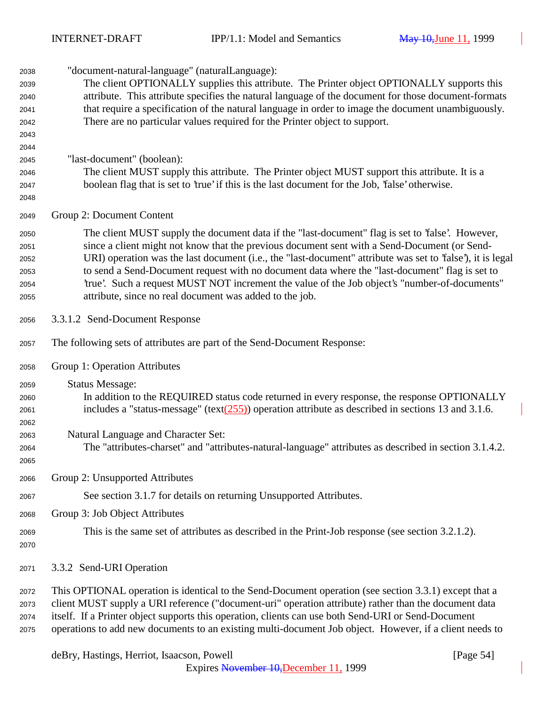| 2038         | "document-natural-language" (naturalLanguage):                                                                                                                                                    |
|--------------|---------------------------------------------------------------------------------------------------------------------------------------------------------------------------------------------------|
| 2039         | The client OPTIONALLY supplies this attribute. The Printer object OPTIONALLY supports this                                                                                                        |
| 2040         | attribute. This attribute specifies the natural language of the document for those document-formats                                                                                               |
| 2041         | that require a specification of the natural language in order to image the document unambiguously.                                                                                                |
| 2042         | There are no particular values required for the Printer object to support.                                                                                                                        |
| 2043         |                                                                                                                                                                                                   |
| 2044         |                                                                                                                                                                                                   |
| 2045         | "last-document" (boolean):                                                                                                                                                                        |
| 2046         | The client MUST supply this attribute. The Printer object MUST support this attribute. It is a<br>boolean flag that is set to 'true' if this is the last document for the Job, 'false' otherwise. |
| 2047         |                                                                                                                                                                                                   |
| 2048         |                                                                                                                                                                                                   |
| 2049         | Group 2: Document Content                                                                                                                                                                         |
| 2050         | The client MUST supply the document data if the "last-document" flag is set to 'false'. However,                                                                                                  |
| 2051         | since a client might not know that the previous document sent with a Send-Document (or Send-                                                                                                      |
| 2052         | URI) operation was the last document (i.e., the "last-document" attribute was set to 'false'), it is legal                                                                                        |
| 2053         | to send a Send-Document request with no document data where the "last-document" flag is set to                                                                                                    |
| 2054         | 'true'. Such a request MUST NOT increment the value of the Job object's "number-of-documents"                                                                                                     |
| 2055         | attribute, since no real document was added to the job.                                                                                                                                           |
| 2056         | 3.3.1.2 Send-Document Response                                                                                                                                                                    |
| 2057         | The following sets of attributes are part of the Send-Document Response:                                                                                                                          |
| 2058         | Group 1: Operation Attributes                                                                                                                                                                     |
| 2059         | <b>Status Message:</b>                                                                                                                                                                            |
| 2060         | In addition to the REQUIRED status code returned in every response, the response OPTIONALLY                                                                                                       |
| 2061         | includes a "status-message" (text $(255)$ ) operation attribute as described in sections 13 and 3.1.6.                                                                                            |
| 2062         |                                                                                                                                                                                                   |
| 2063         | Natural Language and Character Set:                                                                                                                                                               |
| 2064         | The "attributes-charset" and "attributes-natural-language" attributes as described in section 3.1.4.2.                                                                                            |
| 2065         |                                                                                                                                                                                                   |
| 2066         | Group 2: Unsupported Attributes                                                                                                                                                                   |
| 2067         | See section 3.1.7 for details on returning Unsupported Attributes.                                                                                                                                |
| 2068         | Group 3: Job Object Attributes                                                                                                                                                                    |
| 2069<br>2070 | This is the same set of attributes as described in the Print-Job response (see section 3.2.1.2).                                                                                                  |
| 2071         | 3.3.2 Send-URI Operation                                                                                                                                                                          |
| 2072         | This OPTIONAL operation is identical to the Send-Document operation (see section 3.3.1) except that a                                                                                             |
| 2073         | client MUST supply a URI reference ("document-uri" operation attribute) rather than the document data                                                                                             |
| 2074         | itself. If a Printer object supports this operation, clients can use both Send-URI or Send-Document                                                                                               |

operations to add new documents to an existing multi-document Job object. However, if a client needs to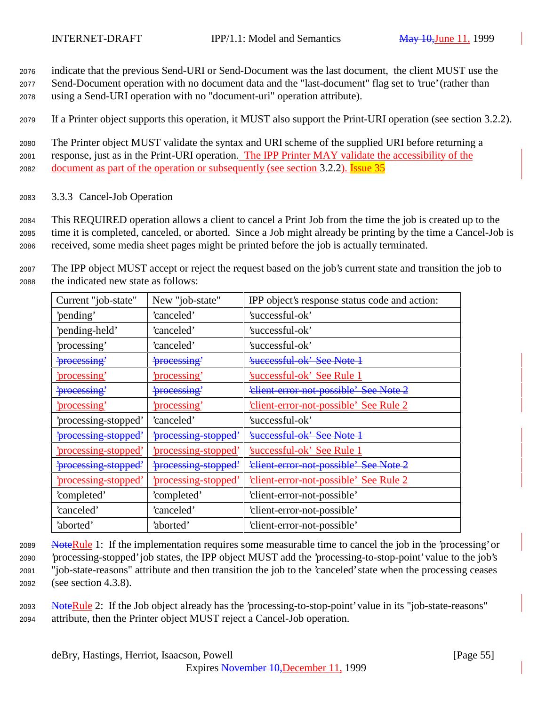<sup>2076</sup> indicate that the previous Send-URI or Send-Document was the last document, the client MUST use the

<sup>2077</sup> Send-Document operation with no document data and the "last-document" flag set to 'true' (rather than <sup>2078</sup> using a Send-URI operation with no "document-uri" operation attribute).

<sup>2079</sup> If a Printer object supports this operation, it MUST also support the Print-URI operation (see section 3.2.2).

<sup>2080</sup> The Printer object MUST validate the syntax and URI scheme of the supplied URI before returning a 2081 response, just as in the Print-URI operation. The IPP Printer MAY validate the accessibility of the <sup>2082</sup> document as part of the operation or subsequently (see section 3.2.2). Issue 35

<sup>2083</sup> 3.3.3 Cancel-Job Operation

<sup>2084</sup> This REQUIRED operation allows a client to cancel a Print Job from the time the job is created up to the <sup>2085</sup> time it is completed, canceled, or aborted. Since a Job might already be printing by the time a Cancel-Job is <sup>2086</sup> received, some media sheet pages might be printed before the job is actually terminated.

<sup>2087</sup> The IPP object MUST accept or reject the request based on the job's current state and transition the job to <sup>2088</sup> the indicated new state as follows:

| Current "job-state"             | New "job-state"           | IPP object's response status code and action: |
|---------------------------------|---------------------------|-----------------------------------------------|
| 'pending'                       | 'canceled'                | 'successful-ok'                               |
| 'pending-held'                  | canceled'                 | 'successful-ok'                               |
| 'processing'                    | 'canceled'                | 'successful-ok'                               |
| 'processing'                    | <i>processing</i>         | <del>'successful-ok' See Note 1</del>         |
| 'processing'                    | processing                | 'successful-ok' See Rule 1                    |
| 'processing'                    | <i>processing</i>         | 'client error not possible' See Note 2        |
| <u>'processing'</u>             | 'processing'              | <u>'client-error-not-possible' See Rule 2</u> |
| 'processing-stopped'            | 'canceled'                | 'successful-ok'                               |
| <del>'processing-stopped'</del> | <i>processing-stopped</i> | <del>'successful-ok' See Note 1</del>         |
| <u>processing-stopped</u>       | <u>processing-stopped</u> | 'successful-ok' See Rule 1                    |
| 'processing stopped'            | 'processing stopped'      | 'elient error not possible' See Note 2        |
| <u>processing-stopped</u>       | <u>processing-stopped</u> | 'client-error-not-possible' See Rule 2        |
| 'completed'                     | 'completed'               | 'client-error-not-possible'                   |
| 'canceled'                      | 'canceled'                | 'client-error-not-possible'                   |
| 'aborted'                       | 'aborted'                 | 'client-error-not-possible'                   |

 NoteRule 1: If the implementation requires some measurable time to cancel the job in the 'processing' or 'processing-stopped' job states, the IPP object MUST add the 'processing-to-stop-point' value to the job's "job-state-reasons" attribute and then transition the job to the 'canceled' state when the processing ceases (see section 4.3.8).

<sup>2093</sup> NoteRule 2: If the Job object already has the 'processing-to-stop-point' value in its "job-state-reasons" <sup>2094</sup> attribute, then the Printer object MUST reject a Cancel-Job operation.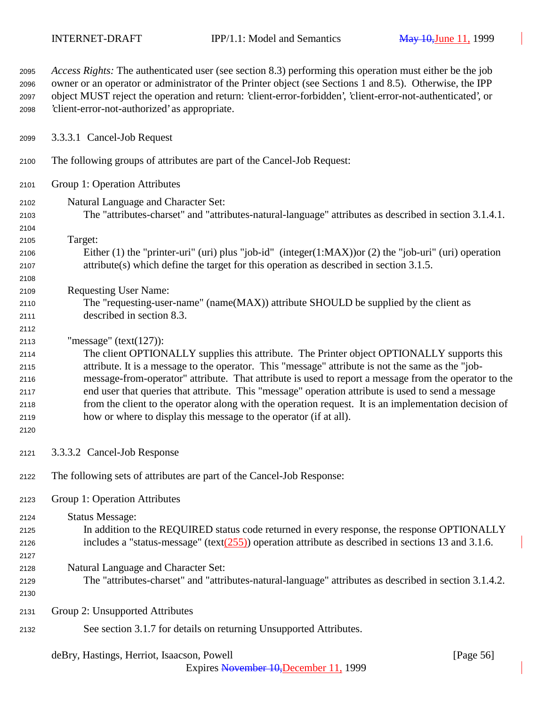| 2095<br>2096<br>2097<br>2098 | <i>Access Rights:</i> The authenticated user (see section 8.3) performing this operation must either be the job<br>owner or an operator or administrator of the Printer object (see Sections 1 and 8.5). Otherwise, the IPP<br>object MUST reject the operation and return: 'client-error-forbidden', 'client-error-not-authenticated', or<br>'client-error-not-authorized' as appropriate. |
|------------------------------|---------------------------------------------------------------------------------------------------------------------------------------------------------------------------------------------------------------------------------------------------------------------------------------------------------------------------------------------------------------------------------------------|
| 2099                         | 3.3.3.1 Cancel-Job Request                                                                                                                                                                                                                                                                                                                                                                  |
| 2100                         | The following groups of attributes are part of the Cancel-Job Request:                                                                                                                                                                                                                                                                                                                      |
| 2101                         | Group 1: Operation Attributes                                                                                                                                                                                                                                                                                                                                                               |
| 2102                         | Natural Language and Character Set:                                                                                                                                                                                                                                                                                                                                                         |
| 2103                         | The "attributes-charset" and "attributes-natural-language" attributes as described in section 3.1.4.1.                                                                                                                                                                                                                                                                                      |
| 2104                         |                                                                                                                                                                                                                                                                                                                                                                                             |
| 2105                         | Target:                                                                                                                                                                                                                                                                                                                                                                                     |
| 2106                         | Either (1) the "printer-uri" (uri) plus "job-id" (integer(1:MAX)) or (2) the "job-uri" (uri) operation                                                                                                                                                                                                                                                                                      |
| 2107                         | attribute(s) which define the target for this operation as described in section 3.1.5.                                                                                                                                                                                                                                                                                                      |
| 2108                         |                                                                                                                                                                                                                                                                                                                                                                                             |
| 2109                         | <b>Requesting User Name:</b>                                                                                                                                                                                                                                                                                                                                                                |
| 2110                         | The "requesting-user-name" (name(MAX)) attribute SHOULD be supplied by the client as                                                                                                                                                                                                                                                                                                        |
| 2111                         | described in section 8.3.                                                                                                                                                                                                                                                                                                                                                                   |
| 2112                         |                                                                                                                                                                                                                                                                                                                                                                                             |
| 2113                         | "message" $(text(127))$ :                                                                                                                                                                                                                                                                                                                                                                   |
| 2114                         | The client OPTIONALLY supplies this attribute. The Printer object OPTIONALLY supports this<br>attribute. It is a message to the operator. This "message" attribute is not the same as the "job-                                                                                                                                                                                             |
| 2115<br>2116                 | message-from-operator" attribute. That attribute is used to report a message from the operator to the                                                                                                                                                                                                                                                                                       |
| 2117                         | end user that queries that attribute. This "message" operation attribute is used to send a message                                                                                                                                                                                                                                                                                          |
| 2118                         | from the client to the operator along with the operation request. It is an implementation decision of                                                                                                                                                                                                                                                                                       |
| 2119                         | how or where to display this message to the operator (if at all).                                                                                                                                                                                                                                                                                                                           |
| 2120                         |                                                                                                                                                                                                                                                                                                                                                                                             |
| 2121                         | 3.3.3.2 Cancel-Job Response                                                                                                                                                                                                                                                                                                                                                                 |
| 2122                         | The following sets of attributes are part of the Cancel-Job Response:                                                                                                                                                                                                                                                                                                                       |
| 2123                         | Group 1: Operation Attributes                                                                                                                                                                                                                                                                                                                                                               |
| 2124                         | <b>Status Message:</b>                                                                                                                                                                                                                                                                                                                                                                      |
| 2125                         | In addition to the REQUIRED status code returned in every response, the response OPTIONALLY                                                                                                                                                                                                                                                                                                 |
| 2126                         | includes a "status-message" (text $(255)$ ) operation attribute as described in sections 13 and 3.1.6.                                                                                                                                                                                                                                                                                      |
| 2127                         |                                                                                                                                                                                                                                                                                                                                                                                             |
| 2128                         | Natural Language and Character Set:                                                                                                                                                                                                                                                                                                                                                         |
| 2129                         | The "attributes-charset" and "attributes-natural-language" attributes as described in section 3.1.4.2.                                                                                                                                                                                                                                                                                      |
| 2130                         |                                                                                                                                                                                                                                                                                                                                                                                             |
| 2131                         | Group 2: Unsupported Attributes                                                                                                                                                                                                                                                                                                                                                             |
| 2132                         | See section 3.1.7 for details on returning Unsupported Attributes.                                                                                                                                                                                                                                                                                                                          |
|                              |                                                                                                                                                                                                                                                                                                                                                                                             |

deBry, Hastings, Herriot, Isaacson, Powell [Page 56]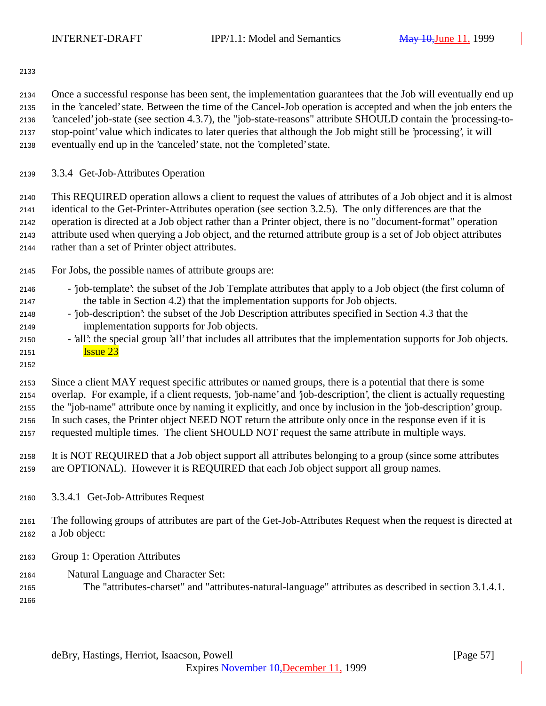Once a successful response has been sent, the implementation guarantees that the Job will eventually end up in the 'canceled' state. Between the time of the Cancel-Job operation is accepted and when the job enters the 'canceled' job-state (see section 4.3.7), the "job-state-reasons" attribute SHOULD contain the 'processing-to- stop-point' value which indicates to later queries that although the Job might still be 'processing', it will eventually end up in the 'canceled' state, not the 'completed' state.

3.3.4 Get-Job-Attributes Operation

 This REQUIRED operation allows a client to request the values of attributes of a Job object and it is almost identical to the Get-Printer-Attributes operation (see section 3.2.5). The only differences are that the operation is directed at a Job object rather than a Printer object, there is no "document-format" operation attribute used when querying a Job object, and the returned attribute group is a set of Job object attributes rather than a set of Printer object attributes.

For Jobs, the possible names of attribute groups are:

| 2146 | - job-template': the subset of the Job Template attributes that apply to a Job object (the first column of |
|------|------------------------------------------------------------------------------------------------------------|
| 2147 | the table in Section 4.2) that the implementation supports for Job objects.                                |

- 'job-description': the subset of the Job Description attributes specified in Section 4.3 that the implementation supports for Job objects.
- 'all': the special group 'all' that includes all attributes that the implementation supports for Job objects. **Issue 23**
- 

 Since a client MAY request specific attributes or named groups, there is a potential that there is some overlap. For example, if a client requests, 'job-name' and 'job-description', the client is actually requesting the "job-name" attribute once by naming it explicitly, and once by inclusion in the 'job-description' group. In such cases, the Printer object NEED NOT return the attribute only once in the response even if it is requested multiple times. The client SHOULD NOT request the same attribute in multiple ways.

- It is NOT REQUIRED that a Job object support all attributes belonging to a group (since some attributes are OPTIONAL). However it is REQUIRED that each Job object support all group names.
- 3.3.4.1 Get-Job-Attributes Request

 The following groups of attributes are part of the Get-Job-Attributes Request when the request is directed at a Job object:

- Group 1: Operation Attributes
- Natural Language and Character Set:
- The "attributes-charset" and "attributes-natural-language" attributes as described in section 3.1.4.1.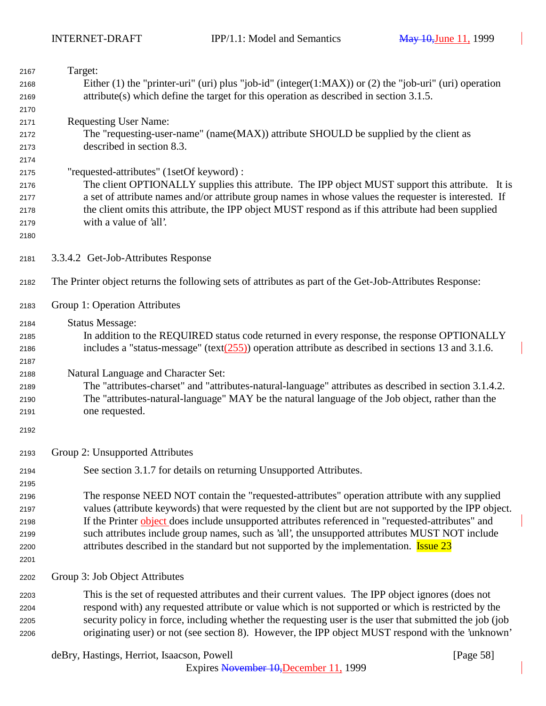| 2167         | Target:                                                                                                           |
|--------------|-------------------------------------------------------------------------------------------------------------------|
| 2168         | Either (1) the "printer-uri" (uri) plus "job-id" (integer(1:MAX)) or (2) the "job-uri" (uri) operation            |
| 2169         | $attribute(s)$ which define the target for this operation as described in section 3.1.5.                          |
| 2170         |                                                                                                                   |
| 2171         | <b>Requesting User Name:</b>                                                                                      |
| 2172         | The "requesting-user-name" (name(MAX)) attribute SHOULD be supplied by the client as<br>described in section 8.3. |
| 2173         |                                                                                                                   |
| 2174         | "requested-attributes" (1setOf keyword):                                                                          |
| 2175         | The client OPTIONALLY supplies this attribute. The IPP object MUST support this attribute. It is                  |
| 2176         | a set of attribute names and/or attribute group names in whose values the requester is interested. If             |
| 2177         | the client omits this attribute, the IPP object MUST respond as if this attribute had been supplied               |
| 2178<br>2179 | with a value of 'all'.                                                                                            |
| 2180         |                                                                                                                   |
|              |                                                                                                                   |
| 2181         | 3.3.4.2 Get-Job-Attributes Response                                                                               |
| 2182         | The Printer object returns the following sets of attributes as part of the Get-Job-Attributes Response:           |
| 2183         | Group 1: Operation Attributes                                                                                     |
| 2184         | <b>Status Message:</b>                                                                                            |
| 2185         | In addition to the REQUIRED status code returned in every response, the response OPTIONALLY                       |
| 2186         | includes a "status-message" (text $(255)$ ) operation attribute as described in sections 13 and 3.1.6.            |
| 2187         |                                                                                                                   |
| 2188         | Natural Language and Character Set:                                                                               |
| 2189         | The "attributes-charset" and "attributes-natural-language" attributes as described in section 3.1.4.2.            |
| 2190         | The "attributes-natural-language" MAY be the natural language of the Job object, rather than the                  |
| 2191         | one requested.                                                                                                    |
| 2192         |                                                                                                                   |
| 2193         | Group 2: Unsupported Attributes                                                                                   |
| 2194         | See section 3.1.7 for details on returning Unsupported Attributes.                                                |
| 2195         |                                                                                                                   |
| 2196         | The response NEED NOT contain the "requested-attributes" operation attribute with any supplied                    |
| 2197         | values (attribute keywords) that were requested by the client but are not supported by the IPP object.            |
| 2198         | If the Printer object does include unsupported attributes referenced in "requested-attributes" and                |
| 2199         | such attributes include group names, such as 'all', the unsupported attributes MUST NOT include                   |
| 2200         | attributes described in the standard but not supported by the implementation. <b>Issue 23</b>                     |
| 2201         |                                                                                                                   |
| 2202         | Group 3: Job Object Attributes                                                                                    |
| 2203         | This is the set of requested attributes and their current values. The IPP object ignores (does not                |
| 2204         | respond with) any requested attribute or value which is not supported or which is restricted by the               |
| 2205         | security policy in force, including whether the requesting user is the user that submitted the job (job           |
| 2206         | originating user) or not (see section 8). However, the IPP object MUST respond with the 'unknown'                 |
|              |                                                                                                                   |

deBry, Hastings, Herriot, Isaacson, Powell [Page 58]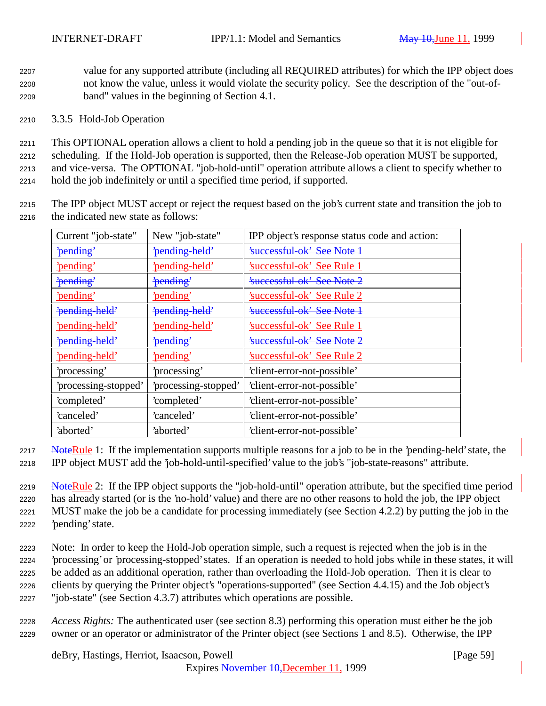<sup>2207</sup> value for any supported attribute (including all REQUIRED attributes) for which the IPP object does <sup>2208</sup> not know the value, unless it would violate the security policy. See the description of the "out-of-<sup>2209</sup> band" values in the beginning of Section 4.1.

## <sup>2210</sup> 3.3.5 Hold-Job Operation

 This OPTIONAL operation allows a client to hold a pending job in the queue so that it is not eligible for scheduling. If the Hold-Job operation is supported, then the Release-Job operation MUST be supported, and vice-versa. The OPTIONAL "job-hold-until" operation attribute allows a client to specify whether to hold the job indefinitely or until a specified time period, if supported.

<sup>2215</sup> The IPP object MUST accept or reject the request based on the job's current state and transition the job to <sup>2216</sup> the indicated new state as follows:

| Current "job-state"   | New "job-state"      | IPP object's response status code and action: |
|-----------------------|----------------------|-----------------------------------------------|
| 'pending'             | 'pending-held'       | <b>Executed See Note 1</b>                    |
| 'pending'             | 'pending-held'       | 'successful-ok' See Rule 1                    |
| 'pending'             | 'pending'            | <b>Executed See Note 2</b>                    |
| 'pending'             | 'pending'            | 'successful-ok' See Rule 2                    |
| 'pending held'        | 'pending held'       | 'successful-ok' See Note 1                    |
| <u>'pending-held'</u> | 'pending-held'       | 'successful-ok' See Rule 1                    |
| 'pending-held'        | 'pending'            | <b>Executed See Note 2</b>                    |
| 'pending-held'        | 'pending'            | 'successful-ok' See Rule 2                    |
| processing'           | processing'          | 'client-error-not-possible'                   |
| 'processing-stopped'  | 'processing-stopped' | 'client-error-not-possible'                   |
| 'completed'           | 'completed'          | 'client-error-not-possible'                   |
| 'canceled'            | 'canceled'           | 'client-error-not-possible'                   |
| 'aborted'             | 'aborted'            | 'client-error-not-possible'                   |

2217 NoteRule 1: If the implementation supports multiple reasons for a job to be in the 'pending-held' state, the

<sup>2218</sup> IPP object MUST add the 'job-hold-until-specified' value to the job's "job-state-reasons" attribute.

2219 NoteRule 2: If the IPP object supports the "job-hold-until" operation attribute, but the specified time period has already started (or is the 'no-hold' value) and there are no other reasons to hold the job, the IPP object MUST make the job be a candidate for processing immediately (see Section 4.2.2) by putting the job in the 'pending' state.

 Note: In order to keep the Hold-Job operation simple, such a request is rejected when the job is in the 'processing' or 'processing-stopped' states. If an operation is needed to hold jobs while in these states, it will be added as an additional operation, rather than overloading the Hold-Job operation. Then it is clear to clients by querying the Printer object's "operations-supported" (see Section 4.4.15) and the Job object's "job-state" (see Section 4.3.7) attributes which operations are possible.

<sup>2228</sup> *Access Rights:* The authenticated user (see section 8.3) performing this operation must either be the job <sup>2229</sup> owner or an operator or administrator of the Printer object (see Sections 1 and 8.5). Otherwise, the IPP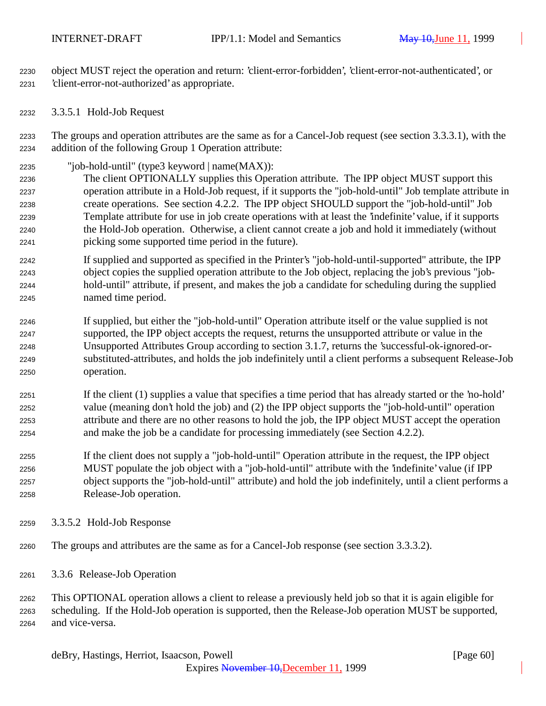object MUST reject the operation and return: 'client-error-forbidden', 'client-error-not-authenticated', or 'client-error-not-authorized' as appropriate.

3.3.5.1 Hold-Job Request

 The groups and operation attributes are the same as for a Cancel-Job request (see section 3.3.3.1), with the addition of the following Group 1 Operation attribute:

- "job-hold-until" (type3 keyword | name(MAX)):
- The client OPTIONALLY supplies this Operation attribute. The IPP object MUST support this operation attribute in a Hold-Job request, if it supports the "job-hold-until" Job template attribute in create operations. See section 4.2.2. The IPP object SHOULD support the "job-hold-until" Job Template attribute for use in job create operations with at least the 'indefinite' value, if it supports the Hold-Job operation. Otherwise, a client cannot create a job and hold it immediately (without picking some supported time period in the future).
- If supplied and supported as specified in the Printer's "job-hold-until-supported" attribute, the IPP object copies the supplied operation attribute to the Job object, replacing the job's previous "job- hold-until" attribute, if present, and makes the job a candidate for scheduling during the supplied named time period.
- If supplied, but either the "job-hold-until" Operation attribute itself or the value supplied is not supported, the IPP object accepts the request, returns the unsupported attribute or value in the Unsupported Attributes Group according to section 3.1.7, returns the 'successful-ok-ignored-or- substituted-attributes, and holds the job indefinitely until a client performs a subsequent Release-Job operation.
- If the client (1) supplies a value that specifies a time period that has already started or the 'no-hold' value (meaning don't hold the job) and (2) the IPP object supports the "job-hold-until" operation attribute and there are no other reasons to hold the job, the IPP object MUST accept the operation and make the job be a candidate for processing immediately (see Section 4.2.2).
- If the client does not supply a "job-hold-until" Operation attribute in the request, the IPP object MUST populate the job object with a "job-hold-until" attribute with the 'indefinite' value (if IPP object supports the "job-hold-until" attribute) and hold the job indefinitely, until a client performs a Release-Job operation.
- 3.3.5.2 Hold-Job Response
- The groups and attributes are the same as for a Cancel-Job response (see section 3.3.3.2).
- 3.3.6 Release-Job Operation

 This OPTIONAL operation allows a client to release a previously held job so that it is again eligible for scheduling. If the Hold-Job operation is supported, then the Release-Job operation MUST be supported, and vice-versa.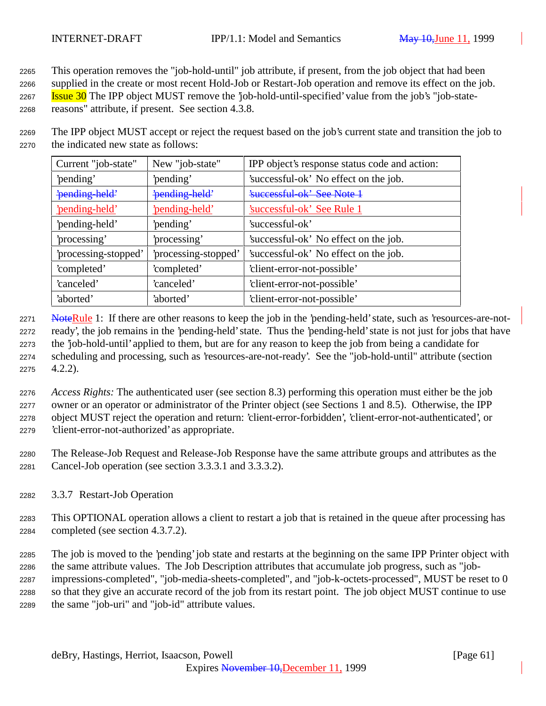This operation removes the "job-hold-until" job attribute, if present, from the job object that had been

supplied in the create or most recent Hold-Job or Restart-Job operation and remove its effect on the job.

**Issue 30** The IPP object MUST remove the 'job-hold-until-specified' value from the job's "job-state-

reasons" attribute, if present. See section 4.3.8.

 The IPP object MUST accept or reject the request based on the job's current state and transition the job to the indicated new state as follows:

| Current "job-state"  | New "job-state"      | IPP object's response status code and action: |
|----------------------|----------------------|-----------------------------------------------|
| 'pending'            | 'pending'            | 'successful-ok' No effect on the job.         |
| 'pending-held'       | 'pending-held'       | 'successful-ok' See Note 1                    |
| 'pending-held'       | 'pending-held'       | 'successful-ok' See Rule 1                    |
| 'pending-held'       | 'pending'            | 'successful-ok'                               |
| 'processing'         | processing'          | 'successful-ok' No effect on the job.         |
| 'processing-stopped' | 'processing-stopped' | 'successful-ok' No effect on the job.         |
| 'completed'          | 'completed'          | 'client-error-not-possible'                   |
| 'canceled'           | 'canceled'           | 'client-error-not-possible'                   |
| 'aborted'            | 'aborted'            | 'client-error-not-possible'                   |

2271 NoteRule 1: If there are other reasons to keep the job in the 'pending-held' state, such as 'resources-are-not- ready', the job remains in the 'pending-held' state. Thus the 'pending-held' state is not just for jobs that have the 'job-hold-until' applied to them, but are for any reason to keep the job from being a candidate for scheduling and processing, such as 'resources-are-not-ready'. See the "job-hold-until" attribute (section 4.2.2).

 *Access Rights:* The authenticated user (see section 8.3) performing this operation must either be the job owner or an operator or administrator of the Printer object (see Sections 1 and 8.5). Otherwise, the IPP object MUST reject the operation and return: 'client-error-forbidden', 'client-error-not-authenticated', or 'client-error-not-authorized' as appropriate.

 The Release-Job Request and Release-Job Response have the same attribute groups and attributes as the Cancel-Job operation (see section 3.3.3.1 and 3.3.3.2).

3.3.7 Restart-Job Operation

 This OPTIONAL operation allows a client to restart a job that is retained in the queue after processing has completed (see section 4.3.7.2).

 The job is moved to the 'pending' job state and restarts at the beginning on the same IPP Printer object with the same attribute values. The Job Description attributes that accumulate job progress, such as "job- impressions-completed", "job-media-sheets-completed", and "job-k-octets-processed", MUST be reset to 0 so that they give an accurate record of the job from its restart point. The job object MUST continue to use the same "job-uri" and "job-id" attribute values.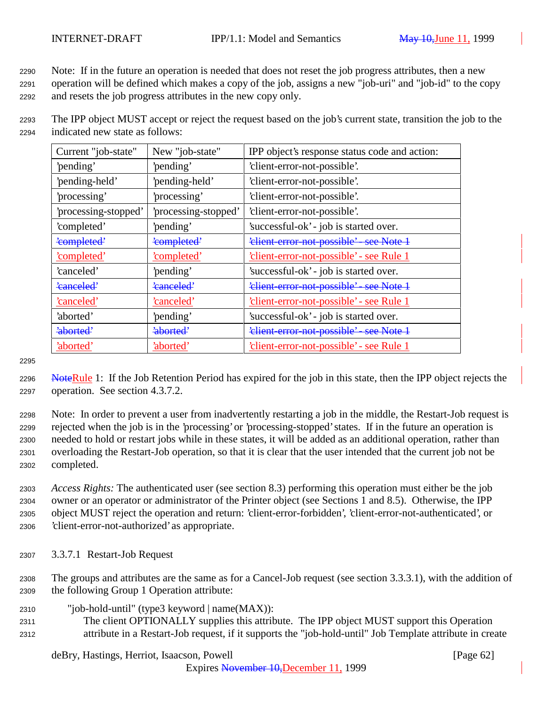<sup>2290</sup> Note: If in the future an operation is needed that does not reset the job progress attributes, then a new <sup>2291</sup> operation will be defined which makes a copy of the job, assigns a new "job-uri" and "job-id" to the copy <sup>2292</sup> and resets the job progress attributes in the new copy only.

<sup>2293</sup> The IPP object MUST accept or reject the request based on the job's current state, transition the job to the <sup>2294</sup> indicated new state as follows:

| Current "job-state"  | New "job-state"      | IPP object's response status code and action:       |
|----------------------|----------------------|-----------------------------------------------------|
| 'pending'            | 'pending'            | 'client-error-not-possible'.                        |
| 'pending-held'       | 'pending-held'       | 'client-error-not-possible'.                        |
| 'processing'         | processing'          | 'client-error-not-possible'.                        |
| 'processing-stopped' | 'processing-stopped' | 'client-error-not-possible'.                        |
| 'completed'          | 'pending'            | 'successful-ok' - job is started over.              |
| 'completed'          | 'completed'          | 'elient error not possible' see Note 1              |
| <u>'completed'</u>   | <u>'completed'</u>   | <u>'client-error-not-possible' - see Rule 1</u>     |
| 'canceled'           | 'pending'            | 'successful-ok' - job is started over.              |
| 'canceled'           | 'canceled'           | 'elient-error-not-possible' - see Note 1            |
| 'canceled'           | 'canceled'           | 'client-error-not-possible' - see Rule 1            |
| 'aborted'            | 'pending'            | 'successful-ok' - job is started over.              |
| 'aborted'            | 'aborted'            | <del>'client-error-not-possible' - see Note 1</del> |
| 'aborted'            | 'aborted'            | 'client-error-not-possible' - see Rule 1            |

2295

2296 NoteRule 1: If the Job Retention Period has expired for the job in this state, then the IPP object rejects the <sup>2297</sup> operation. See section 4.3.7.2.

 Note: In order to prevent a user from inadvertently restarting a job in the middle, the Restart-Job request is rejected when the job is in the 'processing' or 'processing-stopped' states. If in the future an operation is needed to hold or restart jobs while in these states, it will be added as an additional operation, rather than overloading the Restart-Job operation, so that it is clear that the user intended that the current job not be completed.

 *Access Rights:* The authenticated user (see section 8.3) performing this operation must either be the job owner or an operator or administrator of the Printer object (see Sections 1 and 8.5). Otherwise, the IPP object MUST reject the operation and return: 'client-error-forbidden', 'client-error-not-authenticated', or 'client-error-not-authorized' as appropriate.

<sup>2307</sup> 3.3.7.1 Restart-Job Request

<sup>2308</sup> The groups and attributes are the same as for a Cancel-Job request (see section 3.3.3.1), with the addition of <sup>2309</sup> the following Group 1 Operation attribute:

- <sup>2310</sup> "job-hold-until" (type3 keyword | name(MAX)):
- <sup>2311</sup> The client OPTIONALLY supplies this attribute. The IPP object MUST support this Operation <sup>2312</sup> attribute in a Restart-Job request, if it supports the "job-hold-until" Job Template attribute in create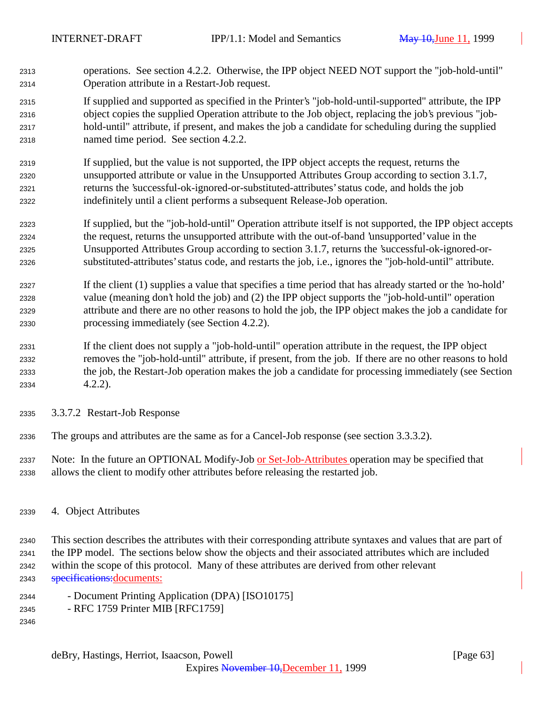- operations. See section 4.2.2. Otherwise, the IPP object NEED NOT support the "job-hold-until" Operation attribute in a Restart-Job request.
- If supplied and supported as specified in the Printer's "job-hold-until-supported" attribute, the IPP object copies the supplied Operation attribute to the Job object, replacing the job's previous "job- hold-until" attribute, if present, and makes the job a candidate for scheduling during the supplied named time period. See section 4.2.2.
- If supplied, but the value is not supported, the IPP object accepts the request, returns the unsupported attribute or value in the Unsupported Attributes Group according to section 3.1.7, returns the 'successful-ok-ignored-or-substituted-attributes' status code, and holds the job indefinitely until a client performs a subsequent Release-Job operation.
- If supplied, but the "job-hold-until" Operation attribute itself is not supported, the IPP object accepts the request, returns the unsupported attribute with the out-of-band 'unsupported' value in the Unsupported Attributes Group according to section 3.1.7, returns the 'successful-ok-ignored-or-substituted-attributes' status code, and restarts the job, i.e., ignores the "job-hold-until" attribute.
- If the client (1) supplies a value that specifies a time period that has already started or the 'no-hold' value (meaning don't hold the job) and (2) the IPP object supports the "job-hold-until" operation attribute and there are no other reasons to hold the job, the IPP object makes the job a candidate for processing immediately (see Section 4.2.2).
- If the client does not supply a "job-hold-until" operation attribute in the request, the IPP object removes the "job-hold-until" attribute, if present, from the job. If there are no other reasons to hold the job, the Restart-Job operation makes the job a candidate for processing immediately (see Section 4.2.2).
- 3.3.7.2 Restart-Job Response
- The groups and attributes are the same as for a Cancel-Job response (see section 3.3.3.2).
- Note: In the future an OPTIONAL Modify-Job or Set-Job-Attributes operation may be specified that allows the client to modify other attributes before releasing the restarted job.
- 4. Object Attributes

 This section describes the attributes with their corresponding attribute syntaxes and values that are part of the IPP model. The sections below show the objects and their associated attributes which are included within the scope of this protocol. Many of these attributes are derived from other relevant **specifications:**documents:

- Document Printing Application (DPA) [ISO10175]
- RFC 1759 Printer MIB [RFC1759]
-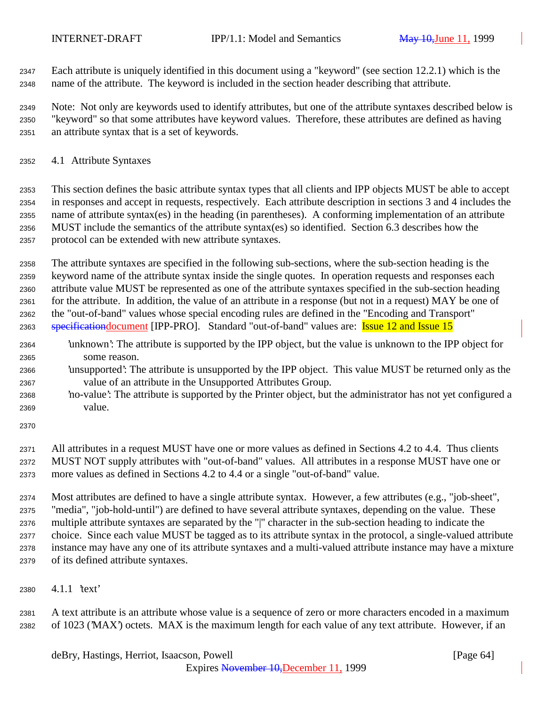Each attribute is uniquely identified in this document using a "keyword" (see section 12.2.1) which is the name of the attribute. The keyword is included in the section header describing that attribute.

 Note: Not only are keywords used to identify attributes, but one of the attribute syntaxes described below is "keyword" so that some attributes have keyword values. Therefore, these attributes are defined as having an attribute syntax that is a set of keywords.

4.1 Attribute Syntaxes

 This section defines the basic attribute syntax types that all clients and IPP objects MUST be able to accept in responses and accept in requests, respectively. Each attribute description in sections 3 and 4 includes the name of attribute syntax(es) in the heading (in parentheses). A conforming implementation of an attribute MUST include the semantics of the attribute syntax(es) so identified. Section 6.3 describes how the protocol can be extended with new attribute syntaxes.

 The attribute syntaxes are specified in the following sub-sections, where the sub-section heading is the keyword name of the attribute syntax inside the single quotes. In operation requests and responses each attribute value MUST be represented as one of the attribute syntaxes specified in the sub-section heading for the attribute. In addition, the value of an attribute in a response (but not in a request) MAY be one of the "out-of-band" values whose special encoding rules are defined in the "Encoding and Transport" 2363 specificationdocument [IPP-PRO]. Standard "out-of-band" values are: Issue 12 and Issue 15

- 'unknown': The attribute is supported by the IPP object, but the value is unknown to the IPP object for some reason.
- 'unsupported': The attribute is unsupported by the IPP object. This value MUST be returned only as the value of an attribute in the Unsupported Attributes Group.
- 'no-value': The attribute is supported by the Printer object, but the administrator has not yet configured a value.

 All attributes in a request MUST have one or more values as defined in Sections 4.2 to 4.4. Thus clients MUST NOT supply attributes with "out-of-band" values. All attributes in a response MUST have one or more values as defined in Sections 4.2 to 4.4 or a single "out-of-band" value.

 Most attributes are defined to have a single attribute syntax. However, a few attributes (e.g., "job-sheet", "media", "job-hold-until") are defined to have several attribute syntaxes, depending on the value. These multiple attribute syntaxes are separated by the "|" character in the sub-section heading to indicate the choice. Since each value MUST be tagged as to its attribute syntax in the protocol, a single-valued attribute instance may have any one of its attribute syntaxes and a multi-valued attribute instance may have a mixture of its defined attribute syntaxes.

4.1.1 'text'

 A text attribute is an attribute whose value is a sequence of zero or more characters encoded in a maximum of 1023 ('MAX') octets. MAX is the maximum length for each value of any text attribute. However, if an

deBry, Hastings, Herriot, Isaacson, Powell [Page 64]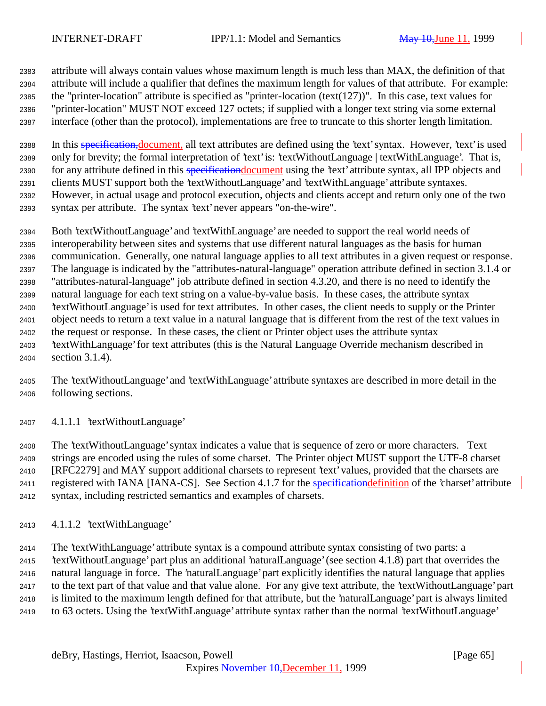attribute will always contain values whose maximum length is much less than MAX, the definition of that attribute will include a qualifier that defines the maximum length for values of that attribute. For example: the "printer-location" attribute is specified as "printer-location (text(127))". In this case, text values for "printer-location" MUST NOT exceed 127 octets; if supplied with a longer text string via some external interface (other than the protocol), implementations are free to truncate to this shorter length limitation.

2388 In this specification, document, all text attributes are defined using the 'text' syntax. However, 'text' is used only for brevity; the formal interpretation of 'text' is: 'textWithoutLanguage | textWithLanguage'. That is, 2390 for any attribute defined in this specification document using the 'text' attribute syntax, all IPP objects and clients MUST support both the 'textWithoutLanguage' and 'textWithLanguage' attribute syntaxes. However, in actual usage and protocol execution, objects and clients accept and return only one of the two syntax per attribute. The syntax 'text' never appears "on-the-wire".

 Both 'textWithoutLanguage' and 'textWithLanguage' are needed to support the real world needs of interoperability between sites and systems that use different natural languages as the basis for human communication. Generally, one natural language applies to all text attributes in a given request or response. The language is indicated by the "attributes-natural-language" operation attribute defined in section 3.1.4 or "attributes-natural-language" job attribute defined in section 4.3.20, and there is no need to identify the natural language for each text string on a value-by-value basis. In these cases, the attribute syntax 'textWithoutLanguage' is used for text attributes. In other cases, the client needs to supply or the Printer object needs to return a text value in a natural language that is different from the rest of the text values in the request or response. In these cases, the client or Printer object uses the attribute syntax 'textWithLanguage' for text attributes (this is the Natural Language Override mechanism described in section 3.1.4).

- The 'textWithoutLanguage' and 'textWithLanguage' attribute syntaxes are described in more detail in the following sections.
- 4.1.1.1 'textWithoutLanguage'

 The 'textWithoutLanguage' syntax indicates a value that is sequence of zero or more characters. Text strings are encoded using the rules of some charset. The Printer object MUST support the UTF-8 charset [RFC2279] and MAY support additional charsets to represent 'text' values, provided that the charsets are 2411 registered with IANA [IANA-CS]. See Section 4.1.7 for the **specification definition** of the 'charset' attribute syntax, including restricted semantics and examples of charsets.

4.1.1.2 'textWithLanguage'

 The 'textWithLanguage' attribute syntax is a compound attribute syntax consisting of two parts: a 'textWithoutLanguage' part plus an additional 'naturalLanguage' (see section 4.1.8) part that overrides the natural language in force. The 'naturalLanguage' part explicitly identifies the natural language that applies to the text part of that value and that value alone. For any give text attribute, the 'textWithoutLanguage' part is limited to the maximum length defined for that attribute, but the 'naturalLanguage' part is always limited to 63 octets. Using the 'textWithLanguage' attribute syntax rather than the normal 'textWithoutLanguage'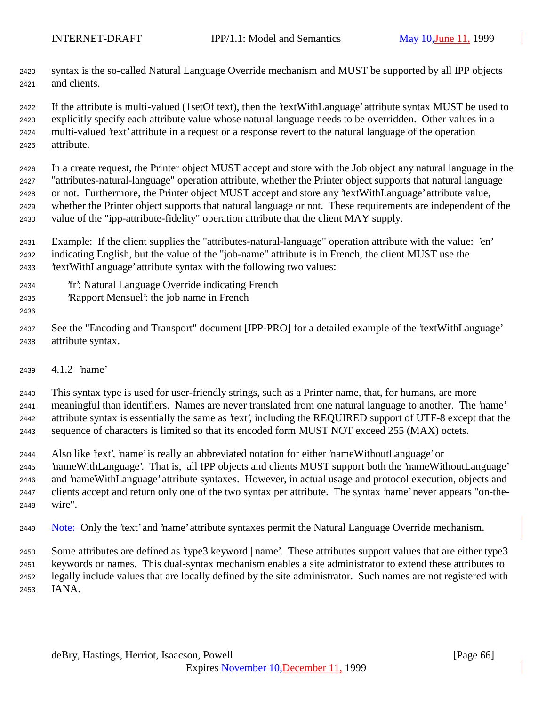syntax is the so-called Natural Language Override mechanism and MUST be supported by all IPP objects and clients.

 If the attribute is multi-valued (1setOf text), then the 'textWithLanguage' attribute syntax MUST be used to explicitly specify each attribute value whose natural language needs to be overridden. Other values in a multi-valued 'text' attribute in a request or a response revert to the natural language of the operation attribute.

 In a create request, the Printer object MUST accept and store with the Job object any natural language in the "attributes-natural-language" operation attribute, whether the Printer object supports that natural language or not. Furthermore, the Printer object MUST accept and store any 'textWithLanguage' attribute value, whether the Printer object supports that natural language or not. These requirements are independent of the value of the "ipp-attribute-fidelity" operation attribute that the client MAY supply.

- Example: If the client supplies the "attributes-natural-language" operation attribute with the value: 'en' indicating English, but the value of the "job-name" attribute is in French, the client MUST use the 'textWithLanguage' attribute syntax with the following two values:
- 'fr': Natural Language Override indicating French
- 'Rapport Mensuel': the job name in French
- 

 See the "Encoding and Transport" document [IPP-PRO] for a detailed example of the 'textWithLanguage' attribute syntax.

4.1.2 'name'

 This syntax type is used for user-friendly strings, such as a Printer name, that, for humans, are more meaningful than identifiers. Names are never translated from one natural language to another. The 'name' attribute syntax is essentially the same as 'text', including the REQUIRED support of UTF-8 except that the sequence of characters is limited so that its encoded form MUST NOT exceed 255 (MAX) octets.

- Also like 'text', 'name' is really an abbreviated notation for either 'nameWithoutLanguage' or 'nameWithLanguage'. That is, all IPP objects and clients MUST support both the 'nameWithoutLanguage' and 'nameWithLanguage' attribute syntaxes. However, in actual usage and protocol execution, objects and clients accept and return only one of the two syntax per attribute. The syntax 'name' never appears "on-the-wire".
- 2449 Note: Only the 'text' and 'name' attribute syntaxes permit the Natural Language Override mechanism.
- Some attributes are defined as 'type3 keyword | name'. These attributes support values that are either type3 keywords or names. This dual-syntax mechanism enables a site administrator to extend these attributes to legally include values that are locally defined by the site administrator. Such names are not registered with IANA.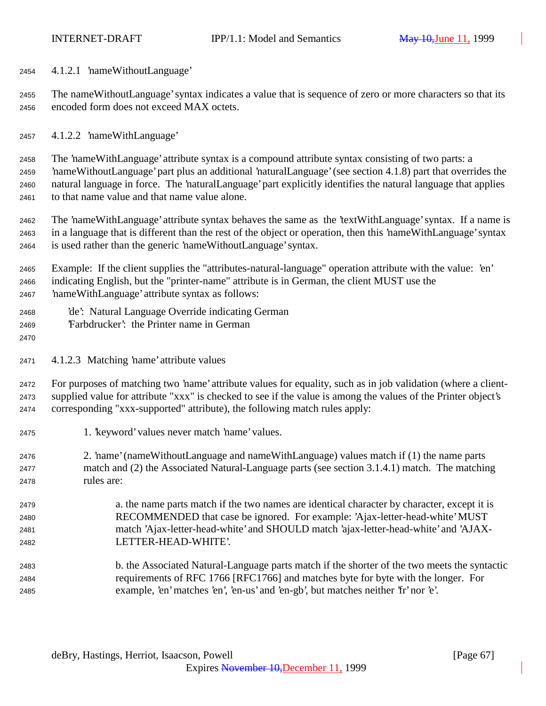4.1.2.1 'nameWithoutLanguage'

 The nameWithoutLanguage' syntax indicates a value that is sequence of zero or more characters so that its encoded form does not exceed MAX octets.

4.1.2.2 'nameWithLanguage'

 The 'nameWithLanguage' attribute syntax is a compound attribute syntax consisting of two parts: a 'nameWithoutLanguage' part plus an additional 'naturalLanguage' (see section 4.1.8) part that overrides the natural language in force. The 'naturalLanguage' part explicitly identifies the natural language that applies to that name value and that name value alone.

 The 'nameWithLanguage' attribute syntax behaves the same as the 'textWithLanguage' syntax. If a name is in a language that is different than the rest of the object or operation, then this 'nameWithLanguage' syntax is used rather than the generic 'nameWithoutLanguage' syntax.

 Example: If the client supplies the "attributes-natural-language" operation attribute with the value: 'en' indicating English, but the "printer-name" attribute is in German, the client MUST use the 'nameWithLanguage' attribute syntax as follows:

- 'de': Natural Language Override indicating German
- 'Farbdrucker': the Printer name in German
- 

4.1.2.3 Matching 'name' attribute values

 For purposes of matching two 'name' attribute values for equality, such as in job validation (where a client- supplied value for attribute "xxx" is checked to see if the value is among the values of the Printer object's corresponding "xxx-supported" attribute), the following match rules apply:

- 1. 'keyword' values never match 'name' values.
- 2. 'name' (nameWithoutLanguage and nameWithLanguage) values match if (1) the name parts match and (2) the Associated Natural-Language parts (see section 3.1.4.1) match. The matching rules are:
- a. the name parts match if the two names are identical character by character, except it is RECOMMENDED that case be ignored. For example: 'Ajax-letter-head-white' MUST match 'Ajax-letter-head-white' and SHOULD match 'ajax-letter-head-white' and 'AJAX-LETTER-HEAD-WHITE'.
- b. the Associated Natural-Language parts match if the shorter of the two meets the syntactic requirements of RFC 1766 [RFC1766] and matches byte for byte with the longer. For example, 'en' matches 'en', 'en-us' and 'en-gb', but matches neither 'fr' nor 'e'.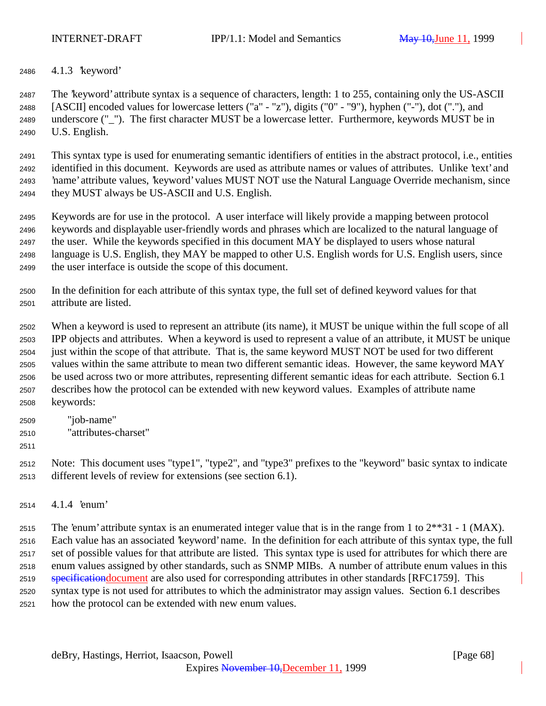4.1.3 'keyword'

 The 'keyword' attribute syntax is a sequence of characters, length: 1 to 255, containing only the US-ASCII [ASCII] encoded values for lowercase letters ("a" - "z"), digits ("0" - "9"), hyphen ("-"), dot ("."), and underscore ("\_"). The first character MUST be a lowercase letter. Furthermore, keywords MUST be in U.S. English.

 This syntax type is used for enumerating semantic identifiers of entities in the abstract protocol, i.e., entities identified in this document. Keywords are used as attribute names or values of attributes. Unlike 'text' and 'name' attribute values, 'keyword' values MUST NOT use the Natural Language Override mechanism, since they MUST always be US-ASCII and U.S. English.

 Keywords are for use in the protocol. A user interface will likely provide a mapping between protocol keywords and displayable user-friendly words and phrases which are localized to the natural language of the user. While the keywords specified in this document MAY be displayed to users whose natural language is U.S. English, they MAY be mapped to other U.S. English words for U.S. English users, since the user interface is outside the scope of this document.

 In the definition for each attribute of this syntax type, the full set of defined keyword values for that attribute are listed.

 When a keyword is used to represent an attribute (its name), it MUST be unique within the full scope of all IPP objects and attributes. When a keyword is used to represent a value of an attribute, it MUST be unique just within the scope of that attribute. That is, the same keyword MUST NOT be used for two different values within the same attribute to mean two different semantic ideas. However, the same keyword MAY be used across two or more attributes, representing different semantic ideas for each attribute. Section 6.1 describes how the protocol can be extended with new keyword values. Examples of attribute name keywords:

- "job-name"
- "attributes-charset"
- 

 Note: This document uses "type1", "type2", and "type3" prefixes to the "keyword" basic syntax to indicate different levels of review for extensions (see section 6.1).

4.1.4 'enum'

2515 The 'enum' attribute syntax is an enumerated integer value that is in the range from 1 to  $2^{**}31 - 1$  (MAX). Each value has an associated 'keyword' name. In the definition for each attribute of this syntax type, the full set of possible values for that attribute are listed. This syntax type is used for attributes for which there are enum values assigned by other standards, such as SNMP MIBs. A number of attribute enum values in this 2519 specification document are also used for corresponding attributes in other standards [RFC1759]. This syntax type is not used for attributes to which the administrator may assign values. Section 6.1 describes how the protocol can be extended with new enum values.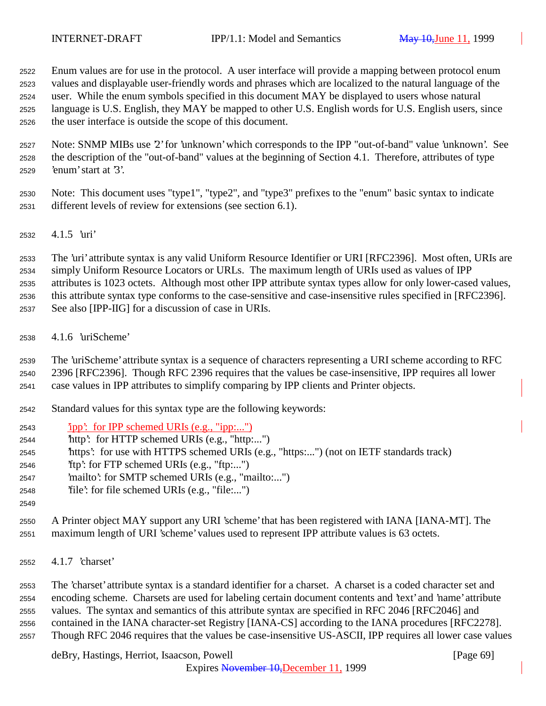Enum values are for use in the protocol. A user interface will provide a mapping between protocol enum values and displayable user-friendly words and phrases which are localized to the natural language of the user. While the enum symbols specified in this document MAY be displayed to users whose natural language is U.S. English, they MAY be mapped to other U.S. English words for U.S. English users, since the user interface is outside the scope of this document.

 Note: SNMP MIBs use '2' for 'unknown' which corresponds to the IPP "out-of-band" value 'unknown'. See the description of the "out-of-band" values at the beginning of Section 4.1. Therefore, attributes of type 'enum' start at '3'.

 Note: This document uses "type1", "type2", and "type3" prefixes to the "enum" basic syntax to indicate different levels of review for extensions (see section 6.1).

4.1.5 'uri'

 The 'uri' attribute syntax is any valid Uniform Resource Identifier or URI [RFC2396]. Most often, URIs are simply Uniform Resource Locators or URLs. The maximum length of URIs used as values of IPP attributes is 1023 octets. Although most other IPP attribute syntax types allow for only lower-cased values, this attribute syntax type conforms to the case-sensitive and case-insensitive rules specified in [RFC2396]. See also [IPP-IIG] for a discussion of case in URIs.

4.1.6 'uriScheme'

 The 'uriScheme' attribute syntax is a sequence of characters representing a URI scheme according to RFC 2396 [RFC2396]. Though RFC 2396 requires that the values be case-insensitive, IPP requires all lower

case values in IPP attributes to simplify comparing by IPP clients and Printer objects.

- Standard values for this syntax type are the following keywords:
- 'ipp': for IPP schemed URIs (e.g., "ipp:...")
- 'http': for HTTP schemed URIs (e.g., "http:...")
- 'https': for use with HTTPS schemed URIs (e.g., "https:...") (not on IETF standards track)
- 'ftp': for FTP schemed URIs (e.g., "ftp:...")
- 'mailto': for SMTP schemed URIs (e.g., "mailto:...")
- 'file': for file schemed URIs (e.g., "file:...")
- 

 A Printer object MAY support any URI 'scheme' that has been registered with IANA [IANA-MT]. The maximum length of URI 'scheme' values used to represent IPP attribute values is 63 octets.

4.1.7 'charset'

 The 'charset' attribute syntax is a standard identifier for a charset. A charset is a coded character set and encoding scheme. Charsets are used for labeling certain document contents and 'text' and 'name' attribute values. The syntax and semantics of this attribute syntax are specified in RFC 2046 [RFC2046] and contained in the IANA character-set Registry [IANA-CS] according to the IANA procedures [RFC2278]. Though RFC 2046 requires that the values be case-insensitive US-ASCII, IPP requires all lower case values

deBry, Hastings, Herriot, Isaacson, Powell **Example 20** (Page 69)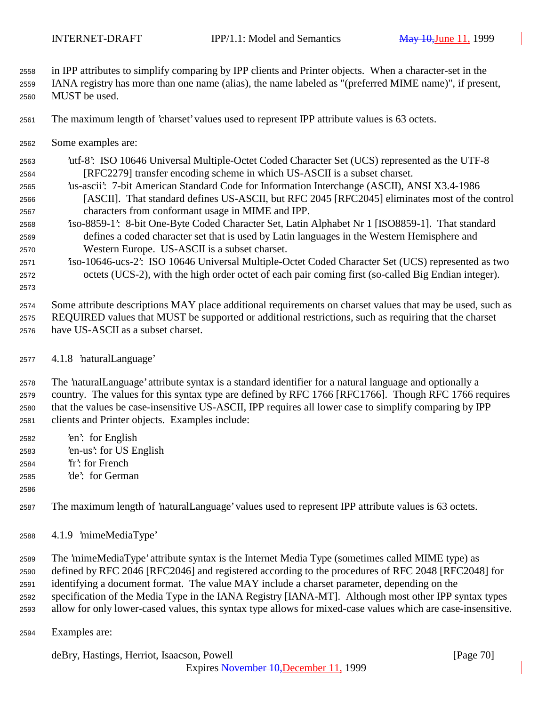in IPP attributes to simplify comparing by IPP clients and Printer objects. When a character-set in the

- IANA registry has more than one name (alias), the name labeled as "(preferred MIME name)", if present, MUST be used.
- The maximum length of 'charset' values used to represent IPP attribute values is 63 octets.
- Some examples are:
- 'utf-8': ISO 10646 Universal Multiple-Octet Coded Character Set (UCS) represented as the UTF-8 [RFC2279] transfer encoding scheme in which US-ASCII is a subset charset.
- 'us-ascii': 7-bit American Standard Code for Information Interchange (ASCII), ANSI X3.4-1986 [ASCII]. That standard defines US-ASCII, but RFC 2045 [RFC2045] eliminates most of the control characters from conformant usage in MIME and IPP.
- 'iso-8859-1': 8-bit One-Byte Coded Character Set, Latin Alphabet Nr 1 [ISO8859-1]. That standard defines a coded character set that is used by Latin languages in the Western Hemisphere and Western Europe. US-ASCII is a subset charset.
- 'iso-10646-ucs-2': ISO 10646 Universal Multiple-Octet Coded Character Set (UCS) represented as two octets (UCS-2), with the high order octet of each pair coming first (so-called Big Endian integer).
- Some attribute descriptions MAY place additional requirements on charset values that may be used, such as REQUIRED values that MUST be supported or additional restrictions, such as requiring that the charset have US-ASCII as a subset charset.

## 4.1.8 'naturalLanguage'

 The 'naturalLanguage' attribute syntax is a standard identifier for a natural language and optionally a country. The values for this syntax type are defined by RFC 1766 [RFC1766]. Though RFC 1766 requires that the values be case-insensitive US-ASCII, IPP requires all lower case to simplify comparing by IPP clients and Printer objects. Examples include:

- 'en': for English 'en-us': for US English 'fr': for French
- 'de': for German
- 

The maximum length of 'naturalLanguage' values used to represent IPP attribute values is 63 octets.

4.1.9 'mimeMediaType'

 The 'mimeMediaType' attribute syntax is the Internet Media Type (sometimes called MIME type) as defined by RFC 2046 [RFC2046] and registered according to the procedures of RFC 2048 [RFC2048] for identifying a document format. The value MAY include a charset parameter, depending on the specification of the Media Type in the IANA Registry [IANA-MT]. Although most other IPP syntax types allow for only lower-cased values, this syntax type allows for mixed-case values which are case-insensitive.

Examples are:

deBry, Hastings, Herriot, Isaacson, Powell [Page 70]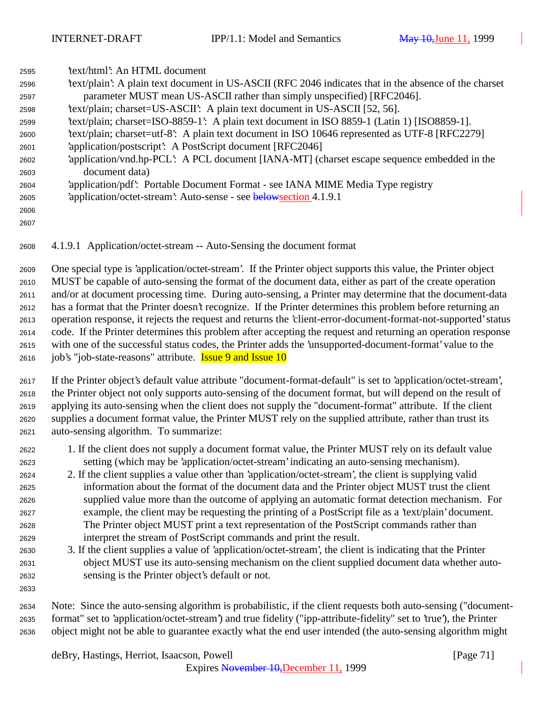| 2595 | text/html: An HTML document                                                                           |
|------|-------------------------------------------------------------------------------------------------------|
| 2596 | text/plain': A plain text document in US-ASCII (RFC 2046 indicates that in the absence of the charset |
| 2597 | parameter MUST mean US-ASCII rather than simply unspecified) [RFC2046].                               |
| 2598 | 'text/plain; charset=US-ASCII': A plain text document in US-ASCII [52, 56].                           |
| 2599 | text/plain; charset=ISO-8859-1: A plain text document in ISO 8859-1 (Latin 1) [ISO8859-1].            |
| 2600 | text/plain; charset=utf-8: A plain text document in ISO 10646 represented as UTF-8 [RFC2279]          |
| 2601 | 'application/postscript': A PostScript document [RFC2046]                                             |
| 2602 | 'application/vnd.hp-PCL': A PCL document [IANA-MT] (charset escape sequence embedded in the           |
| 2603 | document data)                                                                                        |
| 2604 | 'application/pdf': Portable Document Format - see IANA MIME Media Type registry                       |
| 2605 | 'application/octet-stream': Auto-sense - see belows ection 4.1.9.1                                    |
| 2606 |                                                                                                       |
| 2607 |                                                                                                       |

4.1.9.1 Application/octet-stream -- Auto-Sensing the document format

 One special type is 'application/octet-stream'. If the Printer object supports this value, the Printer object MUST be capable of auto-sensing the format of the document data, either as part of the create operation and/or at document processing time. During auto-sensing, a Printer may determine that the document-data has a format that the Printer doesn't recognize. If the Printer determines this problem before returning an operation response, it rejects the request and returns the 'client-error-document-format-not-supported' status code. If the Printer determines this problem after accepting the request and returning an operation response with one of the successful status codes, the Printer adds the 'unsupported-document-format' value to the 2616 job's "job-state-reasons" attribute. **Issue 9 and Issue 10** 

 If the Printer object's default value attribute "document-format-default" is set to 'application/octet-stream', the Printer object not only supports auto-sensing of the document format, but will depend on the result of applying its auto-sensing when the client does not supply the "document-format" attribute. If the client supplies a document format value, the Printer MUST rely on the supplied attribute, rather than trust its auto-sensing algorithm. To summarize:

- 1. If the client does not supply a document format value, the Printer MUST rely on its default value setting (which may be 'application/octet-stream' indicating an auto-sensing mechanism).
- 2. If the client supplies a value other than 'application/octet-stream', the client is supplying valid information about the format of the document data and the Printer object MUST trust the client supplied value more than the outcome of applying an automatic format detection mechanism. For example, the client may be requesting the printing of a PostScript file as a 'text/plain' document. The Printer object MUST print a text representation of the PostScript commands rather than interpret the stream of PostScript commands and print the result.
- 3. If the client supplies a value of 'application/octet-stream', the client is indicating that the Printer object MUST use its auto-sensing mechanism on the client supplied document data whether auto-sensing is the Printer object's default or not.

 Note: Since the auto-sensing algorithm is probabilistic, if the client requests both auto-sensing ("document- format" set to 'application/octet-stream') and true fidelity ("ipp-attribute-fidelity" set to 'true'), the Printer object might not be able to guarantee exactly what the end user intended (the auto-sensing algorithm might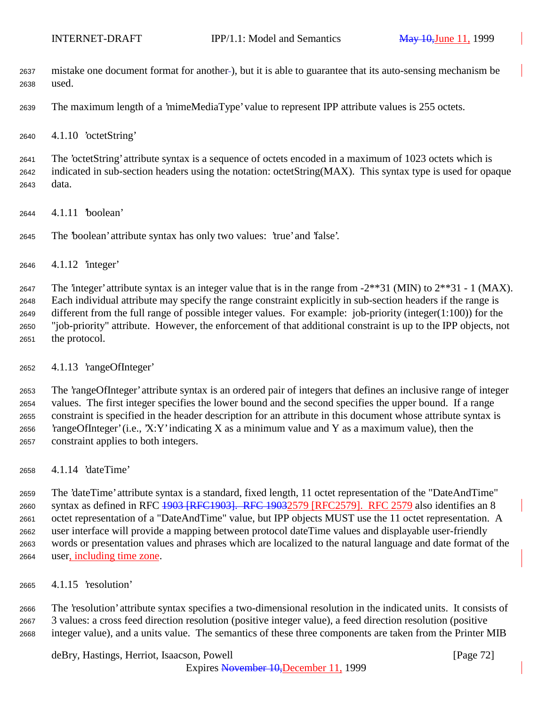mistake one document format for another ), but it is able to guarantee that its auto-sensing mechanism be used.

The maximum length of a 'mimeMediaType' value to represent IPP attribute values is 255 octets.

4.1.10 'octetString'

 The 'octetString' attribute syntax is a sequence of octets encoded in a maximum of 1023 octets which is indicated in sub-section headers using the notation: octetString(MAX). This syntax type is used for opaque data.

4.1.11 'boolean'

The 'boolean' attribute syntax has only two values: 'true' and 'false'.

4.1.12 'integer'

2647 The 'integer' attribute syntax is an integer value that is in the range from  $-2**31$  (MIN) to  $2**31 - 1$  (MAX). Each individual attribute may specify the range constraint explicitly in sub-section headers if the range is different from the full range of possible integer values. For example: job-priority (integer(1:100)) for the "job-priority" attribute. However, the enforcement of that additional constraint is up to the IPP objects, not the protocol.

4.1.13 'rangeOfInteger'

 The 'rangeOfInteger' attribute syntax is an ordered pair of integers that defines an inclusive range of integer values. The first integer specifies the lower bound and the second specifies the upper bound. If a range constraint is specified in the header description for an attribute in this document whose attribute syntax is 2656 'rangeOfInteger' (i.e., 'X:Y' indicating X as a minimum value and Y as a maximum value), then the constraint applies to both integers.

4.1.14 'dateTime'

 The 'dateTime' attribute syntax is a standard, fixed length, 11 octet representation of the "DateAndTime" syntax as defined in RFC 1903 [RFC1903]. RFC 19032579 [RFC2579]. RFC 2579 also identifies an 8 octet representation of a "DateAndTime" value, but IPP objects MUST use the 11 octet representation. A user interface will provide a mapping between protocol dateTime values and displayable user-friendly words or presentation values and phrases which are localized to the natural language and date format of the user, including time zone.

4.1.15 'resolution'

 The 'resolution' attribute syntax specifies a two-dimensional resolution in the indicated units. It consists of 3 values: a cross feed direction resolution (positive integer value), a feed direction resolution (positive integer value), and a units value. The semantics of these three components are taken from the Printer MIB

deBry, Hastings, Herriot, Isaacson, Powell [Page 72]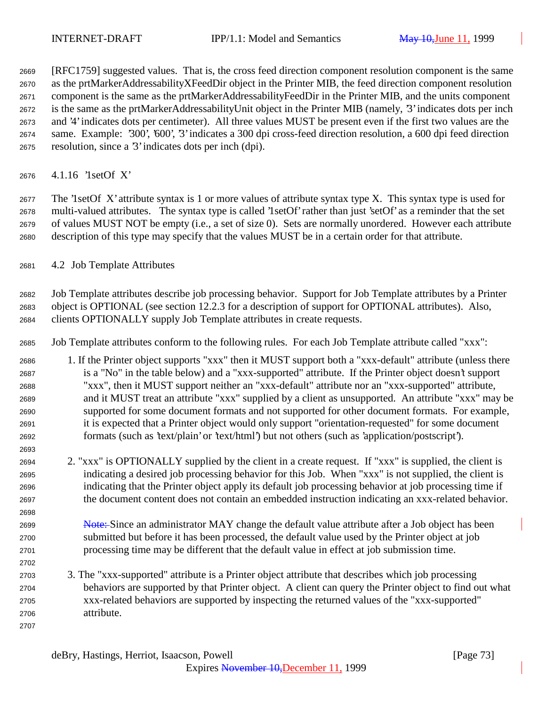[RFC1759] suggested values. That is, the cross feed direction component resolution component is the same as the prtMarkerAddressabilityXFeedDir object in the Printer MIB, the feed direction component resolution component is the same as the prtMarkerAddressabilityFeedDir in the Printer MIB, and the units component is the same as the prtMarkerAddressabilityUnit object in the Printer MIB (namely, '3' indicates dots per inch and '4' indicates dots per centimeter). All three values MUST be present even if the first two values are the same. Example: '300', '600', '3' indicates a 300 dpi cross-feed direction resolution, a 600 dpi feed direction resolution, since a '3' indicates dots per inch (dpi).

4.1.16 '1setOf X'

 The '1setOf X' attribute syntax is 1 or more values of attribute syntax type X. This syntax type is used for multi-valued attributes. The syntax type is called '1setOf' rather than just 'setOf' as a reminder that the set of values MUST NOT be empty (i.e., a set of size 0). Sets are normally unordered. However each attribute description of this type may specify that the values MUST be in a certain order for that attribute.

4.2 Job Template Attributes

 Job Template attributes describe job processing behavior. Support for Job Template attributes by a Printer object is OPTIONAL (see section 12.2.3 for a description of support for OPTIONAL attributes). Also, clients OPTIONALLY supply Job Template attributes in create requests.

Job Template attributes conform to the following rules. For each Job Template attribute called "xxx":

 1. If the Printer object supports "xxx" then it MUST support both a "xxx-default" attribute (unless there is a "No" in the table below) and a "xxx-supported" attribute. If the Printer object doesn't support "xxx", then it MUST support neither an "xxx-default" attribute nor an "xxx-supported" attribute, and it MUST treat an attribute "xxx" supplied by a client as unsupported. An attribute "xxx" may be supported for some document formats and not supported for other document formats. For example, it is expected that a Printer object would only support "orientation-requested" for some document formats (such as 'text/plain' or 'text/html') but not others (such as 'application/postscript').

- 2. "xxx" is OPTIONALLY supplied by the client in a create request. If "xxx" is supplied, the client is indicating a desired job processing behavior for this Job. When "xxx" is not supplied, the client is indicating that the Printer object apply its default job processing behavior at job processing time if the document content does not contain an embedded instruction indicating an xxx-related behavior.
- 2699 Note: Since an administrator MAY change the default value attribute after a Job object has been submitted but before it has been processed, the default value used by the Printer object at job processing time may be different that the default value in effect at job submission time.
- 3. The "xxx-supported" attribute is a Printer object attribute that describes which job processing behaviors are supported by that Printer object. A client can query the Printer object to find out what xxx-related behaviors are supported by inspecting the returned values of the "xxx-supported" attribute.
	- deBry, Hastings, Herriot, Isaacson, Powell [Page 73]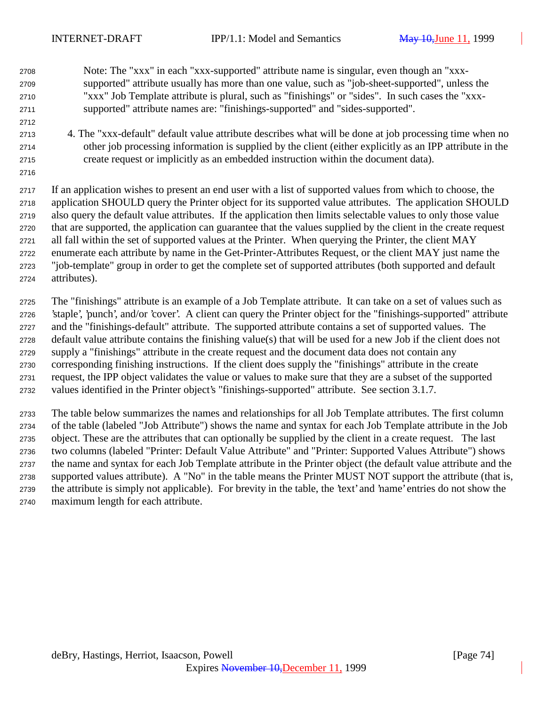- Note: The "xxx" in each "xxx-supported" attribute name is singular, even though an "xxx- supported" attribute usually has more than one value, such as "job-sheet-supported", unless the "xxx" Job Template attribute is plural, such as "finishings" or "sides". In such cases the "xxx-supported" attribute names are: "finishings-supported" and "sides-supported".
- 4. The "xxx-default" default value attribute describes what will be done at job processing time when no other job processing information is supplied by the client (either explicitly as an IPP attribute in the create request or implicitly as an embedded instruction within the document data).

 If an application wishes to present an end user with a list of supported values from which to choose, the application SHOULD query the Printer object for its supported value attributes. The application SHOULD also query the default value attributes. If the application then limits selectable values to only those value that are supported, the application can guarantee that the values supplied by the client in the create request all fall within the set of supported values at the Printer. When querying the Printer, the client MAY enumerate each attribute by name in the Get-Printer-Attributes Request, or the client MAY just name the "job-template" group in order to get the complete set of supported attributes (both supported and default attributes).

 The "finishings" attribute is an example of a Job Template attribute. It can take on a set of values such as 'staple', 'punch', and/or 'cover'. A client can query the Printer object for the "finishings-supported" attribute and the "finishings-default" attribute. The supported attribute contains a set of supported values. The default value attribute contains the finishing value(s) that will be used for a new Job if the client does not supply a "finishings" attribute in the create request and the document data does not contain any corresponding finishing instructions. If the client does supply the "finishings" attribute in the create request, the IPP object validates the value or values to make sure that they are a subset of the supported values identified in the Printer object's "finishings-supported" attribute. See section 3.1.7.

 The table below summarizes the names and relationships for all Job Template attributes. The first column of the table (labeled "Job Attribute") shows the name and syntax for each Job Template attribute in the Job object. These are the attributes that can optionally be supplied by the client in a create request. The last two columns (labeled "Printer: Default Value Attribute" and "Printer: Supported Values Attribute") shows the name and syntax for each Job Template attribute in the Printer object (the default value attribute and the supported values attribute). A "No" in the table means the Printer MUST NOT support the attribute (that is, the attribute is simply not applicable). For brevity in the table, the 'text' and 'name' entries do not show the maximum length for each attribute.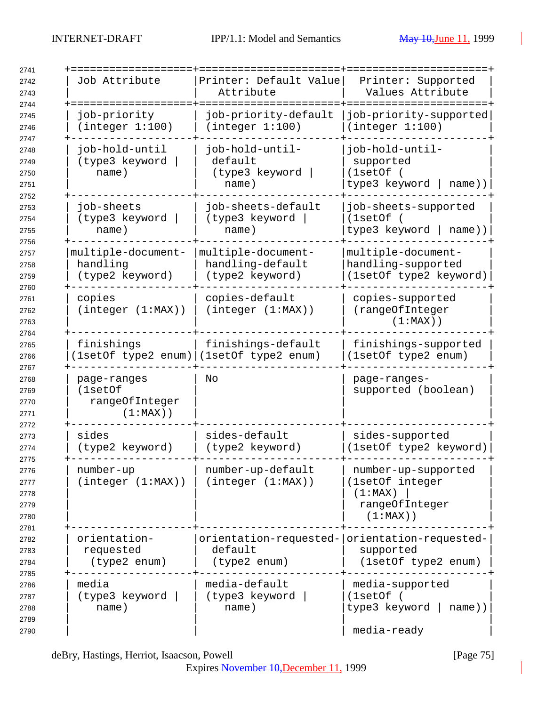| Job Attribute                                           | Printer: Default Value<br>Attribute                                      | Printer: Supported<br>Values Attribute                                             |
|---------------------------------------------------------|--------------------------------------------------------------------------|------------------------------------------------------------------------------------|
| job-priority<br>(integer 1:100)                         | job-priority-default<br>(integer 1:100)                                  | job-priority-supported<br>(integer 1:100)                                          |
| job-hold-until<br>(type3 keyword<br>name)               | job-hold-until-<br>default<br>(type3 keyword<br>name)                    | job-hold-until-<br>supported<br>(1setOf)<br>type3 keyword<br>name))                |
| job-sheets<br>(type3 keyword<br>name)                   | job-sheets-default<br>(type3 keyword<br>name)                            | job-sheets-supported<br>(1setOf)<br>type3 keyword   name))                         |
| multiple-document-<br>handling<br>(type2 keyword)       | multiple-document-<br>handling-default<br>(type2 keyword)                | multiple-document-<br>handling-supported<br>(1setOf type2 keyword)                 |
| copies<br>(integer (1:MAX))                             | copies-default<br>(integer (1:MAX))                                      | copies-supported<br>(rangeOfInteger<br>$(1:MAX)$ )                                 |
| finishings<br>[1setOf type2 enum) (1setOf type2 enum)   | finishings-default                                                       | finishings-supported<br>(1setOf type2 enum)                                        |
| page-ranges<br>(1setOf<br>rangeOfInteger<br>$(1:MAX)$ ) | No                                                                       | page-ranges-<br>supported (boolean)                                                |
| sides<br>(type2 keyword)                                | sides-default<br>(type2 keyword)                                         | sides-supported<br>(1setOf type2 keyword)                                          |
| number-up<br>(integer (1:MAX))                          | number-up-default<br>(integer (1:MAX))                                   | number-up-supported<br>(1setOf integer<br>(1:MAX)<br>rangeOfInteger<br>$(1:MAX)$ ) |
| orientation-<br>requested<br>(type2 enum)               | orientation-requested- orientation-requested-<br>default<br>(type2 enum) | supported<br>(1setOf type2 enum)                                                   |
| media<br>(type3 keyword<br>name)                        | media-default<br>(type3 keyword<br>name)                                 | media-supported<br>(1setOf)<br>type3 keyword<br>name))<br>media-ready              |

deBry, Hastings, Herriot, Isaacson, Powell [Page 75]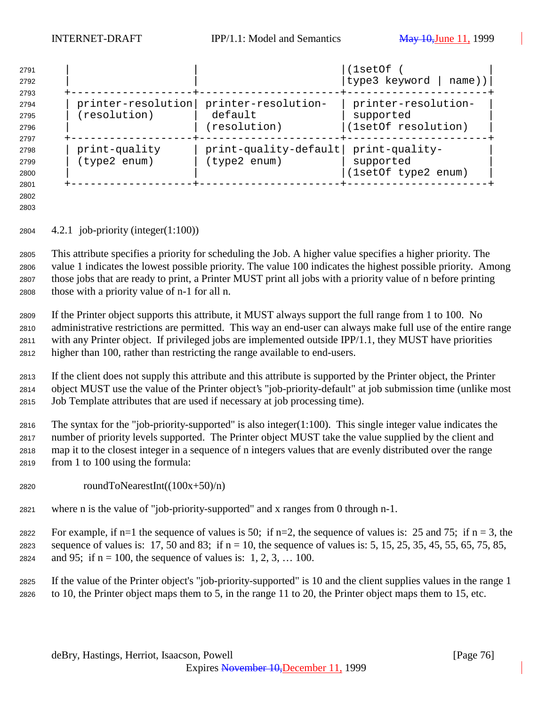| 2791<br>2792 |               |                                        | (lsetOf<br> type3 keyword   name)) |
|--------------|---------------|----------------------------------------|------------------------------------|
| 2793<br>2794 |               | printer-resolution printer-resolution- | printer-resolution-                |
| 2795         | (resolution)  | default                                | supported                          |
| 2796         |               | (resolution)                           | (1setOf resolution)                |
| 2797         |               |                                        |                                    |
| 2798         | print-quality | $print-quality-default$                | print-quality-                     |
| 2799         | (type2 enum)  | (type2 enum)                           | supported                          |
| 2800         |               |                                        | (1setOf type2 enum)                |
| 2801         |               |                                        |                                    |

 

4.2.1 job-priority (integer(1:100))

 This attribute specifies a priority for scheduling the Job. A higher value specifies a higher priority. The value 1 indicates the lowest possible priority. The value 100 indicates the highest possible priority. Among those jobs that are ready to print, a Printer MUST print all jobs with a priority value of n before printing those with a priority value of n-1 for all n.

 If the Printer object supports this attribute, it MUST always support the full range from 1 to 100. No administrative restrictions are permitted. This way an end-user can always make full use of the entire range with any Printer object. If privileged jobs are implemented outside IPP/1.1, they MUST have priorities higher than 100, rather than restricting the range available to end-users.

 If the client does not supply this attribute and this attribute is supported by the Printer object, the Printer object MUST use the value of the Printer object's "job-priority-default" at job submission time (unlike most Job Template attributes that are used if necessary at job processing time).

 The syntax for the "job-priority-supported" is also integer(1:100). This single integer value indicates the number of priority levels supported. The Printer object MUST take the value supplied by the client and map it to the closest integer in a sequence of n integers values that are evenly distributed over the range from 1 to 100 using the formula:

- 2820 roundToNearestInt( $(100x+50)/n$ )
- where n is the value of "job-priority-supported" and x ranges from 0 through n-1.

2822 For example, if n=1 the sequence of values is 50; if n=2, the sequence of values is: 25 and 75; if n = 3, the 2823 sequence of values is: 17, 50 and 83; if  $n = 10$ , the sequence of values is: 5, 15, 25, 35, 45, 55, 65, 75, 85, 2824 and 95; if  $n = 100$ , the sequence of values is: 1, 2, 3, ... 100.

 If the value of the Printer object's "job-priority-supported" is 10 and the client supplies values in the range 1 to 10, the Printer object maps them to 5, in the range 11 to 20, the Printer object maps them to 15, etc.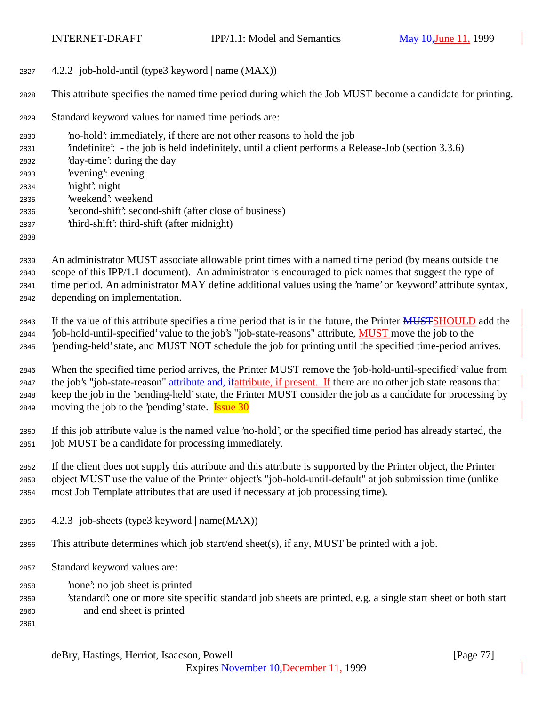4.2.2 job-hold-until (type3 keyword | name (MAX))

This attribute specifies the named time period during which the Job MUST become a candidate for printing.

Standard keyword values for named time periods are:

 'no-hold': immediately, if there are not other reasons to hold the job 'indefinite': - the job is held indefinitely, until a client performs a Release-Job (section 3.3.6) 'day-time': during the day 'evening': evening 'night': night 'weekend': weekend 'second-shift': second-shift (after close of business) 'third-shift': third-shift (after midnight) 

 An administrator MUST associate allowable print times with a named time period (by means outside the scope of this IPP/1.1 document). An administrator is encouraged to pick names that suggest the type of time period. An administrator MAY define additional values using the 'name' or 'keyword' attribute syntax, depending on implementation.

2843 If the value of this attribute specifies a time period that is in the future, the Printer **MUSTSHOULD** add the 'job-hold-until-specified' value to the job's "job-state-reasons" attribute, MUST move the job to the 'pending-held' state, and MUST NOT schedule the job for printing until the specified time-period arrives.

 When the specified time period arrives, the Printer MUST remove the 'job-hold-until-specified' value from 2847 the job's "job-state-reason" attribute and, if attribute, if present. If there are no other job state reasons that keep the job in the 'pending-held' state, the Printer MUST consider the job as a candidate for processing by 2849 moving the job to the 'pending' state. **Issue 30** 

 If this job attribute value is the named value 'no-hold', or the specified time period has already started, the job MUST be a candidate for processing immediately.

 If the client does not supply this attribute and this attribute is supported by the Printer object, the Printer object MUST use the value of the Printer object's "job-hold-until-default" at job submission time (unlike most Job Template attributes that are used if necessary at job processing time).

- 4.2.3 job-sheets (type3 keyword | name(MAX))
- This attribute determines which job start/end sheet(s), if any, MUST be printed with a job.
- Standard keyword values are:
- 'none': no job sheet is printed
- 'standard': one or more site specific standard job sheets are printed, e.g. a single start sheet or both start and end sheet is printed
- 

deBry, Hastings, Herriot, Isaacson, Powell [Page 77]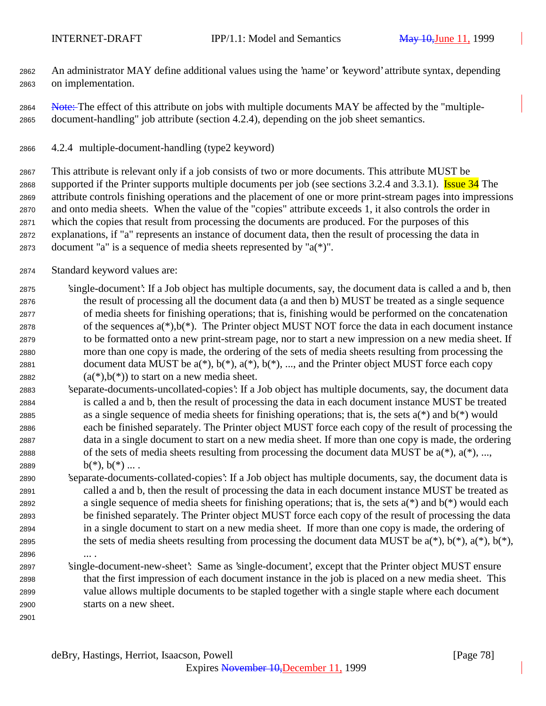An administrator MAY define additional values using the 'name' or 'keyword' attribute syntax, depending on implementation.

2864 Note: The effect of this attribute on jobs with multiple documents MAY be affected by the "multiple-document-handling" job attribute (section 4.2.4), depending on the job sheet semantics.

4.2.4 multiple-document-handling (type2 keyword)

 This attribute is relevant only if a job consists of two or more documents. This attribute MUST be 2868 supported if the Printer supports multiple documents per job (see sections 3.2.4 and 3.3.1). Issue 34 The attribute controls finishing operations and the placement of one or more print-stream pages into impressions and onto media sheets. When the value of the "copies" attribute exceeds 1, it also controls the order in which the copies that result from processing the documents are produced. For the purposes of this explanations, if "a" represents an instance of document data, then the result of processing the data in document "a" is a sequence of media sheets represented by "a(\*)".

Standard keyword values are:

 'single-document': If a Job object has multiple documents, say, the document data is called a and b, then the result of processing all the document data (a and then b) MUST be treated as a single sequence of media sheets for finishing operations; that is, finishing would be performed on the concatenation 2878 of the sequences  $a(*),b(*)$ . The Printer object MUST NOT force the data in each document instance to be formatted onto a new print-stream page, nor to start a new impression on a new media sheet. If more than one copy is made, the ordering of the sets of media sheets resulting from processing the 2881 document data MUST be  $a(*)$ ,  $b(*)$ ,  $a(*)$ ,  $b(*)$ , ..., and the Printer object MUST force each copy  $(a(*)$ ,  $b(*)$ ) to start on a new media sheet.

- 'separate-documents-uncollated-copies': If a Job object has multiple documents, say, the document data is called a and b, then the result of processing the data in each document instance MUST be treated 2885 as a single sequence of media sheets for finishing operations; that is, the sets  $a(*)$  and  $b(*)$  would each be finished separately. The Printer object MUST force each copy of the result of processing the data in a single document to start on a new media sheet. If more than one copy is made, the ordering 2888 of the sets of media sheets resulting from processing the document data MUST be  $a(*)$ ,  $a(*)$ , ..., 2889  $b(*)$ ,  $b(*)$  ....
- 'separate-documents-collated-copies': If a Job object has multiple documents, say, the document data is called a and b, then the result of processing the data in each document instance MUST be treated as a single sequence of media sheets for finishing operations; that is, the sets a(\*) and b(\*) would each be finished separately. The Printer object MUST force each copy of the result of processing the data in a single document to start on a new media sheet. If more than one copy is made, the ordering of 2895 the sets of media sheets resulting from processing the document data MUST be  $a(*)$ ,  $b(*)$ ,  $a(*)$ ,  $b(*)$ ,  $b(*)$ , ... .
- 'single-document-new-sheet': Same as 'single-document', except that the Printer object MUST ensure that the first impression of each document instance in the job is placed on a new media sheet. This value allows multiple documents to be stapled together with a single staple where each document starts on a new sheet.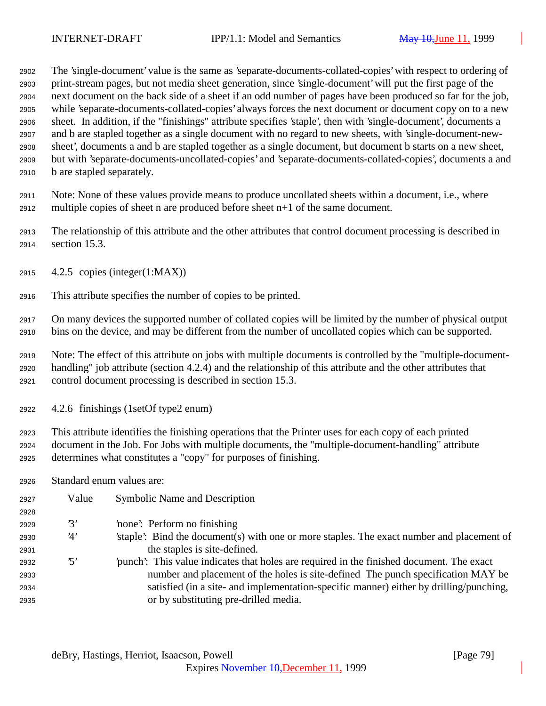The 'single-document' value is the same as 'separate-documents-collated-copies' with respect to ordering of print-stream pages, but not media sheet generation, since 'single-document' will put the first page of the next document on the back side of a sheet if an odd number of pages have been produced so far for the job, while 'separate-documents-collated-copies' always forces the next document or document copy on to a new sheet. In addition, if the "finishings" attribute specifies 'staple', then with 'single-document', documents a and b are stapled together as a single document with no regard to new sheets, with 'single-document-new- sheet', documents a and b are stapled together as a single document, but document b starts on a new sheet, but with 'separate-documents-uncollated-copies' and 'separate-documents-collated-copies', documents a and b are stapled separately.

 Note: None of these values provide means to produce uncollated sheets within a document, i.e., where multiple copies of sheet n are produced before sheet n+1 of the same document.

 The relationship of this attribute and the other attributes that control document processing is described in section 15.3.

- 4.2.5 copies (integer(1:MAX))
- This attribute specifies the number of copies to be printed.

 On many devices the supported number of collated copies will be limited by the number of physical output bins on the device, and may be different from the number of uncollated copies which can be supported.

 Note: The effect of this attribute on jobs with multiple documents is controlled by the "multiple-document- handling" job attribute (section 4.2.4) and the relationship of this attribute and the other attributes that control document processing is described in section 15.3.

4.2.6 finishings (1setOf type2 enum)

 This attribute identifies the finishing operations that the Printer uses for each copy of each printed document in the Job. For Jobs with multiple documents, the "multiple-document-handling" attribute determines what constitutes a "copy" for purposes of finishing.

Standard enum values are:

| 2927 | Value          | <b>Symbolic Name and Description</b>                                                      |
|------|----------------|-------------------------------------------------------------------------------------------|
| 2928 |                |                                                                                           |
| 2929 | $\mathcal{B}'$ | 'none': Perform no finishing                                                              |
| 2930 | 4'             | staple. Bind the document(s) with one or more staples. The exact number and placement of  |
| 2931 |                | the staples is site-defined.                                                              |
| 2932 | הי?            | 'punch': This value indicates that holes are required in the finished document. The exact |
| 2933 |                | number and placement of the holes is site-defined. The punch specification MAY be         |
| 2934 |                | satisfied (in a site- and implementation-specific manner) either by drilling/punching,    |
| 2935 |                | or by substituting pre-drilled media.                                                     |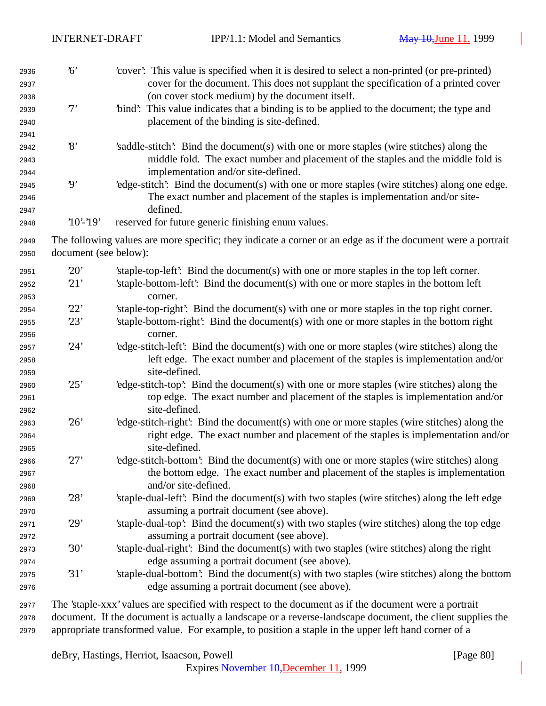| 2936<br>2937<br>2938<br>2939 | 6'<br>7'                 | 'cover': This value is specified when it is desired to select a non-printed (or pre-printed)<br>cover for the document. This does not supplant the specification of a printed cover<br>(on cover stock medium) by the document itself.<br>"bind": This value indicates that a binding is to be applied to the document; the type and |
|------------------------------|--------------------------|--------------------------------------------------------------------------------------------------------------------------------------------------------------------------------------------------------------------------------------------------------------------------------------------------------------------------------------|
| 2940<br>2941                 |                          | placement of the binding is site-defined.                                                                                                                                                                                                                                                                                            |
| 2942<br>2943                 | $\mathcal{S}$            | 's addle-stitch': Bind the document(s) with one or more staples (wire stitches) along the<br>middle fold. The exact number and placement of the staples and the middle fold is                                                                                                                                                       |
| 2944<br>2945<br>2946         | $\boldsymbol{\vartheta}$ | implementation and/or site-defined.<br>'edge-stitch': Bind the document(s) with one or more staples (wire stitches) along one edge.<br>The exact number and placement of the staples is implementation and/or site-<br>defined.                                                                                                      |
| 2947<br>2948                 | $'10'$ -'19'             | reserved for future generic finishing enum values.                                                                                                                                                                                                                                                                                   |
| 2949<br>2950                 | document (see below):    | The following values are more specific; they indicate a corner or an edge as if the document were a portrait                                                                                                                                                                                                                         |
| 2951<br>2952<br>2953         | 20'<br>21'               | 'staple-top-left': Bind the document(s) with one or more staples in the top left corner.<br>'staple-bottom-left': Bind the document(s) with one or more staples in the bottom left<br>corner.                                                                                                                                        |
| 2954                         | 22'                      | 'staple-top-right': Bind the document(s) with one or more staples in the top right corner.                                                                                                                                                                                                                                           |
| 2955<br>2956                 | 23'                      | 'staple-bottom-right': Bind the document(s) with one or more staples in the bottom right<br>corner.                                                                                                                                                                                                                                  |
| 2957<br>2958<br>2959         | 24'                      | 'edge-stitch-left': Bind the document(s) with one or more staples (wire stitches) along the<br>left edge. The exact number and placement of the staples is implementation and/or<br>site-defined.                                                                                                                                    |
| 2960<br>2961<br>2962         | 25'                      | 'edge-stitch-top': Bind the document(s) with one or more staples (wire stitches) along the<br>top edge. The exact number and placement of the staples is implementation and/or<br>site-defined.                                                                                                                                      |
| 2963<br>2964<br>2965         | 26'                      | 'edge-stitch-right': Bind the document(s) with one or more staples (wire stitches) along the<br>right edge. The exact number and placement of the staples is implementation and/or<br>site-defined.                                                                                                                                  |
| 2966<br>2967<br>2968         | 27'                      | 'edge-stitch-bottom': Bind the document(s) with one or more staples (wire stitches) along<br>the bottom edge. The exact number and placement of the staples is implementation<br>and/or site-defined.                                                                                                                                |
| 2969<br>2970                 | 28'                      | 'staple-dual-left': Bind the document(s) with two staples (wire stitches) along the left edge<br>assuming a portrait document (see above).                                                                                                                                                                                           |
| 2971<br>2972                 | 29'                      | 'staple-dual-top': Bind the document(s) with two staples (wire stitches) along the top edge<br>assuming a portrait document (see above).                                                                                                                                                                                             |
| 2973<br>2974                 | 30'                      | 'staple-dual-right': Bind the document(s) with two staples (wire stitches) along the right<br>edge assuming a portrait document (see above).                                                                                                                                                                                         |
| 2975<br>2976                 | 31'                      | 'staple-dual-bottom': Bind the document(s) with two staples (wire stitches) along the bottom<br>edge assuming a portrait document (see above).                                                                                                                                                                                       |
| 2977                         |                          | The 'staple-xxx' values are specified with respect to the document as if the document were a portrait                                                                                                                                                                                                                                |

 document. If the document is actually a landscape or a reverse-landscape document, the client supplies the appropriate transformed value. For example, to position a staple in the upper left hand corner of a

deBry, Hastings, Herriot, Isaacson, Powell [Page 80]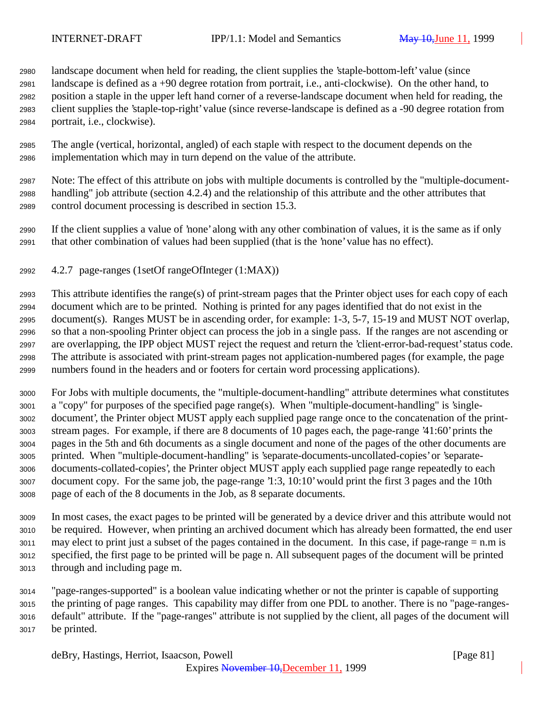landscape document when held for reading, the client supplies the 'staple-bottom-left' value (since landscape is defined as a +90 degree rotation from portrait, i.e., anti-clockwise). On the other hand, to position a staple in the upper left hand corner of a reverse-landscape document when held for reading, the client supplies the 'staple-top-right' value (since reverse-landscape is defined as a -90 degree rotation from portrait, i.e., clockwise).

 The angle (vertical, horizontal, angled) of each staple with respect to the document depends on the implementation which may in turn depend on the value of the attribute.

 Note: The effect of this attribute on jobs with multiple documents is controlled by the "multiple-document- handling" job attribute (section 4.2.4) and the relationship of this attribute and the other attributes that control document processing is described in section 15.3.

 If the client supplies a value of 'none' along with any other combination of values, it is the same as if only that other combination of values had been supplied (that is the 'none' value has no effect).

4.2.7 page-ranges (1setOf rangeOfInteger (1:MAX))

 This attribute identifies the range(s) of print-stream pages that the Printer object uses for each copy of each document which are to be printed. Nothing is printed for any pages identified that do not exist in the document(s). Ranges MUST be in ascending order, for example: 1-3, 5-7, 15-19 and MUST NOT overlap, so that a non-spooling Printer object can process the job in a single pass. If the ranges are not ascending or are overlapping, the IPP object MUST reject the request and return the 'client-error-bad-request' status code. The attribute is associated with print-stream pages not application-numbered pages (for example, the page numbers found in the headers and or footers for certain word processing applications).

 For Jobs with multiple documents, the "multiple-document-handling" attribute determines what constitutes a "copy" for purposes of the specified page range(s). When "multiple-document-handling" is 'single- document', the Printer object MUST apply each supplied page range once to the concatenation of the print- stream pages. For example, if there are 8 documents of 10 pages each, the page-range '41:60' prints the pages in the 5th and 6th documents as a single document and none of the pages of the other documents are printed. When "multiple-document-handling" is 'separate-documents-uncollated-copies' or 'separate- documents-collated-copies', the Printer object MUST apply each supplied page range repeatedly to each document copy. For the same job, the page-range '1:3, 10:10' would print the first 3 pages and the 10th page of each of the 8 documents in the Job, as 8 separate documents.

 In most cases, the exact pages to be printed will be generated by a device driver and this attribute would not be required. However, when printing an archived document which has already been formatted, the end user may elect to print just a subset of the pages contained in the document. In this case, if page-range = n.m is specified, the first page to be printed will be page n. All subsequent pages of the document will be printed through and including page m.

 "page-ranges-supported" is a boolean value indicating whether or not the printer is capable of supporting the printing of page ranges. This capability may differ from one PDL to another. There is no "page-ranges- default" attribute. If the "page-ranges" attribute is not supplied by the client, all pages of the document will be printed.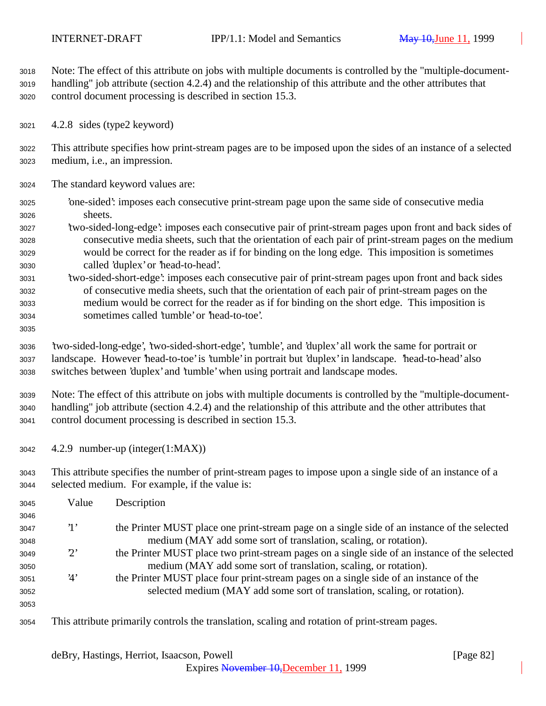Note: The effect of this attribute on jobs with multiple documents is controlled by the "multiple-document- handling" job attribute (section 4.2.4) and the relationship of this attribute and the other attributes that control document processing is described in section 15.3.

4.2.8 sides (type2 keyword)

 This attribute specifies how print-stream pages are to be imposed upon the sides of an instance of a selected medium, i.e., an impression.

- The standard keyword values are:
- 'one-sided': imposes each consecutive print-stream page upon the same side of consecutive media sheets.
- 'two-sided-long-edge': imposes each consecutive pair of print-stream pages upon front and back sides of consecutive media sheets, such that the orientation of each pair of print-stream pages on the medium would be correct for the reader as if for binding on the long edge. This imposition is sometimes called 'duplex' or 'head-to-head'.
- 'two-sided-short-edge': imposes each consecutive pair of print-stream pages upon front and back sides of consecutive media sheets, such that the orientation of each pair of print-stream pages on the medium would be correct for the reader as if for binding on the short edge. This imposition is sometimes called 'tumble' or 'head-to-toe'.
- 

 'two-sided-long-edge', 'two-sided-short-edge', 'tumble', and 'duplex' all work the same for portrait or landscape. However 'head-to-toe' is 'tumble' in portrait but 'duplex' in landscape. 'head-to-head' also switches between 'duplex' and 'tumble' when using portrait and landscape modes.

 Note: The effect of this attribute on jobs with multiple documents is controlled by the "multiple-document- handling" job attribute (section 4.2.4) and the relationship of this attribute and the other attributes that control document processing is described in section 15.3.

- 4.2.9 number-up (integer(1:MAX))
- This attribute specifies the number of print-stream pages to impose upon a single side of an instance of a selected medium. For example, if the value is:

| 3045 | Value       | Description                                                                                    |
|------|-------------|------------------------------------------------------------------------------------------------|
| 3046 |             |                                                                                                |
| 3047 | $\cdot_1$   | the Printer MUST place one print-stream page on a single side of an instance of the selected   |
| 3048 |             | medium (MAY add some sort of translation, scaling, or rotation).                               |
| 3049 | $2^{\circ}$ | the Printer MUST place two print-stream pages on a single side of an instance of the selected  |
| 3050 |             | medium (MAY add some sort of translation, scaling, or rotation).                               |
| 3051 | 4'          | the Printer MUST place four print-stream pages on a single side of an instance of the          |
| 3052 |             | selected medium (MAY add some sort of translation, scaling, or rotation).                      |
| 3053 |             |                                                                                                |
| 3054 |             | This attribute primarily controls the translation, scaling and rotation of print-stream pages. |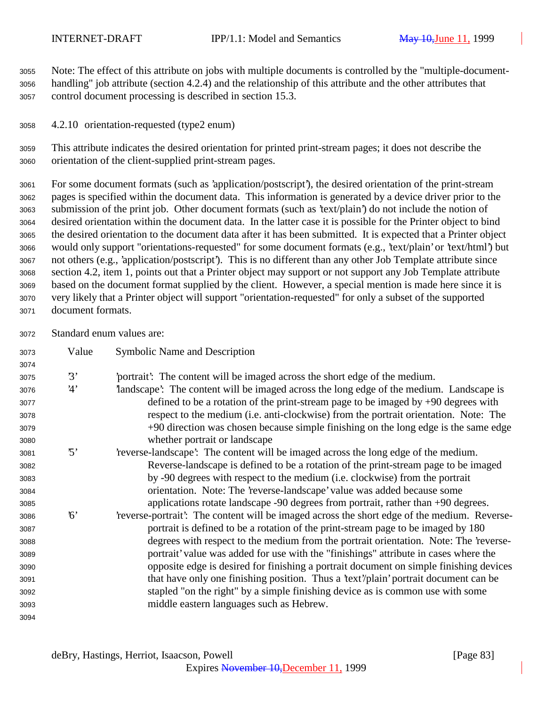Note: The effect of this attribute on jobs with multiple documents is controlled by the "multiple-document- handling" job attribute (section 4.2.4) and the relationship of this attribute and the other attributes that control document processing is described in section 15.3.

4.2.10 orientation-requested (type2 enum)

 This attribute indicates the desired orientation for printed print-stream pages; it does not describe the orientation of the client-supplied print-stream pages.

 For some document formats (such as 'application/postscript'), the desired orientation of the print-stream pages is specified within the document data. This information is generated by a device driver prior to the submission of the print job. Other document formats (such as 'text/plain') do not include the notion of desired orientation within the document data. In the latter case it is possible for the Printer object to bind the desired orientation to the document data after it has been submitted. It is expected that a Printer object would only support "orientations-requested" for some document formats (e.g., 'text/plain' or 'text/html') but not others (e.g., 'application/postscript'). This is no different than any other Job Template attribute since section 4.2, item 1, points out that a Printer object may support or not support any Job Template attribute based on the document format supplied by the client. However, a special mention is made here since it is very likely that a Printer object will support "orientation-requested" for only a subset of the supported document formats.

Standard enum values are:

| 3073 | Value      | <b>Symbolic Name and Description</b>                                                         |
|------|------------|----------------------------------------------------------------------------------------------|
| 3074 |            |                                                                                              |
| 3075 | 3'         | portrait? The content will be imaged across the short edge of the medium.                    |
| 3076 | 4'         | landscape': The content will be imaged across the long edge of the medium. Landscape is      |
| 3077 |            | defined to be a rotation of the print-stream page to be imaged by $+90$ degrees with         |
| 3078 |            | respect to the medium (i.e. anti-clockwise) from the portrait orientation. Note: The         |
| 3079 |            | +90 direction was chosen because simple finishing on the long edge is the same edge          |
| 3080 |            | whether portrait or landscape                                                                |
| 3081 | $\cdot$ 5' | reverse-landscape': The content will be imaged across the long edge of the medium.           |
| 3082 |            | Reverse-landscape is defined to be a rotation of the print-stream page to be imaged          |
| 3083 |            | by -90 degrees with respect to the medium (i.e. clockwise) from the portrait                 |
| 3084 |            | orientation. Note: The 'reverse-landscape' value was added because some                      |
| 3085 |            | applications rotate landscape -90 degrees from portrait, rather than +90 degrees.            |
| 3086 | $\kappa$   | 'reverse-portrait': The content will be imaged across the short edge of the medium. Reverse- |
| 3087 |            | portrait is defined to be a rotation of the print-stream page to be imaged by 180            |
| 3088 |            | degrees with respect to the medium from the portrait orientation. Note: The 'reverse-        |
| 3089 |            | portrait' value was added for use with the "finishings" attribute in cases where the         |
| 3090 |            | opposite edge is desired for finishing a portrait document on simple finishing devices       |
| 3091 |            | that have only one finishing position. Thus a 'text'/plain' portrait document can be         |
| 3092 |            | stapled "on the right" by a simple finishing device as is common use with some               |
| 3093 |            | middle eastern languages such as Hebrew.                                                     |
| 3094 |            |                                                                                              |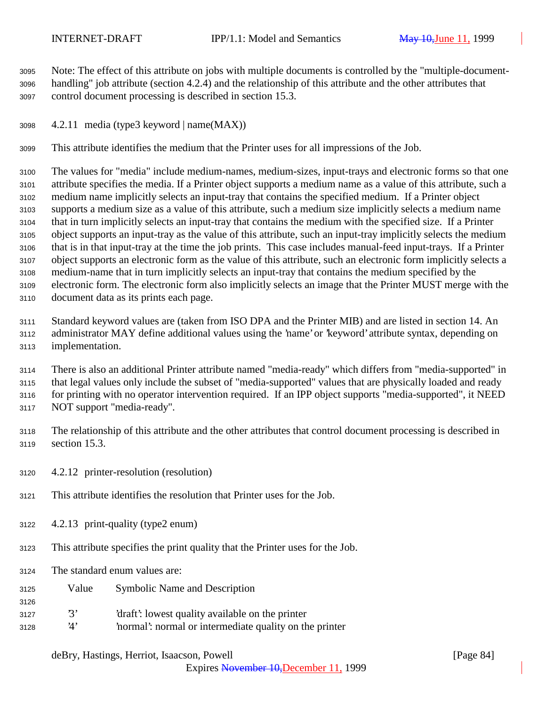Note: The effect of this attribute on jobs with multiple documents is controlled by the "multiple-document- handling" job attribute (section 4.2.4) and the relationship of this attribute and the other attributes that control document processing is described in section 15.3.

4.2.11 media (type3 keyword | name(MAX))

This attribute identifies the medium that the Printer uses for all impressions of the Job.

 The values for "media" include medium-names, medium-sizes, input-trays and electronic forms so that one attribute specifies the media. If a Printer object supports a medium name as a value of this attribute, such a medium name implicitly selects an input-tray that contains the specified medium. If a Printer object supports a medium size as a value of this attribute, such a medium size implicitly selects a medium name that in turn implicitly selects an input-tray that contains the medium with the specified size. If a Printer object supports an input-tray as the value of this attribute, such an input-tray implicitly selects the medium that is in that input-tray at the time the job prints. This case includes manual-feed input-trays. If a Printer object supports an electronic form as the value of this attribute, such an electronic form implicitly selects a medium-name that in turn implicitly selects an input-tray that contains the medium specified by the electronic form. The electronic form also implicitly selects an image that the Printer MUST merge with the document data as its prints each page.

 Standard keyword values are (taken from ISO DPA and the Printer MIB) and are listed in section 14. An administrator MAY define additional values using the 'name' or 'keyword' attribute syntax, depending on implementation.

 There is also an additional Printer attribute named "media-ready" which differs from "media-supported" in that legal values only include the subset of "media-supported" values that are physically loaded and ready for printing with no operator intervention required. If an IPP object supports "media-supported", it NEED NOT support "media-ready".

 The relationship of this attribute and the other attributes that control document processing is described in section 15.3.

- 4.2.12 printer-resolution (resolution)
- This attribute identifies the resolution that Printer uses for the Job.
- 4.2.13 print-quality (type2 enum)
- This attribute specifies the print quality that the Printer uses for the Job.
- The standard enum values are:

- Value Symbolic Name and Description
- '3' 'draft': lowest quality available on the printer
- '4' 'normal': normal or intermediate quality on the printer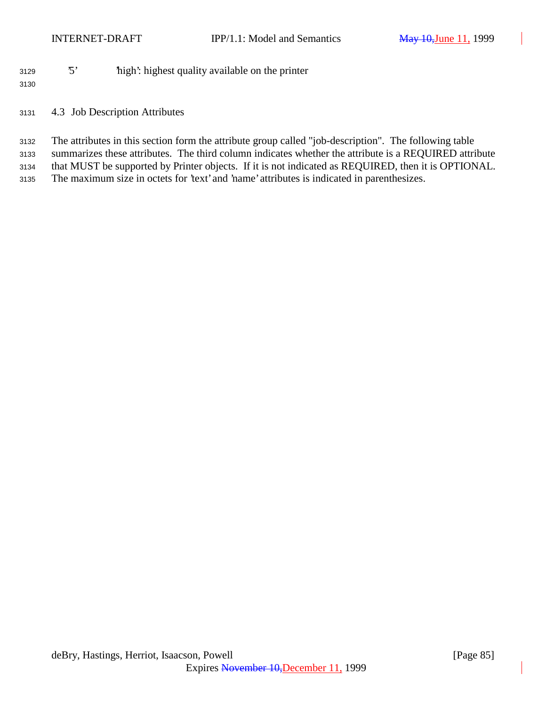'5' 'high': highest quality available on the printer

4.3 Job Description Attributes

 The attributes in this section form the attribute group called "job-description". The following table summarizes these attributes. The third column indicates whether the attribute is a REQUIRED attribute that MUST be supported by Printer objects. If it is not indicated as REQUIRED, then it is OPTIONAL. The maximum size in octets for 'text' and 'name' attributes is indicated in parenthesizes.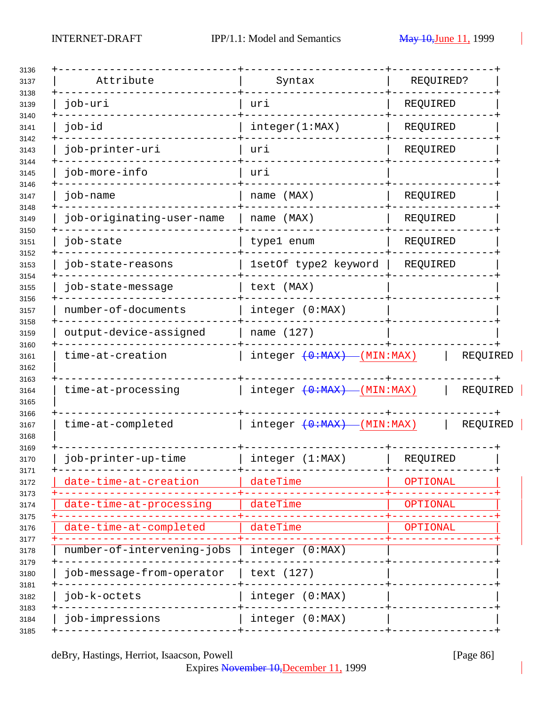| Attribute                  | Syntax                       | REQUIRED?                |
|----------------------------|------------------------------|--------------------------|
| job-uri                    | uri                          | REQUIRED                 |
| job-id                     | integer(1:MAX)               | REQUIRED                 |
| job-printer-uri            | uri                          | REQUIRED                 |
| job-more-info              | uri                          |                          |
| job-name                   | name (MAX)                   | REQUIRED                 |
| job-originating-user-name  | name (MAX)                   | REQUIRED                 |
| job-state                  | type1 enum                   | REQUIRED                 |
| job-state-reasons          | 1setOf type2 keyword         | REQUIRED                 |
| job-state-message          | text (MAX)                   |                          |
| number-of-documents        | integer (0:MAX)              |                          |
| output-device-assigned     | name (127)                   |                          |
| time-at-creation           | $integer (+0+MAX)$ (MIN:MAX) | REQUIRED                 |
| time-at-processing         | integer $(0:MAX)$            | $-(MIN:MAX)$<br>REQUIRED |
| time-at-completed          | $integer (+0+MAX)$ (MIN:MAX) | REQUIRED                 |
| job-printer-up-time        | integer (1:MAX)              | REQUIRED                 |
| date-time-at-creation      | dateTime                     | OPTIONAL                 |
| date-time-at-processing    | dateTime                     | OPTIONAL                 |
| date-time-at-completed     | dateTime                     | <b>OPTIONAL</b>          |
| number-of-intervening-jobs | integer (0:MAX)              |                          |
| job-message-from-operator  | text (127)                   |                          |
| job-k-octets               | integer (0:MAX)              |                          |
| job-impressions            | integer (0:MAX)              |                          |
|                            |                              |                          |

deBry, Hastings, Herriot, Isaacson, Powell [Page 86]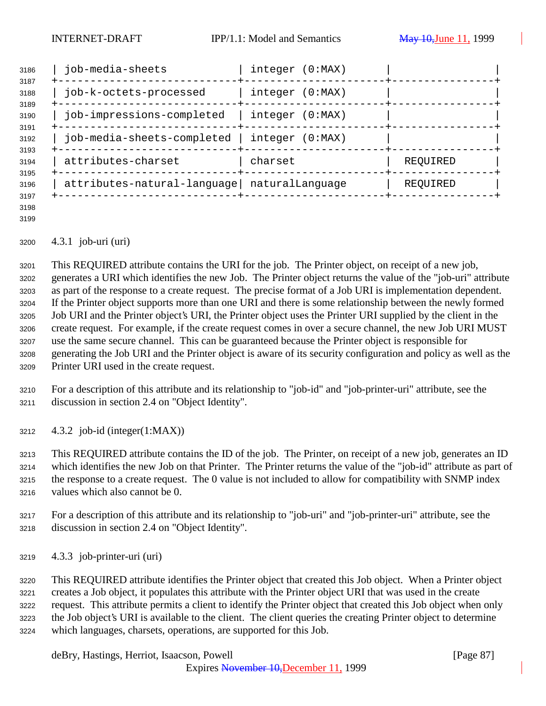| 3186<br>3187<br>3188<br>3189 | job-media-sheets                              | integer (0:MAX)<br>--------+----------------------+------ |                              |
|------------------------------|-----------------------------------------------|-----------------------------------------------------------|------------------------------|
|                              | job-k-octets-processed                        | integer (0:MAX)                                           |                              |
| 3190<br>3191                 | job-impressions-completed                     | integer (0:MAX)                                           |                              |
| 3192<br>3193                 | job-media-sheets-completed   integer (0:MAX)  |                                                           |                              |
| 3194                         | attributes-charset                            | charset                                                   | REQUIRED<br>------+--------- |
| 3195<br>3196                 | attributes-natural-language   naturalLanguage |                                                           | REQUIRED                     |
| 3197                         |                                               |                                                           |                              |

 

## 4.3.1 job-uri (uri)

 This REQUIRED attribute contains the URI for the job. The Printer object, on receipt of a new job, generates a URI which identifies the new Job. The Printer object returns the value of the "job-uri" attribute as part of the response to a create request. The precise format of a Job URI is implementation dependent. If the Printer object supports more than one URI and there is some relationship between the newly formed Job URI and the Printer object's URI, the Printer object uses the Printer URI supplied by the client in the create request. For example, if the create request comes in over a secure channel, the new Job URI MUST use the same secure channel. This can be guaranteed because the Printer object is responsible for generating the Job URI and the Printer object is aware of its security configuration and policy as well as the Printer URI used in the create request.

 For a description of this attribute and its relationship to "job-id" and "job-printer-uri" attribute, see the discussion in section 2.4 on "Object Identity".

4.3.2 job-id (integer(1:MAX))

 This REQUIRED attribute contains the ID of the job. The Printer, on receipt of a new job, generates an ID which identifies the new Job on that Printer. The Printer returns the value of the "job-id" attribute as part of the response to a create request. The 0 value is not included to allow for compatibility with SNMP index values which also cannot be 0.

- For a description of this attribute and its relationship to "job-uri" and "job-printer-uri" attribute, see the discussion in section 2.4 on "Object Identity".
- 4.3.3 job-printer-uri (uri)

 This REQUIRED attribute identifies the Printer object that created this Job object. When a Printer object creates a Job object, it populates this attribute with the Printer object URI that was used in the create request. This attribute permits a client to identify the Printer object that created this Job object when only the Job object's URI is available to the client. The client queries the creating Printer object to determine which languages, charsets, operations, are supported for this Job.

deBry, Hastings, Herriot, Isaacson, Powell [Page 87]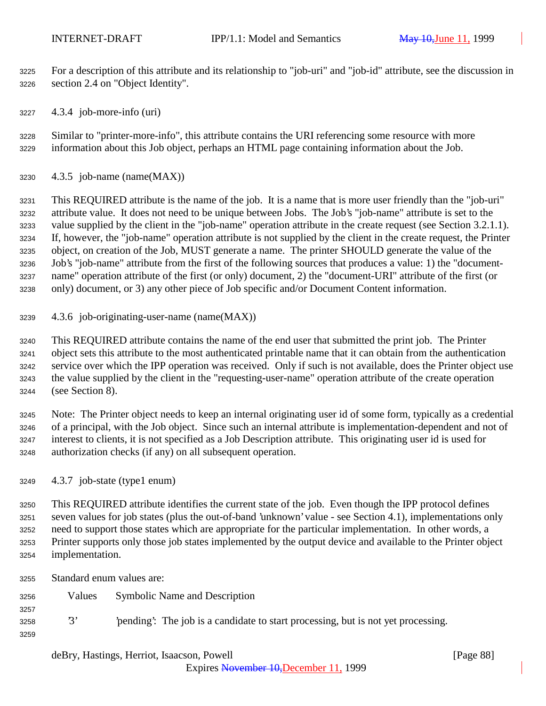For a description of this attribute and its relationship to "job-uri" and "job-id" attribute, see the discussion in section 2.4 on "Object Identity".

4.3.4 job-more-info (uri)

 Similar to "printer-more-info", this attribute contains the URI referencing some resource with more information about this Job object, perhaps an HTML page containing information about the Job.

4.3.5 job-name (name(MAX))

 This REQUIRED attribute is the name of the job. It is a name that is more user friendly than the "job-uri" attribute value. It does not need to be unique between Jobs. The Job's "job-name" attribute is set to the value supplied by the client in the "job-name" operation attribute in the create request (see Section 3.2.1.1). If, however, the "job-name" operation attribute is not supplied by the client in the create request, the Printer object, on creation of the Job, MUST generate a name. The printer SHOULD generate the value of the Job's "job-name" attribute from the first of the following sources that produces a value: 1) the "document- name" operation attribute of the first (or only) document, 2) the "document-URI" attribute of the first (or only) document, or 3) any other piece of Job specific and/or Document Content information.

4.3.6 job-originating-user-name (name(MAX))

 This REQUIRED attribute contains the name of the end user that submitted the print job. The Printer object sets this attribute to the most authenticated printable name that it can obtain from the authentication service over which the IPP operation was received. Only if such is not available, does the Printer object use the value supplied by the client in the "requesting-user-name" operation attribute of the create operation (see Section 8).

 Note: The Printer object needs to keep an internal originating user id of some form, typically as a credential of a principal, with the Job object. Since such an internal attribute is implementation-dependent and not of interest to clients, it is not specified as a Job Description attribute. This originating user id is used for authorization checks (if any) on all subsequent operation.

4.3.7 job-state (type1 enum)

 This REQUIRED attribute identifies the current state of the job. Even though the IPP protocol defines seven values for job states (plus the out-of-band 'unknown' value - see Section 4.1), implementations only need to support those states which are appropriate for the particular implementation. In other words, a Printer supports only those job states implemented by the output device and available to the Printer object implementation.

Standard enum values are:

- Values Symbolic Name and Description
- '3' 'pending': The job is a candidate to start processing, but is not yet processing.
- 

deBry, Hastings, Herriot, Isaacson, Powell [Page 88]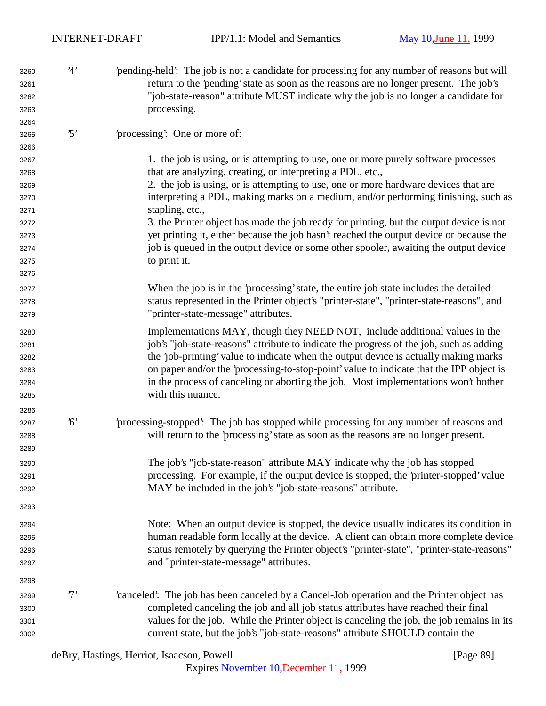| 3260 | <sup>'4</sup> | 'pending-held': The job is not a candidate for processing for any number of reasons but will |
|------|---------------|----------------------------------------------------------------------------------------------|
| 3261 |               | return to the 'pending' state as soon as the reasons are no longer present. The job's        |
| 3262 |               | "job-state-reason" attribute MUST indicate why the job is no longer a candidate for          |
| 3263 |               | processing.                                                                                  |
| 3264 |               |                                                                                              |

## '5' 'processing': One or more of:

 1. the job is using, or is attempting to use, one or more purely software processes that are analyzing, creating, or interpreting a PDL, etc.,

 2. the job is using, or is attempting to use, one or more hardware devices that are interpreting a PDL, making marks on a medium, and/or performing finishing, such as stapling, etc.,

3272 3272 3. the Printer object has made the job ready for printing, but the output device is not yet printing it, either because the job hasn't reached the output device or because the job is queued in the output device or some other spooler, awaiting the output device to print it.

 When the job is in the 'processing' state, the entire job state includes the detailed status represented in the Printer object's "printer-state", "printer-state-reasons", and "printer-state-message" attributes.

- Implementations MAY, though they NEED NOT, include additional values in the job's "job-state-reasons" attribute to indicate the progress of the job, such as adding the 'job-printing' value to indicate when the output device is actually making marks on paper and/or the 'processing-to-stop-point' value to indicate that the IPP object is in the process of canceling or aborting the job. Most implementations won't bother with this nuance.
- '6' 'processing-stopped': The job has stopped while processing for any number of reasons and will return to the 'processing' state as soon as the reasons are no longer present.
- The job's "job-state-reason" attribute MAY indicate why the job has stopped processing. For example, if the output device is stopped, the 'printer-stopped' value MAY be included in the job's "job-state-reasons" attribute.
- Note: When an output device is stopped, the device usually indicates its condition in human readable form locally at the device. A client can obtain more complete device status remotely by querying the Printer object's "printer-state", "printer-state-reasons" and "printer-state-message" attributes.
- '7' 'canceled': The job has been canceled by a Cancel-Job operation and the Printer object has completed canceling the job and all job status attributes have reached their final values for the job. While the Printer object is canceling the job, the job remains in its current state, but the job's "job-state-reasons" attribute SHOULD contain the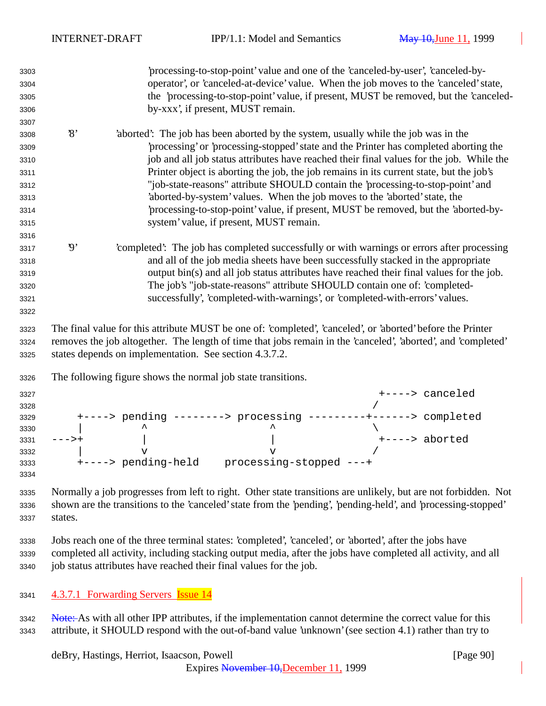| 3303 |                | processing-to-stop-point' value and one of the 'canceled-by-user', 'canceled-by-                                                                                                                        |
|------|----------------|---------------------------------------------------------------------------------------------------------------------------------------------------------------------------------------------------------|
| 3304 |                | operator', or 'canceled-at-device' value. When the job moves to the 'canceled' state,                                                                                                                   |
| 3305 |                | the 'processing-to-stop-point' value, if present, MUST be removed, but the 'canceled-                                                                                                                   |
| 3306 |                | by-xxx', if present, MUST remain.                                                                                                                                                                       |
| 3307 |                |                                                                                                                                                                                                         |
| 3308 | $\mathcal{S}$  | aborted: The job has been aborted by the system, usually while the job was in the                                                                                                                       |
| 3309 |                | processing' or 'processing-stopped' state and the Printer has completed aborting the                                                                                                                    |
| 3310 |                | job and all job status attributes have reached their final values for the job. While the                                                                                                                |
| 3311 |                | Printer object is aborting the job, the job remains in its current state, but the job's                                                                                                                 |
| 3312 |                | "job-state-reasons" attribute SHOULD contain the 'processing-to-stop-point' and                                                                                                                         |
| 3313 |                | 'aborted-by-system' values. When the job moves to the 'aborted' state, the                                                                                                                              |
| 3314 |                | 'processing-to-stop-point' value, if present, MUST be removed, but the 'aborted-by-                                                                                                                     |
| 3315 |                | system' value, if present, MUST remain.                                                                                                                                                                 |
| 3316 |                |                                                                                                                                                                                                         |
| 3317 | $\mathfrak{g}$ | completed. The job has completed successfully or with warnings or errors after processing                                                                                                               |
| 3318 |                | and all of the job media sheets have been successfully stacked in the appropriate                                                                                                                       |
| 3319 |                | output bin(s) and all job status attributes have reached their final values for the job.                                                                                                                |
| 3320 |                | The job's "job-state-reasons" attribute SHOULD contain one of: 'completed-                                                                                                                              |
| 3321 |                | successfully', 'completed-with-warnings', or 'completed-with-errors' values.                                                                                                                            |
| 3322 |                |                                                                                                                                                                                                         |
| 3323 |                | The final value for this attribute MUST be one of: 'completed', 'canceled', or 'aborted' before the Printer                                                                                             |
| 3324 |                | removes the job altogether. The length of time that jobs remain in the 'canceled', 'aborted', and 'completed'                                                                                           |
| 3325 |                | states depends on implementation. See section 4.3.7.2.                                                                                                                                                  |
| 3326 |                | The following figure shows the normal job state transitions.                                                                                                                                            |
| 3327 |                | +----> canceled                                                                                                                                                                                         |
| 3328 |                |                                                                                                                                                                                                         |
| 3329 |                | +----> pending --------> processing ---------+------> completed                                                                                                                                         |
| 3330 |                |                                                                                                                                                                                                         |
| 3331 | ーーー>+          | \<br>+----> aborted                                                                                                                                                                                     |
| 3332 |                | $\overline{\mathbf{v}}$<br>$\overline{V}$                                                                                                                                                               |
| 3333 |                | +----> pending-held processing-stopped ---+                                                                                                                                                             |
| 3334 |                |                                                                                                                                                                                                         |
|      |                | $\mathbf{M} = \mathbf{H} + \mathbf{H}$ and the contract of the contract of $\mathbf{M} = \mathbf{H} + \mathbf{H}$ and $\mathbf{H} = \mathbf{H} + \mathbf{H}$ and $\mathbf{H} = \mathbf{H} + \mathbf{H}$ |

 Normally a job progresses from left to right. Other state transitions are unlikely, but are not forbidden. Not shown are the transitions to the 'canceled' state from the 'pending', 'pending-held', and 'processing-stopped' states.

 Jobs reach one of the three terminal states: 'completed', 'canceled', or 'aborted', after the jobs have completed all activity, including stacking output media, after the jobs have completed all activity, and all job status attributes have reached their final values for the job.

4.3.7.1 Forwarding Servers Issue 14

3342 Note: As with all other IPP attributes, if the implementation cannot determine the correct value for this attribute, it SHOULD respond with the out-of-band value 'unknown' (see section 4.1) rather than try to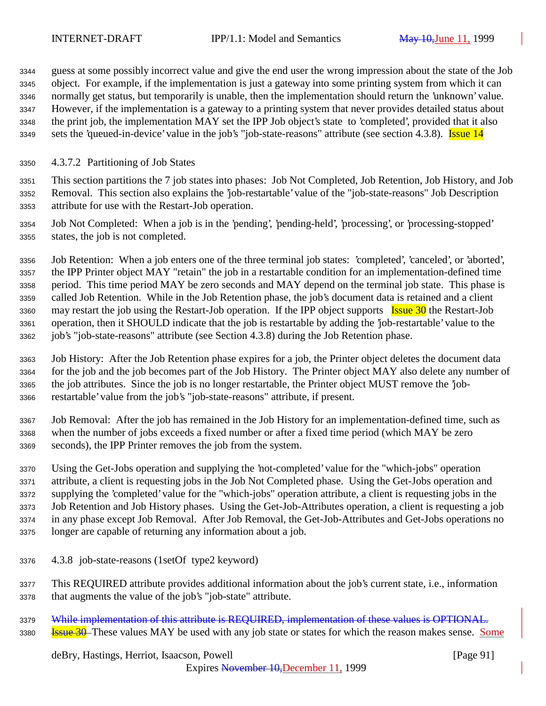guess at some possibly incorrect value and give the end user the wrong impression about the state of the Job object. For example, if the implementation is just a gateway into some printing system from which it can normally get status, but temporarily is unable, then the implementation should return the 'unknown' value. However, if the implementation is a gateway to a printing system that never provides detailed status about the print job, the implementation MAY set the IPP Job object's state to 'completed', provided that it also 3349 sets the 'queued-in-device' value in the job's "job-state-reasons" attribute (see section 4.3.8). Issue 14

4.3.7.2 Partitioning of Job States

 This section partitions the 7 job states into phases: Job Not Completed, Job Retention, Job History, and Job Removal. This section also explains the 'job-restartable' value of the "job-state-reasons" Job Description attribute for use with the Restart-Job operation.

 Job Not Completed: When a job is in the 'pending', 'pending-held', 'processing', or 'processing-stopped' states, the job is not completed.

 Job Retention: When a job enters one of the three terminal job states: 'completed', 'canceled', or 'aborted', the IPP Printer object MAY "retain" the job in a restartable condition for an implementation-defined time period. This time period MAY be zero seconds and MAY depend on the terminal job state. This phase is called Job Retention. While in the Job Retention phase, the job's document data is retained and a client 3360 may restart the job using the Restart-Job operation. If the IPP object supports Issue 30 the Restart-Job operation, then it SHOULD indicate that the job is restartable by adding the 'job-restartable' value to the job's "job-state-reasons" attribute (see Section 4.3.8) during the Job Retention phase.

- Job History: After the Job Retention phase expires for a job, the Printer object deletes the document data for the job and the job becomes part of the Job History. The Printer object MAY also delete any number of the job attributes. Since the job is no longer restartable, the Printer object MUST remove the 'job-restartable' value from the job's "job-state-reasons" attribute, if present.
- Job Removal: After the job has remained in the Job History for an implementation-defined time, such as when the number of jobs exceeds a fixed number or after a fixed time period (which MAY be zero seconds), the IPP Printer removes the job from the system.

 Using the Get-Jobs operation and supplying the 'not-completed' value for the "which-jobs" operation attribute, a client is requesting jobs in the Job Not Completed phase. Using the Get-Jobs operation and supplying the 'completed' value for the "which-jobs" operation attribute, a client is requesting jobs in the Job Retention and Job History phases. Using the Get-Job-Attributes operation, a client is requesting a job in any phase except Job Removal. After Job Removal, the Get-Job-Attributes and Get-Jobs operations no longer are capable of returning any information about a job.

- 4.3.8 job-state-reasons (1setOf type2 keyword)
- This REQUIRED attribute provides additional information about the job's current state, i.e., information that augments the value of the job's "job-state" attribute.

3379 While implementation of this attribute is REQUIRED, implementation of these values is OPTIONAL. **Issue 30** These values MAY be used with any job state or states for which the reason makes sense. Some

## deBry, Hastings, Herriot, Isaacson, Powell [Page 91]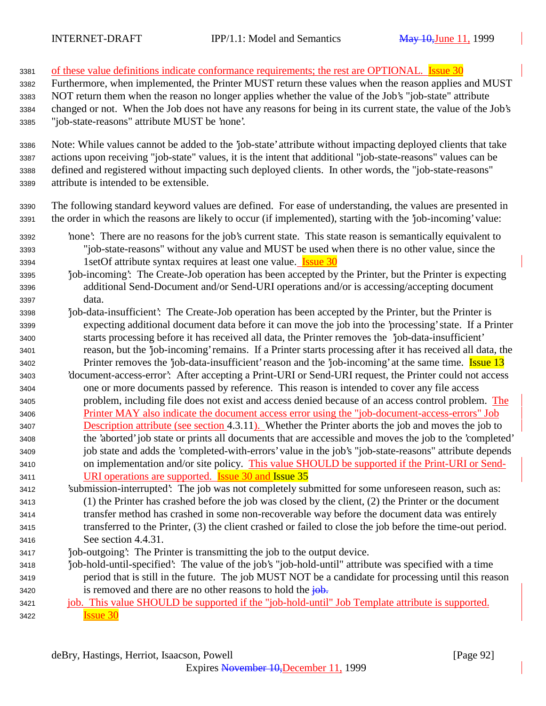3381 of these value definitions indicate conformance requirements; the rest are OPTIONAL. Issue 30 Furthermore, when implemented, the Printer MUST return these values when the reason applies and MUST NOT return them when the reason no longer applies whether the value of the Job's "job-state" attribute changed or not. When the Job does not have any reasons for being in its current state, the value of the Job's "job-state-reasons" attribute MUST be 'none'. Note: While values cannot be added to the 'job-state' attribute without impacting deployed clients that take actions upon receiving "job-state" values, it is the intent that additional "job-state-reasons" values can be defined and registered without impacting such deployed clients. In other words, the "job-state-reasons" attribute is intended to be extensible. The following standard keyword values are defined. For ease of understanding, the values are presented in the order in which the reasons are likely to occur (if implemented), starting with the 'job-incoming' value: 'none': There are no reasons for the job's current state. This state reason is semantically equivalent to "job-state-reasons" without any value and MUST be used when there is no other value, since the 3394 1setOf attribute syntax requires at least one value. **Issue 30**  'job-incoming': The Create-Job operation has been accepted by the Printer, but the Printer is expecting additional Send-Document and/or Send-URI operations and/or is accessing/accepting document data. 'job-data-insufficient': The Create-Job operation has been accepted by the Printer, but the Printer is expecting additional document data before it can move the job into the 'processing' state. If a Printer starts processing before it has received all data, the Printer removes the 'job-data-insufficient' reason, but the 'job-incoming' remains. If a Printer starts processing after it has received all data, the 3402 Printer removes the 'job-data-insufficient' reason and the 'job-incoming' at the same time. Issue 13 'document-access-error': After accepting a Print-URI or Send-URI request, the Printer could not access one or more documents passed by reference. This reason is intended to cover any file access problem, including file does not exist and access denied because of an access control problem. The Printer MAY also indicate the document access error using the "job-document-access-errors" Job 3407 Description attribute (see section 4.3.11). Whether the Printer aborts the job and moves the job to the 'aborted' job state or prints all documents that are accessible and moves the job to the 'completed' job state and adds the 'completed-with-errors' value in the job's "job-state-reasons" attribute depends on implementation and/or site policy. This value SHOULD be supported if the Print-URI or Send- URI operations are supported. Issue 30 and Issue 35 'submission-interrupted': The job was not completely submitted for some unforeseen reason, such as: (1) the Printer has crashed before the job was closed by the client, (2) the Printer or the document transfer method has crashed in some non-recoverable way before the document data was entirely transferred to the Printer, (3) the client crashed or failed to close the job before the time-out period. See section 4.4.31. 'job-outgoing': The Printer is transmitting the job to the output device. 'job-hold-until-specified': The value of the job's "job-hold-until" attribute was specified with a time period that is still in the future. The job MUST NOT be a candidate for processing until this reason 3420 is removed and there are no other reasons to hold the  $\frac{1}{10}$ . job. This value SHOULD be supported if the "job-hold-until" Job Template attribute is supported. **Issue 30**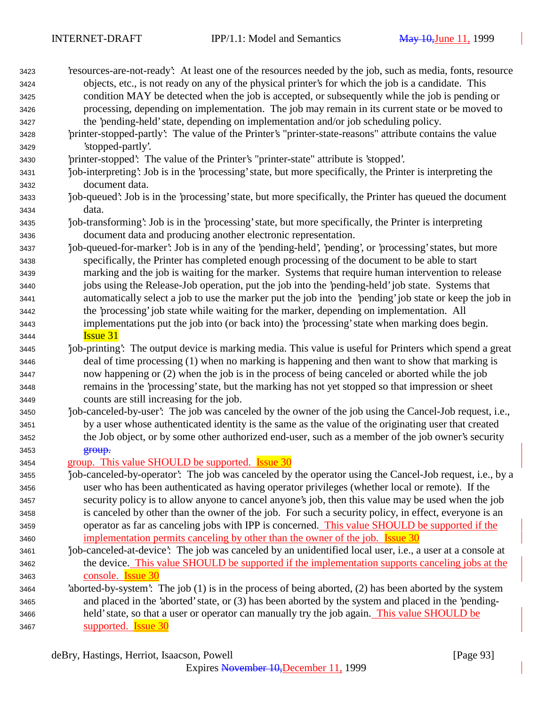| 3423 | 'resources-are-not-ready': At least one of the resources needed by the job, such as media, fonts, resource |
|------|------------------------------------------------------------------------------------------------------------|
| 3424 | objects, etc., is not ready on any of the physical printer's for which the job is a candidate. This        |
| 3425 | condition MAY be detected when the job is accepted, or subsequently while the job is pending or            |
| 3426 | processing, depending on implementation. The job may remain in its current state or be moved to            |
| 3427 | the 'pending-held' state, depending on implementation and/or job scheduling policy.                        |
| 3428 | 'printer-stopped-partly': The value of the Printer's "printer-state-reasons" attribute contains the value  |
| 3429 | 'stopped-partly'.                                                                                          |
| 3430 | 'printer-stopped': The value of the Printer's "printer-state" attribute is 'stopped'.                      |
| 3431 | job-interpreting: Job is in the 'processing' state, but more specifically, the Printer is interpreting the |
| 3432 | document data.                                                                                             |
| 3433 | job-queued: Job is in the 'processing' state, but more specifically, the Printer has queued the document   |
| 3434 | data.                                                                                                      |
| 3435 | job-transforming: Job is in the 'processing' state, but more specifically, the Printer is interpreting     |
| 3436 | document data and producing another electronic representation.                                             |
| 3437 | job-queued-for-marker': Job is in any of the 'pending-held', 'pending', or 'processing' states, but more   |
| 3438 | specifically, the Printer has completed enough processing of the document to be able to start              |
| 3439 | marking and the job is waiting for the marker. Systems that require human intervention to release          |
| 3440 | jobs using the Release-Job operation, put the job into the 'pending-held' job state. Systems that          |
| 3441 | automatically select a job to use the marker put the job into the 'pending' job state or keep the job in   |
| 3442 | the 'processing' job state while waiting for the marker, depending on implementation. All                  |
| 3443 | implementations put the job into (or back into) the 'processing' state when marking does begin.            |
| 3444 | <b>Issue 31</b>                                                                                            |
| 3445 | job-printing': The output device is marking media. This value is useful for Printers which spend a great   |
| 3446 | deal of time processing (1) when no marking is happening and then want to show that marking is             |
| 3447 | now happening or (2) when the job is in the process of being canceled or aborted while the job             |
| 3448 | remains in the 'processing' state, but the marking has not yet stopped so that impression or sheet         |
| 3449 | counts are still increasing for the job.                                                                   |
| 3450 | 'job-canceled-by-user': The job was canceled by the owner of the job using the Cancel-Job request, i.e.,   |
| 3451 | by a user whose authenticated identity is the same as the value of the originating user that created       |
| 3452 | the Job object, or by some other authorized end-user, such as a member of the job owner's security         |
| 3453 | group.                                                                                                     |
| 3454 | group. This value SHOULD be supported. <b>Issue 30</b>                                                     |
| 3455 | job-canceled-by-operator': The job was canceled by the operator using the Cancel-Job request, i.e., by a   |
| 3456 | user who has been authenticated as having operator privileges (whether local or remote). If the            |
| 3457 | security policy is to allow anyone to cancel anyone's job, then this value may be used when the job        |
| 3458 | is canceled by other than the owner of the job. For such a security policy, in effect, everyone is an      |
| 3459 | operator as far as canceling jobs with IPP is concerned. This value SHOULD be supported if the             |
| 3460 | implementation permits canceling by other than the owner of the job. <b>Issue 30</b>                       |
| 3461 | job-canceled-at-device': The job was canceled by an unidentified local user, i.e., a user at a console at  |
| 3462 | the device. This value SHOULD be supported if the implementation supports canceling jobs at the            |
| 3463 | console. <b>Issue 30</b>                                                                                   |
| 3464 | 'aborted-by-system': The job (1) is in the process of being aborted, (2) has been aborted by the system    |
| 3465 | and placed in the 'aborted' state, or (3) has been aborted by the system and placed in the 'pending-       |
| 3466 | held' state, so that a user or operator can manually try the job again. This value SHOULD be               |
| 3467 | supported. <b>Issue 30</b>                                                                                 |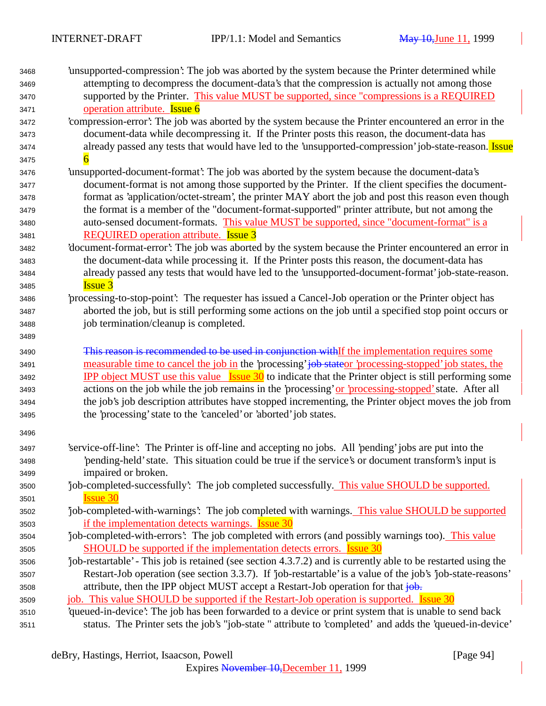| 3468<br>3469 | 'unsupported-compression': The job was aborted by the system because the Printer determined while<br>attempting to decompress the document-data's that the compression is actually not among those |
|--------------|----------------------------------------------------------------------------------------------------------------------------------------------------------------------------------------------------|
| 3470         | supported by the Printer. This value MUST be supported, since "compressions is a REQUIRED                                                                                                          |
| 3471         | operation attribute. Issue 6                                                                                                                                                                       |
| 3472         | 'compression-error': The job was aborted by the system because the Printer encountered an error in the                                                                                             |
| 3473         | document-data while decompressing it. If the Printer posts this reason, the document-data has                                                                                                      |
| 3474         | already passed any tests that would have led to the 'unsupported-compression' job-state-reason. Issue                                                                                              |
| 3475         |                                                                                                                                                                                                    |
| 3476         | 'unsupported-document-format': The job was aborted by the system because the document-data's                                                                                                       |
| 3477         | document-format is not among those supported by the Printer. If the client specifies the document-                                                                                                 |
| 3478         | format as 'application/octet-stream', the printer MAY abort the job and post this reason even though                                                                                               |
| 3479         | the format is a member of the "document-format-supported" printer attribute, but not among the                                                                                                     |
| 3480         | auto-sensed document-formats. This value MUST be supported, since "document-format" is a                                                                                                           |
| 3481         | <b>REQUIRED</b> operation attribute. <b>Issue 3</b>                                                                                                                                                |
| 3482         | 'document-format-error': The job was aborted by the system because the Printer encountered an error in                                                                                             |
| 3483         | the document-data while processing it. If the Printer posts this reason, the document-data has                                                                                                     |
| 3484         | already passed any tests that would have led to the 'unsupported-document-format' job-state-reason.                                                                                                |
| 3485         | <b>Issue 3</b>                                                                                                                                                                                     |
| 3486         | processing-to-stop-point. The requester has issued a Cancel-Job operation or the Printer object has                                                                                                |
|              | aborted the job, but is still performing some actions on the job until a specified stop point occurs or                                                                                            |
| 3487<br>3488 | job termination/cleanup is completed.                                                                                                                                                              |
|              |                                                                                                                                                                                                    |
| 3489         |                                                                                                                                                                                                    |
| 3490         | This reason is recommended to be used in conjunction withIf the implementation requires some                                                                                                       |
| 3491         | measurable time to cancel the job in the 'processing' job stateor 'processing-stopped' job states, the                                                                                             |
| 3492         | <b>IPP</b> object MUST use this value <b>Issue 30</b> to indicate that the Printer object is still performing some                                                                                 |
| 3493         | actions on the job while the job remains in the 'processing' or 'processing-stopped' state. After all                                                                                              |
| 3494         | the job's job description attributes have stopped incrementing, the Printer object moves the job from                                                                                              |
| 3495         | the 'processing' state to the 'canceled' or 'aborted' job states.                                                                                                                                  |
| 3496         |                                                                                                                                                                                                    |
| 3497         | 'service-off-line': The Printer is off-line and accepting no jobs. All 'pending' jobs are put into the                                                                                             |
| 3498         | pending-held' state. This situation could be true if the service's or document transform's input is                                                                                                |
| 3499         | impaired or broken.                                                                                                                                                                                |
| 3500         | job-completed-successfully: The job completed successfully. This value SHOULD be supported.                                                                                                        |
| 3501         | <b>Issue 30</b>                                                                                                                                                                                    |
| 3502         | job-completed-with-warnings: The job completed with warnings. This value SHOULD be supported                                                                                                       |
| 3503         | if the implementation detects warnings. <b>Issue 30</b>                                                                                                                                            |
| 3504         | job-completed-with-errors': The job completed with errors (and possibly warnings too). This value                                                                                                  |
| 3505         | SHOULD be supported if the implementation detects errors. <b>Issue 30</b>                                                                                                                          |
| 3506         | job-restartable' - This job is retained (see section 4.3.7.2) and is currently able to be restarted using the                                                                                      |
| 3507         | Restart-Job operation (see section 3.3.7). If 'job-restartable' is a value of the job's 'job-state-reasons'                                                                                        |
| 3508         | attribute, then the IPP object MUST accept a Restart-Job operation for that job.                                                                                                                   |
| 3509         | job. This value SHOULD be supported if the Restart-Job operation is supported. Issue 30                                                                                                            |
| 3510         | 'queued-in-device': The job has been forwarded to a device or print system that is unable to send back                                                                                             |
| 3511         | status. The Printer sets the job's "job-state " attribute to 'completed' and adds the 'queued-in-device'                                                                                           |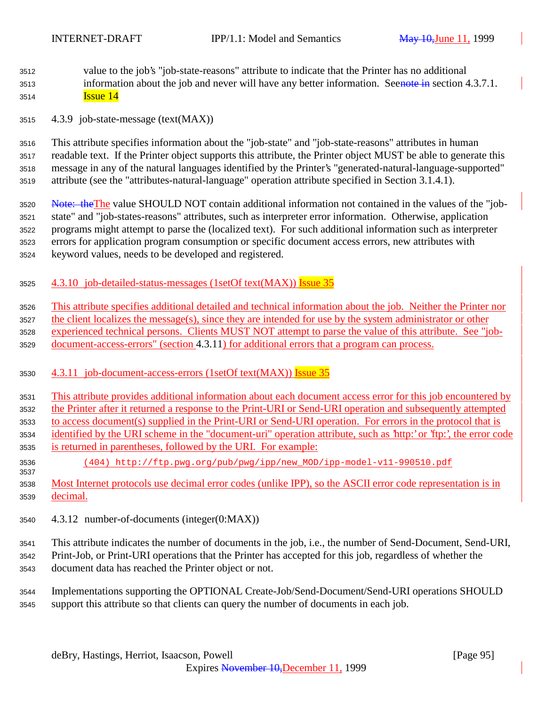- value to the job's "job-state-reasons" attribute to indicate that the Printer has no additional 3513 information about the job and never will have any better information. Seenote in section 4.3.7.1. **Issue 14**
- 4.3.9 job-state-message (text(MAX))

 This attribute specifies information about the "job-state" and "job-state-reasons" attributes in human readable text. If the Printer object supports this attribute, the Printer object MUST be able to generate this message in any of the natural languages identified by the Printer's "generated-natural-language-supported" attribute (see the "attributes-natural-language" operation attribute specified in Section 3.1.4.1).

- 3520 Note: the The value SHOULD NOT contain additional information not contained in the values of the "job- state" and "job-states-reasons" attributes, such as interpreter error information. Otherwise, application programs might attempt to parse the (localized text). For such additional information such as interpreter errors for application program consumption or specific document access errors, new attributes with keyword values, needs to be developed and registered.
- 3525 4.3.10 job-detailed-status-messages (1setOf text(MAX)) Issue 35

 This attribute specifies additional detailed and technical information about the job. Neither the Printer nor the client localizes the message(s), since they are intended for use by the system administrator or other experienced technical persons. Clients MUST NOT attempt to parse the value of this attribute. See "job-document-access-errors" (section 4.3.11) for additional errors that a program can process.

- 4.3.11 job-document-access-errors (1setOf text(MAX)) Issue 35
- This attribute provides additional information about each document access error for this job encountered by the Printer after it returned a response to the Print-URI or Send-URI operation and subsequently attempted to access document(s) supplied in the Print-URI or Send-URI operation. For errors in the protocol that is 3534 identified by the URI scheme in the "document-uri" operation attribute, such as 'http:' or 'ftp:', the error code is returned in parentheses, followed by the URI. For example:
- (404) http://ftp.pwg.org/pub/pwg/ipp/new\_MOD/ipp-model-v11-990510.pdf
- Most Internet protocols use decimal error codes (unlike IPP), so the ASCII error code representation is in decimal.
- 4.3.12 number-of-documents (integer(0:MAX))

 This attribute indicates the number of documents in the job, i.e., the number of Send-Document, Send-URI, Print-Job, or Print-URI operations that the Printer has accepted for this job, regardless of whether the document data has reached the Printer object or not.

 Implementations supporting the OPTIONAL Create-Job/Send-Document/Send-URI operations SHOULD support this attribute so that clients can query the number of documents in each job.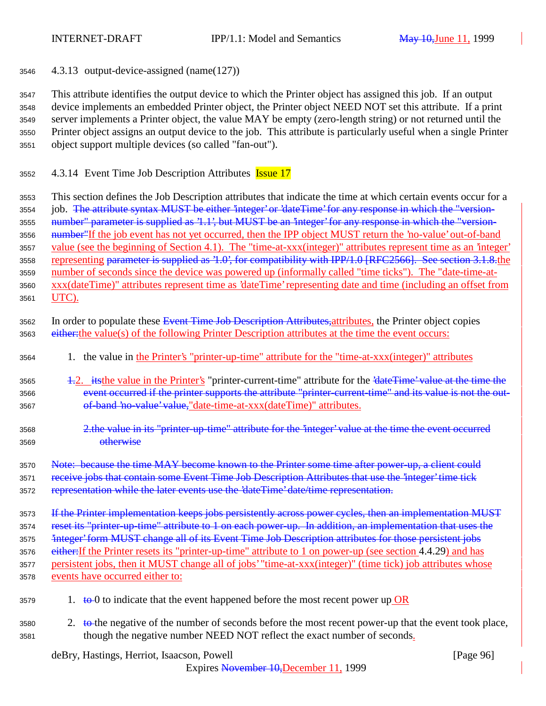<sup>3546</sup> 4.3.13 output-device-assigned (name(127))

 This attribute identifies the output device to which the Printer object has assigned this job. If an output device implements an embedded Printer object, the Printer object NEED NOT set this attribute. If a print server implements a Printer object, the value MAY be empty (zero-length string) or not returned until the Printer object assigns an output device to the job. This attribute is particularly useful when a single Printer object support multiple devices (so called "fan-out").

3552 4.3.14 Event Time Job Description Attributes **Issue 17** 

<sup>3553</sup> This section defines the Job Description attributes that indicate the time at which certain events occur for a 3554 job. The attribute syntax MUST be either 'integer' or 'dateTime' for any response in which the "version-<sup>3555</sup> number" parameter is supplied as '1.1', but MUST be an 'integer' for any response in which the "version-3556 mumber<sup>"</sup>If the job event has not yet occurred, then the IPP object MUST return the 'no-value' out-of-band <sup>3557</sup> value (see the beginning of Section 4.1). The "time-at-xxx(integer)" attributes represent time as an 'integer' 3558 representing parameter is supplied as '1.0', for compatibility with IPP/1.0 [RFC2566]. See section 3.1.8.the <sup>3559</sup> number of seconds since the device was powered up (informally called "time ticks"). The "date-time-at-<sup>3560</sup> xxx(dateTime)" attributes represent time as 'dateTime' representing date and time (including an offset from <sup>3561</sup> UTC).

- 3562 In order to populate these Event Time Job Description Attributes, attributes, the Printer object copies 3563 either: the value(s) of the following Printer Description attributes at the time the event occurs:
- <sup>3564</sup> 1. the value in the Printer's "printer-up-time" attribute for the "time-at-xxx(integer)" attributes
- 3565 1.2. itsthe value in the Printer's "printer-current-time" attribute for the '<del>dateTime' value at the time the</del> 3566 event occurred if the printer supports the attribute "printer-current-time" and its value is not the out-3567 of-band 'no-value' value, "date-time-at-xxx(dateTime)" attributes.
- <sup>3568</sup> 2.the value in its "printer-up-time" attribute for the 'integer' value at the time the event occurred <sup>3569</sup> otherwise

3570 Note: because the time MAY become known to the Printer some time after power-up, a client could 3571 receive jobs that contain some Event Time Job Description Attributes that use the 'integer' time tick

3572 representation while the later events use the 'dateTime' date/time representation.

3573 If the Printer implementation keeps jobs persistently across power cycles, then an implementation MUST 3574 reset its "printer-up-time" attribute to 1 on each power-up. In addition, an implementation that uses the 3575 <sup>2</sup>integer' form MUST change all of its Event Time Job Description attributes for those persistent jobs 3576 either: If the Printer resets its "printer-up-time" attribute to 1 on power-up (see section 4.4.29) and has <sup>3577</sup> persistent jobs, then it MUST change all of jobs' "time-at-xxx(integer)" (time tick) job attributes whose <sup>3578</sup> events have occurred either to:

- $3579$  1. to 0 to indicate that the event happened before the most recent power up OR
- 3580 2. to the negative of the number of seconds before the most recent power-up that the event took place, <sup>3581</sup> though the negative number NEED NOT reflect the exact number of seconds.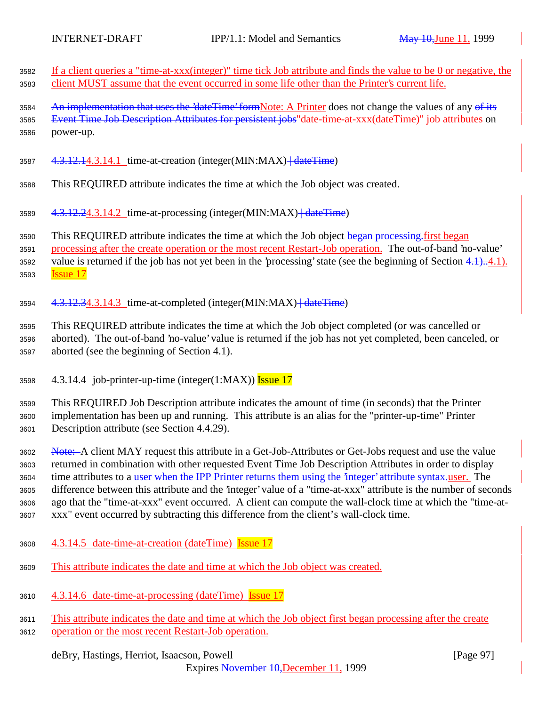| 3582<br>3583         | If a client queries a "time-at-xxx(integer)" time tick Job attribute and finds the value to be 0 or negative, the<br>client MUST assume that the event occurred in some life other than the Printer's current life.             |
|----------------------|---------------------------------------------------------------------------------------------------------------------------------------------------------------------------------------------------------------------------------|
| 3584<br>3585<br>3586 | An implementation that uses the 'dateTime' formNote: A Printer does not change the values of any of its<br>Event Time Job Description Attributes for persistent jobs"date-time-at-xxx(dateTime)" job attributes on<br>power-up. |
| 3587                 | 4.3.12.14.3.14.1 time-at-creation (integer(MIN:MAX) + date Time)                                                                                                                                                                |
| 3588                 | This REQUIRED attribute indicates the time at which the Job object was created.                                                                                                                                                 |
| 3589                 | 4.3.12.24.3.14.2 time-at-processing (integer(MIN:MAX)+dateTime)                                                                                                                                                                 |
| 3590<br>3591         | This REQUIRED attribute indicates the time at which the Job object began processing first began<br>processing after the create operation or the most recent Restart-Job operation. The out-of-band 'no-value'                   |
| 3592                 | value is returned if the job has not yet been in the 'processing' state (see the beginning of Section $4.1$ ) $4.1$ ).                                                                                                          |

<sup>3593</sup> Issue 17

3594 4.3.12.34.3.14.3 time-at-completed (integer(MIN:MAX) + dateTime)

<sup>3595</sup> This REQUIRED attribute indicates the time at which the Job object completed (or was cancelled or <sup>3596</sup> aborted). The out-of-band 'no-value' value is returned if the job has not yet completed, been canceled, or <sup>3597</sup> aborted (see the beginning of Section 4.1).

3598  $4.3.14.4$  job-printer-up-time (integer(1:MAX)) Issue 17

<sup>3599</sup> This REQUIRED Job Description attribute indicates the amount of time (in seconds) that the Printer <sup>3600</sup> implementation has been up and running. This attribute is an alias for the "printer-up-time" Printer <sup>3601</sup> Description attribute (see Section 4.4.29).

3602 Note: A client MAY request this attribute in a Get-Job-Attributes or Get-Jobs request and use the value returned in combination with other requested Event Time Job Description Attributes in order to display 3604 time attributes to a <del>user when the IPP Printer returns them using the 'integer' attribute syntax.</del>user. The difference between this attribute and the 'integer' value of a "time-at-xxx" attribute is the number of seconds ago that the "time-at-xxx" event occurred. A client can compute the wall-clock time at which the "time-at-xxx" event occurred by subtracting this difference from the client's wall-clock time.

- <sup>3608</sup> 4.3.14.5 date-time-at-creation (dateTime) Issue 17
- <sup>3609</sup> This attribute indicates the date and time at which the Job object was created.
- <sup>3610</sup> 4.3.14.6 date-time-at-processing (dateTime) Issue 17
- <sup>3611</sup> This attribute indicates the date and time at which the Job object first began processing after the create <sup>3612</sup> operation or the most recent Restart-Job operation.

deBry, Hastings, Herriot, Isaacson, Powell [Page 97]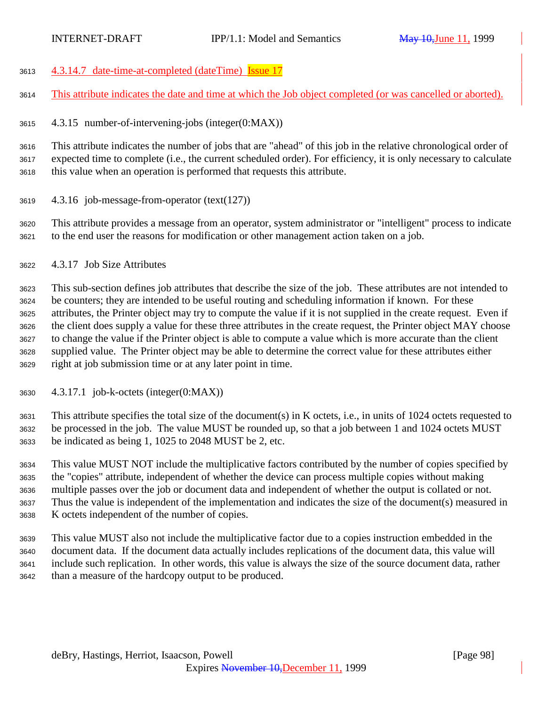4.3.14.7 date-time-at-completed (dateTime) Issue 17

This attribute indicates the date and time at which the Job object completed (or was cancelled or aborted).

4.3.15 number-of-intervening-jobs (integer(0:MAX))

 This attribute indicates the number of jobs that are "ahead" of this job in the relative chronological order of expected time to complete (i.e., the current scheduled order). For efficiency, it is only necessary to calculate this value when an operation is performed that requests this attribute.

- 4.3.16 job-message-from-operator (text(127))
- This attribute provides a message from an operator, system administrator or "intelligent" process to indicate to the end user the reasons for modification or other management action taken on a job.
- 4.3.17 Job Size Attributes

 This sub-section defines job attributes that describe the size of the job. These attributes are not intended to be counters; they are intended to be useful routing and scheduling information if known. For these attributes, the Printer object may try to compute the value if it is not supplied in the create request. Even if the client does supply a value for these three attributes in the create request, the Printer object MAY choose to change the value if the Printer object is able to compute a value which is more accurate than the client supplied value. The Printer object may be able to determine the correct value for these attributes either right at job submission time or at any later point in time.

4.3.17.1 job-k-octets (integer(0:MAX))

 This attribute specifies the total size of the document(s) in K octets, i.e., in units of 1024 octets requested to be processed in the job. The value MUST be rounded up, so that a job between 1 and 1024 octets MUST be indicated as being 1, 1025 to 2048 MUST be 2, etc.

 This value MUST NOT include the multiplicative factors contributed by the number of copies specified by the "copies" attribute, independent of whether the device can process multiple copies without making multiple passes over the job or document data and independent of whether the output is collated or not. Thus the value is independent of the implementation and indicates the size of the document(s) measured in K octets independent of the number of copies.

 This value MUST also not include the multiplicative factor due to a copies instruction embedded in the document data. If the document data actually includes replications of the document data, this value will include such replication. In other words, this value is always the size of the source document data, rather than a measure of the hardcopy output to be produced.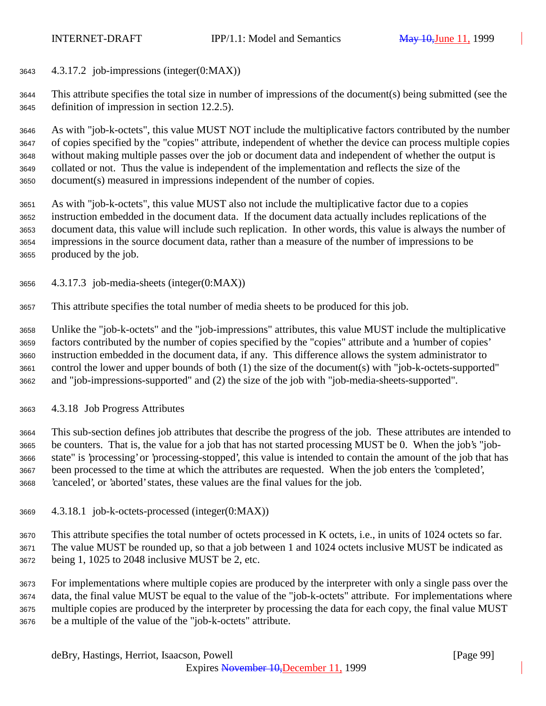4.3.17.2 job-impressions (integer(0:MAX))

 This attribute specifies the total size in number of impressions of the document(s) being submitted (see the definition of impression in section 12.2.5).

 As with "job-k-octets", this value MUST NOT include the multiplicative factors contributed by the number of copies specified by the "copies" attribute, independent of whether the device can process multiple copies without making multiple passes over the job or document data and independent of whether the output is collated or not. Thus the value is independent of the implementation and reflects the size of the document(s) measured in impressions independent of the number of copies.

 As with "job-k-octets", this value MUST also not include the multiplicative factor due to a copies instruction embedded in the document data. If the document data actually includes replications of the document data, this value will include such replication. In other words, this value is always the number of impressions in the source document data, rather than a measure of the number of impressions to be produced by the job.

4.3.17.3 job-media-sheets (integer(0:MAX))

This attribute specifies the total number of media sheets to be produced for this job.

 Unlike the "job-k-octets" and the "job-impressions" attributes, this value MUST include the multiplicative factors contributed by the number of copies specified by the "copies" attribute and a 'number of copies' instruction embedded in the document data, if any. This difference allows the system administrator to control the lower and upper bounds of both (1) the size of the document(s) with "job-k-octets-supported" and "job-impressions-supported" and (2) the size of the job with "job-media-sheets-supported".

4.3.18 Job Progress Attributes

 This sub-section defines job attributes that describe the progress of the job. These attributes are intended to be counters. That is, the value for a job that has not started processing MUST be 0. When the job's "job- state" is 'processing' or 'processing-stopped', this value is intended to contain the amount of the job that has been processed to the time at which the attributes are requested. When the job enters the 'completed', 'canceled', or 'aborted' states, these values are the final values for the job.

4.3.18.1 job-k-octets-processed (integer(0:MAX))

 This attribute specifies the total number of octets processed in K octets, i.e., in units of 1024 octets so far. The value MUST be rounded up, so that a job between 1 and 1024 octets inclusive MUST be indicated as being 1, 1025 to 2048 inclusive MUST be 2, etc.

 For implementations where multiple copies are produced by the interpreter with only a single pass over the data, the final value MUST be equal to the value of the "job-k-octets" attribute. For implementations where multiple copies are produced by the interpreter by processing the data for each copy, the final value MUST be a multiple of the value of the "job-k-octets" attribute.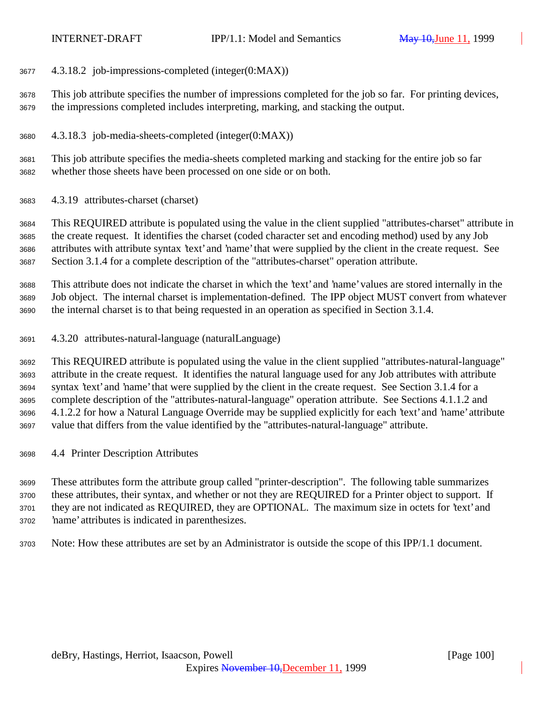- 4.3.18.2 job-impressions-completed (integer(0:MAX))
- This job attribute specifies the number of impressions completed for the job so far. For printing devices, the impressions completed includes interpreting, marking, and stacking the output.
- 4.3.18.3 job-media-sheets-completed (integer(0:MAX))

 This job attribute specifies the media-sheets completed marking and stacking for the entire job so far whether those sheets have been processed on one side or on both.

4.3.19 attributes-charset (charset)

 This REQUIRED attribute is populated using the value in the client supplied "attributes-charset" attribute in the create request. It identifies the charset (coded character set and encoding method) used by any Job attributes with attribute syntax 'text' and 'name' that were supplied by the client in the create request. See Section 3.1.4 for a complete description of the "attributes-charset" operation attribute.

 This attribute does not indicate the charset in which the 'text' and 'name' values are stored internally in the Job object. The internal charset is implementation-defined. The IPP object MUST convert from whatever the internal charset is to that being requested in an operation as specified in Section 3.1.4.

4.3.20 attributes-natural-language (naturalLanguage)

 This REQUIRED attribute is populated using the value in the client supplied "attributes-natural-language" attribute in the create request. It identifies the natural language used for any Job attributes with attribute syntax 'text' and 'name' that were supplied by the client in the create request. See Section 3.1.4 for a complete description of the "attributes-natural-language" operation attribute. See Sections 4.1.1.2 and 4.1.2.2 for how a Natural Language Override may be supplied explicitly for each 'text' and 'name' attribute value that differs from the value identified by the "attributes-natural-language" attribute.

4.4 Printer Description Attributes

 These attributes form the attribute group called "printer-description". The following table summarizes these attributes, their syntax, and whether or not they are REQUIRED for a Printer object to support. If they are not indicated as REQUIRED, they are OPTIONAL. The maximum size in octets for 'text' and 'name' attributes is indicated in parenthesizes.

Note: How these attributes are set by an Administrator is outside the scope of this IPP/1.1 document.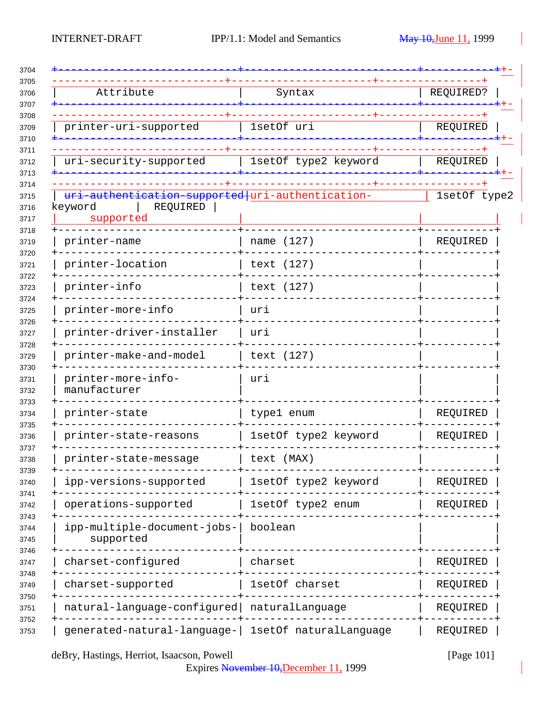| Attribute                                            | Syntax               | REQUIRED?    |
|------------------------------------------------------|----------------------|--------------|
|                                                      |                      |              |
| printer-uri-supported                                | 1setOf uri           | REQUIRED     |
|                                                      |                      |              |
| uri-security-supported                               | 1setOf type2 keyword | REQUIRED     |
| uri-authentication-supported uri-authentication-     |                      | 1setOf type2 |
| keyword<br>REQUIRED<br>supported                     |                      |              |
| printer-name                                         | name (127)           | REQUIRED     |
| printer-location                                     | text (127)           |              |
| printer-info                                         | text (127)           |              |
| printer-more-info                                    | uri                  |              |
| printer-driver-installer                             | uri                  |              |
| printer-make-and-model                               | text (127)           |              |
| printer-more-info-<br>manufacturer                   | uri                  |              |
| printer-state                                        | type1 enum           | REQUIRED     |
| printer-state-reasons                                | 1setOf type2 keyword | REQUIRED     |
| printer-state-message                                | text (MAX)           |              |
| ipp-versions-supported                               | 1setOf type2 keyword | REQUIRED     |
| operations-supported                                 | 1setOf type2 enum    | REQUIRED     |
| ipp-multiple-document-jobs-<br>supported             | boolean              |              |
| charset-configured                                   | charset              | REQUIRED     |
| charset-supported                                    | 1setOf charset       | REQUIRED     |
| natural-language-configured naturalLanguage          |                      | REQUIRED     |
| generated-natural-language-   1setOf naturalLanguage |                      | REQUIRED     |

deBry, Hastings, Herriot, Isaacson, Powell [Page 101]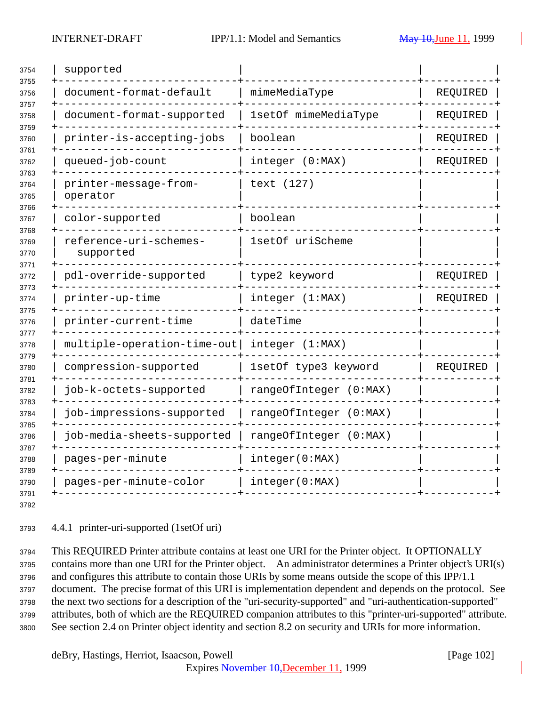| supported                           |                        |          |
|-------------------------------------|------------------------|----------|
| document-format-default             | mimeMediaType          | REQUIRED |
| document-format-supported           | 1setOf mimeMediaType   | REQUIRED |
| printer-is-accepting-jobs           | boolean                | REQUIRED |
| queued-job-count                    | integer (0:MAX)        | REQUIRED |
| printer-message-from-<br>operator   | text (127)             |          |
| color-supported                     | boolean                |          |
| reference-uri-schemes-<br>supported | 1setOf uriScheme       |          |
| pdl-override-supported              | type2 keyword          | REQUIRED |
| printer-up-time                     | integer (1:MAX)        | REQUIRED |
| printer-current-time                | dateTime               |          |
| multiple-operation-time-out         | integer (1:MAX)        |          |
| compression-supported               | 1setOf type3 keyword   | REQUIRED |
| job-k-octets-supported              | rangeOfInteger (0:MAX) |          |
| job-impressions-supported           | rangeOfInteger (0:MAX) |          |
| job-media-sheets-supported          | rangeOfInteger (0:MAX) |          |
| pages-per-minute                    | integer(0:MAX)         |          |
| pages-per-minute-color              | integer(0:MAX)         |          |
|                                     |                        |          |

4.4.1 printer-uri-supported (1setOf uri)

 This REQUIRED Printer attribute contains at least one URI for the Printer object. It OPTIONALLY contains more than one URI for the Printer object. An administrator determines a Printer object's URI(s) and configures this attribute to contain those URIs by some means outside the scope of this IPP/1.1 document. The precise format of this URI is implementation dependent and depends on the protocol. See the next two sections for a description of the "uri-security-supported" and "uri-authentication-supported" attributes, both of which are the REQUIRED companion attributes to this "printer-uri-supported" attribute. See section 2.4 on Printer object identity and section 8.2 on security and URIs for more information.

deBry, Hastings, Herriot, Isaacson, Powell [Page 102]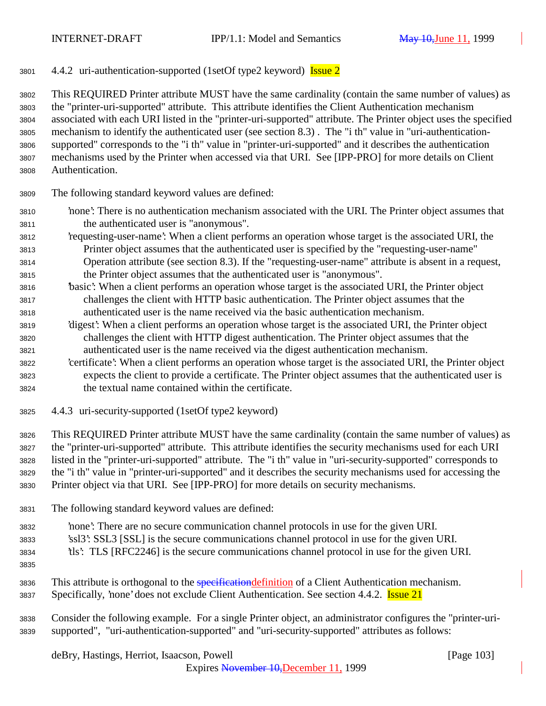4.4.2 uri-authentication-supported (1setOf type2 keyword) Issue 2

 This REQUIRED Printer attribute MUST have the same cardinality (contain the same number of values) as the "printer-uri-supported" attribute. This attribute identifies the Client Authentication mechanism associated with each URI listed in the "printer-uri-supported" attribute. The Printer object uses the specified mechanism to identify the authenticated user (see section 8.3) . The "i th" value in "uri-authentication- supported" corresponds to the "i th" value in "printer-uri-supported" and it describes the authentication mechanisms used by the Printer when accessed via that URI. See [IPP-PRO] for more details on Client Authentication.

- The following standard keyword values are defined:
- 'none': There is no authentication mechanism associated with the URI. The Printer object assumes that the authenticated user is "anonymous".
- 'requesting-user-name': When a client performs an operation whose target is the associated URI, the Printer object assumes that the authenticated user is specified by the "requesting-user-name" Operation attribute (see section 8.3). If the "requesting-user-name" attribute is absent in a request,
- the Printer object assumes that the authenticated user is "anonymous".
- 'basic': When a client performs an operation whose target is the associated URI, the Printer object challenges the client with HTTP basic authentication. The Printer object assumes that the authenticated user is the name received via the basic authentication mechanism.
- 'digest': When a client performs an operation whose target is the associated URI, the Printer object challenges the client with HTTP digest authentication. The Printer object assumes that the authenticated user is the name received via the digest authentication mechanism.
- 'certificate': When a client performs an operation whose target is the associated URI, the Printer object expects the client to provide a certificate. The Printer object assumes that the authenticated user is the textual name contained within the certificate.
- 4.4.3 uri-security-supported (1setOf type2 keyword)

 This REQUIRED Printer attribute MUST have the same cardinality (contain the same number of values) as the "printer-uri-supported" attribute. This attribute identifies the security mechanisms used for each URI listed in the "printer-uri-supported" attribute. The "i th" value in "uri-security-supported" corresponds to the "i th" value in "printer-uri-supported" and it describes the security mechanisms used for accessing the Printer object via that URI. See [IPP-PRO] for more details on security mechanisms.

- The following standard keyword values are defined:
- 'none': There are no secure communication channel protocols in use for the given URI.
- 'ssl3': SSL3 [SSL] is the secure communications channel protocol in use for the given URI.
- 'tls': TLS [RFC2246] is the secure communications channel protocol in use for the given URI.
- 
- 3836 This attribute is orthogonal to the specification definition of a Client Authentication mechanism.
- Specifically, 'none' does not exclude Client Authentication. See section 4.4.2. Issue 21

## Consider the following example. For a single Printer object, an administrator configures the "printer-uri-supported", "uri-authentication-supported" and "uri-security-supported" attributes as follows:

deBry, Hastings, Herriot, Isaacson, Powell [Page 103]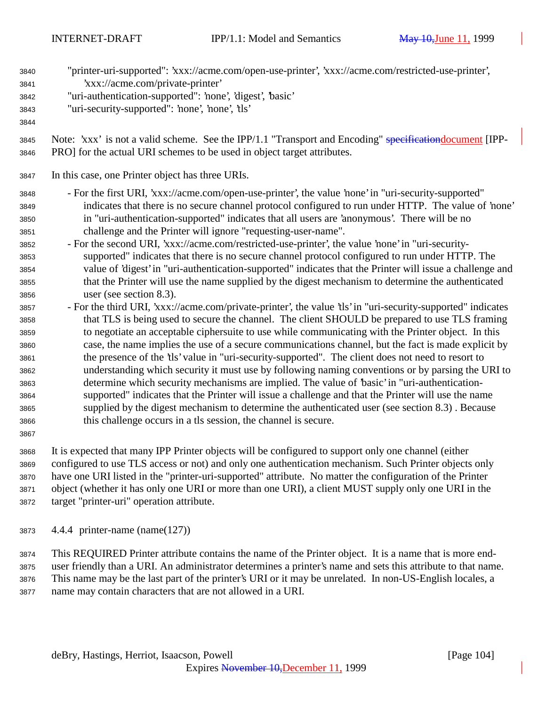| 3840<br>3841<br>3842<br>3843<br>3844                                                                                 | "printer-uri-supported": 'xxx://acme.com/open-use-printer', 'xxx://acme.com/restricted-use-printer',<br>'xxx://acme.com/private-printer'<br>"uri-authentication-supported": 'none', 'digest', 'basic'<br>"uri-security-supported": 'none', 'none', 'tls'                                                                                                                                                                                                                                                                                                                                                                                                                                                                                                                                                                                                                                                                                                                                                                                                                                                                                                                                                                                                                                                                                                                                                                                                                      |
|----------------------------------------------------------------------------------------------------------------------|-------------------------------------------------------------------------------------------------------------------------------------------------------------------------------------------------------------------------------------------------------------------------------------------------------------------------------------------------------------------------------------------------------------------------------------------------------------------------------------------------------------------------------------------------------------------------------------------------------------------------------------------------------------------------------------------------------------------------------------------------------------------------------------------------------------------------------------------------------------------------------------------------------------------------------------------------------------------------------------------------------------------------------------------------------------------------------------------------------------------------------------------------------------------------------------------------------------------------------------------------------------------------------------------------------------------------------------------------------------------------------------------------------------------------------------------------------------------------------|
| 3845<br>3846                                                                                                         | Note: 'xxx' is not a valid scheme. See the IPP/1.1 "Transport and Encoding" specificationdocument [IPP-<br>PRO] for the actual URI schemes to be used in object target attributes.                                                                                                                                                                                                                                                                                                                                                                                                                                                                                                                                                                                                                                                                                                                                                                                                                                                                                                                                                                                                                                                                                                                                                                                                                                                                                            |
| 3847                                                                                                                 | In this case, one Printer object has three URIs.                                                                                                                                                                                                                                                                                                                                                                                                                                                                                                                                                                                                                                                                                                                                                                                                                                                                                                                                                                                                                                                                                                                                                                                                                                                                                                                                                                                                                              |
| 3848<br>3849<br>3850<br>3851<br>3852<br>3853<br>3854<br>3855<br>3856<br>3857<br>3858<br>3859<br>3860<br>3861<br>3862 | - For the first URI, 'xxx://acme.com/open-use-printer', the value 'none' in "uri-security-supported"<br>indicates that there is no secure channel protocol configured to run under HTTP. The value of 'none'<br>in "uri-authentication-supported" indicates that all users are 'anonymous'. There will be no<br>challenge and the Printer will ignore "requesting-user-name".<br>- For the second URI, 'xxx://acme.com/restricted-use-printer', the value 'none' in "uri-security-<br>supported" indicates that there is no secure channel protocol configured to run under HTTP. The<br>value of 'digest' in "uri-authentication-supported" indicates that the Printer will issue a challenge and<br>that the Printer will use the name supplied by the digest mechanism to determine the authenticated<br>user (see section 8.3).<br>- For the third URI, 'xxx://acme.com/private-printer', the value 'tls' in "uri-security-supported" indicates<br>that TLS is being used to secure the channel. The client SHOULD be prepared to use TLS framing<br>to negotiate an acceptable ciphersuite to use while communicating with the Printer object. In this<br>case, the name implies the use of a secure communications channel, but the fact is made explicit by<br>the presence of the 'tls' value in "uri-security-supported". The client does not need to resort to<br>understanding which security it must use by following naming conventions or by parsing the URI to |
| 3863<br>3864<br>3865<br>3866<br>3867                                                                                 | determine which security mechanisms are implied. The value of 'basic' in "uri-authentication-<br>supported" indicates that the Printer will issue a challenge and that the Printer will use the name<br>supplied by the digest mechanism to determine the authenticated user (see section 8.3). Because<br>this challenge occurs in a tls session, the channel is secure.                                                                                                                                                                                                                                                                                                                                                                                                                                                                                                                                                                                                                                                                                                                                                                                                                                                                                                                                                                                                                                                                                                     |

 It is expected that many IPP Printer objects will be configured to support only one channel (either configured to use TLS access or not) and only one authentication mechanism. Such Printer objects only have one URI listed in the "printer-uri-supported" attribute. No matter the configuration of the Printer object (whether it has only one URI or more than one URI), a client MUST supply only one URI in the target "printer-uri" operation attribute.

4.4.4 printer-name (name(127))

 This REQUIRED Printer attribute contains the name of the Printer object. It is a name that is more end- user friendly than a URI. An administrator determines a printer's name and sets this attribute to that name. This name may be the last part of the printer's URI or it may be unrelated. In non-US-English locales, a name may contain characters that are not allowed in a URI.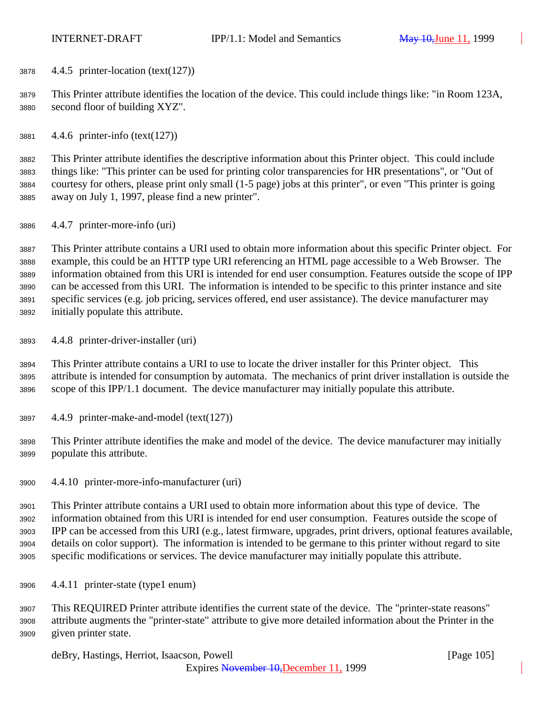4.4.5 printer-location (text(127))

 This Printer attribute identifies the location of the device. This could include things like: "in Room 123A, second floor of building XYZ".

4.4.6 printer-info (text(127))

 This Printer attribute identifies the descriptive information about this Printer object. This could include things like: "This printer can be used for printing color transparencies for HR presentations", or "Out of courtesy for others, please print only small (1-5 page) jobs at this printer", or even "This printer is going away on July 1, 1997, please find a new printer".

4.4.7 printer-more-info (uri)

 This Printer attribute contains a URI used to obtain more information about this specific Printer object. For example, this could be an HTTP type URI referencing an HTML page accessible to a Web Browser. The information obtained from this URI is intended for end user consumption. Features outside the scope of IPP can be accessed from this URI. The information is intended to be specific to this printer instance and site specific services (e.g. job pricing, services offered, end user assistance). The device manufacturer may initially populate this attribute.

4.4.8 printer-driver-installer (uri)

 This Printer attribute contains a URI to use to locate the driver installer for this Printer object. This attribute is intended for consumption by automata. The mechanics of print driver installation is outside the scope of this IPP/1.1 document. The device manufacturer may initially populate this attribute.

- 4.4.9 printer-make-and-model (text(127))
- This Printer attribute identifies the make and model of the device. The device manufacturer may initially populate this attribute.
- 4.4.10 printer-more-info-manufacturer (uri)

 This Printer attribute contains a URI used to obtain more information about this type of device. The information obtained from this URI is intended for end user consumption. Features outside the scope of IPP can be accessed from this URI (e.g., latest firmware, upgrades, print drivers, optional features available, details on color support). The information is intended to be germane to this printer without regard to site specific modifications or services. The device manufacturer may initially populate this attribute.

4.4.11 printer-state (type1 enum)

 This REQUIRED Printer attribute identifies the current state of the device. The "printer-state reasons" attribute augments the "printer-state" attribute to give more detailed information about the Printer in the given printer state.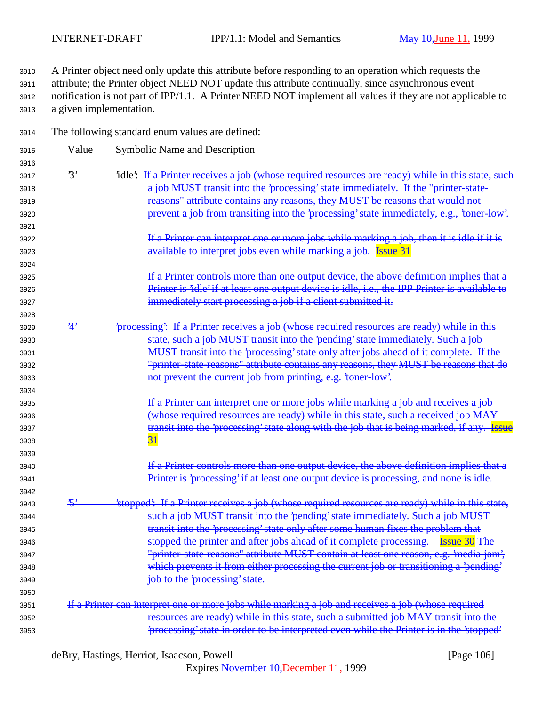A Printer object need only update this attribute before responding to an operation which requests the attribute; the Printer object NEED NOT update this attribute continually, since asynchronous event notification is not part of IPP/1.1. A Printer NEED NOT implement all values if they are not applicable to a given implementation.

- The following standard enum values are defined:
- Value Symbolic Name and Description 3917 '3' 'idle': If a Printer receives a job (whose required resources are ready) while in this state, such **a job MUST transit into the 'processing' state immediately. If the "printer-state**  reasons" attribute contains any reasons, they MUST be reasons that would not **brevent a job from transiting into the 'processing' state immediately, e.g., 'toner-low'. If a Printer can interpret one or more jobs while marking a job, then it is idle if it is bushed available to interpret jobs even while marking a job. Issue 31 If a Printer controls more than one output device, the above definition implies that a Printer is 'idle' if at least one output device is idle, i.e., the IPP Printer is available to immediately start processing a job if a client submitted it.**  3929 <sup>'4'</sup> *processing*': If a Printer receives a job (whose required resources are ready) while in this state, such a job MUST transit into the 'pending' state immediately. Such a job MUST transit into the 'processing' state only after jobs ahead of it complete. If the "printer-state-reasons" attribute contains any reasons, they MUST be reasons that do not prevent the current job from printing, e.g. 'toner-low'. If a Printer can interpret one or more jobs while marking a job and receives a job **The Construct Construct in the state of the State** of the *such a received job MAY* **transit into the 'processing' state along with the job that is being marked, if any.** Issue 31 **If a Printer controls more than one output device, the above definition implies that a** 3941 Printer is 'processing' if at least one output device is processing, and none is idle. 3943 '<sup>5</sup>' stopped': If a Printer receives a job (whose required resources are ready) while in this state, **Such a job MUST transit into the 'pending' state immediately. Such a job MUST**  transit into the 'processing' state only after some human fixes the problem that 3946 stopped the printer and after jobs ahead of it complete processing. Issue 30 The "printer-state-reasons" attribute MUST contain at least one reason, e.g. 'media-jam', which prevents it from either processing the current job or transitioning a 'pending' job to the 'processing' state. If a Printer can interpret one or more jobs while marking a job and receives a job (whose required resources are ready) while in this state, such a submitted job MAY transit into the 'processing' state in order to be interpreted even while the Printer is in the 'stopped'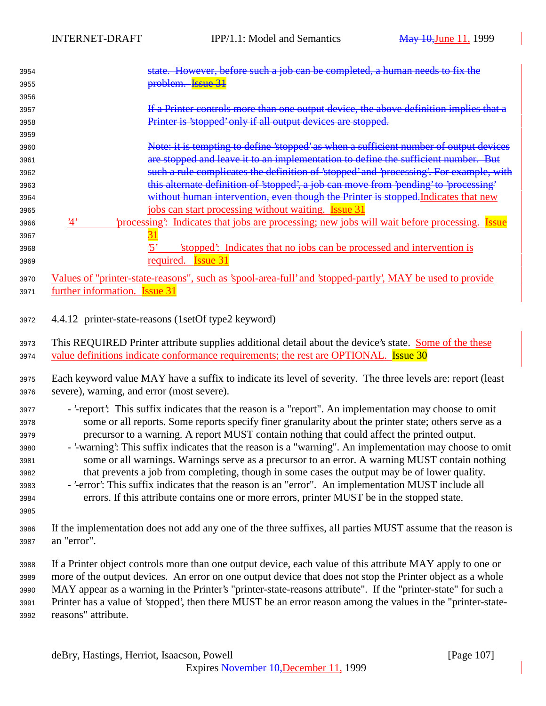| 3954 |     | However, before such a job can be completed, a human needs to fix the                   |
|------|-----|-----------------------------------------------------------------------------------------|
| 3955 |     | <del>problem. Issue 31</del>                                                            |
| 3956 |     |                                                                                         |
| 3957 |     | If a Printer controls more than one output device, the above definition implies that a  |
| 3958 |     | Printer is 'stopped' only if all output devices are stopped.                            |
| 3959 |     |                                                                                         |
| 3960 |     | Note: it is tempting to define 'stopped' as when a sufficient number of output devices  |
| 3961 |     | are stopped and leave it to an implementation to define the sufficient number. But      |
| 3962 |     | such a rule complicates the definition of 'stopped' and 'processing'. For example, with |
| 3963 |     | this alternate definition of 'stopped', a job can move from 'pending' to 'processing'   |
| 3964 |     | without human intervention, even though the Printer is stopped. Indicates that new      |
| 3965 |     | jobs can start processing without waiting. <b>Issue</b> 31                              |
| 3966 | '1' | processing: Indicates that jobs are processing; new jobs will wait before processing.   |
| 3967 |     |                                                                                         |
| 3968 |     | stopped: Indicates that no jobs can be processed and intervention is                    |
| 3969 |     | required.<br>lssue 3.                                                                   |
|      |     |                                                                                         |

 Values of "printer-state-reasons", such as 'spool-area-full' and 'stopped-partly', MAY be used to provide further information. Issue 31

4.4.12 printer-state-reasons (1setOf type2 keyword)

3973 This REQUIRED Printer attribute supplies additional detail about the device's state. Some of the these 3974 value definitions indicate conformance requirements; the rest are OPTIONAL. Issue 30

 Each keyword value MAY have a suffix to indicate its level of severity. The three levels are: report (least severe), warning, and error (most severe).

- '-report': This suffix indicates that the reason is a "report". An implementation may choose to omit some or all reports. Some reports specify finer granularity about the printer state; others serve as a precursor to a warning. A report MUST contain nothing that could affect the printed output.
- '-warning': This suffix indicates that the reason is a "warning". An implementation may choose to omit some or all warnings. Warnings serve as a precursor to an error. A warning MUST contain nothing that prevents a job from completing, though in some cases the output may be of lower quality.
- '-error': This suffix indicates that the reason is an "error". An implementation MUST include all errors. If this attribute contains one or more errors, printer MUST be in the stopped state.
- If the implementation does not add any one of the three suffixes, all parties MUST assume that the reason is an "error".

 If a Printer object controls more than one output device, each value of this attribute MAY apply to one or more of the output devices. An error on one output device that does not stop the Printer object as a whole MAY appear as a warning in the Printer's "printer-state-reasons attribute". If the "printer-state" for such a Printer has a value of 'stopped', then there MUST be an error reason among the values in the "printer-state-reasons" attribute.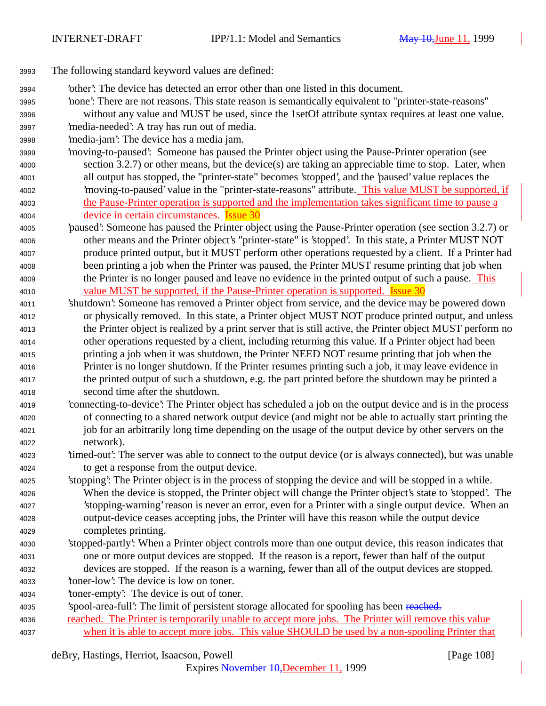- The following standard keyword values are defined:
- 'other': The device has detected an error other than one listed in this document.
- 'none': There are not reasons. This state reason is semantically equivalent to "printer-state-reasons" without any value and MUST be used, since the 1setOf attribute syntax requires at least one value.
- 'media-needed': A tray has run out of media.
- 'media-jam': The device has a media jam.
- 'moving-to-paused': Someone has paused the Printer object using the Pause-Printer operation (see section 3.2.7) or other means, but the device(s) are taking an appreciable time to stop. Later, when all output has stopped, the "printer-state" becomes 'stopped', and the 'paused' value replaces the 'moving-to-paused' value in the "printer-state-reasons" attribute. This value MUST be supported, if the Pause-Printer operation is supported and the implementation takes significant time to pause a device in certain circumstances. Issue 30
- 'paused': Someone has paused the Printer object using the Pause-Printer operation (see section 3.2.7) or other means and the Printer object's "printer-state" is 'stopped'. In this state, a Printer MUST NOT produce printed output, but it MUST perform other operations requested by a client. If a Printer had been printing a job when the Printer was paused, the Printer MUST resume printing that job when 4009 the Printer is no longer paused and leave no evidence in the printed output of such a pause. This 4010 value MUST be supported, if the Pause-Printer operation is supported. Issue 30
- 'shutdown': Someone has removed a Printer object from service, and the device may be powered down or physically removed. In this state, a Printer object MUST NOT produce printed output, and unless the Printer object is realized by a print server that is still active, the Printer object MUST perform no other operations requested by a client, including returning this value. If a Printer object had been printing a job when it was shutdown, the Printer NEED NOT resume printing that job when the Printer is no longer shutdown. If the Printer resumes printing such a job, it may leave evidence in the printed output of such a shutdown, e.g. the part printed before the shutdown may be printed a second time after the shutdown.
- 'connecting-to-device': The Printer object has scheduled a job on the output device and is in the process of connecting to a shared network output device (and might not be able to actually start printing the job for an arbitrarily long time depending on the usage of the output device by other servers on the network).
- 'timed-out': The server was able to connect to the output device (or is always connected), but was unable to get a response from the output device.
- 'stopping': The Printer object is in the process of stopping the device and will be stopped in a while. When the device is stopped, the Printer object will change the Printer object's state to 'stopped'. The 'stopping-warning' reason is never an error, even for a Printer with a single output device. When an output-device ceases accepting jobs, the Printer will have this reason while the output device completes printing.
- 'stopped-partly': When a Printer object controls more than one output device, this reason indicates that one or more output devices are stopped. If the reason is a report, fewer than half of the output devices are stopped. If the reason is a warning, fewer than all of the output devices are stopped.
- 'toner-low': The device is low on toner.
- 'toner-empty': The device is out of toner.
- 4035 'spool-area-full': The limit of persistent storage allocated for spooling has been reached.
- reached. The Printer is temporarily unable to accept more jobs. The Printer will remove this value when it is able to accept more jobs. This value SHOULD be used by a non-spooling Printer that

deBry, Hastings, Herriot, Isaacson, Powell [Page 108]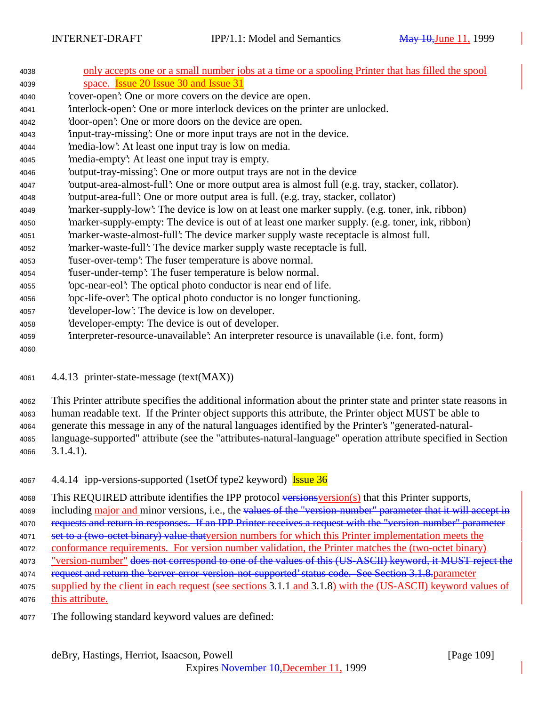| 4038 | only accepts one or a small number jobs at a time or a spooling Printer that has filled the spool |
|------|---------------------------------------------------------------------------------------------------|
| 4039 | space. <b>Issue 20 Issue 30 and Issue 31</b>                                                      |
| 4040 | cover-open: One or more covers on the device are open.                                            |
| 4041 | interlock-open': One or more interlock devices on the printer are unlocked.                       |
| 4042 | 'door-open': One or more doors on the device are open.                                            |
| 4043 | input-tray-missing: One or more input trays are not in the device.                                |
| 4044 | 'media-low': At least one input tray is low on media.                                             |
| 4045 | 'media-empty': At least one input tray is empty.                                                  |
| 4046 | 'output-tray-missing': One or more output trays are not in the device                             |
| 4047 | 'output-area-almost-full': One or more output area is almost full (e.g. tray, stacker, collator). |
| 4048 | 'output-area-full': One or more output area is full. (e.g. tray, stacker, collator)               |
| 4049 | marker-supply-low': The device is low on at least one marker supply. (e.g. toner, ink, ribbon)    |
| 4050 | marker-supply-empty: The device is out of at least one marker supply. (e.g. toner, ink, ribbon)   |
| 4051 | marker-waste-almost-full': The device marker supply waste receptacle is almost full.              |
| 4052 | 'marker-waste-full': The device marker supply waste receptacle is full.                           |
| 4053 | fuser-over-temp': The fuser temperature is above normal.                                          |
| 4054 | fuser-under-temp? The fuser temperature is below normal.                                          |
| 4055 | 'opc-near-eol': The optical photo conductor is near end of life.                                  |
| 4056 | 'opc-life-over': The optical photo conductor is no longer functioning.                            |
| 4057 | 'developer-low': The device is low on developer.                                                  |
| 4058 | developer-empty: The device is out of developer.                                                  |
| 4059 | interpreter-resource-unavailable: An interpreter resource is unavailable (i.e. font, form)        |
| 4060 |                                                                                                   |
|      |                                                                                                   |

4.4.13 printer-state-message (text(MAX))

 This Printer attribute specifies the additional information about the printer state and printer state reasons in human readable text. If the Printer object supports this attribute, the Printer object MUST be able to generate this message in any of the natural languages identified by the Printer's "generated-natural- language-supported" attribute (see the "attributes-natural-language" operation attribute specified in Section 3.1.4.1).

4067 4.4.14 ipp-versions-supported (1setOf type2 keyword) **Issue 36** 

4068 This REQUIRED attribute identifies the IPP protocol versions version(s) that this Printer supports,

4069 including major and minor versions, i.e., the values of the "version-number" parameter that it will accept in

- 4070 requests and return in responses. If an IPP Printer receives a request with the "version-number" parameter
- 4071 set to a (two-octet binary) value that version numbers for which this Printer implementation meets the conformance requirements. For version number validation, the Printer matches the (two-octet binary)
- 4073 "version-number" does not correspond to one of the values of this (US-ASCII) keyword, it MUST reject the
- 4074 request and return the 'server-error-version-not-supported' status code. See Section 3.1.8.parameter
- supplied by the client in each request (see sections 3.1.1 and 3.1.8) with the (US-ASCII) keyword values of this attribute.
- The following standard keyword values are defined: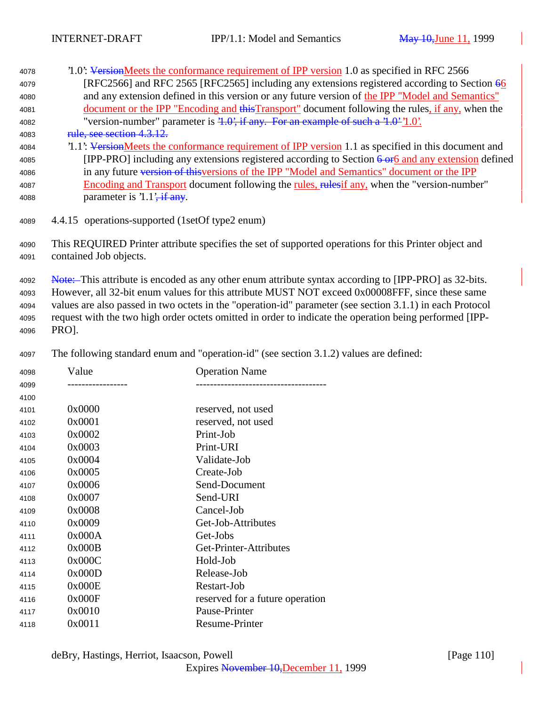| 4078 | 1.0: VersionMeets the conformance requirement of IPP version 1.0 as specified in RFC 2566             |
|------|-------------------------------------------------------------------------------------------------------|
| 4079 | [RFC2566] and RFC 2565 [RFC2565] including any extensions registered according to Section 66          |
| 4080 | and any extension defined in this version or any future version of the IPP "Model and Semantics"      |
| 4081 | document or the IPP "Encoding and this Transport" document following the rules, if any, when the      |
| 4082 | "version-number" parameter is $4.0$ ; if any. For an example of such a $4.0$ $1.0$ .                  |
| 4083 | rule, see section 4.3.12.                                                                             |
| 4084 | 1.1: VersionMeets the conformance requirement of IPP version 1.1 as specified in this document and    |
| 4085 | [IPP-PRO] including any extensions registered according to Section 6 or 6 and any extension defined   |
| 4086 | in any future version of this versions of the IPP "Model and Semantics" document or the IPP           |
| 4087 | Encoding and Transport document following the rules, rules if any, when the "version-number"          |
| 4088 | parameter is $1.1\frac{1}{1}$ if any.                                                                 |
|      |                                                                                                       |
| 4089 | 4.4.15 operations-supported (1setOf type2 enum)                                                       |
|      |                                                                                                       |
| 4090 | This REQUIRED Printer attribute specifies the set of supported operations for this Printer object and |

contained Job objects.

4092 Note: This attribute is encoded as any other enum attribute syntax according to [IPP-PRO] as 32-bits. However, all 32-bit enum values for this attribute MUST NOT exceed 0x00008FFF, since these same values are also passed in two octets in the "operation-id" parameter (see section 3.1.1) in each Protocol request with the two high order octets omitted in order to indicate the operation being performed [IPP-PRO].

The following standard enum and "operation-id" (see section 3.1.2) values are defined:

| 4098 | Value  | <b>Operation Name</b>           |
|------|--------|---------------------------------|
| 4099 |        |                                 |
| 4100 |        |                                 |
| 4101 | 0x0000 | reserved, not used              |
| 4102 | 0x0001 | reserved, not used              |
| 4103 | 0x0002 | Print-Job                       |
| 4104 | 0x0003 | Print-URI                       |
| 4105 | 0x0004 | Validate-Job                    |
| 4106 | 0x0005 | Create-Job                      |
| 4107 | 0x0006 | Send-Document                   |
| 4108 | 0x0007 | Send-URI                        |
| 4109 | 0x0008 | Cancel-Job                      |
| 4110 | 0x0009 | Get-Job-Attributes              |
| 4111 | 0x000A | Get-Jobs                        |
| 4112 | 0x000B | Get-Printer-Attributes          |
| 4113 | 0x000C | Hold-Job                        |
| 4114 | 0x000D | Release-Job                     |
| 4115 | 0x000E | Restart-Job                     |
| 4116 | 0x000F | reserved for a future operation |
| 4117 | 0x0010 | Pause-Printer                   |
| 4118 | 0x0011 | <b>Resume-Printer</b>           |
|      |        |                                 |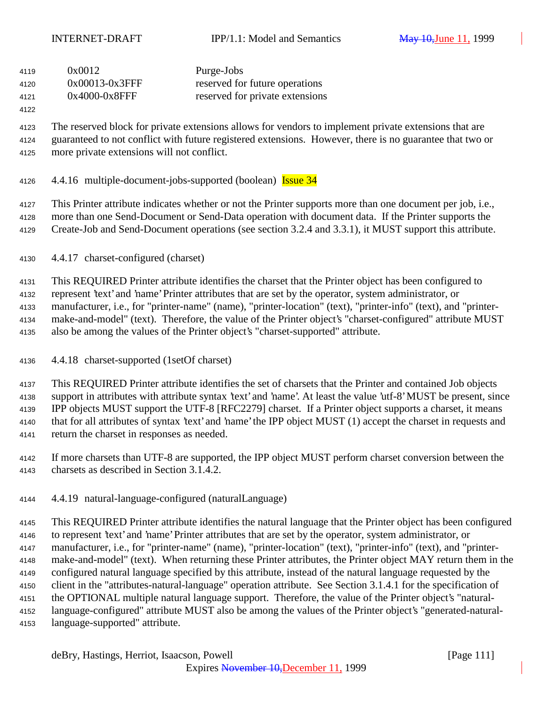| 4119 | 0x0012           | Purge-Jobs                      |
|------|------------------|---------------------------------|
| 4120 | 0x00013-0x3FFF   | reserved for future operations  |
| 4121 | $0x4000-0x8$ FFF | reserved for private extensions |

#### 

 The reserved block for private extensions allows for vendors to implement private extensions that are guaranteed to not conflict with future registered extensions. However, there is no guarantee that two or more private extensions will not conflict.

4126 4.4.16 multiple-document-jobs-supported (boolean) **Issue 34** 

This Printer attribute indicates whether or not the Printer supports more than one document per job, i.e.,

 more than one Send-Document or Send-Data operation with document data. If the Printer supports the Create-Job and Send-Document operations (see section 3.2.4 and 3.3.1), it MUST support this attribute.

4.4.17 charset-configured (charset)

 This REQUIRED Printer attribute identifies the charset that the Printer object has been configured to represent 'text' and 'name' Printer attributes that are set by the operator, system administrator, or manufacturer, i.e., for "printer-name" (name), "printer-location" (text), "printer-info" (text), and "printer- make-and-model" (text). Therefore, the value of the Printer object's "charset-configured" attribute MUST also be among the values of the Printer object's "charset-supported" attribute.

4.4.18 charset-supported (1setOf charset)

 This REQUIRED Printer attribute identifies the set of charsets that the Printer and contained Job objects support in attributes with attribute syntax 'text' and 'name'. At least the value 'utf-8' MUST be present, since IPP objects MUST support the UTF-8 [RFC2279] charset. If a Printer object supports a charset, it means that for all attributes of syntax 'text' and 'name' the IPP object MUST (1) accept the charset in requests and return the charset in responses as needed.

- If more charsets than UTF-8 are supported, the IPP object MUST perform charset conversion between the charsets as described in Section 3.1.4.2.
- 4.4.19 natural-language-configured (naturalLanguage)

 This REQUIRED Printer attribute identifies the natural language that the Printer object has been configured to represent 'text' and 'name' Printer attributes that are set by the operator, system administrator, or manufacturer, i.e., for "printer-name" (name), "printer-location" (text), "printer-info" (text), and "printer- make-and-model" (text). When returning these Printer attributes, the Printer object MAY return them in the configured natural language specified by this attribute, instead of the natural language requested by the client in the "attributes-natural-language" operation attribute. See Section 3.1.4.1 for the specification of the OPTIONAL multiple natural language support. Therefore, the value of the Printer object's "natural- language-configured" attribute MUST also be among the values of the Printer object's "generated-natural-language-supported" attribute.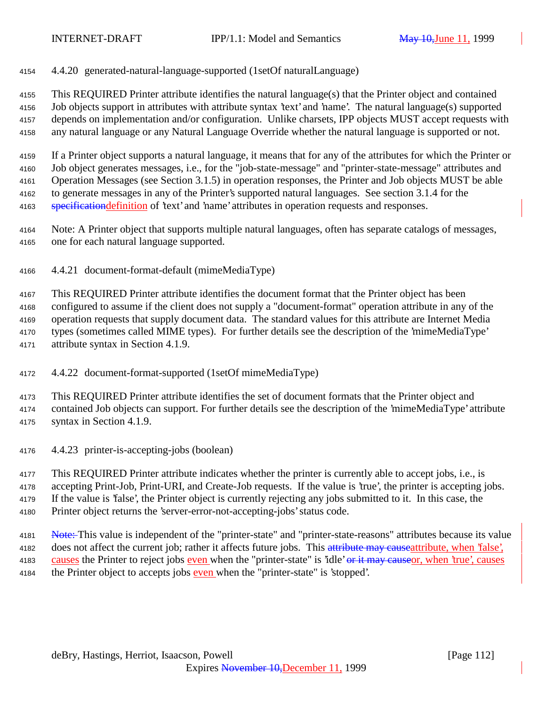4.4.20 generated-natural-language-supported (1setOf naturalLanguage)

 This REQUIRED Printer attribute identifies the natural language(s) that the Printer object and contained Job objects support in attributes with attribute syntax 'text' and 'name'. The natural language(s) supported depends on implementation and/or configuration. Unlike charsets, IPP objects MUST accept requests with any natural language or any Natural Language Override whether the natural language is supported or not.

 If a Printer object supports a natural language, it means that for any of the attributes for which the Printer or Job object generates messages, i.e., for the "job-state-message" and "printer-state-message" attributes and Operation Messages (see Section 3.1.5) in operation responses, the Printer and Job objects MUST be able to generate messages in any of the Printer's supported natural languages. See section 3.1.4 for the 4163 specification definition of 'text' and 'name' attributes in operation requests and responses.

 Note: A Printer object that supports multiple natural languages, often has separate catalogs of messages, one for each natural language supported.

4.4.21 document-format-default (mimeMediaType)

 This REQUIRED Printer attribute identifies the document format that the Printer object has been configured to assume if the client does not supply a "document-format" operation attribute in any of the operation requests that supply document data. The standard values for this attribute are Internet Media types (sometimes called MIME types). For further details see the description of the 'mimeMediaType' attribute syntax in Section 4.1.9.

4.4.22 document-format-supported (1setOf mimeMediaType)

 This REQUIRED Printer attribute identifies the set of document formats that the Printer object and contained Job objects can support. For further details see the description of the 'mimeMediaType' attribute syntax in Section 4.1.9.

4.4.23 printer-is-accepting-jobs (boolean)

 This REQUIRED Printer attribute indicates whether the printer is currently able to accept jobs, i.e., is accepting Print-Job, Print-URI, and Create-Job requests. If the value is 'true', the printer is accepting jobs. If the value is 'false', the Printer object is currently rejecting any jobs submitted to it. In this case, the Printer object returns the 'server-error-not-accepting-jobs' status code.

4181 Note: This value is independent of the "printer-state" and "printer-state-reasons" attributes because its value 4182 does not affect the current job; rather it affects future jobs. This attribute may causeattribute, when 'false', 4183 causes the Printer to reject jobs even when the "printer-state" is 'idle' or it may causeor, when 'true', causes the Printer object to accepts jobs even when the "printer-state" is 'stopped'.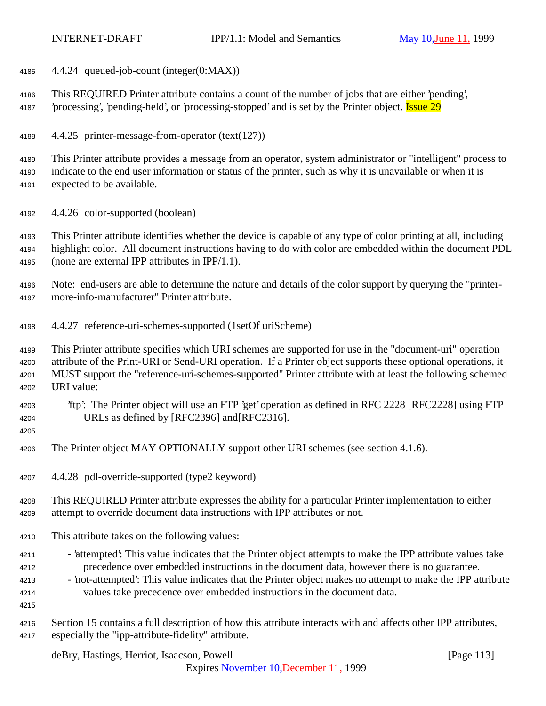4.4.24 queued-job-count (integer(0:MAX))

 This REQUIRED Printer attribute contains a count of the number of jobs that are either 'pending', *processing'*, 'pending-held', or 'processing-stopped' and is set by the Printer object. **Issue 29** 

4.4.25 printer-message-from-operator (text(127))

 This Printer attribute provides a message from an operator, system administrator or "intelligent" process to indicate to the end user information or status of the printer, such as why it is unavailable or when it is expected to be available.

4.4.26 color-supported (boolean)

 This Printer attribute identifies whether the device is capable of any type of color printing at all, including highlight color. All document instructions having to do with color are embedded within the document PDL (none are external IPP attributes in IPP/1.1).

 Note: end-users are able to determine the nature and details of the color support by querying the "printer-more-info-manufacturer" Printer attribute.

4.4.27 reference-uri-schemes-supported (1setOf uriScheme)

 This Printer attribute specifies which URI schemes are supported for use in the "document-uri" operation attribute of the Print-URI or Send-URI operation. If a Printer object supports these optional operations, it MUST support the "reference-uri-schemes-supported" Printer attribute with at least the following schemed URI value:

- 'ftp': The Printer object will use an FTP 'get' operation as defined in RFC 2228 [RFC2228] using FTP URLs as defined by [RFC2396] and[RFC2316].
- 

The Printer object MAY OPTIONALLY support other URI schemes (see section 4.1.6).

4.4.28 pdl-override-supported (type2 keyword)

 This REQUIRED Printer attribute expresses the ability for a particular Printer implementation to either attempt to override document data instructions with IPP attributes or not.

- This attribute takes on the following values:
- 4211 'attempted': This value indicates that the Printer object attempts to make the IPP attribute values take precedence over embedded instructions in the document data, however there is no guarantee.
- 'not-attempted': This value indicates that the Printer object makes no attempt to make the IPP attribute values take precedence over embedded instructions in the document data.

 Section 15 contains a full description of how this attribute interacts with and affects other IPP attributes, especially the "ipp-attribute-fidelity" attribute.

deBry, Hastings, Herriot, Isaacson, Powell [Page 113]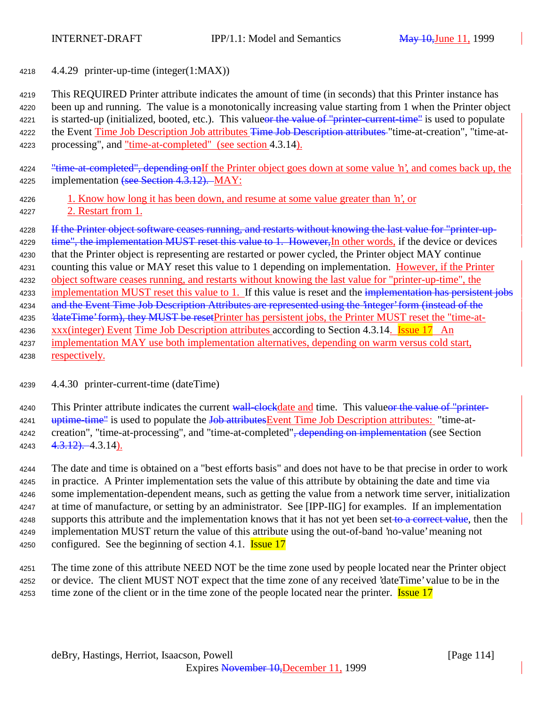<sup>4218</sup> 4.4.29 printer-up-time (integer(1:MAX))

<sup>4219</sup> This REQUIRED Printer attribute indicates the amount of time (in seconds) that this Printer instance has <sup>4220</sup> been up and running. The value is a monotonically increasing value starting from 1 when the Printer object 4221 is started-up (initialized, booted, etc.). This values the value of "printer-current-time" is used to populate 4222 the Event Time Job Description Job attributes Time Job Description attributes "time-at-creation", "time-at-<sup>4223</sup> processing", and "time-at-completed" (see section 4.3.14).

4224 "time-at-completed", depending onIf the Printer object goes down at some value 'n', and comes back up, the 4225 implementation (see Section 4.3.12). MAY:

<sup>4226</sup> 1. Know how long it has been down, and resume at some value greater than 'n', or <sup>4227</sup> 2. Restart from 1.

4228 If the Printer object software ceases running, and restarts without knowing the last value for "printer-up-

4229 time", the implementation MUST reset this value to 1. However, In other words, if the device or devices

- <sup>4230</sup> that the Printer object is representing are restarted or power cycled, the Printer object MAY continue <sup>4231</sup> counting this value or MAY reset this value to 1 depending on implementation. However, if the Printer <sup>4232</sup> object software ceases running, and restarts without knowing the last value for "printer-up-time", the
- 4233 implementation MUST reset this value to 1. If this value is reset and the implementation has persistent jobs
- 4234 and the Event Time Job Description Attributes are represented using the 'integer' form (instead of the
- 4235 'dateTime' form), they MUST be resetPrinter has persistent jobs, the Printer MUST reset the "time-at-
- 4236 xxx(integer) Event Time Job Description attributes according to Section 4.3.14. **Issue 17** An
- <sup>4237</sup> implementation MAY use both implementation alternatives, depending on warm versus cold start,

<sup>4238</sup> respectively.

## <sup>4239</sup> 4.4.30 printer-current-time (dateTime)

4240 This Printer attribute indicates the current wall-clockdate and time. This valueor the value of "printer-4241 uptime-time" is used to populate the Job attributes Event Time Job Description attributes: "time-at-4242 creation", "time-at-processing", and "time-at-completed"<del>, depending on implementation</del> (see Section  $4243 \quad 4.3.12$ ).  $4.3.14$ ).

 The date and time is obtained on a "best efforts basis" and does not have to be that precise in order to work in practice. A Printer implementation sets the value of this attribute by obtaining the date and time via some implementation-dependent means, such as getting the value from a network time server, initialization at time of manufacture, or setting by an administrator. See [IPP-IIG] for examples. If an implementation 4248 supports this attribute and the implementation knows that it has not yet been set to a correct value, then the implementation MUST return the value of this attribute using the out-of-band 'no-value' meaning not 4250 configured. See the beginning of section 4.1. **Issue 17** 

<sup>4251</sup> The time zone of this attribute NEED NOT be the time zone used by people located near the Printer object <sup>4252</sup> or device. The client MUST NOT expect that the time zone of any received 'dateTime' value to be in the 4253 time zone of the client or in the time zone of the people located near the printer. **Issue 17**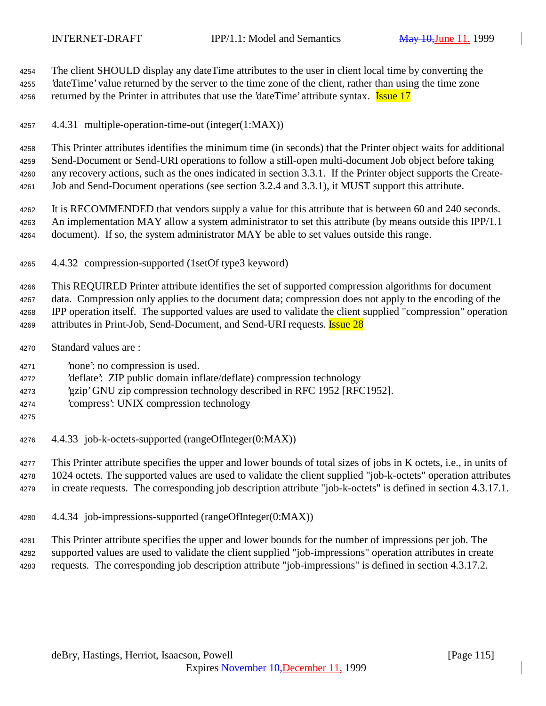The client SHOULD display any dateTime attributes to the user in client local time by converting the 'dateTime' value returned by the server to the time zone of the client, rather than using the time zone 4256 returned by the Printer in attributes that use the 'dateTime' attribute syntax. **Issue 17** 

4.4.31 multiple-operation-time-out (integer(1:MAX))

 This Printer attributes identifies the minimum time (in seconds) that the Printer object waits for additional Send-Document or Send-URI operations to follow a still-open multi-document Job object before taking any recovery actions, such as the ones indicated in section 3.3.1. If the Printer object supports the Create-Job and Send-Document operations (see section 3.2.4 and 3.3.1), it MUST support this attribute.

 It is RECOMMENDED that vendors supply a value for this attribute that is between 60 and 240 seconds. An implementation MAY allow a system administrator to set this attribute (by means outside this IPP/1.1 document). If so, the system administrator MAY be able to set values outside this range.

4.4.32 compression-supported (1setOf type3 keyword)

 This REQUIRED Printer attribute identifies the set of supported compression algorithms for document data. Compression only applies to the document data; compression does not apply to the encoding of the IPP operation itself. The supported values are used to validate the client supplied "compression" operation 4269 attributes in Print-Job, Send-Document, and Send-URI requests. **Issue 28** 

- Standard values are :
- 'none': no compression is used.
- 'deflate': ZIP public domain inflate/deflate) compression technology
- 'gzip' GNU zip compression technology described in RFC 1952 [RFC1952].
- 'compress': UNIX compression technology
- 
- 4.4.33 job-k-octets-supported (rangeOfInteger(0:MAX))

 This Printer attribute specifies the upper and lower bounds of total sizes of jobs in K octets, i.e., in units of 1024 octets. The supported values are used to validate the client supplied "job-k-octets" operation attributes in create requests. The corresponding job description attribute "job-k-octets" is defined in section 4.3.17.1.

4.4.34 job-impressions-supported (rangeOfInteger(0:MAX))

 This Printer attribute specifies the upper and lower bounds for the number of impressions per job. The supported values are used to validate the client supplied "job-impressions" operation attributes in create requests. The corresponding job description attribute "job-impressions" is defined in section 4.3.17.2.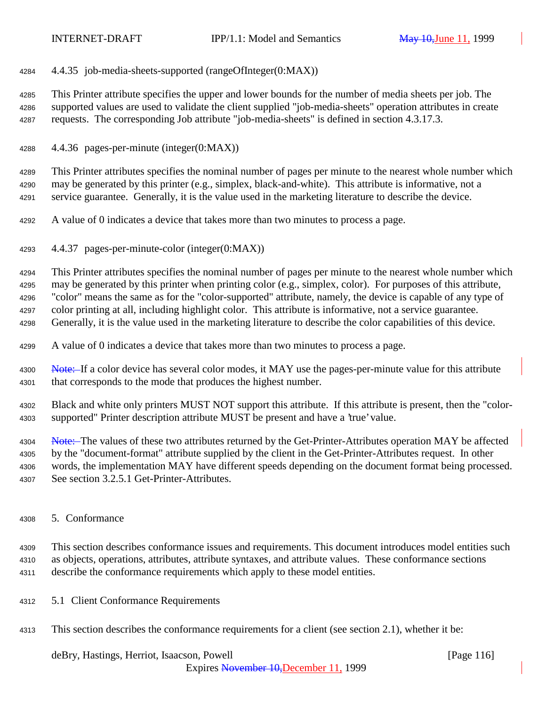4.4.35 job-media-sheets-supported (rangeOfInteger(0:MAX))

 This Printer attribute specifies the upper and lower bounds for the number of media sheets per job. The supported values are used to validate the client supplied "job-media-sheets" operation attributes in create requests. The corresponding Job attribute "job-media-sheets" is defined in section 4.3.17.3.

4.4.36 pages-per-minute (integer(0:MAX))

 This Printer attributes specifies the nominal number of pages per minute to the nearest whole number which may be generated by this printer (e.g., simplex, black-and-white). This attribute is informative, not a service guarantee. Generally, it is the value used in the marketing literature to describe the device.

- A value of 0 indicates a device that takes more than two minutes to process a page.
- 4.4.37 pages-per-minute-color (integer(0:MAX))

This Printer attributes specifies the nominal number of pages per minute to the nearest whole number which

may be generated by this printer when printing color (e.g., simplex, color). For purposes of this attribute,

"color" means the same as for the "color-supported" attribute, namely, the device is capable of any type of

color printing at all, including highlight color. This attribute is informative, not a service guarantee.

Generally, it is the value used in the marketing literature to describe the color capabilities of this device.

- A value of 0 indicates a device that takes more than two minutes to process a page.
- 4300 Note: If a color device has several color modes, it MAY use the pages-per-minute value for this attribute that corresponds to the mode that produces the highest number.
- Black and white only printers MUST NOT support this attribute. If this attribute is present, then the "color-supported" Printer description attribute MUST be present and have a 'true' value.

4304 Note: The values of these two attributes returned by the Get-Printer-Attributes operation MAY be affected

 by the "document-format" attribute supplied by the client in the Get-Printer-Attributes request. In other words, the implementation MAY have different speeds depending on the document format being processed.

See section 3.2.5.1 Get-Printer-Attributes.

5. Conformance

 This section describes conformance issues and requirements. This document introduces model entities such as objects, operations, attributes, attribute syntaxes, and attribute values. These conformance sections describe the conformance requirements which apply to these model entities.

- 5.1 Client Conformance Requirements
- This section describes the conformance requirements for a client (see section 2.1), whether it be:

## deBry, Hastings, Herriot, Isaacson, Powell [Page 116]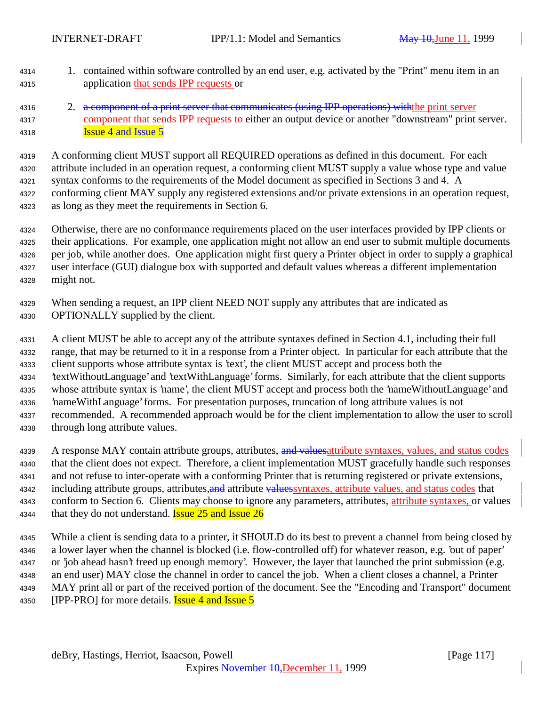- 1. contained within software controlled by an end user, e.g. activated by the "Print" menu item in an application that sends IPP requests or
- 4316 2. a component of a print server that communicates (using IPP operations) with the print server component that sends IPP requests to either an output device or another "downstream" print server. **Issue 4 and Issue 5**

 A conforming client MUST support all REQUIRED operations as defined in this document. For each attribute included in an operation request, a conforming client MUST supply a value whose type and value syntax conforms to the requirements of the Model document as specified in Sections 3 and 4. A conforming client MAY supply any registered extensions and/or private extensions in an operation request, as long as they meet the requirements in Section 6.

 Otherwise, there are no conformance requirements placed on the user interfaces provided by IPP clients or their applications. For example, one application might not allow an end user to submit multiple documents per job, while another does. One application might first query a Printer object in order to supply a graphical user interface (GUI) dialogue box with supported and default values whereas a different implementation might not.

 When sending a request, an IPP client NEED NOT supply any attributes that are indicated as OPTIONALLY supplied by the client.

 A client MUST be able to accept any of the attribute syntaxes defined in Section 4.1, including their full range, that may be returned to it in a response from a Printer object. In particular for each attribute that the client supports whose attribute syntax is 'text', the client MUST accept and process both the 'textWithoutLanguage' and 'textWithLanguage' forms. Similarly, for each attribute that the client supports whose attribute syntax is 'name', the client MUST accept and process both the 'nameWithoutLanguage' and 'nameWithLanguage' forms. For presentation purposes, truncation of long attribute values is not recommended. A recommended approach would be for the client implementation to allow the user to scroll through long attribute values.

4339 A response MAY contain attribute groups, attributes, and values attribute syntaxes, values, and status codes that the client does not expect. Therefore, a client implementation MUST gracefully handle such responses and not refuse to inter-operate with a conforming Printer that is returning registered or private extensions, 4342 including attribute groups, attributes, and attribute values syntaxes, attribute values, and status codes that conform to Section 6. Clients may choose to ignore any parameters, attributes, attribute syntaxes, or values 4344 that they do not understand. **Issue 25 and Issue 26** 

 While a client is sending data to a printer, it SHOULD do its best to prevent a channel from being closed by a lower layer when the channel is blocked (i.e. flow-controlled off) for whatever reason, e.g. 'out of paper' or 'job ahead hasn't freed up enough memory'. However, the layer that launched the print submission (e.g. an end user) MAY close the channel in order to cancel the job. When a client closes a channel, a Printer MAY print all or part of the received portion of the document. See the "Encoding and Transport" document 4350 [IPP-PRO] for more details. **Issue 4 and Issue 5**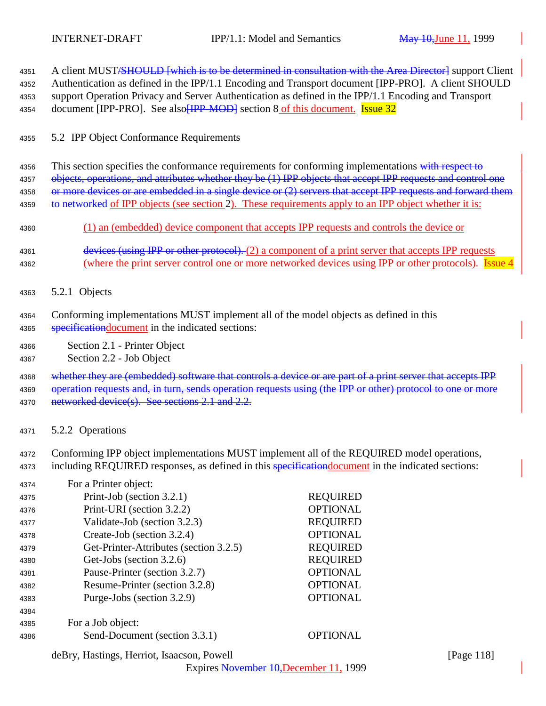4351 A client MUST<del>/SHOULD [which is to be determined in consultation with the Area Director]</del> support Client <sup>4352</sup> Authentication as defined in the IPP/1.1 Encoding and Transport document [IPP-PRO]. A client SHOULD <sup>4353</sup> support Operation Privacy and Server Authentication as defined in the IPP/1.1 Encoding and Transport 4354 document [IPP-PRO]. See also **[IPP-MOD**] section 8 of this document. **Issue 32** <sup>4355</sup> 5.2 IPP Object Conformance Requirements 4356 This section specifies the conformance requirements for conforming implementations with respect to 4357 objects, operations, and attributes whether they be (1) IPP objects that accept IPP requests and control one 4358 or more devices or are embedded in a single device or (2) servers that accept IPP requests and forward them 4359 to networked of IPP objects (see section 2). These requirements apply to an IPP object whether it is: <sup>4360</sup> (1) an (embedded) device component that accepts IPP requests and controls the device or 4361 devices (using IPP or other protocol). (2) a component of a print server that accepts IPP requests 4362 (where the print server control one or more networked devices using IPP or other protocols). Issue 4 <sup>4363</sup> 5.2.1 Objects <sup>4364</sup> Conforming implementations MUST implement all of the model objects as defined in this 4365 specification document in the indicated sections: <sup>4366</sup> Section 2.1 - Printer Object <sup>4367</sup> Section 2.2 - Job Object 4368 whether they are (embedded) software that controls a device or are part of a print server that accepts IPP 4369 operation requests and, in turn, sends operation requests using (the IPP or other) protocol to one or more 4370 networked device(s). See sections 2.1 and 2.2. <sup>4371</sup> 5.2.2 Operations

<sup>4372</sup> Conforming IPP object implementations MUST implement all of the REQUIRED model operations, 4373 including REQUIRED responses, as defined in this specification document in the indicated sections:

| 4374 | For a Printer object:                  |                 |
|------|----------------------------------------|-----------------|
| 4375 | Print-Job (section 3.2.1)              | <b>REQUIRED</b> |
| 4376 | Print-URI (section 3.2.2)              | <b>OPTIONAL</b> |
| 4377 | Validate-Job (section 3.2.3)           | <b>REQUIRED</b> |
| 4378 | Create-Job (section 3.2.4)             | <b>OPTIONAL</b> |
| 4379 | Get-Printer-Attributes (section 3.2.5) | <b>REQUIRED</b> |
| 4380 | Get-Jobs (section 3.2.6)               | <b>REQUIRED</b> |
| 4381 | Pause-Printer (section 3.2.7)          | <b>OPTIONAL</b> |
| 4382 | Resume-Printer (section 3.2.8)         | <b>OPTIONAL</b> |
| 4383 | Purge-Jobs (section 3.2.9)             | <b>OPTIONAL</b> |
| 4384 |                                        |                 |
| 4385 | For a Job object:                      |                 |
| 4386 | Send-Document (section 3.3.1)          | <b>OPTIONAL</b> |

deBry, Hastings, Herriot, Isaacson, Powell [Page 118]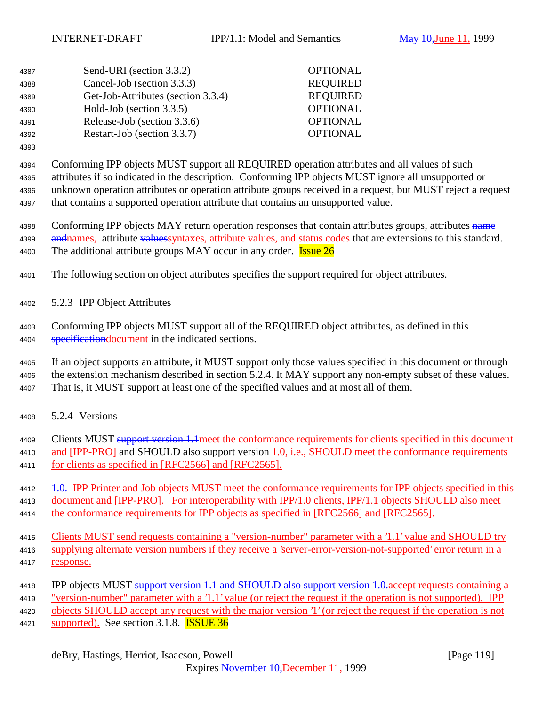| 4387 | Send-URI (section 3.3.2)           | <b>OPTIONAL</b> |
|------|------------------------------------|-----------------|
| 4388 | Cancel-Job (section 3.3.3)         | <b>REQUIRED</b> |
| 4389 | Get-Job-Attributes (section 3.3.4) | <b>REQUIRED</b> |
| 4390 | Hold-Job (section 3.3.5)           | <b>OPTIONAL</b> |
| 4391 | Release-Job (section 3.3.6)        | <b>OPTIONAL</b> |
| 4392 | Restart-Job (section 3.3.7)        | <b>OPTIONAL</b> |

 Conforming IPP objects MUST support all REQUIRED operation attributes and all values of such attributes if so indicated in the description. Conforming IPP objects MUST ignore all unsupported or unknown operation attributes or operation attribute groups received in a request, but MUST reject a request that contains a supported operation attribute that contains an unsupported value.

4398 Conforming IPP objects MAY return operation responses that contain attributes groups, attributes name 4399 and all and a aluest values in the values, and status codes that are extensions to this standard. 4400 The additional attribute groups MAY occur in any order. **Issue 26** 

The following section on object attributes specifies the support required for object attributes.

5.2.3 IPP Object Attributes

 Conforming IPP objects MUST support all of the REQUIRED object attributes, as defined in this 4404 specification document in the indicated sections.

 If an object supports an attribute, it MUST support only those values specified in this document or through the extension mechanism described in section 5.2.4. It MAY support any non-empty subset of these values. That is, it MUST support at least one of the specified values and at most all of them.

5.2.4 Versions

4409 Clients MUST support version 1.1 meet the conformance requirements for clients specified in this document 4410 and [IPP-PRO] and SHOULD also support version 1.0, i.e., SHOULD meet the conformance requirements for clients as specified in [RFC2566] and [RFC2565].

4412 1.0. IPP Printer and Job objects MUST meet the conformance requirements for IPP objects specified in this document and [IPP-PRO]. For interoperability with IPP/1.0 clients, IPP/1.1 objects SHOULD also meet 4414 the conformance requirements for IPP objects as specified in [RFC2566] and [RFC2565].

4415 Clients MUST send requests containing a "version-number" parameter with a '1.1' value and SHOULD try supplying alternate version numbers if they receive a 'server-error-version-not-supported' error return in a response.

- 4418 IPP objects MUST support version 1.1 and SHOULD also support version 1.0 accept requests containing a "version-number" parameter with a '1.1' value (or reject the request if the operation is not supported). IPP objects SHOULD accept any request with the major version '1' (or reject the request if the operation is not
- 4421 supported). See section 3.1.8. **ISSUE 36**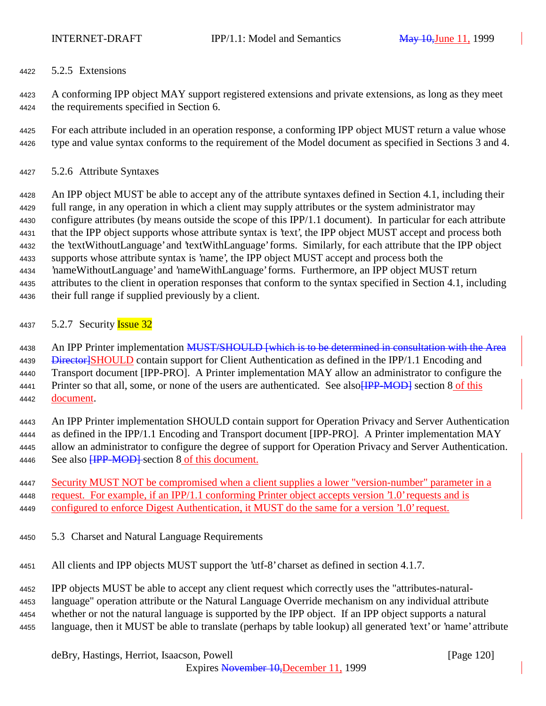5.2.5 Extensions

 A conforming IPP object MAY support registered extensions and private extensions, as long as they meet the requirements specified in Section 6.

 For each attribute included in an operation response, a conforming IPP object MUST return a value whose type and value syntax conforms to the requirement of the Model document as specified in Sections 3 and 4.

5.2.6 Attribute Syntaxes

 An IPP object MUST be able to accept any of the attribute syntaxes defined in Section 4.1, including their full range, in any operation in which a client may supply attributes or the system administrator may configure attributes (by means outside the scope of this IPP/1.1 document). In particular for each attribute that the IPP object supports whose attribute syntax is 'text', the IPP object MUST accept and process both the 'textWithoutLanguage' and 'textWithLanguage' forms. Similarly, for each attribute that the IPP object supports whose attribute syntax is 'name', the IPP object MUST accept and process both the 'nameWithoutLanguage' and 'nameWithLanguage' forms. Furthermore, an IPP object MUST return attributes to the client in operation responses that conform to the syntax specified in Section 4.1, including their full range if supplied previously by a client.

# 4437 5.2.7 Security **Issue 32**

4438 An IPP Printer implementation MUST/SHOULD [which is to be determined in consultation with the Area 4439 <del>Director]</del>SHOULD contain support for Client Authentication as defined in the IPP/1.1 Encoding and Transport document [IPP-PRO]. A Printer implementation MAY allow an administrator to configure the 4441 Printer so that all, some, or none of the users are authenticated. See also **[IPP-MOD]** section 8 of this document.

 An IPP Printer implementation SHOULD contain support for Operation Privacy and Server Authentication as defined in the IPP/1.1 Encoding and Transport document [IPP-PRO]. A Printer implementation MAY allow an administrator to configure the degree of support for Operation Privacy and Server Authentication. 4446 See also **[IPP-MOD]** section 8 of this document.

 Security MUST NOT be compromised when a client supplies a lower "version-number" parameter in a request. For example, if an IPP/1.1 conforming Printer object accepts version '1.0' requests and is configured to enforce Digest Authentication, it MUST do the same for a version '1.0' request.

5.3 Charset and Natural Language Requirements

All clients and IPP objects MUST support the 'utf-8' charset as defined in section 4.1.7.

IPP objects MUST be able to accept any client request which correctly uses the "attributes-natural-

language" operation attribute or the Natural Language Override mechanism on any individual attribute

whether or not the natural language is supported by the IPP object. If an IPP object supports a natural

language, then it MUST be able to translate (perhaps by table lookup) all generated 'text' or 'name' attribute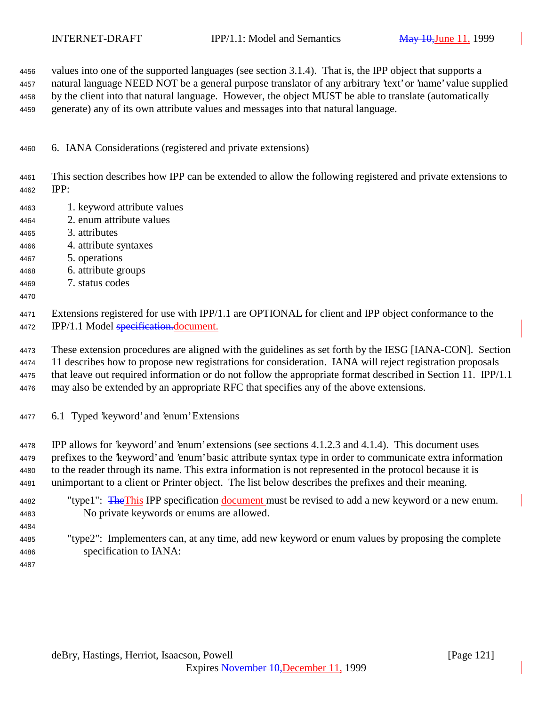values into one of the supported languages (see section 3.1.4). That is, the IPP object that supports a natural language NEED NOT be a general purpose translator of any arbitrary 'text' or 'name' value supplied by the client into that natural language. However, the object MUST be able to translate (automatically generate) any of its own attribute values and messages into that natural language.

6. IANA Considerations (registered and private extensions)

 This section describes how IPP can be extended to allow the following registered and private extensions to IPP:

- 1. keyword attribute values
- 2. enum attribute values
- 3. attributes
- 4. attribute syntaxes
- 5. operations
- 6. attribute groups
- 7. status codes
- 

 Extensions registered for use with IPP/1.1 are OPTIONAL for client and IPP object conformance to the 4472 IPP/1.1 Model specification.document.

 These extension procedures are aligned with the guidelines as set forth by the IESG [IANA-CON]. Section 11 describes how to propose new registrations for consideration. IANA will reject registration proposals that leave out required information or do not follow the appropriate format described in Section 11. IPP/1.1 may also be extended by an appropriate RFC that specifies any of the above extensions.

6.1 Typed 'keyword' and 'enum' Extensions

 IPP allows for 'keyword' and 'enum' extensions (see sections 4.1.2.3 and 4.1.4). This document uses prefixes to the 'keyword' and 'enum' basic attribute syntax type in order to communicate extra information to the reader through its name. This extra information is not represented in the protocol because it is unimportant to a client or Printer object. The list below describes the prefixes and their meaning.

- <sup>4482</sup> "type1": The This IPP specification document must be revised to add a new keyword or a new enum. No private keywords or enums are allowed.
- "type2": Implementers can, at any time, add new keyword or enum values by proposing the complete specification to IANA:
-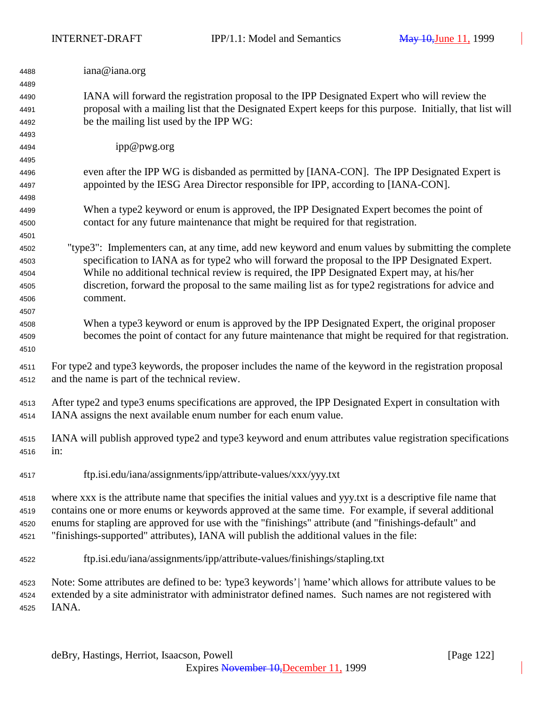| 4488 | iana@iana.org                                                                                                 |
|------|---------------------------------------------------------------------------------------------------------------|
| 4489 |                                                                                                               |
| 4490 | IANA will forward the registration proposal to the IPP Designated Expert who will review the                  |
| 4491 | proposal with a mailing list that the Designated Expert keeps for this purpose. Initially, that list will     |
| 4492 | be the mailing list used by the IPP WG:                                                                       |
| 4493 |                                                                                                               |
| 4494 | ipp@pwg.org                                                                                                   |
| 4495 |                                                                                                               |
| 4496 | even after the IPP WG is disbanded as permitted by [IANA-CON]. The IPP Designated Expert is                   |
| 4497 | appointed by the IESG Area Director responsible for IPP, according to [IANA-CON].                             |
| 4498 |                                                                                                               |
| 4499 | When a type2 keyword or enum is approved, the IPP Designated Expert becomes the point of                      |
| 4500 | contact for any future maintenance that might be required for that registration.                              |
| 4501 |                                                                                                               |
| 4502 | "type3": Implementers can, at any time, add new keyword and enum values by submitting the complete            |
| 4503 | specification to IANA as for type2 who will forward the proposal to the IPP Designated Expert.                |
| 4504 | While no additional technical review is required, the IPP Designated Expert may, at his/her                   |
| 4505 | discretion, forward the proposal to the same mailing list as for type2 registrations for advice and           |
| 4506 | comment.                                                                                                      |
| 4507 |                                                                                                               |
| 4508 | When a type3 keyword or enum is approved by the IPP Designated Expert, the original proposer                  |
| 4509 | becomes the point of contact for any future maintenance that might be required for that registration.         |
| 4510 |                                                                                                               |
| 4511 | For type2 and type3 keywords, the proposer includes the name of the keyword in the registration proposal      |
| 4512 | and the name is part of the technical review.                                                                 |
|      |                                                                                                               |
| 4513 | After type2 and type3 enums specifications are approved, the IPP Designated Expert in consultation with       |
| 4514 | IANA assigns the next available enum number for each enum value.                                              |
|      |                                                                                                               |
| 4515 | IANA will publish approved type2 and type3 keyword and enum attributes value registration specifications      |
| 4516 | in:                                                                                                           |
|      |                                                                                                               |
| 4517 | ftp.isi.edu/iana/assignments/ipp/attribute-values/xxx/yyy.txt                                                 |
|      | where xxx is the attribute name that specifies the initial values and yyy.txt is a descriptive file name that |
| 4518 |                                                                                                               |
| 4519 | contains one or more enums or keywords approved at the same time. For example, if several additional          |
| 4520 | enums for stapling are approved for use with the "finishings" attribute (and "finishings-default" and         |
| 4521 | "finishings-supported" attributes), IANA will publish the additional values in the file:                      |
| 4522 | ftp.isi.edu/iana/assignments/ipp/attribute-values/finishings/stapling.txt                                     |
| 4523 | Note: Some attributes are defined to be: 'type3 keywords'   'name' which allows for attribute values to be    |
| 4524 | extended by a site administrator with administrator defined names. Such names are not registered with         |
| 4525 | IANA.                                                                                                         |
|      |                                                                                                               |
|      |                                                                                                               |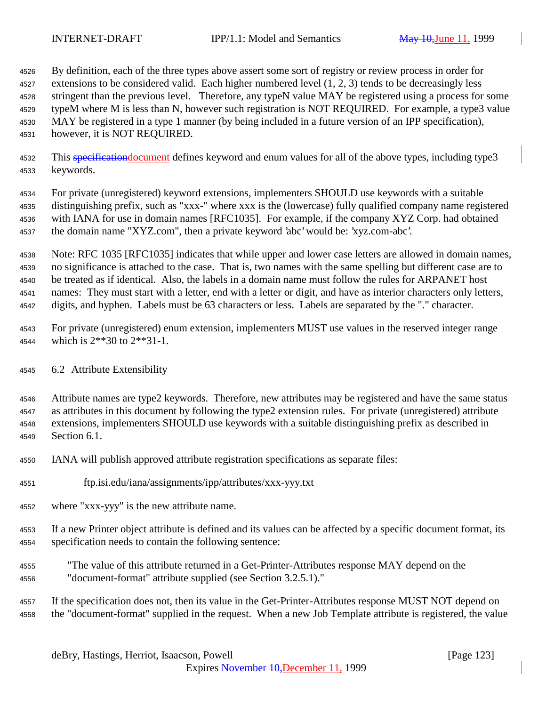By definition, each of the three types above assert some sort of registry or review process in order for 4527 extensions to be considered valid. Each higher numbered level (1, 2, 3) tends to be decreasingly less stringent than the previous level. Therefore, any typeN value MAY be registered using a process for some typeM where M is less than N, however such registration is NOT REQUIRED. For example, a type3 value MAY be registered in a type 1 manner (by being included in a future version of an IPP specification), however, it is NOT REQUIRED.

4532 This specification document defines keyword and enum values for all of the above types, including type 3 keywords.

 For private (unregistered) keyword extensions, implementers SHOULD use keywords with a suitable distinguishing prefix, such as "xxx-" where xxx is the (lowercase) fully qualified company name registered with IANA for use in domain names [RFC1035]. For example, if the company XYZ Corp. had obtained the domain name "XYZ.com", then a private keyword 'abc' would be: 'xyz.com-abc'.

 Note: RFC 1035 [RFC1035] indicates that while upper and lower case letters are allowed in domain names, no significance is attached to the case. That is, two names with the same spelling but different case are to be treated as if identical. Also, the labels in a domain name must follow the rules for ARPANET host names: They must start with a letter, end with a letter or digit, and have as interior characters only letters, digits, and hyphen. Labels must be 63 characters or less. Labels are separated by the "." character.

 For private (unregistered) enum extension, implementers MUST use values in the reserved integer range which is 2\*\*30 to 2\*\*31-1.

6.2 Attribute Extensibility

 Attribute names are type2 keywords. Therefore, new attributes may be registered and have the same status as attributes in this document by following the type2 extension rules. For private (unregistered) attribute extensions, implementers SHOULD use keywords with a suitable distinguishing prefix as described in Section 6.1.

IANA will publish approved attribute registration specifications as separate files:

- ftp.isi.edu/iana/assignments/ipp/attributes/xxx-yyy.txt
- where "xxx-yyy" is the new attribute name.

 If a new Printer object attribute is defined and its values can be affected by a specific document format, its specification needs to contain the following sentence:

 "The value of this attribute returned in a Get-Printer-Attributes response MAY depend on the "document-format" attribute supplied (see Section 3.2.5.1)."

 If the specification does not, then its value in the Get-Printer-Attributes response MUST NOT depend on the "document-format" supplied in the request. When a new Job Template attribute is registered, the value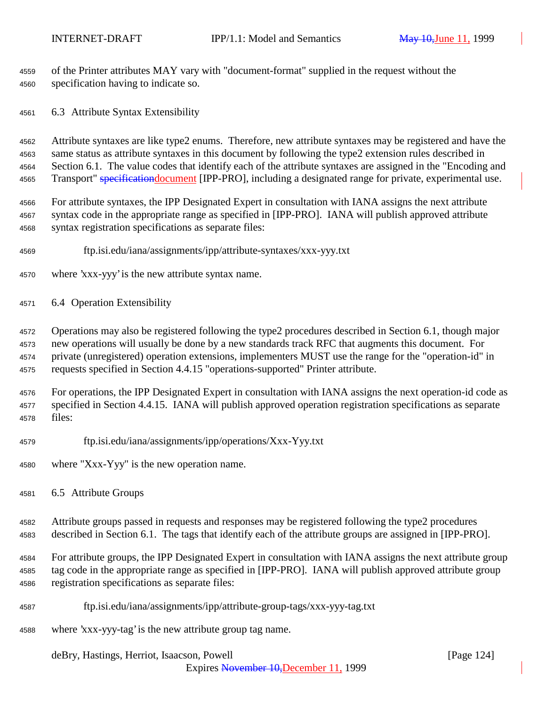of the Printer attributes MAY vary with "document-format" supplied in the request without the specification having to indicate so.

6.3 Attribute Syntax Extensibility

 Attribute syntaxes are like type2 enums. Therefore, new attribute syntaxes may be registered and have the same status as attribute syntaxes in this document by following the type2 extension rules described in Section 6.1. The value codes that identify each of the attribute syntaxes are assigned in the "Encoding and 4565 Transport" specificationdocument [IPP-PRO], including a designated range for private, experimental use.

 For attribute syntaxes, the IPP Designated Expert in consultation with IANA assigns the next attribute syntax code in the appropriate range as specified in [IPP-PRO]. IANA will publish approved attribute syntax registration specifications as separate files:

- ftp.isi.edu/iana/assignments/ipp/attribute-syntaxes/xxx-yyy.txt
- where 'xxx-yyy' is the new attribute syntax name.
- 6.4 Operation Extensibility

 Operations may also be registered following the type2 procedures described in Section 6.1, though major new operations will usually be done by a new standards track RFC that augments this document. For private (unregistered) operation extensions, implementers MUST use the range for the "operation-id" in requests specified in Section 4.4.15 "operations-supported" Printer attribute.

 For operations, the IPP Designated Expert in consultation with IANA assigns the next operation-id code as specified in Section 4.4.15. IANA will publish approved operation registration specifications as separate files:

- ftp.isi.edu/iana/assignments/ipp/operations/Xxx-Yyy.txt
- where "Xxx-Yyy" is the new operation name.
- 6.5 Attribute Groups

 Attribute groups passed in requests and responses may be registered following the type2 procedures described in Section 6.1. The tags that identify each of the attribute groups are assigned in [IPP-PRO].

 For attribute groups, the IPP Designated Expert in consultation with IANA assigns the next attribute group tag code in the appropriate range as specified in [IPP-PRO]. IANA will publish approved attribute group registration specifications as separate files:

- ftp.isi.edu/iana/assignments/ipp/attribute-group-tags/xxx-yyy-tag.txt
- where 'xxx-yyy-tag' is the new attribute group tag name.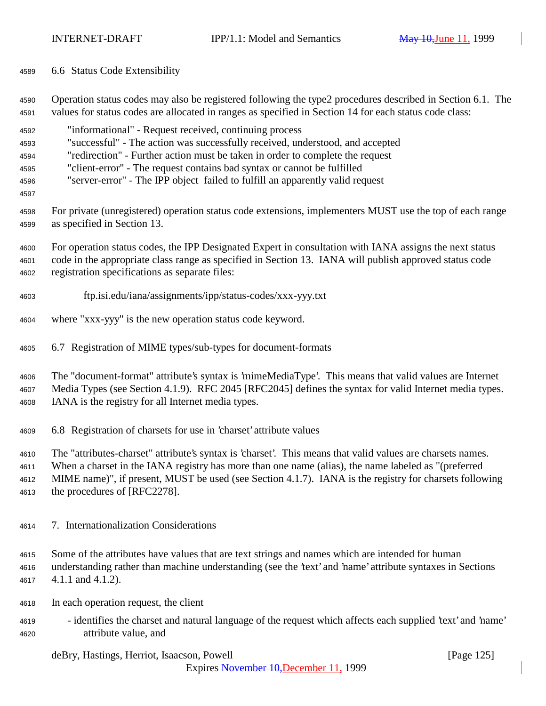6.6 Status Code Extensibility

 Operation status codes may also be registered following the type2 procedures described in Section 6.1. The values for status codes are allocated in ranges as specified in Section 14 for each status code class:

- "informational" Request received, continuing process "successful" - The action was successfully received, understood, and accepted "redirection" - Further action must be taken in order to complete the request "client-error" - The request contains bad syntax or cannot be fulfilled
- "server-error" The IPP object failed to fulfill an apparently valid request
- 

 For private (unregistered) operation status code extensions, implementers MUST use the top of each range as specified in Section 13.

 For operation status codes, the IPP Designated Expert in consultation with IANA assigns the next status code in the appropriate class range as specified in Section 13. IANA will publish approved status code registration specifications as separate files:

- ftp.isi.edu/iana/assignments/ipp/status-codes/xxx-yyy.txt
- where "xxx-yyy" is the new operation status code keyword.
- 6.7 Registration of MIME types/sub-types for document-formats

 The "document-format" attribute's syntax is 'mimeMediaType'. This means that valid values are Internet Media Types (see Section 4.1.9). RFC 2045 [RFC2045] defines the syntax for valid Internet media types. IANA is the registry for all Internet media types.

6.8 Registration of charsets for use in 'charset' attribute values

The "attributes-charset" attribute's syntax is 'charset'. This means that valid values are charsets names.

When a charset in the IANA registry has more than one name (alias), the name labeled as "(preferred

MIME name)", if present, MUST be used (see Section 4.1.7). IANA is the registry for charsets following

the procedures of [RFC2278].

- 7. Internationalization Considerations
- Some of the attributes have values that are text strings and names which are intended for human understanding rather than machine understanding (see the 'text' and 'name' attribute syntaxes in Sections 4.1.1 and 4.1.2).
- In each operation request, the client
- identifies the charset and natural language of the request which affects each supplied 'text' and 'name' attribute value, and

deBry, Hastings, Herriot, Isaacson, Powell [Page 125]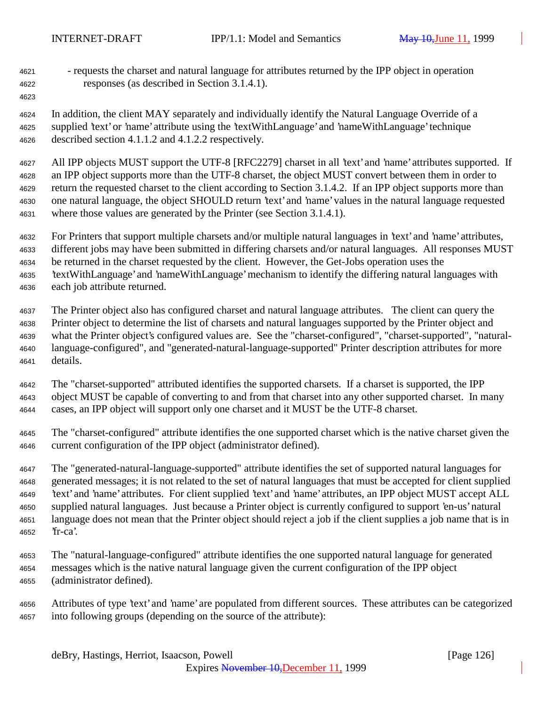- requests the charset and natural language for attributes returned by the IPP object in operation responses (as described in Section 3.1.4.1).
- 

 In addition, the client MAY separately and individually identify the Natural Language Override of a supplied 'text' or 'name' attribute using the 'textWithLanguage' and 'nameWithLanguage' technique described section 4.1.1.2 and 4.1.2.2 respectively.

 All IPP objects MUST support the UTF-8 [RFC2279] charset in all 'text' and 'name' attributes supported. If an IPP object supports more than the UTF-8 charset, the object MUST convert between them in order to return the requested charset to the client according to Section 3.1.4.2. If an IPP object supports more than one natural language, the object SHOULD return 'text' and 'name' values in the natural language requested where those values are generated by the Printer (see Section 3.1.4.1).

 For Printers that support multiple charsets and/or multiple natural languages in 'text' and 'name' attributes, different jobs may have been submitted in differing charsets and/or natural languages. All responses MUST be returned in the charset requested by the client. However, the Get-Jobs operation uses the 'textWithLanguage' and 'nameWithLanguage' mechanism to identify the differing natural languages with

each job attribute returned.

 The Printer object also has configured charset and natural language attributes. The client can query the Printer object to determine the list of charsets and natural languages supported by the Printer object and what the Printer object's configured values are. See the "charset-configured", "charset-supported", "natural- language-configured", and "generated-natural-language-supported" Printer description attributes for more details.

 The "charset-supported" attributed identifies the supported charsets. If a charset is supported, the IPP object MUST be capable of converting to and from that charset into any other supported charset. In many cases, an IPP object will support only one charset and it MUST be the UTF-8 charset.

 The "charset-configured" attribute identifies the one supported charset which is the native charset given the current configuration of the IPP object (administrator defined).

 The "generated-natural-language-supported" attribute identifies the set of supported natural languages for generated messages; it is not related to the set of natural languages that must be accepted for client supplied 'text' and 'name' attributes. For client supplied 'text' and 'name' attributes, an IPP object MUST accept ALL supplied natural languages. Just because a Printer object is currently configured to support 'en-us' natural language does not mean that the Printer object should reject a job if the client supplies a job name that is in 'fr-ca'.

- The "natural-language-configured" attribute identifies the one supported natural language for generated messages which is the native natural language given the current configuration of the IPP object (administrator defined).
- Attributes of type 'text' and 'name' are populated from different sources. These attributes can be categorized into following groups (depending on the source of the attribute):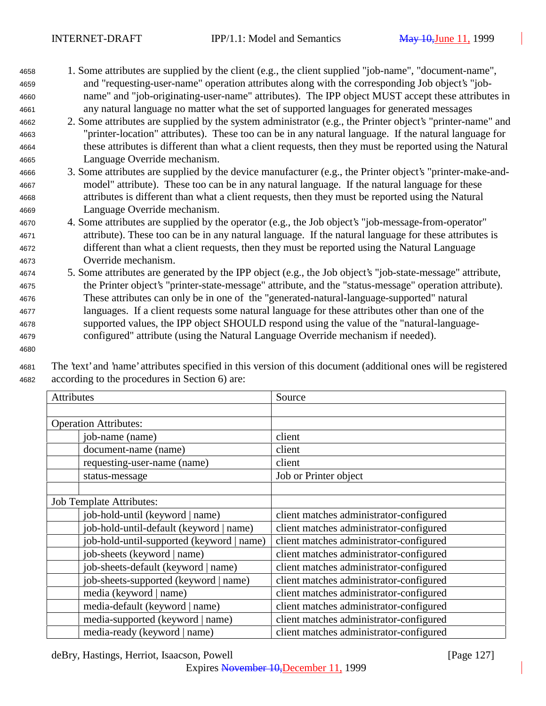- <sup>4658</sup> 1. Some attributes are supplied by the client (e.g., the client supplied "job-name", "document-name", <sup>4659</sup> and "requesting-user-name" operation attributes along with the corresponding Job object's "job-<sup>4660</sup> name" and "job-originating-user-name" attributes). The IPP object MUST accept these attributes in <sup>4661</sup> any natural language no matter what the set of supported languages for generated messages
- <sup>4662</sup> 2. Some attributes are supplied by the system administrator (e.g., the Printer object's "printer-name" and <sup>4663</sup> "printer-location" attributes). These too can be in any natural language. If the natural language for <sup>4664</sup> these attributes is different than what a client requests, then they must be reported using the Natural <sup>4665</sup> Language Override mechanism.
- <sup>4666</sup> 3. Some attributes are supplied by the device manufacturer (e.g., the Printer object's "printer-make-and-<sup>4667</sup> model" attribute). These too can be in any natural language. If the natural language for these <sup>4668</sup> attributes is different than what a client requests, then they must be reported using the Natural <sup>4669</sup> Language Override mechanism.
- <sup>4670</sup> 4. Some attributes are supplied by the operator (e.g., the Job object's "job-message-from-operator" <sup>4671</sup> attribute). These too can be in any natural language. If the natural language for these attributes is <sup>4672</sup> different than what a client requests, then they must be reported using the Natural Language <sup>4673</sup> Override mechanism.
- <sup>4674</sup> 5. Some attributes are generated by the IPP object (e.g., the Job object's "job-state-message" attribute, <sup>4675</sup> the Printer object's "printer-state-message" attribute, and the "status-message" operation attribute). <sup>4676</sup> These attributes can only be in one of the "generated-natural-language-supported" natural <sup>4677</sup> languages. If a client requests some natural language for these attributes other than one of the <sup>4678</sup> supported values, the IPP object SHOULD respond using the value of the "natural-language-<sup>4679</sup> configured" attribute (using the Natural Language Override mechanism if needed).
- 4680

<sup>4681</sup> The 'text' and 'name' attributes specified in this version of this document (additional ones will be registered <sup>4682</sup> according to the procedures in Section 6) are:

| Attributes                                | Source                                  |
|-------------------------------------------|-----------------------------------------|
|                                           |                                         |
| <b>Operation Attributes:</b>              |                                         |
| job-name (name)                           | client                                  |
| document-name (name)                      | client                                  |
| requesting-user-name (name)               | client                                  |
| status-message                            | Job or Printer object                   |
|                                           |                                         |
| <b>Job Template Attributes:</b>           |                                         |
| job-hold-until (keyword   name)           | client matches administrator-configured |
| job-hold-until-default (keyword   name)   | client matches administrator-configured |
| job-hold-until-supported (keyword   name) | client matches administrator-configured |
| job-sheets (keyword   name)               | client matches administrator-configured |
| job-sheets-default (keyword   name)       | client matches administrator-configured |
| job-sheets-supported (keyword   name)     | client matches administrator-configured |
| media (keyword   name)                    | client matches administrator-configured |
| media-default (keyword   name)            | client matches administrator-configured |
| media-supported (keyword   name)          | client matches administrator-configured |
| media-ready (keyword   name)              | client matches administrator-configured |

deBry, Hastings, Herriot, Isaacson, Powell [Page 127]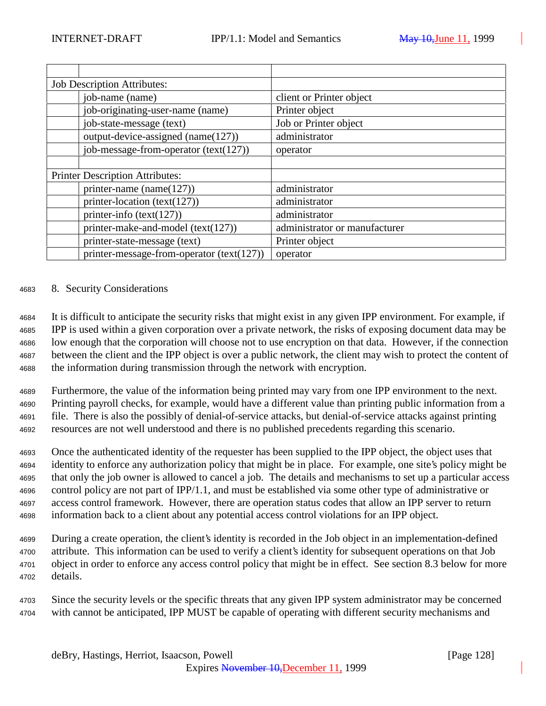| <b>Job Description Attributes:</b> |                                             |                               |
|------------------------------------|---------------------------------------------|-------------------------------|
|                                    | job-name (name)                             | client or Printer object      |
|                                    | job-originating-user-name (name)            | Printer object                |
|                                    | job-state-message (text)                    | Job or Printer object         |
|                                    | output-device-assigned (name(127))          | administrator                 |
|                                    | job-message-from-operator $(text(127))$     | operator                      |
|                                    |                                             |                               |
|                                    | <b>Printer Description Attributes:</b>      |                               |
|                                    | printer-name (name $(127)$ )                | administrator                 |
|                                    | printer-location (text(127))                | administrator                 |
|                                    | printer-info $(text(127))$                  | administrator                 |
|                                    | printer-make-and-model (text(127))          | administrator or manufacturer |
|                                    | printer-state-message (text)                | Printer object                |
|                                    | printer-message-from-operator $(text(127))$ | operator                      |

### <sup>4683</sup> 8. Security Considerations

 It is difficult to anticipate the security risks that might exist in any given IPP environment. For example, if IPP is used within a given corporation over a private network, the risks of exposing document data may be low enough that the corporation will choose not to use encryption on that data. However, if the connection between the client and the IPP object is over a public network, the client may wish to protect the content of the information during transmission through the network with encryption.

 Furthermore, the value of the information being printed may vary from one IPP environment to the next. Printing payroll checks, for example, would have a different value than printing public information from a file. There is also the possibly of denial-of-service attacks, but denial-of-service attacks against printing resources are not well understood and there is no published precedents regarding this scenario.

 Once the authenticated identity of the requester has been supplied to the IPP object, the object uses that identity to enforce any authorization policy that might be in place. For example, one site's policy might be that only the job owner is allowed to cancel a job. The details and mechanisms to set up a particular access control policy are not part of IPP/1.1, and must be established via some other type of administrative or access control framework. However, there are operation status codes that allow an IPP server to return information back to a client about any potential access control violations for an IPP object.

 During a create operation, the client's identity is recorded in the Job object in an implementation-defined attribute. This information can be used to verify a client's identity for subsequent operations on that Job object in order to enforce any access control policy that might be in effect. See section 8.3 below for more <sup>4702</sup> details.

<sup>4703</sup> Since the security levels or the specific threats that any given IPP system administrator may be concerned <sup>4704</sup> with cannot be anticipated, IPP MUST be capable of operating with different security mechanisms and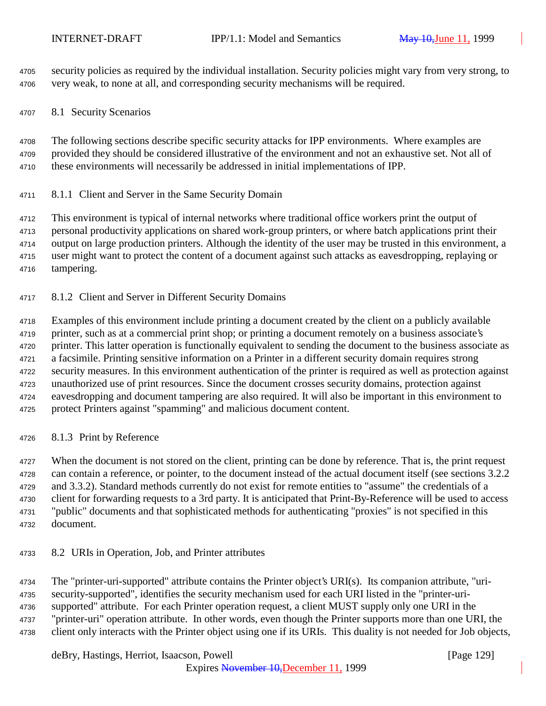security policies as required by the individual installation. Security policies might vary from very strong, to very weak, to none at all, and corresponding security mechanisms will be required.

8.1 Security Scenarios

 The following sections describe specific security attacks for IPP environments. Where examples are provided they should be considered illustrative of the environment and not an exhaustive set. Not all of these environments will necessarily be addressed in initial implementations of IPP.

8.1.1 Client and Server in the Same Security Domain

 This environment is typical of internal networks where traditional office workers print the output of personal productivity applications on shared work-group printers, or where batch applications print their output on large production printers. Although the identity of the user may be trusted in this environment, a user might want to protect the content of a document against such attacks as eavesdropping, replaying or tampering.

8.1.2 Client and Server in Different Security Domains

 Examples of this environment include printing a document created by the client on a publicly available printer, such as at a commercial print shop; or printing a document remotely on a business associate's printer. This latter operation is functionally equivalent to sending the document to the business associate as a facsimile. Printing sensitive information on a Printer in a different security domain requires strong security measures. In this environment authentication of the printer is required as well as protection against unauthorized use of print resources. Since the document crosses security domains, protection against eavesdropping and document tampering are also required. It will also be important in this environment to protect Printers against "spamming" and malicious document content.

8.1.3 Print by Reference

4727 When the document is not stored on the client, printing can be done by reference. That is, the print request can contain a reference, or pointer, to the document instead of the actual document itself (see sections 3.2.2 and 3.3.2). Standard methods currently do not exist for remote entities to "assume" the credentials of a client for forwarding requests to a 3rd party. It is anticipated that Print-By-Reference will be used to access "public" documents and that sophisticated methods for authenticating "proxies" is not specified in this document.

8.2 URIs in Operation, Job, and Printer attributes

 The "printer-uri-supported" attribute contains the Printer object's URI(s). Its companion attribute, "uri- security-supported", identifies the security mechanism used for each URI listed in the "printer-uri- supported" attribute. For each Printer operation request, a client MUST supply only one URI in the "printer-uri" operation attribute. In other words, even though the Printer supports more than one URI, the client only interacts with the Printer object using one if its URIs. This duality is not needed for Job objects,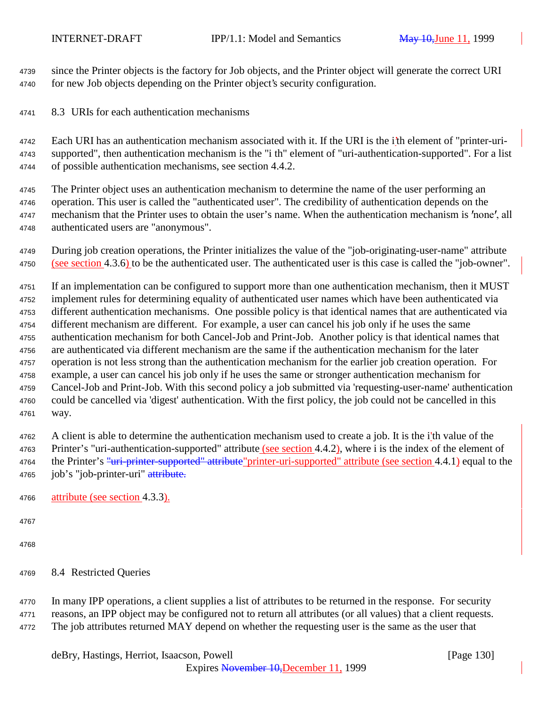since the Printer objects is the factory for Job objects, and the Printer object will generate the correct URI for new Job objects depending on the Printer object's security configuration.

8.3 URIs for each authentication mechanisms

 Each URI has an authentication mechanism associated with it. If the URI is the i'th element of "printer-uri- supported", then authentication mechanism is the "i th" element of "uri-authentication-supported". For a list of possible authentication mechanisms, see section 4.4.2.

 The Printer object uses an authentication mechanism to determine the name of the user performing an operation. This user is called the "authenticated user". The credibility of authentication depends on the 4747 mechanism that the Printer uses to obtain the user's name. When the authentication mechanism is 'none', all authenticated users are "anonymous".

 During job creation operations, the Printer initializes the value of the "job-originating-user-name" attribute (see section 4.3.6) to be the authenticated user. The authenticated user is this case is called the "job-owner".

 If an implementation can be configured to support more than one authentication mechanism, then it MUST implement rules for determining equality of authenticated user names which have been authenticated via different authentication mechanisms. One possible policy is that identical names that are authenticated via different mechanism are different. For example, a user can cancel his job only if he uses the same authentication mechanism for both Cancel-Job and Print-Job. Another policy is that identical names that are authenticated via different mechanism are the same if the authentication mechanism for the later operation is not less strong than the authentication mechanism for the earlier job creation operation. For example, a user can cancel his job only if he uses the same or stronger authentication mechanism for Cancel-Job and Print-Job. With this second policy a job submitted via 'requesting-user-name' authentication could be cancelled via 'digest' authentication. With the first policy, the job could not be cancelled in this way.

 A client is able to determine the authentication mechanism used to create a job. It is the i'th value of the 4763 Printer's "uri-authentication-supported" attribute (see section 4.4.2), where i is the index of the element of 4764 the Printer's "uri-printer-supported" attribute "printer-uri-supported" attribute (see section 4.4.1) equal to the 4765 job's "job-printer-uri" attribute.

- attribute (see section 4.3.3).
- 

 In many IPP operations, a client supplies a list of attributes to be returned in the response. For security reasons, an IPP object may be configured not to return all attributes (or all values) that a client requests. The job attributes returned MAY depend on whether the requesting user is the same as the user that

8.4 Restricted Queries

deBry, Hastings, Herriot, Isaacson, Powell **company** and the company of the company in the company of the company of the company of the company of the company of the company of the company of the company of the company of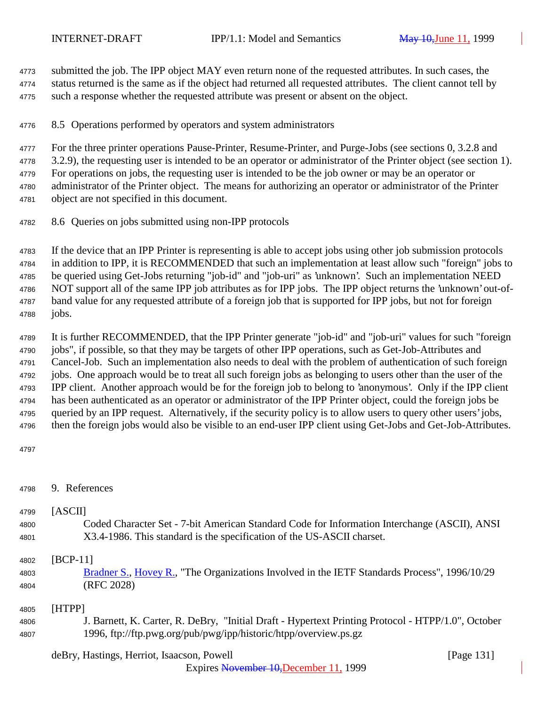submitted the job. The IPP object MAY even return none of the requested attributes. In such cases, the status returned is the same as if the object had returned all requested attributes. The client cannot tell by such a response whether the requested attribute was present or absent on the object.

8.5 Operations performed by operators and system administrators

 For the three printer operations Pause-Printer, Resume-Printer, and Purge-Jobs (see sections 0, 3.2.8 and 3.2.9), the requesting user is intended to be an operator or administrator of the Printer object (see section 1). For operations on jobs, the requesting user is intended to be the job owner or may be an operator or administrator of the Printer object. The means for authorizing an operator or administrator of the Printer object are not specified in this document.

8.6 Queries on jobs submitted using non-IPP protocols

 If the device that an IPP Printer is representing is able to accept jobs using other job submission protocols in addition to IPP, it is RECOMMENDED that such an implementation at least allow such "foreign" jobs to be queried using Get-Jobs returning "job-id" and "job-uri" as 'unknown'. Such an implementation NEED NOT support all of the same IPP job attributes as for IPP jobs. The IPP object returns the 'unknown' out-of- band value for any requested attribute of a foreign job that is supported for IPP jobs, but not for foreign jobs.

 It is further RECOMMENDED, that the IPP Printer generate "job-id" and "job-uri" values for such "foreign jobs", if possible, so that they may be targets of other IPP operations, such as Get-Job-Attributes and Cancel-Job. Such an implementation also needs to deal with the problem of authentication of such foreign jobs. One approach would be to treat all such foreign jobs as belonging to users other than the user of the IPP client. Another approach would be for the foreign job to belong to 'anonymous'. Only if the IPP client has been authenticated as an operator or administrator of the IPP Printer object, could the foreign jobs be queried by an IPP request. Alternatively, if the security policy is to allow users to query other users' jobs, then the foreign jobs would also be visible to an end-user IPP client using Get-Jobs and Get-Job-Attributes.

```
4797
```

| 4798 | 9. References |
|------|---------------|
|      |               |

# [ASCII]

 Coded Character Set - 7-bit American Standard Code for Information Interchange (ASCII), ANSI X3.4-1986. This standard is the specification of the US-ASCII charset.

[BCP-11]

 Bradner S., Hovey R., "The Organizations Involved in the IETF Standards Process", 1996/10/29 (RFC 2028)

# [HTPP]

- J. Barnett, K. Carter, R. DeBry, "Initial Draft Hypertext Printing Protocol HTPP/1.0", October 1996, ftp://ftp.pwg.org/pub/pwg/ipp/historic/htpp/overview.ps.gz
	- deBry, Hastings, Herriot, Isaacson, Powell [Page 131]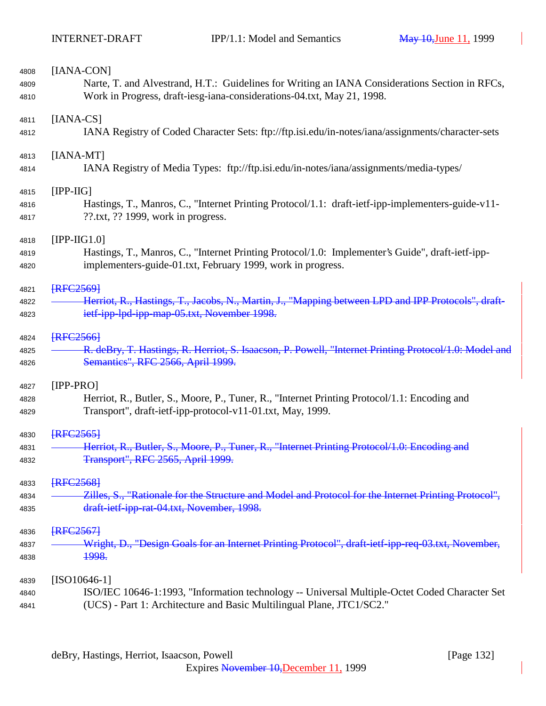| 4808 | [IANA-CON]                                                                                                                                   |
|------|----------------------------------------------------------------------------------------------------------------------------------------------|
| 4809 | Narte, T. and Alvestrand, H.T.: Guidelines for Writing an IANA Considerations Section in RFCs,                                               |
| 4810 | Work in Progress, draft-iesg-iana-considerations-04.txt, May 21, 1998.                                                                       |
| 4811 | $[IANA-CS]$                                                                                                                                  |
| 4812 | IANA Registry of Coded Character Sets: ftp://ftp.isi.edu/in-notes/iana/assignments/character-sets                                            |
| 4813 | [IANA-MT]                                                                                                                                    |
| 4814 | IANA Registry of Media Types: ftp://ftp.isi.edu/in-notes/iana/assignments/media-types/                                                       |
| 4815 | $[IPP-HG]$                                                                                                                                   |
| 4816 | Hastings, T., Manros, C., "Internet Printing Protocol/1.1: draft-ietf-ipp-implementers-guide-v11-<br>$??$ .txt, $??$ 1999, work in progress. |
| 4817 |                                                                                                                                              |
| 4818 | $[IPP-HG1.0]$                                                                                                                                |
| 4819 | Hastings, T., Manros, C., "Internet Printing Protocol/1.0: Implementer's Guide", draft-ietf-ipp-                                             |
| 4820 | implementers-guide-01.txt, February 1999, work in progress.                                                                                  |
| 4821 | <b>FRFC25691</b>                                                                                                                             |
| 4822 | Herriot, R., Hastings, T., Jacobs, N., Martin, J., "Mapping between LPD and IPP Protocols", draft-                                           |
| 4823 | ietf-ipp-lpd-ipp-map-05.txt, November 1998.                                                                                                  |
| 4824 | <b>FRFC25661</b>                                                                                                                             |
| 4825 | R. deBry, T. Hastings, R. Herriot, S. Isaacson, P. Powell, "Internet Printing Protocol/1.0: Model and                                        |
| 4826 | Semantics", RFC 2566, April 1999.                                                                                                            |
| 4827 | $[IPP-PRO]$                                                                                                                                  |
| 4828 | Herriot, R., Butler, S., Moore, P., Tuner, R., "Internet Printing Protocol/1.1: Encoding and                                                 |
| 4829 | Transport", draft-ietf-ipp-protocol-v11-01.txt, May, 1999.                                                                                   |
| 4830 | <b>FRFC25651</b>                                                                                                                             |
| 4831 | Herriot, R., Butler, S., Moore, P., Tuner, R., "Internet Printing Protocol/1.0: En                                                           |
| 4832 | Transport", RFC 2565, April 1999.                                                                                                            |
| 4833 | <b>FRFC25681</b>                                                                                                                             |
| 4834 | Zilles, S., "Rationale for the Structure and Model and Protocol for the Internet Printing Protocol",                                         |
| 4835 | draft-ietf-ipp-rat-04.txt, November, 1998.                                                                                                   |
| 4836 | <b>FRFC25671</b>                                                                                                                             |
| 4837 | Wright, D., "Design Goals for an Internet Printing Protocol", draft-ietf-ipp-req-03.txt, November,                                           |
| 4838 | <del>1998.</del>                                                                                                                             |
| 4839 | $[ISO10646-1]$                                                                                                                               |
| 4840 | ISO/IEC 10646-1:1993, "Information technology -- Universal Multiple-Octet Coded Character Set                                                |
| 4841 | (UCS) - Part 1: Architecture and Basic Multilingual Plane, JTC1/SC2."                                                                        |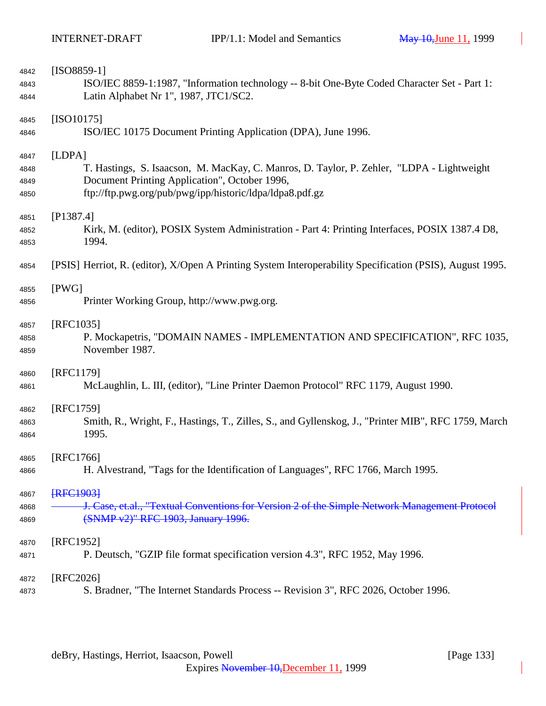| 4842 | $[ISO8859-1]$                                                                                             |
|------|-----------------------------------------------------------------------------------------------------------|
| 4843 | ISO/IEC 8859-1:1987, "Information technology -- 8-bit One-Byte Coded Character Set - Part 1:              |
| 4844 | Latin Alphabet Nr 1", 1987, JTC1/SC2.                                                                     |
| 4845 | $[ISO10175]$                                                                                              |
| 4846 | ISO/IEC 10175 Document Printing Application (DPA), June 1996.                                             |
| 4847 | [LDPA]                                                                                                    |
| 4848 | T. Hastings, S. Isaacson, M. MacKay, C. Manros, D. Taylor, P. Zehler, "LDPA - Lightweight                 |
| 4849 | Document Printing Application", October 1996,                                                             |
| 4850 | ftp://ftp.pwg.org/pub/pwg/ipp/historic/ldpa/ldpa8.pdf.gz                                                  |
| 4851 | [P1387.4]                                                                                                 |
| 4852 | Kirk, M. (editor), POSIX System Administration - Part 4: Printing Interfaces, POSIX 1387.4 D8,            |
| 4853 | 1994.                                                                                                     |
| 4854 | [PSIS] Herriot, R. (editor), X/Open A Printing System Interoperability Specification (PSIS), August 1995. |
| 4855 | [PWG]                                                                                                     |
| 4856 | Printer Working Group, http://www.pwg.org.                                                                |
| 4857 | [RFC1035]                                                                                                 |
| 4858 | P. Mockapetris, "DOMAIN NAMES - IMPLEMENTATION AND SPECIFICATION", RFC 1035,                              |
| 4859 | November 1987.                                                                                            |
| 4860 | [RFC1179]                                                                                                 |
| 4861 | McLaughlin, L. III, (editor), "Line Printer Daemon Protocol" RFC 1179, August 1990.                       |
| 4862 | [RFC1759]                                                                                                 |
| 4863 | Smith, R., Wright, F., Hastings, T., Zilles, S., and Gyllenskog, J., "Printer MIB", RFC 1759, March       |
| 4864 | 1995.                                                                                                     |
| 4865 | [RFC1766]                                                                                                 |
| 4866 | H. Alvestrand, "Tags for the Identification of Languages", RFC 1766, March 1995.                          |
| 4867 | <b>FRFC19031</b>                                                                                          |
| 4868 | J. Case, et.al., "Textual Conventions for Version 2 of the Simple Network Management Protocol             |
| 4869 | (SNMP v2)" RFC 1903, January 1996.                                                                        |
| 4870 | [RFC1952]                                                                                                 |
| 4871 | P. Deutsch, "GZIP file format specification version 4.3", RFC 1952, May 1996.                             |
| 4872 | $[RFC2026]$                                                                                               |
| 4873 | S. Bradner, "The Internet Standards Process -- Revision 3", RFC 2026, October 1996.                       |
|      |                                                                                                           |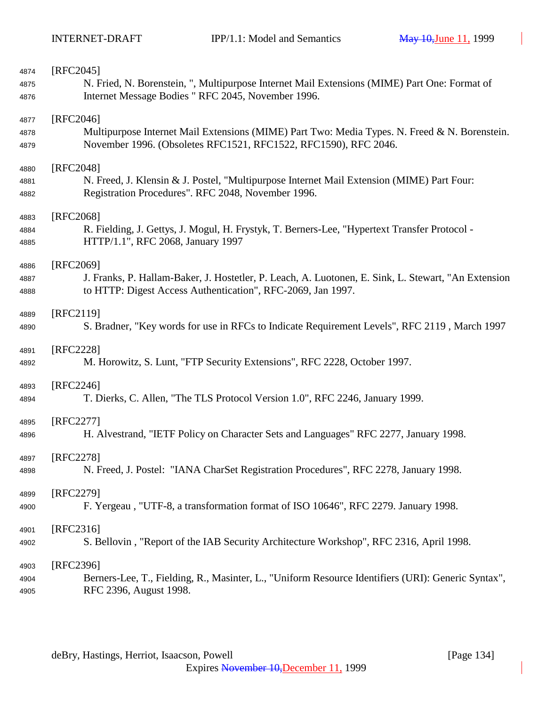| 4874 | [RFC2045]                                                                                           |
|------|-----------------------------------------------------------------------------------------------------|
| 4875 | N. Fried, N. Borenstein, ", Multipurpose Internet Mail Extensions (MIME) Part One: Format of        |
| 4876 | Internet Message Bodies " RFC 2045, November 1996.                                                  |
|      |                                                                                                     |
| 4877 | $[RFC2046]$                                                                                         |
| 4878 | Multipurpose Internet Mail Extensions (MIME) Part Two: Media Types. N. Freed & N. Borenstein.       |
| 4879 | November 1996. (Obsoletes RFC1521, RFC1522, RFC1590), RFC 2046.                                     |
| 4880 | [RFC2048]                                                                                           |
| 4881 | N. Freed, J. Klensin & J. Postel, "Multipurpose Internet Mail Extension (MIME) Part Four:           |
| 4882 | Registration Procedures". RFC 2048, November 1996.                                                  |
|      |                                                                                                     |
| 4883 | [RFC2068]                                                                                           |
| 4884 | R. Fielding, J. Gettys, J. Mogul, H. Frystyk, T. Berners-Lee, "Hypertext Transfer Protocol -        |
| 4885 | HTTP/1.1", RFC 2068, January 1997                                                                   |
|      |                                                                                                     |
| 4886 | [RFC2069]                                                                                           |
| 4887 | J. Franks, P. Hallam-Baker, J. Hostetler, P. Leach, A. Luotonen, E. Sink, L. Stewart, "An Extension |
| 4888 | to HTTP: Digest Access Authentication", RFC-2069, Jan 1997.                                         |
| 4889 | [RFC2119]                                                                                           |
| 4890 | S. Bradner, "Key words for use in RFCs to Indicate Requirement Levels", RFC 2119, March 1997        |
|      |                                                                                                     |
| 4891 | [RFC2228]                                                                                           |
| 4892 | M. Horowitz, S. Lunt, "FTP Security Extensions", RFC 2228, October 1997.                            |
|      | $[RFC2246]$                                                                                         |
| 4893 | T. Dierks, C. Allen, "The TLS Protocol Version 1.0", RFC 2246, January 1999.                        |
| 4894 |                                                                                                     |
| 4895 | [RFC2277]                                                                                           |
| 4896 | H. Alvestrand, "IETF Policy on Character Sets and Languages" RFC 2277, January 1998.                |
|      |                                                                                                     |
| 4897 | [RFC2278]                                                                                           |
| 4898 | N. Freed, J. Postel: "IANA CharSet Registration Procedures", RFC 2278, January 1998.                |
| 4899 | [RFC2279]                                                                                           |
| 4900 | F. Yergeau, "UTF-8, a transformation format of ISO 10646", RFC 2279. January 1998.                  |
|      |                                                                                                     |
| 4901 | $[RFC2316]$                                                                                         |
| 4902 | S. Bellovin, "Report of the IAB Security Architecture Workshop", RFC 2316, April 1998.              |
|      |                                                                                                     |
| 4903 | [RFC2396]                                                                                           |
| 4904 | Berners-Lee, T., Fielding, R., Masinter, L., "Uniform Resource Identifiers (URI): Generic Syntax",  |
| 4905 | RFC 2396, August 1998.                                                                              |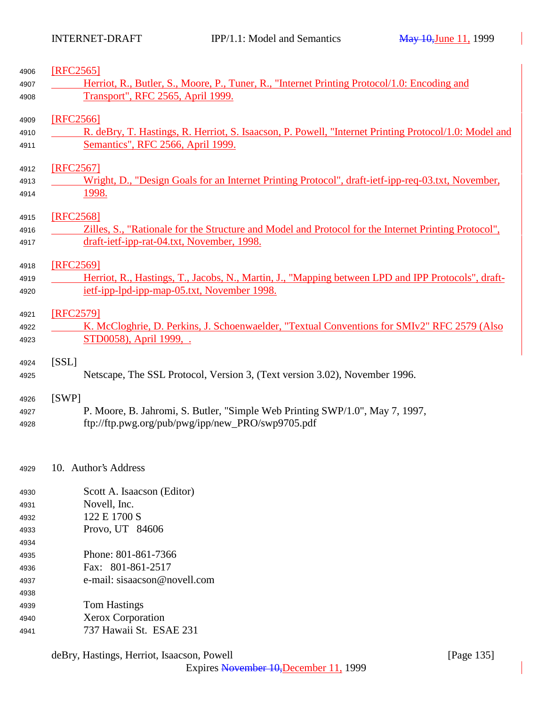| 4906 | [RFC2565]                                                                                             |  |
|------|-------------------------------------------------------------------------------------------------------|--|
| 4907 | Herriot, R., Butler, S., Moore, P., Tuner, R., "Internet Printing Protocol/1.0: Encoding and          |  |
| 4908 | <b>Transport", RFC 2565, April 1999.</b>                                                              |  |
| 4909 | [RFC2566]                                                                                             |  |
| 4910 | R. deBry, T. Hastings, R. Herriot, S. Isaacson, P. Powell, "Internet Printing Protocol/1.0: Model and |  |
| 4911 | Semantics", RFC 2566, April 1999.                                                                     |  |
| 4912 | [RFC2567]                                                                                             |  |
| 4913 | Wright, D., "Design Goals for an Internet Printing Protocol", draft-ietf-ipp-req-03.txt, November,    |  |
| 4914 | <u>1998.</u>                                                                                          |  |
| 4915 | [RFC2568]                                                                                             |  |
| 4916 | Zilles, S., "Rationale for the Structure and Model and Protocol for the Internet Printing Protocol",  |  |
| 4917 | draft-ietf-ipp-rat-04.txt, November, 1998.                                                            |  |
| 4918 | [RFC2569]                                                                                             |  |
| 4919 | Herriot, R., Hastings, T., Jacobs, N., Martin, J., "Mapping between LPD and IPP Protocols", draft-    |  |
| 4920 | ietf-ipp-lpd-ipp-map-05.txt, November 1998.                                                           |  |
| 4921 | [RFC2579]                                                                                             |  |
| 4922 | K. McCloghrie, D. Perkins, J. Schoenwaelder, "Textual Conventions for SMIv2" RFC 2579 (Also           |  |
| 4923 | STD0058), April 1999, .                                                                               |  |
| 4924 | [SSL]                                                                                                 |  |
| 4925 | Netscape, The SSL Protocol, Version 3, (Text version 3.02), November 1996.                            |  |
| 4926 | [SWP]                                                                                                 |  |
| 4927 | P. Moore, B. Jahromi, S. Butler, "Simple Web Printing SWP/1.0", May 7, 1997,                          |  |
| 4928 | ftp://ftp.pwg.org/pub/pwg/ipp/new_PRO/swp9705.pdf                                                     |  |
| 4929 | 10. Author's Address                                                                                  |  |
| 4930 | Scott A. Isaacson (Editor)                                                                            |  |
| 4931 | Novell, Inc.                                                                                          |  |
| 4932 | 122 E 1700 S                                                                                          |  |
| 4933 | Provo, UT 84606                                                                                       |  |
| 4934 |                                                                                                       |  |
| 4935 | Phone: 801-861-7366                                                                                   |  |
| 4936 | Fax: 801-861-2517                                                                                     |  |
| 4937 | e-mail: sisaacson@novell.com                                                                          |  |
| 4938 |                                                                                                       |  |
| 4939 | <b>Tom Hastings</b>                                                                                   |  |
| 4940 | <b>Xerox Corporation</b>                                                                              |  |
| 4941 | 737 Hawaii St. ESAE 231                                                                               |  |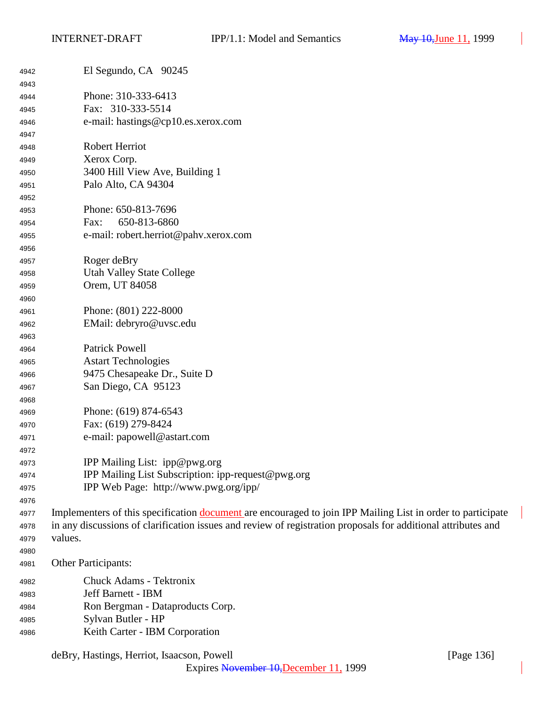| 4942 | El Segundo, CA 90245                                                                                               |
|------|--------------------------------------------------------------------------------------------------------------------|
| 4943 |                                                                                                                    |
| 4944 | Phone: 310-333-6413                                                                                                |
| 4945 | Fax: 310-333-5514                                                                                                  |
| 4946 | e-mail: hastings@cp10.es.xerox.com                                                                                 |
| 4947 |                                                                                                                    |
| 4948 | <b>Robert Herriot</b>                                                                                              |
| 4949 | Xerox Corp.                                                                                                        |
| 4950 | 3400 Hill View Ave, Building 1                                                                                     |
| 4951 | Palo Alto, CA 94304                                                                                                |
| 4952 |                                                                                                                    |
| 4953 | Phone: 650-813-7696                                                                                                |
| 4954 | 650-813-6860<br>Fax:                                                                                               |
| 4955 | e-mail: robert.herriot@pahv.xerox.com                                                                              |
| 4956 |                                                                                                                    |
| 4957 | Roger deBry                                                                                                        |
| 4958 | <b>Utah Valley State College</b>                                                                                   |
| 4959 | Orem, UT 84058                                                                                                     |
| 4960 |                                                                                                                    |
| 4961 | Phone: (801) 222-8000                                                                                              |
| 4962 | EMail: debryro@uvsc.edu                                                                                            |
| 4963 |                                                                                                                    |
| 4964 | <b>Patrick Powell</b>                                                                                              |
| 4965 | <b>Astart Technologies</b>                                                                                         |
| 4966 | 9475 Chesapeake Dr., Suite D                                                                                       |
| 4967 | San Diego, CA 95123                                                                                                |
| 4968 |                                                                                                                    |
| 4969 | Phone: (619) 874-6543                                                                                              |
| 4970 | Fax: (619) 279-8424                                                                                                |
| 4971 | e-mail: papowell@astart.com                                                                                        |
| 4972 |                                                                                                                    |
| 4973 | IPP Mailing List: ipp@pwg.org                                                                                      |
| 4974 | IPP Mailing List Subscription: ipp-request@pwg.org                                                                 |
| 4975 | IPP Web Page: http://www.pwg.org/ipp/                                                                              |
| 4976 |                                                                                                                    |
| 4977 | Implementers of this specification <b>document</b> are encouraged to join IPP Mailing List in order to participate |
| 4978 | in any discussions of clarification issues and review of registration proposals for additional attributes and      |
| 4979 | values.                                                                                                            |
| 4980 |                                                                                                                    |
| 4981 | Other Participants:                                                                                                |
| 4982 | Chuck Adams - Tektronix                                                                                            |
| 4983 | Jeff Barnett - IBM                                                                                                 |
| 4984 | Ron Bergman - Dataproducts Corp.                                                                                   |
| 4985 | Sylvan Butler - HP                                                                                                 |
| 4986 | Keith Carter - IBM Corporation                                                                                     |
|      |                                                                                                                    |

deBry, Hastings, Herriot, Isaacson, Powell [Page 136]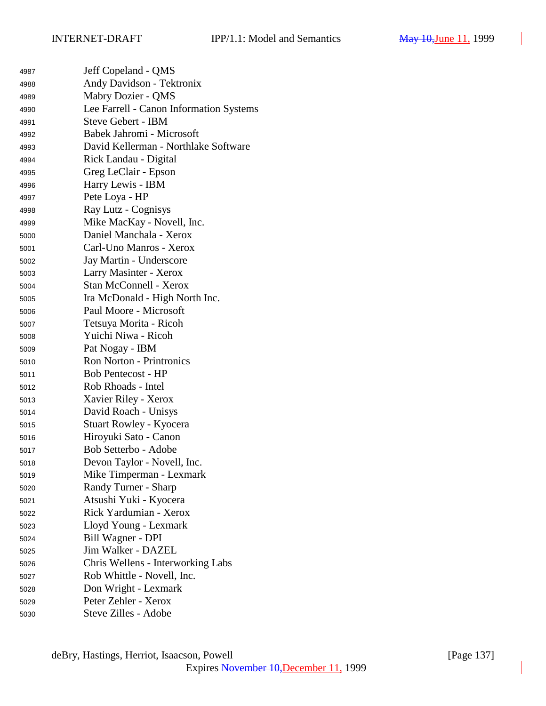| 4987 | Jeff Copeland - QMS                     |
|------|-----------------------------------------|
| 4988 | Andy Davidson - Tektronix               |
| 4989 | Mabry Dozier - QMS                      |
| 4990 | Lee Farrell - Canon Information Systems |
| 4991 | <b>Steve Gebert - IBM</b>               |
| 4992 | Babek Jahromi - Microsoft               |
| 4993 | David Kellerman - Northlake Software    |
| 4994 | Rick Landau - Digital                   |
| 4995 | Greg LeClair - Epson                    |
| 4996 | Harry Lewis - IBM                       |
| 4997 | Pete Loya - HP                          |
| 4998 | Ray Lutz - Cognisys                     |
| 4999 | Mike MacKay - Novell, Inc.              |
| 5000 | Daniel Manchala - Xerox                 |
| 5001 | Carl-Uno Manros - Xerox                 |
| 5002 | Jay Martin - Underscore                 |
| 5003 | Larry Masinter - Xerox                  |
| 5004 | <b>Stan McConnell - Xerox</b>           |
| 5005 | Ira McDonald - High North Inc.          |
| 5006 | Paul Moore - Microsoft                  |
| 5007 | Tetsuya Morita - Ricoh                  |
| 5008 | Yuichi Niwa - Ricoh                     |
| 5009 | Pat Nogay - IBM                         |
| 5010 | <b>Ron Norton - Printronics</b>         |
| 5011 | <b>Bob Pentecost - HP</b>               |
| 5012 | Rob Rhoads - Intel                      |
| 5013 | Xavier Riley - Xerox                    |
| 5014 | David Roach - Unisys                    |
| 5015 | Stuart Rowley - Kyocera                 |
| 5016 | Hiroyuki Sato - Canon                   |
| 5017 | Bob Setterbo - Adobe                    |
| 5018 | Devon Taylor - Novell, Inc.             |
| 5019 | Mike Timperman - Lexmark                |
| 5020 | Randy Turner - Sharp                    |
| 5021 | Atsushi Yuki - Kyocera                  |
| 5022 | Rick Yardumian - Xerox                  |
| 5023 | Lloyd Young - Lexmark                   |
| 5024 | Bill Wagner - DPI                       |
| 5025 | Jim Walker - DAZEL                      |
| 5026 | Chris Wellens - Interworking Labs       |
| 5027 | Rob Whittle - Novell, Inc.              |
| 5028 | Don Wright - Lexmark                    |
| 5029 | Peter Zehler - Xerox                    |
| 5030 | Steve Zilles - Adobe                    |
|      |                                         |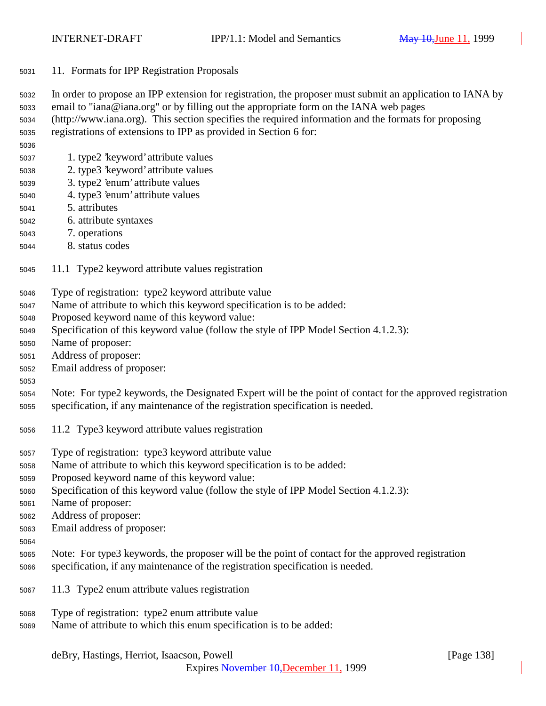- 11. Formats for IPP Registration Proposals
- In order to propose an IPP extension for registration, the proposer must submit an application to IANA by
- email to "iana@iana.org" or by filling out the appropriate form on the IANA web pages (http://www.iana.org). This section specifies the required information and the formats for proposing

registrations of extensions to IPP as provided in Section 6 for:

- 1. type2 'keyword' attribute values
- 2. type3 'keyword' attribute values
- 3. type2 'enum' attribute values
- 4. type3 'enum' attribute values
- 5. attributes
- 6. attribute syntaxes
- 7. operations
- 8. status codes
- 11.1 Type2 keyword attribute values registration
- Type of registration: type2 keyword attribute value
- Name of attribute to which this keyword specification is to be added:
- Proposed keyword name of this keyword value:
- Specification of this keyword value (follow the style of IPP Model Section 4.1.2.3):
- Name of proposer:
- Address of proposer:
- Email address of proposer:
- 

 Note: For type2 keywords, the Designated Expert will be the point of contact for the approved registration specification, if any maintenance of the registration specification is needed.

- 11.2 Type3 keyword attribute values registration
- Type of registration: type3 keyword attribute value
- Name of attribute to which this keyword specification is to be added:
- Proposed keyword name of this keyword value:
- Specification of this keyword value (follow the style of IPP Model Section 4.1.2.3):
- Name of proposer:
- Address of proposer:
- Email address of proposer:
- 
- Note: For type3 keywords, the proposer will be the point of contact for the approved registration specification, if any maintenance of the registration specification is needed.
- 11.3 Type2 enum attribute values registration
- Type of registration: type2 enum attribute value
- Name of attribute to which this enum specification is to be added: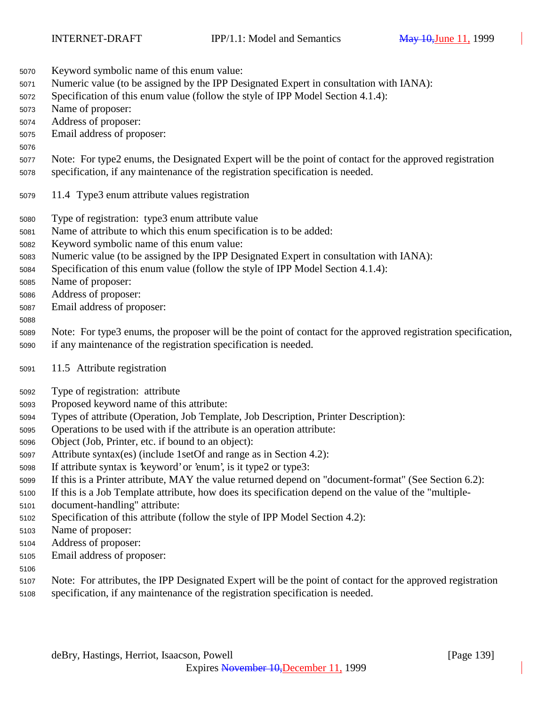- Keyword symbolic name of this enum value:
- Numeric value (to be assigned by the IPP Designated Expert in consultation with IANA):
- Specification of this enum value (follow the style of IPP Model Section 4.1.4):
- Name of proposer:
- Address of proposer:
- Email address of proposer:

### 

- Note: For type2 enums, the Designated Expert will be the point of contact for the approved registration specification, if any maintenance of the registration specification is needed.
- 11.4 Type3 enum attribute values registration
- Type of registration: type3 enum attribute value
- Name of attribute to which this enum specification is to be added:
- Keyword symbolic name of this enum value:
- Numeric value (to be assigned by the IPP Designated Expert in consultation with IANA):
- Specification of this enum value (follow the style of IPP Model Section 4.1.4):
- Name of proposer:
- Address of proposer:
- Email address of proposer:

## 

- Note: For type3 enums, the proposer will be the point of contact for the approved registration specification,
- if any maintenance of the registration specification is needed.
- 11.5 Attribute registration
- Type of registration: attribute
- Proposed keyword name of this attribute:
- Types of attribute (Operation, Job Template, Job Description, Printer Description):
- Operations to be used with if the attribute is an operation attribute:
- Object (Job, Printer, etc. if bound to an object):
- Attribute syntax(es) (include 1setOf and range as in Section 4.2):
- If attribute syntax is 'keyword' or 'enum', is it type2 or type3:
- If this is a Printer attribute, MAY the value returned depend on "document-format" (See Section 6.2):
- If this is a Job Template attribute, how does its specification depend on the value of the "multiple-
- document-handling" attribute:
- Specification of this attribute (follow the style of IPP Model Section 4.2):
- Name of proposer:
- Address of proposer:
- Email address of proposer:
- 
- Note: For attributes, the IPP Designated Expert will be the point of contact for the approved registration
- specification, if any maintenance of the registration specification is needed.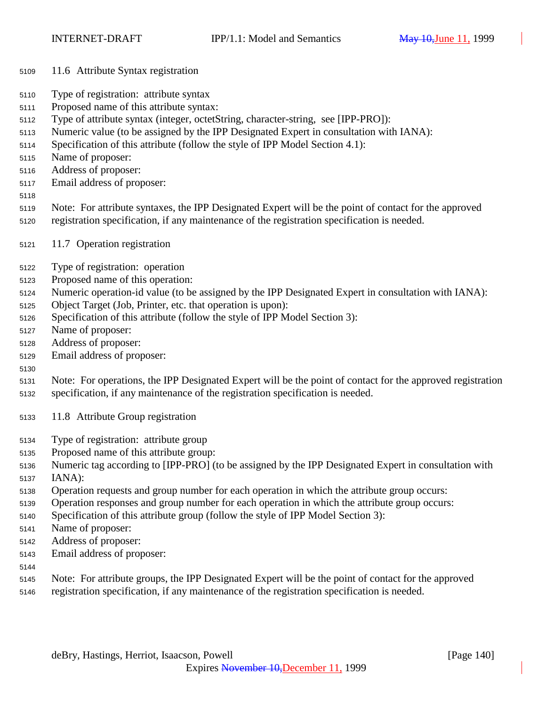- 11.6 Attribute Syntax registration
- Type of registration: attribute syntax
- Proposed name of this attribute syntax:
- Type of attribute syntax (integer, octetString, character-string, see [IPP-PRO]):
- Numeric value (to be assigned by the IPP Designated Expert in consultation with IANA):
- Specification of this attribute (follow the style of IPP Model Section 4.1):
- Name of proposer:
- Address of proposer:
- Email address of proposer:
- 
- Note: For attribute syntaxes, the IPP Designated Expert will be the point of contact for the approved registration specification, if any maintenance of the registration specification is needed.
- 11.7 Operation registration
- Type of registration: operation
- Proposed name of this operation:
- Numeric operation-id value (to be assigned by the IPP Designated Expert in consultation with IANA):
- Object Target (Job, Printer, etc. that operation is upon):
- Specification of this attribute (follow the style of IPP Model Section 3):
- Name of proposer:
- Address of proposer:
- Email address of proposer:
- 

 Note: For operations, the IPP Designated Expert will be the point of contact for the approved registration specification, if any maintenance of the registration specification is needed.

- 11.8 Attribute Group registration
- Type of registration: attribute group
- Proposed name of this attribute group:
- Numeric tag according to [IPP-PRO] (to be assigned by the IPP Designated Expert in consultation with
- IANA):
- Operation requests and group number for each operation in which the attribute group occurs:
- Operation responses and group number for each operation in which the attribute group occurs:
- Specification of this attribute group (follow the style of IPP Model Section 3):
- Name of proposer:
- Address of proposer:
- Email address of proposer:
- 
- Note: For attribute groups, the IPP Designated Expert will be the point of contact for the approved
- registration specification, if any maintenance of the registration specification is needed.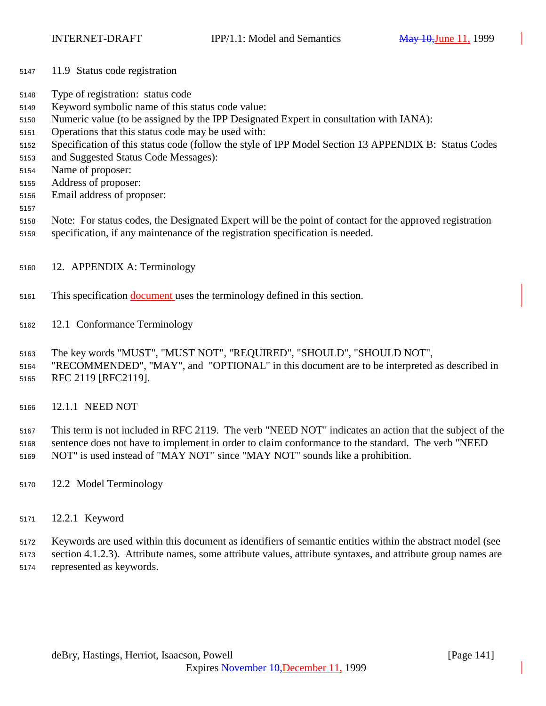- 11.9 Status code registration
- Type of registration: status code
- Keyword symbolic name of this status code value:
- Numeric value (to be assigned by the IPP Designated Expert in consultation with IANA):
- Operations that this status code may be used with:
- Specification of this status code (follow the style of IPP Model Section 13 APPENDIX B: Status Codes
- and Suggested Status Code Messages):
- Name of proposer:
- Address of proposer:
- Email address of proposer:
- 
- Note: For status codes, the Designated Expert will be the point of contact for the approved registration specification, if any maintenance of the registration specification is needed.
- 
- 12. APPENDIX A: Terminology
- This specification document uses the terminology defined in this section.
- 12.1 Conformance Terminology
- The key words "MUST", "MUST NOT", "REQUIRED", "SHOULD", "SHOULD NOT",
- "RECOMMENDED", "MAY", and "OPTIONAL" in this document are to be interpreted as described in RFC 2119 [RFC2119].
- 12.1.1 NEED NOT

 This term is not included in RFC 2119. The verb "NEED NOT" indicates an action that the subject of the sentence does not have to implement in order to claim conformance to the standard. The verb "NEED NOT" is used instead of "MAY NOT" since "MAY NOT" sounds like a prohibition.

- 12.2 Model Terminology
- 12.2.1 Keyword

 Keywords are used within this document as identifiers of semantic entities within the abstract model (see section 4.1.2.3). Attribute names, some attribute values, attribute syntaxes, and attribute group names are represented as keywords.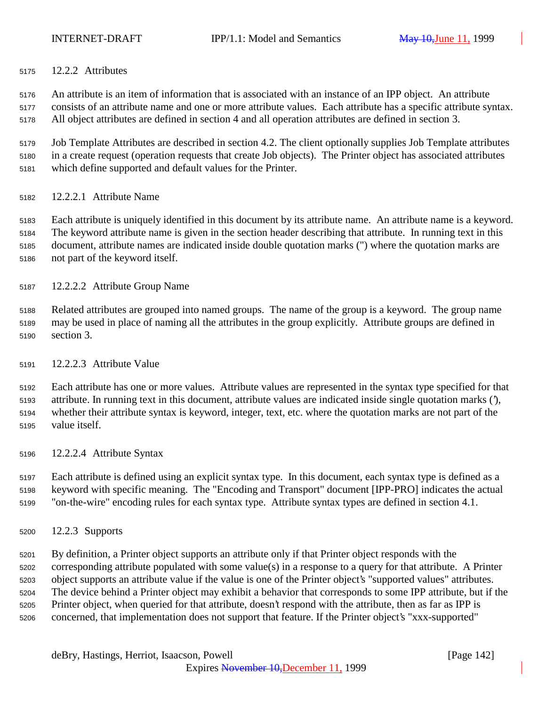12.2.2 Attributes

 An attribute is an item of information that is associated with an instance of an IPP object. An attribute consists of an attribute name and one or more attribute values. Each attribute has a specific attribute syntax. All object attributes are defined in section 4 and all operation attributes are defined in section 3.

 Job Template Attributes are described in section 4.2. The client optionally supplies Job Template attributes in a create request (operation requests that create Job objects). The Printer object has associated attributes which define supported and default values for the Printer.

12.2.2.1 Attribute Name

 Each attribute is uniquely identified in this document by its attribute name. An attribute name is a keyword. The keyword attribute name is given in the section header describing that attribute. In running text in this document, attribute names are indicated inside double quotation marks (") where the quotation marks are not part of the keyword itself.

12.2.2.2 Attribute Group Name

 Related attributes are grouped into named groups. The name of the group is a keyword. The group name may be used in place of naming all the attributes in the group explicitly. Attribute groups are defined in section 3.

12.2.2.3 Attribute Value

 Each attribute has one or more values. Attribute values are represented in the syntax type specified for that attribute. In running text in this document, attribute values are indicated inside single quotation marks ('), whether their attribute syntax is keyword, integer, text, etc. where the quotation marks are not part of the value itself.

12.2.2.4 Attribute Syntax

 Each attribute is defined using an explicit syntax type. In this document, each syntax type is defined as a keyword with specific meaning. The "Encoding and Transport" document [IPP-PRO] indicates the actual "on-the-wire" encoding rules for each syntax type. Attribute syntax types are defined in section 4.1.

12.2.3 Supports

 By definition, a Printer object supports an attribute only if that Printer object responds with the corresponding attribute populated with some value(s) in a response to a query for that attribute. A Printer object supports an attribute value if the value is one of the Printer object's "supported values" attributes. The device behind a Printer object may exhibit a behavior that corresponds to some IPP attribute, but if the Printer object, when queried for that attribute, doesn't respond with the attribute, then as far as IPP is concerned, that implementation does not support that feature. If the Printer object's "xxx-supported"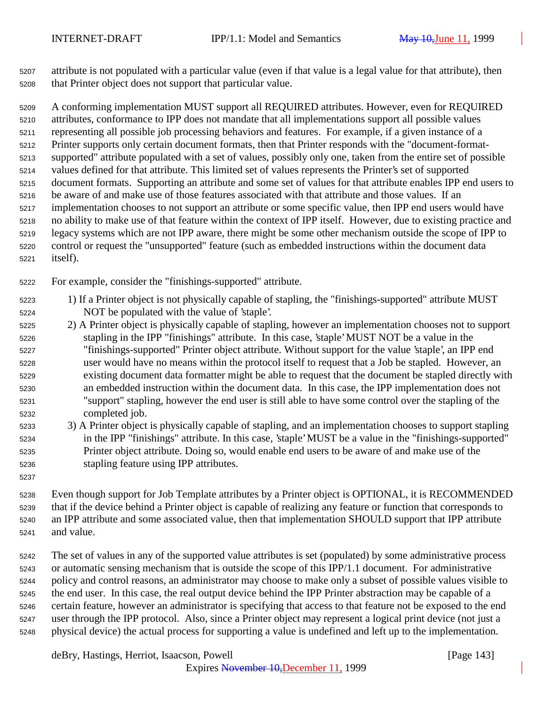attribute is not populated with a particular value (even if that value is a legal value for that attribute), then that Printer object does not support that particular value.

 A conforming implementation MUST support all REQUIRED attributes. However, even for REQUIRED attributes, conformance to IPP does not mandate that all implementations support all possible values representing all possible job processing behaviors and features. For example, if a given instance of a Printer supports only certain document formats, then that Printer responds with the "document-format- supported" attribute populated with a set of values, possibly only one, taken from the entire set of possible values defined for that attribute. This limited set of values represents the Printer's set of supported document formats. Supporting an attribute and some set of values for that attribute enables IPP end users to be aware of and make use of those features associated with that attribute and those values. If an implementation chooses to not support an attribute or some specific value, then IPP end users would have no ability to make use of that feature within the context of IPP itself. However, due to existing practice and legacy systems which are not IPP aware, there might be some other mechanism outside the scope of IPP to control or request the "unsupported" feature (such as embedded instructions within the document data itself).

For example, consider the "finishings-supported" attribute.

- 1) If a Printer object is not physically capable of stapling, the "finishings-supported" attribute MUST NOT be populated with the value of 'staple'.
- 2) A Printer object is physically capable of stapling, however an implementation chooses not to support stapling in the IPP "finishings" attribute. In this case, 'staple' MUST NOT be a value in the "finishings-supported" Printer object attribute. Without support for the value 'staple', an IPP end user would have no means within the protocol itself to request that a Job be stapled. However, an existing document data formatter might be able to request that the document be stapled directly with an embedded instruction within the document data. In this case, the IPP implementation does not "support" stapling, however the end user is still able to have some control over the stapling of the completed job.
- 3) A Printer object is physically capable of stapling, and an implementation chooses to support stapling in the IPP "finishings" attribute. In this case, 'staple' MUST be a value in the "finishings-supported" Printer object attribute. Doing so, would enable end users to be aware of and make use of the stapling feature using IPP attributes.
- Even though support for Job Template attributes by a Printer object is OPTIONAL, it is RECOMMENDED that if the device behind a Printer object is capable of realizing any feature or function that corresponds to an IPP attribute and some associated value, then that implementation SHOULD support that IPP attribute and value.
- The set of values in any of the supported value attributes is set (populated) by some administrative process or automatic sensing mechanism that is outside the scope of this IPP/1.1 document. For administrative policy and control reasons, an administrator may choose to make only a subset of possible values visible to the end user. In this case, the real output device behind the IPP Printer abstraction may be capable of a certain feature, however an administrator is specifying that access to that feature not be exposed to the end user through the IPP protocol. Also, since a Printer object may represent a logical print device (not just a physical device) the actual process for supporting a value is undefined and left up to the implementation.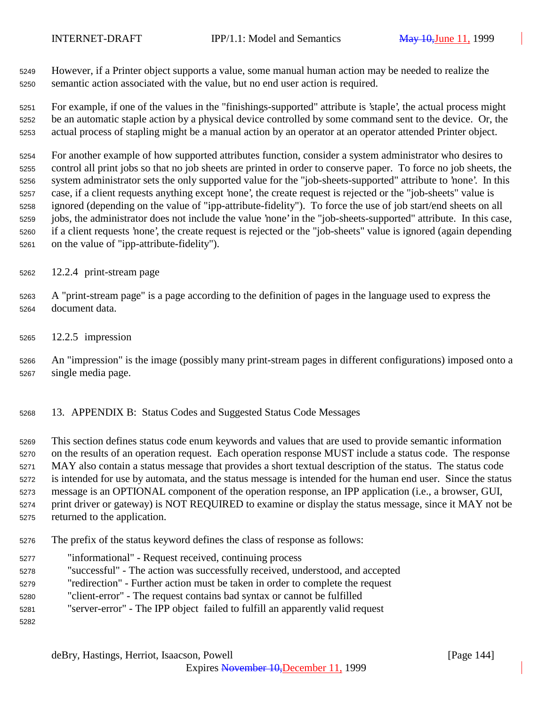However, if a Printer object supports a value, some manual human action may be needed to realize the semantic action associated with the value, but no end user action is required.

 For example, if one of the values in the "finishings-supported" attribute is 'staple', the actual process might be an automatic staple action by a physical device controlled by some command sent to the device. Or, the actual process of stapling might be a manual action by an operator at an operator attended Printer object.

 For another example of how supported attributes function, consider a system administrator who desires to control all print jobs so that no job sheets are printed in order to conserve paper. To force no job sheets, the system administrator sets the only supported value for the "job-sheets-supported" attribute to 'none'. In this case, if a client requests anything except 'none', the create request is rejected or the "job-sheets" value is ignored (depending on the value of "ipp-attribute-fidelity"). To force the use of job start/end sheets on all jobs, the administrator does not include the value 'none' in the "job-sheets-supported" attribute. In this case, if a client requests 'none', the create request is rejected or the "job-sheets" value is ignored (again depending on the value of "ipp-attribute-fidelity").

12.2.4 print-stream page

- A "print-stream page" is a page according to the definition of pages in the language used to express the document data.
- 12.2.5 impression

 An "impression" is the image (possibly many print-stream pages in different configurations) imposed onto a single media page.

13. APPENDIX B: Status Codes and Suggested Status Code Messages

 This section defines status code enum keywords and values that are used to provide semantic information on the results of an operation request. Each operation response MUST include a status code. The response MAY also contain a status message that provides a short textual description of the status. The status code is intended for use by automata, and the status message is intended for the human end user. Since the status message is an OPTIONAL component of the operation response, an IPP application (i.e., a browser, GUI, print driver or gateway) is NOT REQUIRED to examine or display the status message, since it MAY not be returned to the application.

- The prefix of the status keyword defines the class of response as follows:
- "informational" Request received, continuing process
- "successful" The action was successfully received, understood, and accepted
- "redirection" Further action must be taken in order to complete the request
- "client-error" The request contains bad syntax or cannot be fulfilled
- "server-error" The IPP object failed to fulfill an apparently valid request
-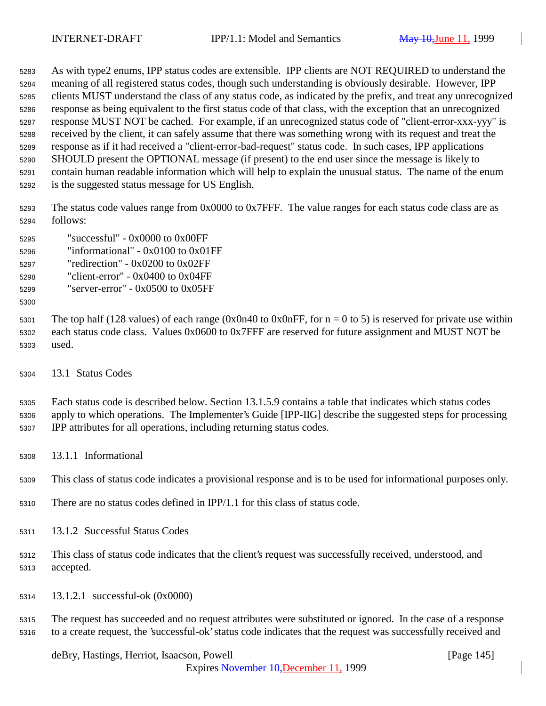As with type2 enums, IPP status codes are extensible. IPP clients are NOT REQUIRED to understand the meaning of all registered status codes, though such understanding is obviously desirable. However, IPP clients MUST understand the class of any status code, as indicated by the prefix, and treat any unrecognized response as being equivalent to the first status code of that class, with the exception that an unrecognized response MUST NOT be cached. For example, if an unrecognized status code of "client-error-xxx-yyy" is received by the client, it can safely assume that there was something wrong with its request and treat the response as if it had received a "client-error-bad-request" status code. In such cases, IPP applications SHOULD present the OPTIONAL message (if present) to the end user since the message is likely to contain human readable information which will help to explain the unusual status. The name of the enum is the suggested status message for US English.

 The status code values range from 0x0000 to 0x7FFF. The value ranges for each status code class are as follows:

- "successful" 0x0000 to 0x00FF "informational" - 0x0100 to 0x01FF
- "redirection" 0x0200 to 0x02FF
- "client-error" 0x0400 to 0x04FF
- "server-error" 0x0500 to 0x05FF
- 

5301 The top half (128 values) of each range (0x0n40 to 0x0nFF, for  $n = 0$  to 5) is reserved for private use within each status code class. Values 0x0600 to 0x7FFF are reserved for future assignment and MUST NOT be used.

13.1 Status Codes

 Each status code is described below. Section 13.1.5.9 contains a table that indicates which status codes apply to which operations. The Implementer's Guide [IPP-IIG] describe the suggested steps for processing IPP attributes for all operations, including returning status codes.

13.1.1 Informational

This class of status code indicates a provisional response and is to be used for informational purposes only.

- There are no status codes defined in IPP/1.1 for this class of status code.
- 13.1.2 Successful Status Codes
- This class of status code indicates that the client's request was successfully received, understood, and accepted.
- 13.1.2.1 successful-ok (0x0000)

 The request has succeeded and no request attributes were substituted or ignored. In the case of a response to a create request, the 'successful-ok' status code indicates that the request was successfully received and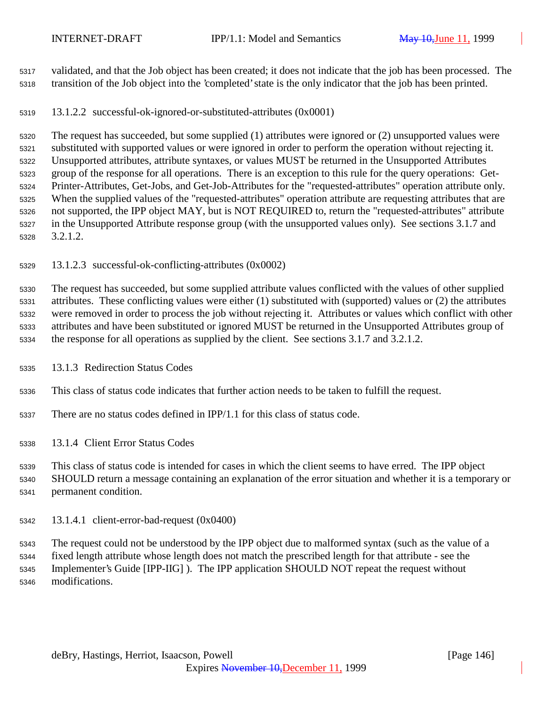validated, and that the Job object has been created; it does not indicate that the job has been processed. The transition of the Job object into the 'completed' state is the only indicator that the job has been printed.

13.1.2.2 successful-ok-ignored-or-substituted-attributes (0x0001)

 The request has succeeded, but some supplied (1) attributes were ignored or (2) unsupported values were substituted with supported values or were ignored in order to perform the operation without rejecting it. Unsupported attributes, attribute syntaxes, or values MUST be returned in the Unsupported Attributes group of the response for all operations. There is an exception to this rule for the query operations: Get- Printer-Attributes, Get-Jobs, and Get-Job-Attributes for the "requested-attributes" operation attribute only. When the supplied values of the "requested-attributes" operation attribute are requesting attributes that are not supported, the IPP object MAY, but is NOT REQUIRED to, return the "requested-attributes" attribute in the Unsupported Attribute response group (with the unsupported values only). See sections 3.1.7 and 3.2.1.2.

13.1.2.3 successful-ok-conflicting-attributes (0x0002)

 The request has succeeded, but some supplied attribute values conflicted with the values of other supplied attributes. These conflicting values were either (1) substituted with (supported) values or (2) the attributes were removed in order to process the job without rejecting it. Attributes or values which conflict with other attributes and have been substituted or ignored MUST be returned in the Unsupported Attributes group of the response for all operations as supplied by the client. See sections 3.1.7 and 3.2.1.2.

13.1.3 Redirection Status Codes

This class of status code indicates that further action needs to be taken to fulfill the request.

There are no status codes defined in IPP/1.1 for this class of status code.

13.1.4 Client Error Status Codes

This class of status code is intended for cases in which the client seems to have erred. The IPP object

 SHOULD return a message containing an explanation of the error situation and whether it is a temporary or permanent condition.

13.1.4.1 client-error-bad-request (0x0400)

 The request could not be understood by the IPP object due to malformed syntax (such as the value of a fixed length attribute whose length does not match the prescribed length for that attribute - see the Implementer's Guide [IPP-IIG] ). The IPP application SHOULD NOT repeat the request without modifications.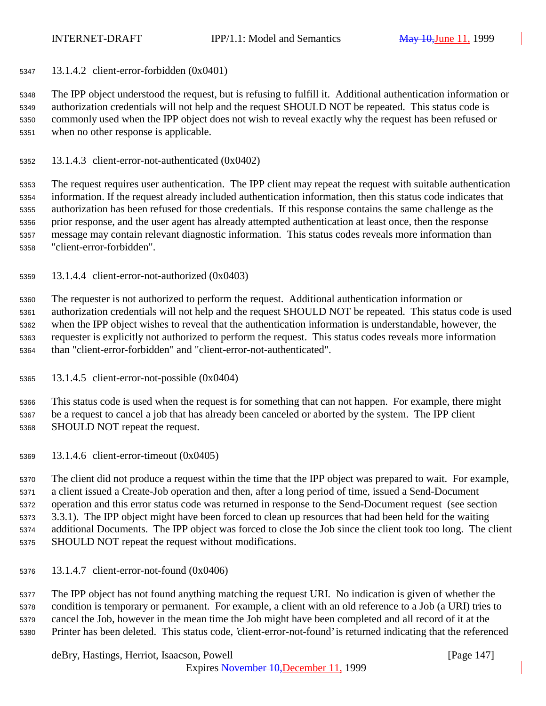13.1.4.2 client-error-forbidden (0x0401)

 The IPP object understood the request, but is refusing to fulfill it. Additional authentication information or authorization credentials will not help and the request SHOULD NOT be repeated. This status code is commonly used when the IPP object does not wish to reveal exactly why the request has been refused or when no other response is applicable.

13.1.4.3 client-error-not-authenticated (0x0402)

 The request requires user authentication. The IPP client may repeat the request with suitable authentication information. If the request already included authentication information, then this status code indicates that authorization has been refused for those credentials. If this response contains the same challenge as the prior response, and the user agent has already attempted authentication at least once, then the response message may contain relevant diagnostic information. This status codes reveals more information than "client-error-forbidden".

13.1.4.4 client-error-not-authorized (0x0403)

 The requester is not authorized to perform the request. Additional authentication information or authorization credentials will not help and the request SHOULD NOT be repeated. This status code is used when the IPP object wishes to reveal that the authentication information is understandable, however, the requester is explicitly not authorized to perform the request. This status codes reveals more information than "client-error-forbidden" and "client-error-not-authenticated".

13.1.4.5 client-error-not-possible (0x0404)

 This status code is used when the request is for something that can not happen. For example, there might be a request to cancel a job that has already been canceled or aborted by the system. The IPP client SHOULD NOT repeat the request.

13.1.4.6 client-error-timeout (0x0405)

 The client did not produce a request within the time that the IPP object was prepared to wait. For example, a client issued a Create-Job operation and then, after a long period of time, issued a Send-Document operation and this error status code was returned in response to the Send-Document request (see section 3.3.1). The IPP object might have been forced to clean up resources that had been held for the waiting additional Documents. The IPP object was forced to close the Job since the client took too long. The client SHOULD NOT repeat the request without modifications.

13.1.4.7 client-error-not-found (0x0406)

 The IPP object has not found anything matching the request URI. No indication is given of whether the condition is temporary or permanent. For example, a client with an old reference to a Job (a URI) tries to cancel the Job, however in the mean time the Job might have been completed and all record of it at the Printer has been deleted. This status code, 'client-error-not-found' is returned indicating that the referenced

deBry, Hastings, Herriot, Isaacson, Powell [Page 147]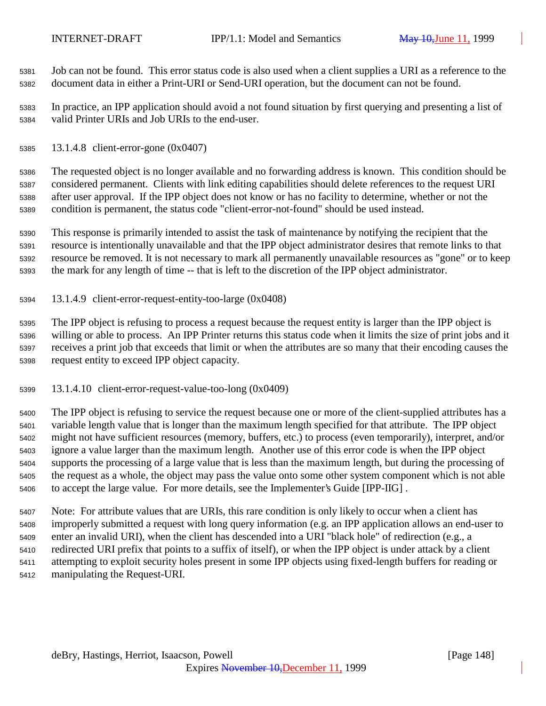Job can not be found. This error status code is also used when a client supplies a URI as a reference to the document data in either a Print-URI or Send-URI operation, but the document can not be found.

 In practice, an IPP application should avoid a not found situation by first querying and presenting a list of valid Printer URIs and Job URIs to the end-user.

13.1.4.8 client-error-gone (0x0407)

 The requested object is no longer available and no forwarding address is known. This condition should be considered permanent. Clients with link editing capabilities should delete references to the request URI after user approval. If the IPP object does not know or has no facility to determine, whether or not the condition is permanent, the status code "client-error-not-found" should be used instead.

 This response is primarily intended to assist the task of maintenance by notifying the recipient that the resource is intentionally unavailable and that the IPP object administrator desires that remote links to that resource be removed. It is not necessary to mark all permanently unavailable resources as "gone" or to keep the mark for any length of time -- that is left to the discretion of the IPP object administrator.

13.1.4.9 client-error-request-entity-too-large (0x0408)

 The IPP object is refusing to process a request because the request entity is larger than the IPP object is willing or able to process. An IPP Printer returns this status code when it limits the size of print jobs and it receives a print job that exceeds that limit or when the attributes are so many that their encoding causes the request entity to exceed IPP object capacity.

13.1.4.10 client-error-request-value-too-long (0x0409)

 The IPP object is refusing to service the request because one or more of the client-supplied attributes has a variable length value that is longer than the maximum length specified for that attribute. The IPP object might not have sufficient resources (memory, buffers, etc.) to process (even temporarily), interpret, and/or ignore a value larger than the maximum length. Another use of this error code is when the IPP object supports the processing of a large value that is less than the maximum length, but during the processing of the request as a whole, the object may pass the value onto some other system component which is not able to accept the large value. For more details, see the Implementer's Guide [IPP-IIG] .

 Note: For attribute values that are URIs, this rare condition is only likely to occur when a client has improperly submitted a request with long query information (e.g. an IPP application allows an end-user to enter an invalid URI), when the client has descended into a URI "black hole" of redirection (e.g., a redirected URI prefix that points to a suffix of itself), or when the IPP object is under attack by a client attempting to exploit security holes present in some IPP objects using fixed-length buffers for reading or manipulating the Request-URI.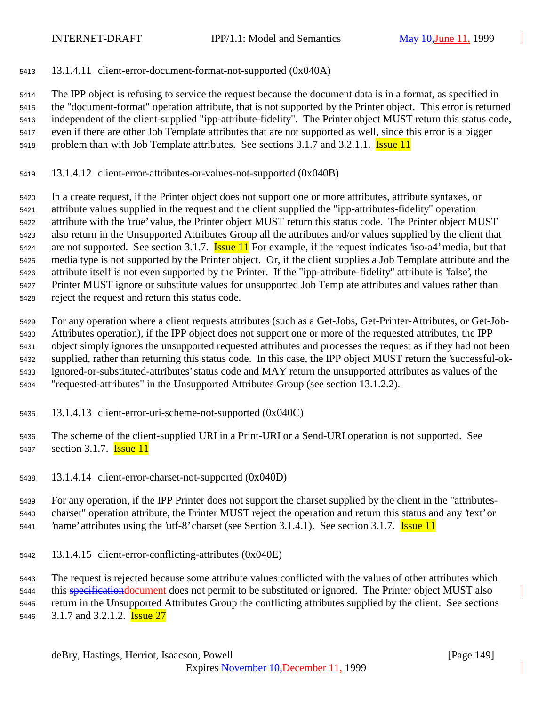13.1.4.11 client-error-document-format-not-supported (0x040A)

 The IPP object is refusing to service the request because the document data is in a format, as specified in the "document-format" operation attribute, that is not supported by the Printer object. This error is returned independent of the client-supplied "ipp-attribute-fidelity". The Printer object MUST return this status code, even if there are other Job Template attributes that are not supported as well, since this error is a bigger 5418 problem than with Job Template attributes. See sections 3.1.7 and 3.2.1.1. **Issue 11** 

13.1.4.12 client-error-attributes-or-values-not-supported (0x040B)

 In a create request, if the Printer object does not support one or more attributes, attribute syntaxes, or attribute values supplied in the request and the client supplied the "ipp-attributes-fidelity" operation attribute with the 'true' value, the Printer object MUST return this status code. The Printer object MUST also return in the Unsupported Attributes Group all the attributes and/or values supplied by the client that 5424 are not supported. See section 3.1.7. **Issue 11** For example, if the request indicates 'iso-a4' media, but that media type is not supported by the Printer object. Or, if the client supplies a Job Template attribute and the attribute itself is not even supported by the Printer. If the "ipp-attribute-fidelity" attribute is 'false', the Printer MUST ignore or substitute values for unsupported Job Template attributes and values rather than reject the request and return this status code.

 For any operation where a client requests attributes (such as a Get-Jobs, Get-Printer-Attributes, or Get-Job- Attributes operation), if the IPP object does not support one or more of the requested attributes, the IPP object simply ignores the unsupported requested attributes and processes the request as if they had not been supplied, rather than returning this status code. In this case, the IPP object MUST return the 'successful-ok- ignored-or-substituted-attributes' status code and MAY return the unsupported attributes as values of the "requested-attributes" in the Unsupported Attributes Group (see section 13.1.2.2).

- 13.1.4.13 client-error-uri-scheme-not-supported (0x040C)
- The scheme of the client-supplied URI in a Print-URI or a Send-URI operation is not supported. See 5437 section 3.1.7. **Issue 11**
- 13.1.4.14 client-error-charset-not-supported (0x040D)

 For any operation, if the IPP Printer does not support the charset supplied by the client in the "attributes- charset" operation attribute, the Printer MUST reject the operation and return this status and any 'text' or 5441 hame' attributes using the 'utf-8' charset (see Section 3.1.4.1). See section 3.1.7. **Issue 11** 

13.1.4.15 client-error-conflicting-attributes (0x040E)

The request is rejected because some attribute values conflicted with the values of other attributes which

5444 this specification document does not permit to be substituted or ignored. The Printer object MUST also

return in the Unsupported Attributes Group the conflicting attributes supplied by the client. See sections

5446 3.1.7 and 3.2.1.2. **Issue 27**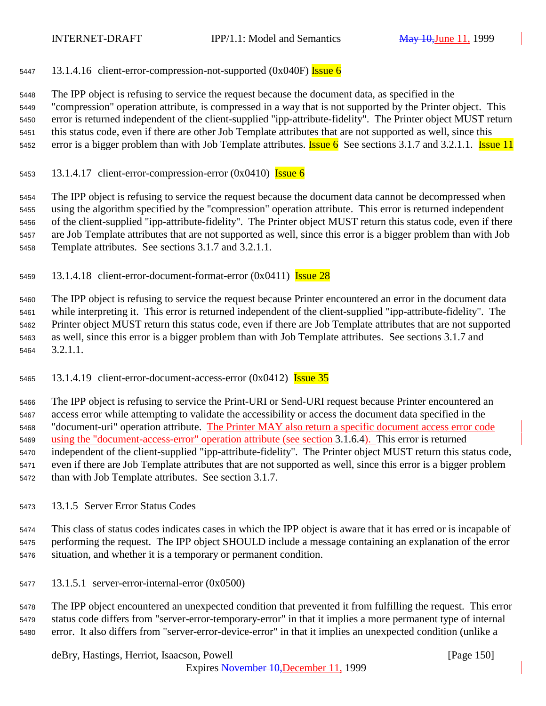5447 13.1.4.16 client-error-compression-not-supported  $(0x040F)$  Issue 6

 The IPP object is refusing to service the request because the document data, as specified in the "compression" operation attribute, is compressed in a way that is not supported by the Printer object. This error is returned independent of the client-supplied "ipp-attribute-fidelity". The Printer object MUST return this status code, even if there are other Job Template attributes that are not supported as well, since this 5452 error is a bigger problem than with Job Template attributes. **Issue 6** See sections 3.1.7 and 3.2.1.1. **Issue 11** 

5453 13.1.4.17 client-error-compression-error  $(0x0410)$  Issue 6

 The IPP object is refusing to service the request because the document data cannot be decompressed when using the algorithm specified by the "compression" operation attribute. This error is returned independent of the client-supplied "ipp-attribute-fidelity". The Printer object MUST return this status code, even if there are Job Template attributes that are not supported as well, since this error is a bigger problem than with Job Template attributes. See sections 3.1.7 and 3.2.1.1.

13.1.4.18 client-error-document-format-error  $(0x0411)$  Issue 28

 The IPP object is refusing to service the request because Printer encountered an error in the document data while interpreting it. This error is returned independent of the client-supplied "ipp-attribute-fidelity". The Printer object MUST return this status code, even if there are Job Template attributes that are not supported as well, since this error is a bigger problem than with Job Template attributes. See sections 3.1.7 and 3.2.1.1.

5465 13.1.4.19 client-error-document-access-error  $(0x0412)$  Issue 35

 The IPP object is refusing to service the Print-URI or Send-URI request because Printer encountered an access error while attempting to validate the accessibility or access the document data specified in the "document-uri" operation attribute. The Printer MAY also return a specific document access error code using the "document-access-error" operation attribute (see section 3.1.6.4). This error is returned independent of the client-supplied "ipp-attribute-fidelity". The Printer object MUST return this status code, even if there are Job Template attributes that are not supported as well, since this error is a bigger problem than with Job Template attributes. See section 3.1.7.

13.1.5 Server Error Status Codes

 This class of status codes indicates cases in which the IPP object is aware that it has erred or is incapable of performing the request. The IPP object SHOULD include a message containing an explanation of the error situation, and whether it is a temporary or permanent condition.

13.1.5.1 server-error-internal-error (0x0500)

 The IPP object encountered an unexpected condition that prevented it from fulfilling the request. This error status code differs from "server-error-temporary-error" in that it implies a more permanent type of internal error. It also differs from "server-error-device-error" in that it implies an unexpected condition (unlike a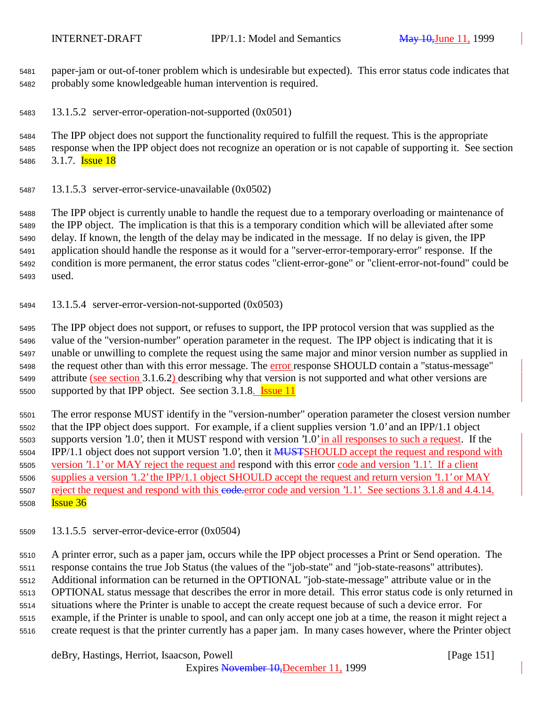paper-jam or out-of-toner problem which is undesirable but expected). This error status code indicates that probably some knowledgeable human intervention is required.

13.1.5.2 server-error-operation-not-supported (0x0501)

 The IPP object does not support the functionality required to fulfill the request. This is the appropriate response when the IPP object does not recognize an operation or is not capable of supporting it. See section 5486 3.1.7. **Issue 18** 

13.1.5.3 server-error-service-unavailable (0x0502)

 The IPP object is currently unable to handle the request due to a temporary overloading or maintenance of the IPP object. The implication is that this is a temporary condition which will be alleviated after some delay. If known, the length of the delay may be indicated in the message. If no delay is given, the IPP application should handle the response as it would for a "server-error-temporary-error" response. If the condition is more permanent, the error status codes "client-error-gone" or "client-error-not-found" could be used.

13.1.5.4 server-error-version-not-supported (0x0503)

 The IPP object does not support, or refuses to support, the IPP protocol version that was supplied as the value of the "version-number" operation parameter in the request. The IPP object is indicating that it is unable or unwilling to complete the request using the same major and minor version number as supplied in 5498 the request other than with this error message. The error response SHOULD contain a "status-message" attribute (see section 3.1.6.2) describing why that version is not supported and what other versions are 5500 supported by that IPP object. See section 3.1.8. **Issue 11** 

 The error response MUST identify in the "version-number" operation parameter the closest version number that the IPP object does support. For example, if a client supplies version '1.0' and an IPP/1.1 object supports version '1.0', then it MUST respond with version '1.0' in all responses to such a request. If the 5504 IPP/1.1 object does not support version '1.0', then it MUSTSHOULD accept the request and respond with version '1.1' or MAY reject the request and respond with this error code and version '1.1'. If a client supplies a version '1.2' the IPP/1.1 object SHOULD accept the request and return version '1.1' or MAY 5507 reject the request and respond with this e<del>ode.e</del>rror code and version '1.1'. See sections 3.1.8 and 4.4.14. **Issue 36** 

13.1.5.5 server-error-device-error (0x0504)

 A printer error, such as a paper jam, occurs while the IPP object processes a Print or Send operation. The response contains the true Job Status (the values of the "job-state" and "job-state-reasons" attributes). Additional information can be returned in the OPTIONAL "job-state-message" attribute value or in the OPTIONAL status message that describes the error in more detail. This error status code is only returned in situations where the Printer is unable to accept the create request because of such a device error. For example, if the Printer is unable to spool, and can only accept one job at a time, the reason it might reject a create request is that the printer currently has a paper jam. In many cases however, where the Printer object

deBry, Hastings, Herriot, Isaacson, Powell [Page 151]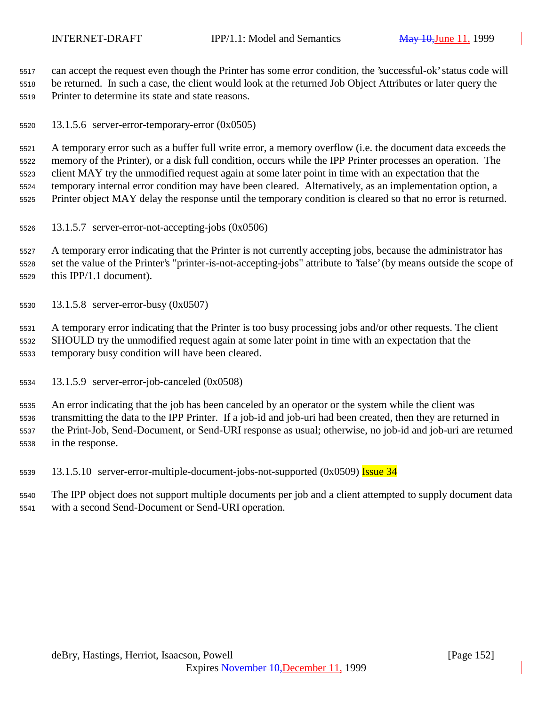can accept the request even though the Printer has some error condition, the 'successful-ok' status code will be returned. In such a case, the client would look at the returned Job Object Attributes or later query the Printer to determine its state and state reasons.

13.1.5.6 server-error-temporary-error (0x0505)

 A temporary error such as a buffer full write error, a memory overflow (i.e. the document data exceeds the memory of the Printer), or a disk full condition, occurs while the IPP Printer processes an operation. The client MAY try the unmodified request again at some later point in time with an expectation that the temporary internal error condition may have been cleared. Alternatively, as an implementation option, a Printer object MAY delay the response until the temporary condition is cleared so that no error is returned.

13.1.5.7 server-error-not-accepting-jobs (0x0506)

 A temporary error indicating that the Printer is not currently accepting jobs, because the administrator has set the value of the Printer's "printer-is-not-accepting-jobs" attribute to 'false' (by means outside the scope of this IPP/1.1 document).

13.1.5.8 server-error-busy (0x0507)

 A temporary error indicating that the Printer is too busy processing jobs and/or other requests. The client SHOULD try the unmodified request again at some later point in time with an expectation that the temporary busy condition will have been cleared.

13.1.5.9 server-error-job-canceled (0x0508)

 An error indicating that the job has been canceled by an operator or the system while the client was transmitting the data to the IPP Printer. If a job-id and job-uri had been created, then they are returned in the Print-Job, Send-Document, or Send-URI response as usual; otherwise, no job-id and job-uri are returned in the response.

5539 13.1.5.10 server-error-multiple-document-jobs-not-supported (0x0509) Issue 34

 The IPP object does not support multiple documents per job and a client attempted to supply document data with a second Send-Document or Send-URI operation.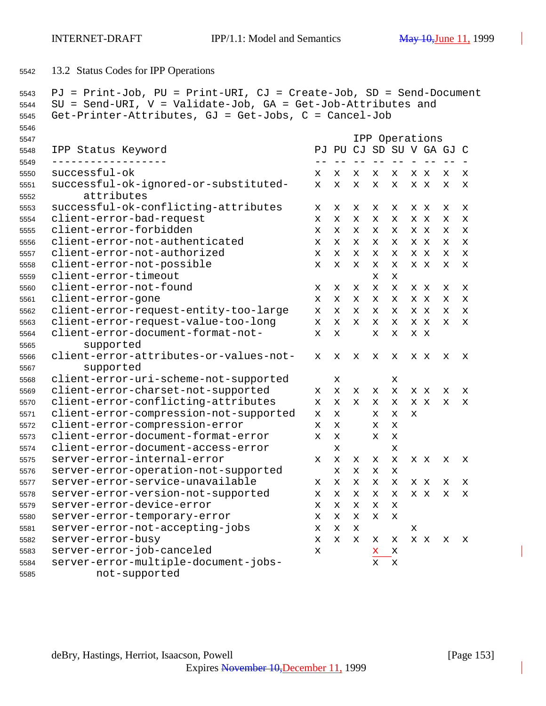13.2 Status Codes for IPP Operations

```
5543 PJ = Print-Job, PU = Print-URI, CJ = Create-Job, SD = Send-Document
5544 SU = Send-URI, V = Validate-Job, GA = Get-Job-Attributes and
5545 Get-Printer-Attributes, GJ = Get-Jobs, C = Cancel-Job
5546
5547 IPP Operations
5548 IPP Status Keyword PJ PU CJ SD SU V GA GJ C
5549 ------------------ -- -- -- -- -- - -- -- -
5550 successful-ok x x x x x x x x x
5551 successful-ok-ignored-or-substituted- x x x x x x x x x
5552 attributes
5553 successful-ok-conflicting-attributes x x x x x x x x x
5554 client-error-bad-request x x x x x x x x x
5555 client-error-forbidden x x x x x x x x x
5556 client-error-not-authenticated x x x x x x x x x
5557 client-error-not-authorized x x x x x x x x x
5558 client-error-not-possible x x x x x x x x x
5559 client-error-timeout x x
5560 client-error-not-found x x x x x x x x x
5561 client-error-gone x x x x x x x x x
5562 client-error-request-entity-too-large x x x x x x x x x
5563 client-error-request-value-too-long x x x x x x x x x
5564 client-error-document-format-not- x x x x x x
5565 supported
5566 client-error-attributes-or-values-not- x x x x x x x x x
5567 supported
5568 client-error-uri-scheme-not-supported x x
5569 client-error-charset-not-supported x x x x x x x x x
5570 client-error-conflicting-attributes x x x x x x x x x
5571 client-error-compression-not-supported x x x x x
5572 client-error-compression-error x x x x
5573 client-error-document-format-error x x x x
5574 client-error-document-access-error x x
5575 server-error-internal-error x x x x x x x x x
5576 server-error-operation-not-supported x x x x
5577 server-error-service-unavailable x x x x x x x x x
5578 server-error-version-not-supported x x x x x x x x x
5579 server-error-device-error x x x x x
5580 server-error-temporary-error x x x x x
5581 server-error-not-accepting-jobs x x x x
5582 server-error-busy x x x x x x x x x
5583 server-error-job-canceled x x x
5584 server-error-multiple-document-jobs- x x
5585 not-supported
```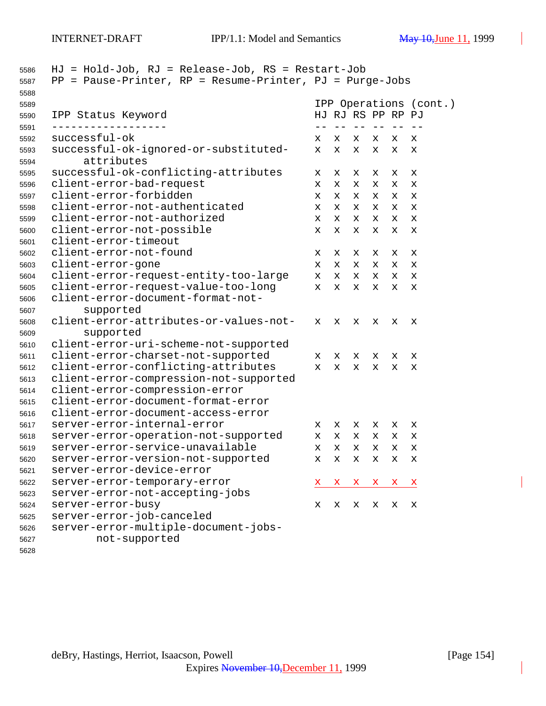INTERNET-DRAFT IPP/1.1: Model and Semantics May 10, June 11, 1999

| 5586<br>5587 | $HJ = Hold-Job$ , $RJ = Release-Job$ , $RS = Restart-Job$<br>$PP = Pause-Printer, RP = Resume-Printer, PJ = Purge-Jobs$ |    |                            |             |                 |    |                        |
|--------------|-------------------------------------------------------------------------------------------------------------------------|----|----------------------------|-------------|-----------------|----|------------------------|
| 5588         |                                                                                                                         |    |                            |             |                 |    |                        |
| 5589         |                                                                                                                         |    |                            |             |                 |    | IPP Operations (cont.) |
| 5590         | IPP Status Keyword                                                                                                      |    | HJ RJ RS PP RP PJ<br>$- -$ |             |                 |    |                        |
| 5591<br>5592 | successful-ok                                                                                                           | x  | x                          | $- -$<br>х  | $\qquad -$<br>x | x  | x                      |
| 5593<br>5594 | successful-ok-ignored-or-substituted-<br>attributes                                                                     | x  | X.                         | х           | x               | x  | x                      |
| 5595         | successful-ok-conflicting-attributes                                                                                    | х  | х                          | х           | х               | х  | х                      |
| 5596         | client-error-bad-request                                                                                                | х  | x                          | x           | x               | x  | X                      |
| 5597         | client-error-forbidden                                                                                                  | x  | X.                         | x           | x               | x  | x                      |
| 5598         | client-error-not-authenticated                                                                                          | x  | X.                         | x           | x               | x  | x                      |
| 5599         | client-error-not-authorized                                                                                             | x  | X.                         | $\mathbf x$ | x               | x  | x                      |
| 5600         | client-error-not-possible                                                                                               | x  | X                          | x           | x               | X. | x                      |
| 5601         | client-error-timeout                                                                                                    |    |                            |             |                 |    |                        |
| 5602         | client-error-not-found                                                                                                  | х  | х                          | x           | x               | х  | х                      |
| 5603         | client-error-gone                                                                                                       | x  | x                          | x           | x               | x  | х                      |
| 5604         | client-error-request-entity-too-large                                                                                   | x  | x                          | x           | x               | x  | х                      |
| 5605         | client-error-request-value-too-long                                                                                     | x  | x                          | х           | x               | х  | х                      |
| 5606         | client-error-document-format-not-                                                                                       |    |                            |             |                 |    |                        |
| 5607         | supported                                                                                                               |    |                            |             |                 |    |                        |
| 5608         | client-error-attributes-or-values-not-                                                                                  | x  | x                          | X           | x               | х  | X                      |
| 5609         | supported                                                                                                               |    |                            |             |                 |    |                        |
| 5610         | client-error-uri-scheme-not-supported                                                                                   |    |                            |             |                 |    |                        |
| 5611         | client-error-charset-not-supported                                                                                      | x  | x                          | x           | x               | х  | х                      |
| 5612         | client-error-conflicting-attributes                                                                                     | X. | x                          | X           | x               | х  | х                      |
| 5613         | client-error-compression-not-supported                                                                                  |    |                            |             |                 |    |                        |
| 5614         | client-error-compression-error                                                                                          |    |                            |             |                 |    |                        |
| 5615         | client-error-document-format-error                                                                                      |    |                            |             |                 |    |                        |
| 5616         | client-error-document-access-error                                                                                      |    |                            |             |                 |    |                        |
| 5617         | server-error-internal-error                                                                                             | x  | x                          | x           | x               | x  | х                      |
| 5618         | server-error-operation-not-supported                                                                                    | x  | x                          | x           | x               | x  | x                      |
| 5619         | server-error-service-unavailable                                                                                        | X  | X                          | X           | X               | x  | X                      |
| 5620         | server-error-version-not-supported                                                                                      | x  | x                          | x           | x               | х  | х                      |
| 5621         | server-error-device-error                                                                                               |    |                            |             |                 |    |                        |
| 5622         | server-error-temporary-error                                                                                            | X. | X,                         | X,          | X,              | X, | x                      |
| 5623         | server-error-not-accepting-jobs                                                                                         |    |                            |             |                 |    |                        |
| 5624         | server-error-busy                                                                                                       | х  | x                          | x           | х               | х  | х                      |
| 5625         | server-error-job-canceled                                                                                               |    |                            |             |                 |    |                        |
| 5626         | server-error-multiple-document-jobs-                                                                                    |    |                            |             |                 |    |                        |
| 5627         | not-supported                                                                                                           |    |                            |             |                 |    |                        |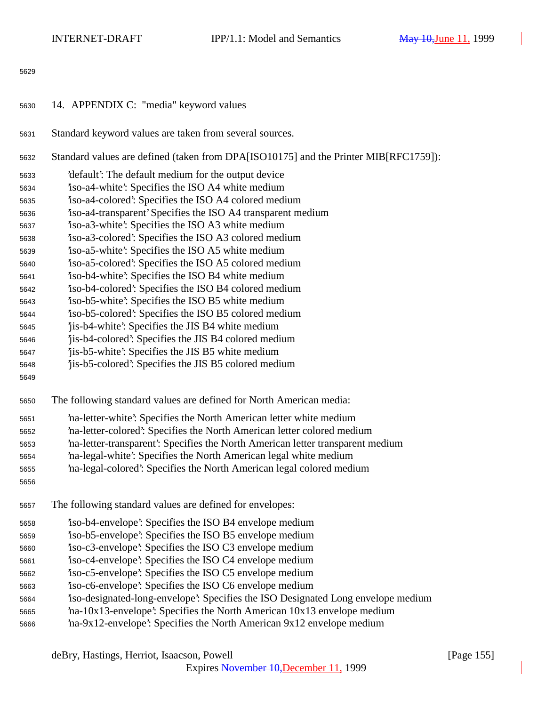14. APPENDIX C: "media" keyword values Standard keyword values are taken from several sources. Standard values are defined (taken from DPA[ISO10175] and the Printer MIB[RFC1759]): 'default': The default medium for the output device 'iso-a4-white': Specifies the ISO A4 white medium 'iso-a4-colored': Specifies the ISO A4 colored medium 'iso-a4-transparent' Specifies the ISO A4 transparent medium 'iso-a3-white': Specifies the ISO A3 white medium 'iso-a3-colored': Specifies the ISO A3 colored medium 'iso-a5-white': Specifies the ISO A5 white medium 'iso-a5-colored': Specifies the ISO A5 colored medium 'iso-b4-white': Specifies the ISO B4 white medium 'iso-b4-colored': Specifies the ISO B4 colored medium 'iso-b5-white': Specifies the ISO B5 white medium 'iso-b5-colored': Specifies the ISO B5 colored medium 'jis-b4-white': Specifies the JIS B4 white medium 'jis-b4-colored': Specifies the JIS B4 colored medium 'jis-b5-white': Specifies the JIS B5 white medium 'jis-b5-colored': Specifies the JIS B5 colored medium The following standard values are defined for North American media: 'na-letter-white': Specifies the North American letter white medium 'na-letter-colored': Specifies the North American letter colored medium 'na-letter-transparent': Specifies the North American letter transparent medium 'na-legal-white': Specifies the North American legal white medium 'na-legal-colored': Specifies the North American legal colored medium The following standard values are defined for envelopes: 'iso-b4-envelope': Specifies the ISO B4 envelope medium 'iso-b5-envelope': Specifies the ISO B5 envelope medium 'iso-c3-envelope': Specifies the ISO C3 envelope medium 'iso-c4-envelope': Specifies the ISO C4 envelope medium 'iso-c5-envelope': Specifies the ISO C5 envelope medium 'iso-c6-envelope': Specifies the ISO C6 envelope medium 'iso-designated-long-envelope': Specifies the ISO Designated Long envelope medium 'na-10x13-envelope': Specifies the North American 10x13 envelope medium 'na-9x12-envelope': Specifies the North American 9x12 envelope medium

deBry, Hastings, Herriot, Isaacson, Powell [Page 155]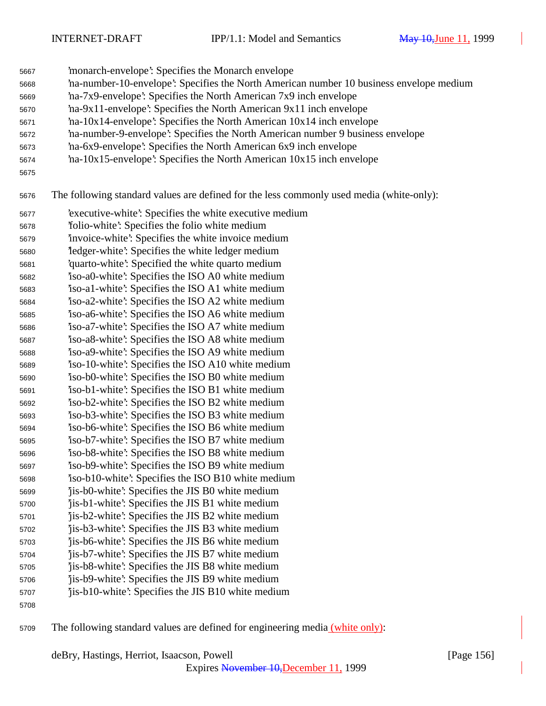INTERNET-DRAFT IPP/1.1: Model and Semantics May 10, June 11, 1999

'monarch-envelope': Specifies the Monarch envelope

- 'na-number-10-envelope': Specifies the North American number 10 business envelope medium
- 'na-7x9-envelope': Specifies the North American 7x9 inch envelope
- 'na-9x11-envelope': Specifies the North American 9x11 inch envelope
- 'na-10x14-envelope': Specifies the North American 10x14 inch envelope
- 'na-number-9-envelope': Specifies the North American number 9 business envelope
- 'na-6x9-envelope': Specifies the North American 6x9 inch envelope
- 'na-10x15-envelope': Specifies the North American 10x15 inch envelope
- 

The following standard values are defined for the less commonly used media (white-only):

- 'executive-white': Specifies the white executive medium
- 'folio-white': Specifies the folio white medium
- 'invoice-white': Specifies the white invoice medium
- 'ledger-white': Specifies the white ledger medium
- 'quarto-white': Specified the white quarto medium
- 'iso-a0-white': Specifies the ISO A0 white medium
- 'iso-a1-white': Specifies the ISO A1 white medium 'iso-a2-white': Specifies the ISO A2 white medium
- 'iso-a6-white': Specifies the ISO A6 white medium
- 'iso-a7-white': Specifies the ISO A7 white medium
- 'iso-a8-white': Specifies the ISO A8 white medium
- 'iso-a9-white': Specifies the ISO A9 white medium
- 'iso-10-white': Specifies the ISO A10 white medium
- 'iso-b0-white': Specifies the ISO B0 white medium
- 'iso-b1-white': Specifies the ISO B1 white medium
- 'iso-b2-white': Specifies the ISO B2 white medium 'iso-b3-white': Specifies the ISO B3 white medium
- 'iso-b6-white': Specifies the ISO B6 white medium
- 'iso-b7-white': Specifies the ISO B7 white medium
- 'iso-b8-white': Specifies the ISO B8 white medium
- 'iso-b9-white': Specifies the ISO B9 white medium
- 'iso-b10-white': Specifies the ISO B10 white medium
- 'jis-b0-white': Specifies the JIS B0 white medium 'jis-b1-white': Specifies the JIS B1 white medium
- 'jis-b2-white': Specifies the JIS B2 white medium
- 'jis-b3-white': Specifies the JIS B3 white medium
- 'jis-b6-white': Specifies the JIS B6 white medium
- 'jis-b7-white': Specifies the JIS B7 white medium
- 'jis-b8-white': Specifies the JIS B8 white medium
- 'jis-b9-white': Specifies the JIS B9 white medium
- 'jis-b10-white': Specifies the JIS B10 white medium
- 

The following standard values are defined for engineering media (white only):

deBry, Hastings, Herriot, Isaacson, Powell [Page 156]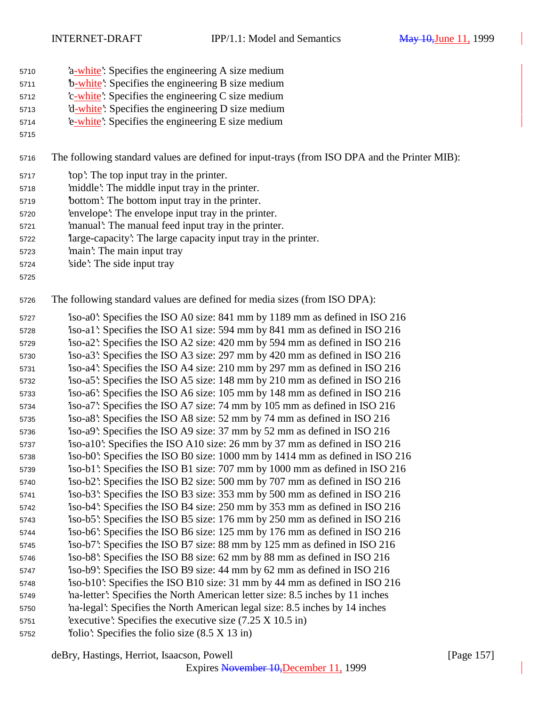- 'a-white': Specifies the engineering A size medium
- 'b-white': Specifies the engineering B size medium
- 'c-white': Specifies the engineering C size medium
- 'd-white': Specifies the engineering D size medium
- 5714 <sup>2</sup>e-white': Specifies the engineering E size medium

The following standard values are defined for input-trays (from ISO DPA and the Printer MIB):

- 'top': The top input tray in the printer.
- 'middle': The middle input tray in the printer.
- 'bottom': The bottom input tray in the printer.
- 'envelope': The envelope input tray in the printer.
- 'manual': The manual feed input tray in the printer.
- 'large-capacity': The large capacity input tray in the printer.
- 'main': The main input tray
- 'side': The side input tray
- 

The following standard values are defined for media sizes (from ISO DPA):

 'iso-a0': Specifies the ISO A0 size: 841 mm by 1189 mm as defined in ISO 216 'iso-a1': Specifies the ISO A1 size: 594 mm by 841 mm as defined in ISO 216 'iso-a2': Specifies the ISO A2 size: 420 mm by 594 mm as defined in ISO 216 'iso-a3': Specifies the ISO A3 size: 297 mm by 420 mm as defined in ISO 216 'iso-a4': Specifies the ISO A4 size: 210 mm by 297 mm as defined in ISO 216 'iso-a5': Specifies the ISO A5 size: 148 mm by 210 mm as defined in ISO 216 'iso-a6': Specifies the ISO A6 size: 105 mm by 148 mm as defined in ISO 216 'iso-a7': Specifies the ISO A7 size: 74 mm by 105 mm as defined in ISO 216 'iso-a8': Specifies the ISO A8 size: 52 mm by 74 mm as defined in ISO 216 'iso-a9': Specifies the ISO A9 size: 37 mm by 52 mm as defined in ISO 216 'iso-a10': Specifies the ISO A10 size: 26 mm by 37 mm as defined in ISO 216 'iso-b0': Specifies the ISO B0 size: 1000 mm by 1414 mm as defined in ISO 216 'iso-b1': Specifies the ISO B1 size: 707 mm by 1000 mm as defined in ISO 216 'iso-b2': Specifies the ISO B2 size: 500 mm by 707 mm as defined in ISO 216 'iso-b3': Specifies the ISO B3 size: 353 mm by 500 mm as defined in ISO 216 'iso-b4': Specifies the ISO B4 size: 250 mm by 353 mm as defined in ISO 216 'iso-b5': Specifies the ISO B5 size: 176 mm by 250 mm as defined in ISO 216 'iso-b6': Specifies the ISO B6 size: 125 mm by 176 mm as defined in ISO 216 'iso-b7': Specifies the ISO B7 size: 88 mm by 125 mm as defined in ISO 216 'iso-b8': Specifies the ISO B8 size: 62 mm by 88 mm as defined in ISO 216 'iso-b9': Specifies the ISO B9 size: 44 mm by 62 mm as defined in ISO 216 'iso-b10': Specifies the ISO B10 size: 31 mm by 44 mm as defined in ISO 216 'na-letter': Specifies the North American letter size: 8.5 inches by 11 inches 'na-legal': Specifies the North American legal size: 8.5 inches by 14 inches 'executive': Specifies the executive size (7.25 X 10.5 in) 'folio': Specifies the folio size (8.5 X 13 in)

Expires November 10,December 11, 1999

deBry, Hastings, Herriot, Isaacson, Powell [Page 157]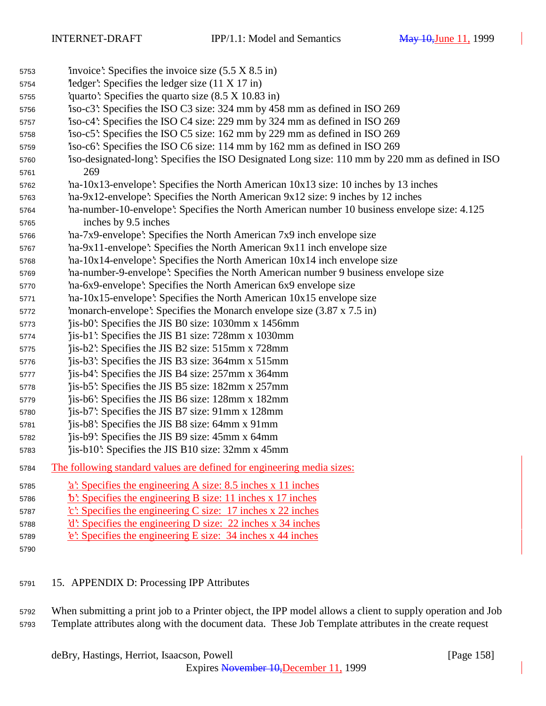| 5753 | 'invoice': Specifies the invoice size $(5.5 \times 8.5 \text{ in})$                             |
|------|-------------------------------------------------------------------------------------------------|
| 5754 | $\text{`ledge'}$ : Specifies the ledger size (11 X 17 in)                                       |
| 5755 | quarto: Specifies the quarto size $(8.5 \times 10.83 \text{ in})$                               |
| 5756 | iso-c3: Specifies the ISO C3 size: 324 mm by 458 mm as defined in ISO 269                       |
| 5757 | iso-c4: Specifies the ISO C4 size: 229 mm by 324 mm as defined in ISO 269                       |
| 5758 | iso-c5: Specifies the ISO C5 size: 162 mm by 229 mm as defined in ISO 269                       |
| 5759 | iso-c6: Specifies the ISO C6 size: 114 mm by 162 mm as defined in ISO 269                       |
| 5760 | iso-designated-long: Specifies the ISO Designated Long size: 110 mm by 220 mm as defined in ISO |
| 5761 | 269                                                                                             |
| 5762 | ha-10x13-envelope': Specifies the North American 10x13 size: 10 inches by 13 inches             |
| 5763 | 'na-9x12-envelope': Specifies the North American 9x12 size: 9 inches by 12 inches               |
| 5764 | ha-number-10-envelope': Specifies the North American number 10 business envelope size: 4.125    |
| 5765 | inches by 9.5 inches                                                                            |
| 5766 | na-7x9-envelope: Specifies the North American 7x9 inch envelope size                            |
| 5767 | 'na-9x11-envelope': Specifies the North American 9x11 inch envelope size                        |
| 5768 | $'$ na-10x14-envelope': Specifies the North American $10x14$ inch envelope size                 |
| 5769 | na-number-9-envelope': Specifies the North American number 9 business envelope size             |
| 5770 | na-6x9-envelope: Specifies the North American 6x9 envelope size                                 |
| 5771 | 'na-10x15-envelope': Specifies the North American 10x15 envelope size                           |
| 5772 | 'monarch-envelope': Specifies the Monarch envelope size (3.87 x 7.5 in)                         |
| 5773 | jis-b0: Specifies the JIS B0 size: 1030mm x 1456mm                                              |
| 5774 | 'jis-b1': Specifies the JIS B1 size: 728mm x 1030mm                                             |
| 5775 | 'jis-b2': Specifies the JIS B2 size: 515mm x 728mm                                              |
| 5776 | 'jis-b3': Specifies the JIS B3 size: 364mm x 515mm                                              |
| 5777 | 'jis-b4': Specifies the JIS B4 size: 257mm x 364mm                                              |
| 5778 | jis-b5: Specifies the JIS B5 size: 182mm x 257mm                                                |
| 5779 | 'jis-b6': Specifies the JIS B6 size: 128mm x 182mm                                              |
| 5780 | jis-b7: Specifies the JIS B7 size: 91mm x 128mm                                                 |
| 5781 | 'jis-b8': Specifies the JIS B8 size: 64mm x 91mm                                                |
| 5782 | jis-b9: Specifies the JIS B9 size: 45mm x 64mm                                                  |
| 5783 | jis-b10: Specifies the JIS B10 size: 32mm x 45mm                                                |
| 5784 | The following standard values are defined for engineering media sizes:                          |
| 5785 | a: Specifies the engineering A size: 8.5 inches x 11 inches                                     |
| 5786 | $\mathbf{\ddot{b}}$ : Specifies the engineering B size: 11 inches x 17 inches                   |
| 5787 | $\text{c}'$ : Specifies the engineering C size: 17 inches x 22 inches                           |
| 5788 | $d'$ : Specifies the engineering D size: 22 inches x 34 inches                                  |
| 5789 | e: Specifies the engineering E size: 34 inches x 44 inches                                      |
| 5790 |                                                                                                 |
|      |                                                                                                 |

## 15. APPENDIX D: Processing IPP Attributes

 When submitting a print job to a Printer object, the IPP model allows a client to supply operation and Job Template attributes along with the document data. These Job Template attributes in the create request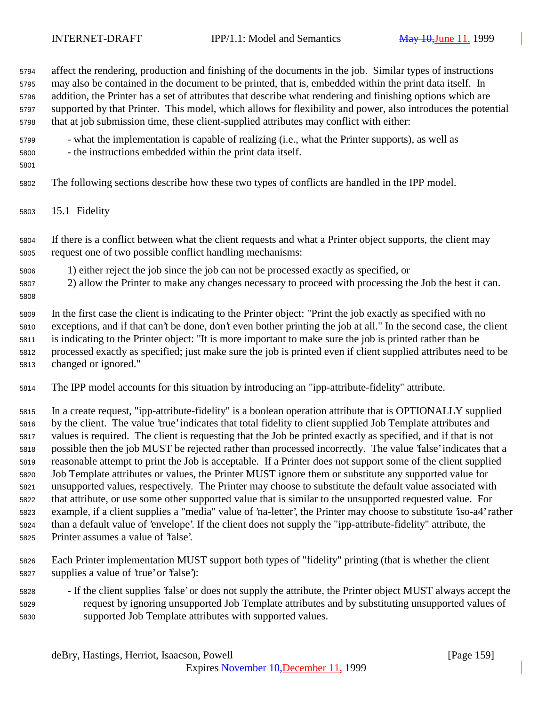affect the rendering, production and finishing of the documents in the job. Similar types of instructions may also be contained in the document to be printed, that is, embedded within the print data itself. In addition, the Printer has a set of attributes that describe what rendering and finishing options which are supported by that Printer. This model, which allows for flexibility and power, also introduces the potential that at job submission time, these client-supplied attributes may conflict with either: - what the implementation is capable of realizing (i.e., what the Printer supports), as well as - the instructions embedded within the print data itself. The following sections describe how these two types of conflicts are handled in the IPP model. 15.1 Fidelity If there is a conflict between what the client requests and what a Printer object supports, the client may request one of two possible conflict handling mechanisms: 1) either reject the job since the job can not be processed exactly as specified, or 2) allow the Printer to make any changes necessary to proceed with processing the Job the best it can. In the first case the client is indicating to the Printer object: "Print the job exactly as specified with no exceptions, and if that can't be done, don't even bother printing the job at all." In the second case, the client is indicating to the Printer object: "It is more important to make sure the job is printed rather than be processed exactly as specified; just make sure the job is printed even if client supplied attributes need to be changed or ignored." The IPP model accounts for this situation by introducing an "ipp-attribute-fidelity" attribute. In a create request, "ipp-attribute-fidelity" is a boolean operation attribute that is OPTIONALLY supplied by the client. The value 'true' indicates that total fidelity to client supplied Job Template attributes and values is required. The client is requesting that the Job be printed exactly as specified, and if that is not possible then the job MUST be rejected rather than processed incorrectly. The value 'false' indicates that a reasonable attempt to print the Job is acceptable. If a Printer does not support some of the client supplied Job Template attributes or values, the Printer MUST ignore them or substitute any supported value for unsupported values, respectively. The Printer may choose to substitute the default value associated with that attribute, or use some other supported value that is similar to the unsupported requested value. For example, if a client supplies a "media" value of 'na-letter', the Printer may choose to substitute 'iso-a4' rather than a default value of 'envelope'. If the client does not supply the "ipp-attribute-fidelity" attribute, the Printer assumes a value of 'false'.

- Each Printer implementation MUST support both types of "fidelity" printing (that is whether the client supplies a value of 'true' or 'false'):
- If the client supplies 'false' or does not supply the attribute, the Printer object MUST always accept the request by ignoring unsupported Job Template attributes and by substituting unsupported values of supported Job Template attributes with supported values.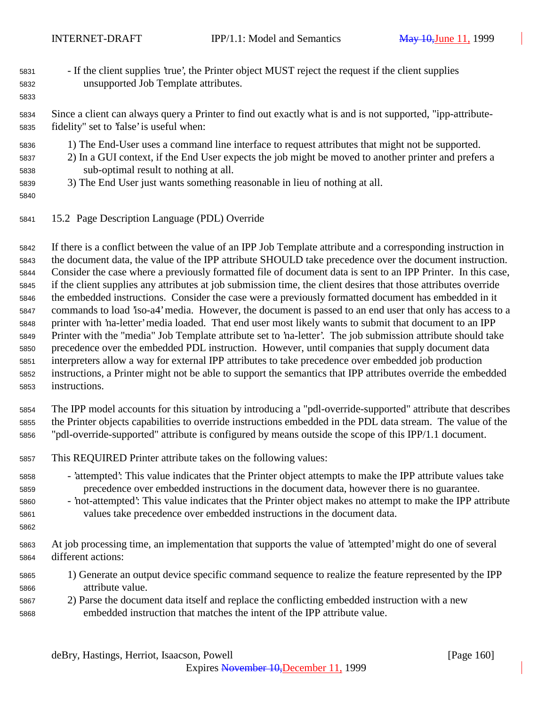- If the client supplies 'true', the Printer object MUST reject the request if the client supplies unsupported Job Template attributes.
- Since a client can always query a Printer to find out exactly what is and is not supported, "ipp-attribute-fidelity" set to 'false' is useful when:
- 1) The End-User uses a command line interface to request attributes that might not be supported.
- 2) In a GUI context, if the End User expects the job might be moved to another printer and prefers a sub-optimal result to nothing at all.
- 3) The End User just wants something reasonable in lieu of nothing at all.
- 

15.2 Page Description Language (PDL) Override

 If there is a conflict between the value of an IPP Job Template attribute and a corresponding instruction in the document data, the value of the IPP attribute SHOULD take precedence over the document instruction. Consider the case where a previously formatted file of document data is sent to an IPP Printer. In this case, if the client supplies any attributes at job submission time, the client desires that those attributes override the embedded instructions. Consider the case were a previously formatted document has embedded in it commands to load 'iso-a4' media. However, the document is passed to an end user that only has access to a printer with 'na-letter' media loaded. That end user most likely wants to submit that document to an IPP Printer with the "media" Job Template attribute set to 'na-letter'. The job submission attribute should take precedence over the embedded PDL instruction. However, until companies that supply document data interpreters allow a way for external IPP attributes to take precedence over embedded job production instructions, a Printer might not be able to support the semantics that IPP attributes override the embedded instructions.

- The IPP model accounts for this situation by introducing a "pdl-override-supported" attribute that describes the Printer objects capabilities to override instructions embedded in the PDL data stream. The value of the "pdl-override-supported" attribute is configured by means outside the scope of this IPP/1.1 document.
- This REQUIRED Printer attribute takes on the following values:
- 'attempted': This value indicates that the Printer object attempts to make the IPP attribute values take precedence over embedded instructions in the document data, however there is no guarantee.
- 'not-attempted': This value indicates that the Printer object makes no attempt to make the IPP attribute values take precedence over embedded instructions in the document data.
- At job processing time, an implementation that supports the value of 'attempted' might do one of several different actions:
	- 1) Generate an output device specific command sequence to realize the feature represented by the IPP attribute value.
	- 2) Parse the document data itself and replace the conflicting embedded instruction with a new embedded instruction that matches the intent of the IPP attribute value.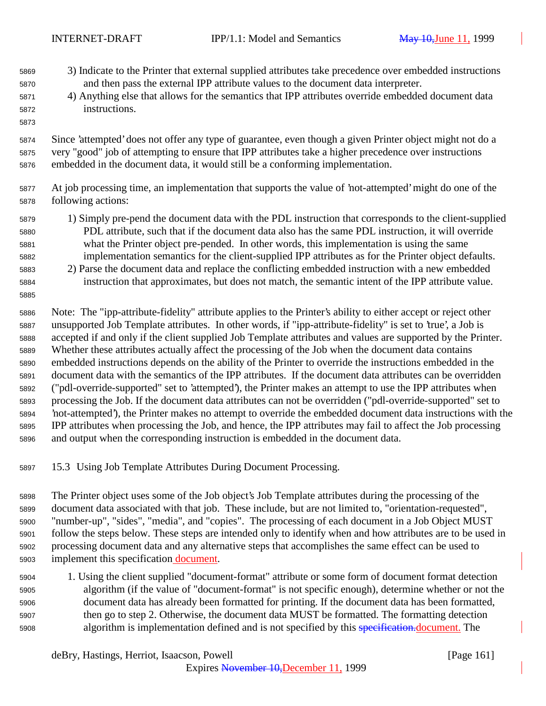- 3) Indicate to the Printer that external supplied attributes take precedence over embedded instructions and then pass the external IPP attribute values to the document data interpreter.
- 4) Anything else that allows for the semantics that IPP attributes override embedded document data instructions.
- Since 'attempted' does not offer any type of guarantee, even though a given Printer object might not do a very "good" job of attempting to ensure that IPP attributes take a higher precedence over instructions embedded in the document data, it would still be a conforming implementation.
- At job processing time, an implementation that supports the value of 'not-attempted' might do one of the following actions:
- 1) Simply pre-pend the document data with the PDL instruction that corresponds to the client-supplied PDL attribute, such that if the document data also has the same PDL instruction, it will override what the Printer object pre-pended. In other words, this implementation is using the same implementation semantics for the client-supplied IPP attributes as for the Printer object defaults.
- 2) Parse the document data and replace the conflicting embedded instruction with a new embedded instruction that approximates, but does not match, the semantic intent of the IPP attribute value.

 Note: The "ipp-attribute-fidelity" attribute applies to the Printer's ability to either accept or reject other unsupported Job Template attributes. In other words, if "ipp-attribute-fidelity" is set to 'true', a Job is accepted if and only if the client supplied Job Template attributes and values are supported by the Printer. Whether these attributes actually affect the processing of the Job when the document data contains embedded instructions depends on the ability of the Printer to override the instructions embedded in the document data with the semantics of the IPP attributes. If the document data attributes can be overridden ("pdl-override-supported" set to 'attempted'), the Printer makes an attempt to use the IPP attributes when processing the Job. If the document data attributes can not be overridden ("pdl-override-supported" set to 'not-attempted'), the Printer makes no attempt to override the embedded document data instructions with the IPP attributes when processing the Job, and hence, the IPP attributes may fail to affect the Job processing and output when the corresponding instruction is embedded in the document data.

15.3 Using Job Template Attributes During Document Processing.

 The Printer object uses some of the Job object's Job Template attributes during the processing of the document data associated with that job. These include, but are not limited to, "orientation-requested", "number-up", "sides", "media", and "copies". The processing of each document in a Job Object MUST follow the steps below. These steps are intended only to identify when and how attributes are to be used in processing document data and any alternative steps that accomplishes the same effect can be used to 5903 implement this specification document.

 1. Using the client supplied "document-format" attribute or some form of document format detection algorithm (if the value of "document-format" is not specific enough), determine whether or not the document data has already been formatted for printing. If the document data has been formatted, then go to step 2. Otherwise, the document data MUST be formatted. The formatting detection 5908 algorithm is implementation defined and is not specified by this specification. document. The

deBry, Hastings, Herriot, Isaacson, Powell [Page 161]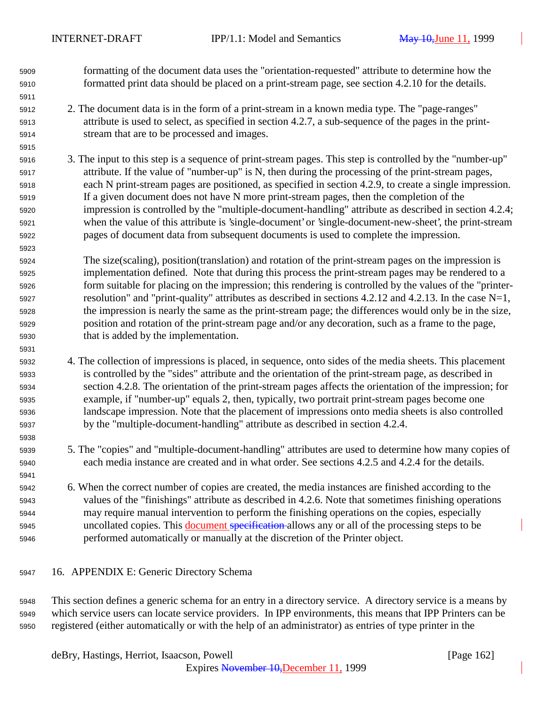formatting of the document data uses the "orientation-requested" attribute to determine how the formatted print data should be placed on a print-stream page, see section 4.2.10 for the details.

- 2. The document data is in the form of a print-stream in a known media type. The "page-ranges" attribute is used to select, as specified in section 4.2.7, a sub-sequence of the pages in the print-stream that are to be processed and images.
- 3. The input to this step is a sequence of print-stream pages. This step is controlled by the "number-up" attribute. If the value of "number-up" is N, then during the processing of the print-stream pages, each N print-stream pages are positioned, as specified in section 4.2.9, to create a single impression. If a given document does not have N more print-stream pages, then the completion of the impression is controlled by the "multiple-document-handling" attribute as described in section 4.2.4; when the value of this attribute is 'single-document' or 'single-document-new-sheet', the print-stream pages of document data from subsequent documents is used to complete the impression.
- The size(scaling), position(translation) and rotation of the print-stream pages on the impression is implementation defined. Note that during this process the print-stream pages may be rendered to a form suitable for placing on the impression; this rendering is controlled by the values of the "printer- resolution" and "print-quality" attributes as described in sections 4.2.12 and 4.2.13. In the case N=1, the impression is nearly the same as the print-stream page; the differences would only be in the size, position and rotation of the print-stream page and/or any decoration, such as a frame to the page, that is added by the implementation.
- 4. The collection of impressions is placed, in sequence, onto sides of the media sheets. This placement is controlled by the "sides" attribute and the orientation of the print-stream page, as described in section 4.2.8. The orientation of the print-stream pages affects the orientation of the impression; for example, if "number-up" equals 2, then, typically, two portrait print-stream pages become one landscape impression. Note that the placement of impressions onto media sheets is also controlled by the "multiple-document-handling" attribute as described in section 4.2.4.
- 5. The "copies" and "multiple-document-handling" attributes are used to determine how many copies of each media instance are created and in what order. See sections 4.2.5 and 4.2.4 for the details.
- 6. When the correct number of copies are created, the media instances are finished according to the values of the "finishings" attribute as described in 4.2.6. Note that sometimes finishing operations may require manual intervention to perform the finishing operations on the copies, especially 5945 uncollated copies. This document specification allows any or all of the processing steps to be performed automatically or manually at the discretion of the Printer object.
- 16. APPENDIX E: Generic Directory Schema

 This section defines a generic schema for an entry in a directory service. A directory service is a means by which service users can locate service providers. In IPP environments, this means that IPP Printers can be registered (either automatically or with the help of an administrator) as entries of type printer in the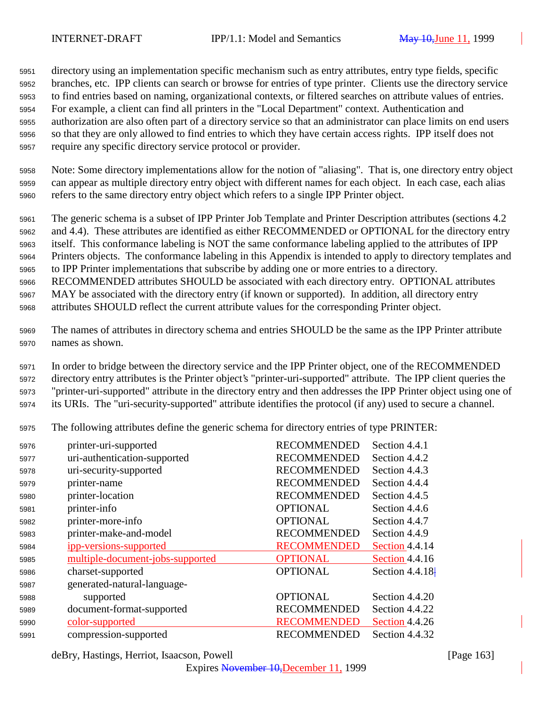directory using an implementation specific mechanism such as entry attributes, entry type fields, specific branches, etc. IPP clients can search or browse for entries of type printer. Clients use the directory service to find entries based on naming, organizational contexts, or filtered searches on attribute values of entries. For example, a client can find all printers in the "Local Department" context. Authentication and authorization are also often part of a directory service so that an administrator can place limits on end users so that they are only allowed to find entries to which they have certain access rights. IPP itself does not require any specific directory service protocol or provider.

 Note: Some directory implementations allow for the notion of "aliasing". That is, one directory entry object can appear as multiple directory entry object with different names for each object. In each case, each alias refers to the same directory entry object which refers to a single IPP Printer object.

 The generic schema is a subset of IPP Printer Job Template and Printer Description attributes (sections 4.2 and 4.4). These attributes are identified as either RECOMMENDED or OPTIONAL for the directory entry itself. This conformance labeling is NOT the same conformance labeling applied to the attributes of IPP Printers objects. The conformance labeling in this Appendix is intended to apply to directory templates and to IPP Printer implementations that subscribe by adding one or more entries to a directory. RECOMMENDED attributes SHOULD be associated with each directory entry. OPTIONAL attributes MAY be associated with the directory entry (if known or supported). In addition, all directory entry

attributes SHOULD reflect the current attribute values for the corresponding Printer object.

 The names of attributes in directory schema and entries SHOULD be the same as the IPP Printer attribute names as shown.

 In order to bridge between the directory service and the IPP Printer object, one of the RECOMMENDED directory entry attributes is the Printer object's "printer-uri-supported" attribute. The IPP client queries the "printer-uri-supported" attribute in the directory entry and then addresses the IPP Printer object using one of its URIs. The "uri-security-supported" attribute identifies the protocol (if any) used to secure a channel.

The following attributes define the generic schema for directory entries of type PRINTER:

| 5976 | printer-uri-supported            | <b>RECOMMENDED</b> | Section 4.4.1         |
|------|----------------------------------|--------------------|-----------------------|
| 5977 | uri-authentication-supported     | <b>RECOMMENDED</b> | Section 4.4.2         |
| 5978 | uri-security-supported           | <b>RECOMMENDED</b> | Section 4.4.3         |
| 5979 | printer-name                     | <b>RECOMMENDED</b> | Section 4.4.4         |
| 5980 | printer-location                 | <b>RECOMMENDED</b> | Section 4.4.5         |
| 5981 | printer-info                     | <b>OPTIONAL</b>    | Section 4.4.6         |
| 5982 | printer-more-info                | <b>OPTIONAL</b>    | Section 4.4.7         |
| 5983 | printer-make-and-model           | <b>RECOMMENDED</b> | Section 4.4.9         |
| 5984 | ipp-versions-supported           | <b>RECOMMENDED</b> | Section 4.4.14        |
| 5985 | multiple-document-jobs-supported | <b>OPTIONAL</b>    | Section 4.4.16        |
| 5986 | charset-supported                | <b>OPTIONAL</b>    | Section $4.4.18$      |
| 5987 | generated-natural-language-      |                    |                       |
| 5988 | supported                        | <b>OPTIONAL</b>    | Section 4.4.20        |
| 5989 | document-format-supported        | <b>RECOMMENDED</b> | Section 4.4.22        |
| 5990 | color-supported                  | <b>RECOMMENDED</b> | <b>Section 4.4.26</b> |
| 5991 | compression-supported            | <b>RECOMMENDED</b> | Section 4.4.32        |
|      |                                  |                    |                       |

deBry, Hastings, Herriot, Isaacson, Powell [Page 163]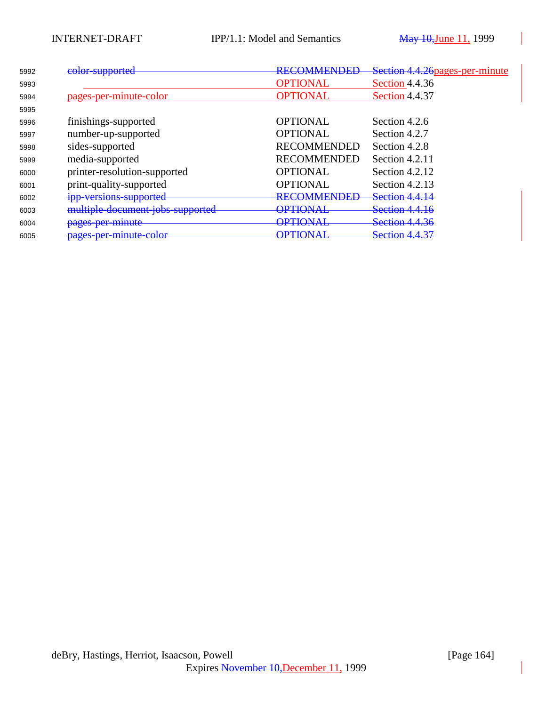| 5992 | color-supported                  | <b>DECOMMENDED</b>                    | Section 4.4.26 pages-per-minute |
|------|----------------------------------|---------------------------------------|---------------------------------|
| 5993 |                                  | <b>OPTIONAL</b>                       | Section 4.4.36                  |
| 5994 | pages-per-minute-color           | <b>OPTIONAL</b>                       | Section 4.4.37                  |
| 5995 |                                  |                                       |                                 |
| 5996 | finishings-supported             | <b>OPTIONAL</b>                       | Section 4.2.6                   |
| 5997 | number-up-supported              | <b>OPTIONAL</b>                       | Section 4.2.7                   |
| 5998 | sides-supported                  | <b>RECOMMENDED</b>                    | Section 4.2.8                   |
| 5999 | media-supported                  | <b>RECOMMENDED</b>                    | Section 4.2.11                  |
| 6000 | printer-resolution-supported     | <b>OPTIONAL</b>                       | Section $4.2.12$                |
| 6001 | print-quality-supported          | <b>OPTIONAL</b>                       | Section $4.2.13$                |
| 6002 | ipp-versions-supported           | <b>RECOMMENDED</b>                    | <b>Section 4.4.14</b>           |
| 6003 | multiple-document-jobs-supported | <b>ΩΡΤΙΩΝ ΑΙ</b><br><b>ILUNITE</b>    | <b>Section 4.4.16</b>           |
| 6004 | pages per minute                 | ΔΡΤΙΔΝΑΙ<br><b>UNIVERSITY</b>         | <b>Section 4.4.36</b>           |
| 6005 | pages-per-minute-color           | <u>ΛDΤΙΔΝΑΙ</u><br><b>UI BUURTSTE</b> | <b>Section 4.4.37</b>           |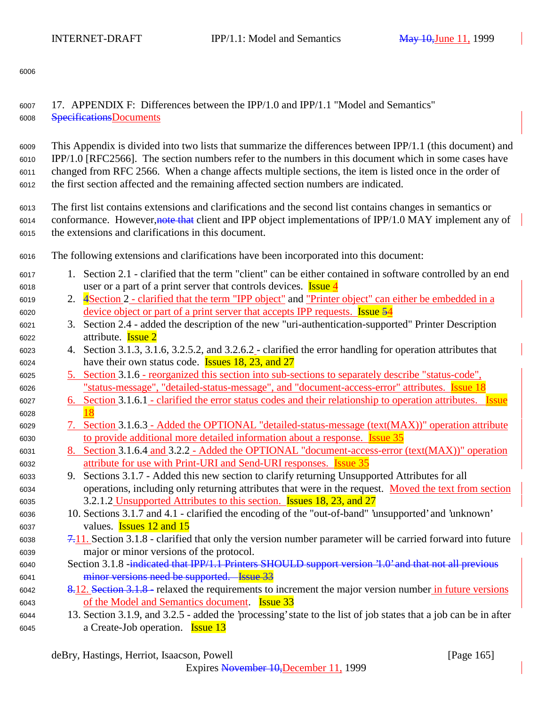<sup>6008</sup> SpecificationsDocuments

<sup>6007</sup> 17. APPENDIX F: Differences between the IPP/1.0 and IPP/1.1 "Model and Semantics"

6006

| 6009 | This Appendix is divided into two lists that summarize the differences between IPP/1.1 (this document) and         |
|------|--------------------------------------------------------------------------------------------------------------------|
| 6010 | IPP/1.0 [RFC2566]. The section numbers refer to the numbers in this document which in some cases have              |
| 6011 | changed from RFC 2566. When a change affects multiple sections, the item is listed once in the order of            |
| 6012 | the first section affected and the remaining affected section numbers are indicated.                               |
| 6013 | The first list contains extensions and clarifications and the second list contains changes in semantics or         |
| 6014 | conformance. However, note that client and IPP object implementations of IPP/1.0 MAY implement any of              |
| 6015 | the extensions and clarifications in this document.                                                                |
| 6016 | The following extensions and clarifications have been incorporated into this document:                             |
| 6017 | 1. Section 2.1 - clarified that the term "client" can be either contained in software controlled by an end         |
| 6018 | user or a part of a print server that controls devices. <b>Issue 4</b>                                             |
| 6019 | 2. 4 Section 2 - clarified that the term "IPP object" and "Printer object" can either be embedded in a             |
| 6020 | <u>device object or part of a print server that accepts IPP requests. Issue 54</u>                                 |
| 6021 | Section 2.4 - added the description of the new "uri-authentication-supported" Printer Description<br>3.            |
| 6022 | attribute. <b>Issue 2</b>                                                                                          |
| 6023 | 4. Section 3.1.3, 3.1.6, 3.2.5.2, and 3.2.6.2 - clarified the error handling for operation attributes that         |
| 6024 | have their own status code. <b>Issues 18, 23, and 27</b>                                                           |
| 6025 | 5. Section 3.1.6 - reorganized this section into sub-sections to separately describe "status-code",                |
| 6026 | "status-message", "detailed-status-message", and "document-access-error" attributes. Issue 18                      |
| 6027 | <u>6. Section 3.1.6.1 - clarified the error status codes and their relationship to operation attributes. Issue</u> |
| 6028 |                                                                                                                    |
| 6029 | 7. Section 3.1.6.3 - Added the OPTIONAL "detailed-status-message (text(MAX))" operation attribute                  |
| 6030 | to provide additional more detailed information about a response. Issue 35                                         |
| 6031 | 8. Section 3.1.6.4 and 3.2.2 - Added the OPTIONAL "document-access-error (text(MAX))" operation                    |
| 6032 | attribute for use with Print-URI and Send-URI responses. Issue 35                                                  |
| 6033 | Sections 3.1.7 - Added this new section to clarify returning Unsupported Attributes for all<br>9.                  |
| 6034 | operations, including only returning attributes that were in the request. Moved the text from section              |
| 6035 | 3.2.1.2 Unsupported Attributes to this section. <b>Issues 18, 23, and 27</b>                                       |
| 6036 | 10. Sections 3.1.7 and 4.1 - clarified the encoding of the "out-of-band" 'unsupported' and 'unknown'               |
| 6037 | values. <b>Issues 12 and 15</b>                                                                                    |
| 6038 | 7.11. Section 3.1.8 - clarified that only the version number parameter will be carried forward into future         |
| 6039 | major or minor versions of the protocol.                                                                           |
| 6040 | Section 3.1.8 -indicated that IPP/1.1 Printers SHOULD support version '1.0' and that not all previous              |
| 6041 | minor versions need be supported. Issue 33                                                                         |
| 6042 | 8.12. Section 3.1.8 - relaxed the requirements to increment the major version number in future versions            |
| 6043 | of the Model and Semantics document. <b>Issue 33</b>                                                               |
| 6044 | 13. Section 3.1.9, and 3.2.5 - added the 'processing' state to the list of job states that a job can be in after   |
| 6045 | a Create-Job operation. <b>Issue 13</b>                                                                            |
|      | [Page 165]<br>deBry, Hastings, Herriot, Isaacson, Powell                                                           |
|      | Expires November 10, December 11, 1999                                                                             |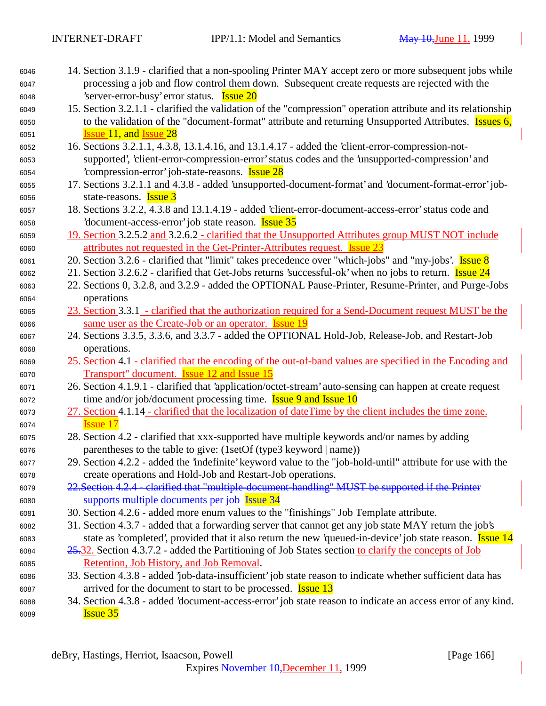- 14. Section 3.1.9 clarified that a non-spooling Printer MAY accept zero or more subsequent jobs while processing a job and flow control them down. Subsequent create requests are rejected with the 'server-error-busy' error status. Issue 20
- 15. Section 3.2.1.1 clarified the validation of the "compression" operation attribute and its relationship 6050 to the validation of the "document-format" attribute and returning Unsupported Attributes. **Issues 6, Issue 11, and Issue 28**
- 16. Sections 3.2.1.1, 4.3.8, 13.1.4.16, and 13.1.4.17 added the 'client-error-compression-not- supported', 'client-error-compression-error' status codes and the 'unsupported-compression' and 'compression-error' job-state-reasons. Issue 28
- 17. Sections 3.2.1.1 and 4.3.8 added 'unsupported-document-format' and 'document-format-error' job-state-reasons. Issue 3
- 18. Sections 3.2.2, 4.3.8 and 13.1.4.19 added 'client-error-document-access-error' status code and 'document-access-error' job state reason. Issue 35
- 19. Section 3.2.5.2 and 3.2.6.2 clarified that the Unsupported Attributes group MUST NOT include attributes not requested in the Get-Printer-Attributes request. Issue 23
- 6061 20. Section 3.2.6 clarified that "limit" takes precedence over "which-jobs" and "my-jobs'. **Issue 8**
- 6062 21. Section 3.2.6.2 clarified that Get-Jobs returns 'successful-ok' when no jobs to return. Issue 24
- 22. Sections 0, 3.2.8, and 3.2.9 added the OPTIONAL Pause-Printer, Resume-Printer, and Purge-Jobs operations
- 23. Section 3.3.1 clarified that the authorization required for a Send-Document request MUST be the same user as the Create-Job or an operator. Issue 19
- 24. Sections 3.3.5, 3.3.6, and 3.3.7 added the OPTIONAL Hold-Job, Release-Job, and Restart-Job operations.
- 25. Section 4.1 clarified that the encoding of the out-of-band values are specified in the Encoding and Transport" document. Issue 12 and Issue 15
- 26. Section 4.1.9.1 clarified that 'application/octet-stream' auto-sensing can happen at create request time and/or job/document processing time. Issue 9 and Issue 10
- 27. Section 4.1.14 clarified that the localization of dateTime by the client includes the time zone. **Issue 17**
- 28. Section 4.2 clarified that xxx-supported have multiple keywords and/or names by adding parentheses to the table to give: (1setOf (type3 keyword | name))
- 29. Section 4.2.2 added the 'indefinite' keyword value to the "job-hold-until" attribute for use with the create operations and Hold-Job and Restart-Job operations.
- 22.Section 4.2.4 clarified that "multiple-document-handling" MUST be supported if the Printer supports multiple documents per job Issue 34
- 30. Section 4.2.6 added more enum values to the "finishings" Job Template attribute.
- 31. Section 4.3.7 added that a forwarding server that cannot get any job state MAY return the job's 6083 state as 'completed', provided that it also return the new 'queued-in-device' job state reason. **Issue 14**
- 25.32. Section 4.3.7.2 added the Partitioning of Job States section to clarify the concepts of Job Retention, Job History, and Job Removal.
- 33. Section 4.3.8 added 'job-data-insufficient' job state reason to indicate whether sufficient data has 6087 arrived for the document to start to be processed. **Issue 13**
- 34. Section 4.3.8 added 'document-access-error' job state reason to indicate an access error of any kind. **Issue 35**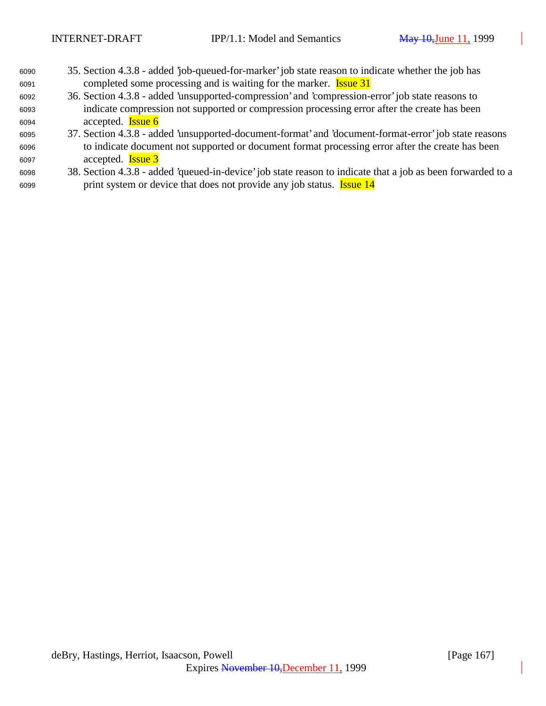- 35. Section 4.3.8 added 'job-queued-for-marker' job state reason to indicate whether the job has completed some processing and is waiting for the marker. **Issue 31**
- 36. Section 4.3.8 added 'unsupported-compression' and 'compression-error' job state reasons to indicate compression not supported or compression processing error after the create has been accepted. Issue 6
- 37. Section 4.3.8 added 'unsupported-document-format' and 'document-format-error' job state reasons to indicate document not supported or document format processing error after the create has been accepted. Issue 3
- 38. Section 4.3.8 added 'queued-in-device' job state reason to indicate that a job as been forwarded to a 6099 print system or device that does not provide any job status. **Issue 14**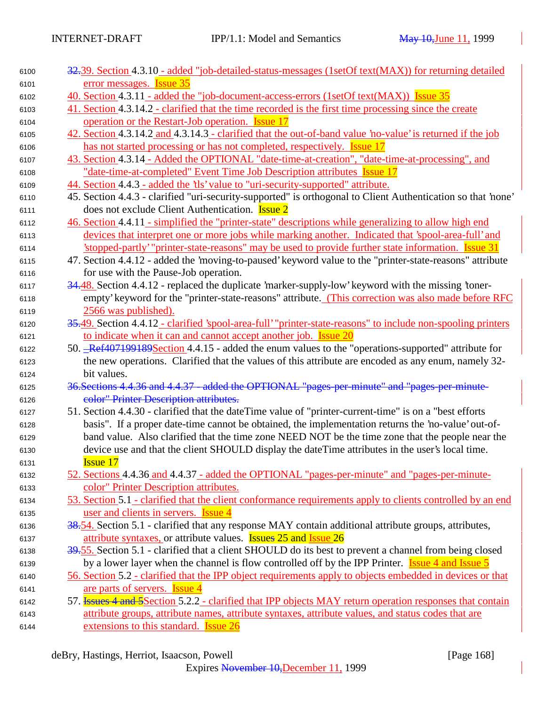| 6100 | 32.39. Section 4.3.10 - added "job-detailed-status-messages (1setOf text(MAX)) for returning detailed            |
|------|------------------------------------------------------------------------------------------------------------------|
| 6101 | error messages. <b>Issue 35</b>                                                                                  |
| 6102 | <u>40. Section 4.3.11 - added the "job-document-access-errors (1setOf text(MAX)) Issue 35</u>                    |
| 6103 | 41. Section 4.3.14.2 - clarified that the time recorded is the first time processing since the create            |
| 6104 | operation or the Restart-Job operation. <b>Issue 17</b>                                                          |
| 6105 | 42. Section 4.3.14.2 and 4.3.14.3 - clarified that the out-of-band value 'no-value' is returned if the job       |
| 6106 | has not started processing or has not completed, respectively. <b>Issue 17</b>                                   |
| 6107 | 43. Section 4.3.14 - Added the OPTIONAL "date-time-at-creation", "date-time-at-processing", and                  |
| 6108 | "date-time-at-completed" Event Time Job Description attributes Issue 17                                          |
| 6109 | 44. Section 4.4.3 - added the 'tls' value to "uri-security-supported" attribute.                                 |
| 6110 | 45. Section 4.4.3 - clarified "uri-security-supported" is orthogonal to Client Authentication so that 'none'     |
| 6111 | does not exclude Client Authentication. <b>Issue 2</b>                                                           |
| 6112 | 46. Section 4.4.11 - simplified the "printer-state" descriptions while generalizing to allow high end            |
| 6113 | devices that interpret one or more jobs while marking another. Indicated that 'spool-area-full' and              |
| 6114 | stopped-partly' "printer-state-reasons" may be used to provide further state information. Issue 31               |
| 6115 | 47. Section 4.4.12 - added the 'moving-to-paused' keyword value to the "printer-state-reasons" attribute         |
| 6116 | for use with the Pause-Job operation.                                                                            |
| 6117 | 34.48. Section 4.4.12 - replaced the duplicate 'marker-supply-low' keyword with the missing 'toner-              |
| 6118 | empty' keyword for the "printer-state-reasons" attribute. (This correction was also made before RFC              |
| 6119 | 2566 was published).                                                                                             |
| 6120 | 35.49. Section 4.4.12 - clarified 'spool-area-full' "printer-state-reasons" to include non-spooling printers     |
| 6121 | to indicate when it can and cannot accept another job. Issue 20                                                  |
| 6122 | 50. Ref407199189Section 4.4.15 - added the enum values to the "operations-supported" attribute for               |
| 6123 | the new operations. Clarified that the values of this attribute are encoded as any enum, namely 32-              |
| 6124 | bit values.                                                                                                      |
| 6125 | 36. Sections 4.4.36 and 4.4.37 - added the OPTIONAL "pages-per-minute" and "pages-per-minute-                    |
| 6126 | color" Printer Description attributes.                                                                           |
| 6127 | 51. Section 4.4.30 - clarified that the date Time value of "printer-current-time" is on a "best efforts"         |
| 6128 | basis". If a proper date-time cannot be obtained, the implementation returns the 'no-value' out-of-              |
| 6129 | band value. Also clarified that the time zone NEED NOT be the time zone that the people near the                 |
| 6130 | device use and that the client SHOULD display the dateTime attributes in the user's local time.                  |
| 6131 | <b>Issue 17</b>                                                                                                  |
| 6132 | 52. Sections 4.4.36 and 4.4.37 - added the OPTIONAL "pages-per-minute" and "pages-per-minute-                    |
| 6133 | color" Printer Description attributes.                                                                           |
| 6134 | 53. Section 5.1 - clarified that the client conformance requirements apply to clients controlled by an end       |
| 6135 | user and clients in servers. <b>Issue 4</b>                                                                      |
| 6136 | 38.54. Section 5.1 - clarified that any response MAY contain additional attribute groups, attributes,            |
| 6137 | attribute syntaxes, or attribute values. <b>Issues 25 and Issue 26</b>                                           |
| 6138 | 39.55. Section 5.1 - clarified that a client SHOULD do its best to prevent a channel from being closed           |
| 6139 | by a lower layer when the channel is flow controlled off by the IPP Printer. <b>Issue 4 and Issue 5</b>          |
| 6140 | 56. Section 5.2 - clarified that the IPP object requirements apply to objects embedded in devices or that        |
| 6141 | are parts of servers. <b>Issue 4</b>                                                                             |
| 6142 | 57. <b>Issues 4 and 5</b> Section 5.2.2 - clarified that IPP objects MAY return operation responses that contain |
| 6143 | attribute groups, attribute names, attribute syntaxes, attribute values, and status codes that are               |
| 6144 | extensions to this standard. Issue 26                                                                            |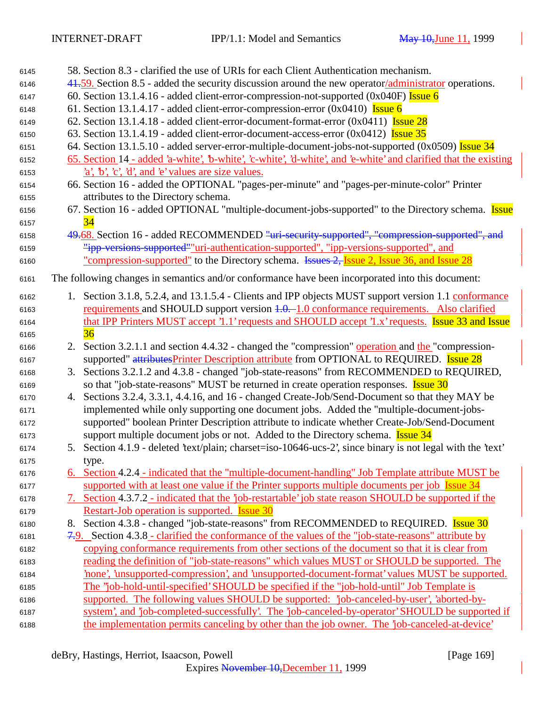| 6145 |    | 58. Section 8.3 - clarified the use of URIs for each Client Authentication mechanism.                            |
|------|----|------------------------------------------------------------------------------------------------------------------|
| 6146 |    | 41.59. Section 8.5 - added the security discussion around the new operator/administrator operations.             |
| 6147 |    | 60. Section 13.1.4.16 - added client-error-compression-not-supported $(0x040F)$ Issue 6                          |
| 6148 |    | 61. Section 13.1.4.17 - added client-error-compression-error $(0x0410)$ Issue 6                                  |
| 6149 |    | 62. Section 13.1.4.18 - added client-error-document-format-error $(0x0411)$ Issue 28                             |
| 6150 |    | 63. Section 13.1.4.19 - added client-error-document-access-error $(0x0412)$ Issue 35                             |
| 6151 |    | 64. Section 13.1.5.10 - added server-error-multiple-document-jobs-not-supported (0x0509) Issue 34                |
| 6152 |    | 65. Section 14 - added 'a-white', 'b-white', 'c-white', 'd-white', and 'e-white' and clarified that the existing |
| 6153 |    | $a, b, c, d,$ and $e$ values are size values.                                                                    |
| 6154 |    | 66. Section 16 - added the OPTIONAL "pages-per-minute" and "pages-per-minute-color" Printer                      |
| 6155 |    | attributes to the Directory schema.                                                                              |
| 6156 |    | 67. Section 16 - added OPTIONAL "multiple-document-jobs-supported" to the Directory schema. Issue                |
| 6157 |    |                                                                                                                  |
| 6158 |    | 49.68. Section 16 - added RECOMMENDED "uri-security-supported", "compression-supported", and                     |
| 6159 |    | "ipp-versions-supported""uri-authentication-supported", "ipp-versions-supported", and                            |
| 6160 |    | <u>"compression-supported"</u> to the Directory schema. Issues 2, Issue 2, Issue 36, and Issue 28                |
| 6161 |    | The following changes in semantics and/or conformance have been incorporated into this document:                 |
| 6162 |    | 1. Section 3.1.8, 5.2.4, and 13.1.5.4 - Clients and IPP objects MUST support version 1.1 conformance             |
| 6163 |    | requirements and SHOULD support version 4.0. 1.0 conformance requirements. Also clarified                        |
| 6164 |    | that IPP Printers MUST accept '1.1' requests and SHOULD accept '1.x' requests. Issue 33 and Issue                |
| 6165 |    | 36                                                                                                               |
| 6166 |    | 2. Section 3.2.1.1 and section 4.4.32 - changed the "compression" operation and the "compression-                |
| 6167 |    | supported" attributesPrinter Description attribute from OPTIONAL to REQUIRED. Issue 28                           |
| 6168 |    | 3. Sections 3.2.1.2 and 4.3.8 - changed "job-state-reasons" from RECOMMENDED to REQUIRED,                        |
| 6169 |    | so that "job-state-reasons" MUST be returned in create operation responses. <b>Issue 30</b>                      |
| 6170 |    | 4. Sections 3.2.4, 3.3.1, 4.4.16, and 16 - changed Create-Job/Send-Document so that they MAY be                  |
| 6171 |    | implemented while only supporting one document jobs. Added the "multiple-document-jobs-                          |
| 6172 |    | supported" boolean Printer Description attribute to indicate whether Create-Job/Send-Document                    |
| 6173 |    | support multiple document jobs or not. Added to the Directory schema. <b>Issue 34</b>                            |
| 6174 |    | 5. Section 4.1.9 - deleted 'text/plain; charset=iso-10646-ucs-2', since binary is not legal with the 'text'      |
| 6175 |    | type.                                                                                                            |
| 6176 |    | 6. Section 4.2.4 - indicated that the "multiple-document-handling" Job Template attribute MUST be                |
| 6177 |    | supported with at least one value if the Printer supports multiple documents per job Issue 34                    |
| 6178 |    | 7. Section 4.3.7.2 - indicated that the 'job-restartable' job state reason SHOULD be supported if the            |
| 6179 |    | Restart-Job operation is supported. <b>Issue 30</b>                                                              |
| 6180 | 8. | Section 4.3.8 - changed "job-state-reasons" from RECOMMENDED to REQUIRED. Issue 30                               |
| 6181 |    | 7.9. Section 4.3.8 - clarified the conformance of the values of the "job-state-reasons" attribute by             |
| 6182 |    | copying conformance requirements from other sections of the document so that it is clear from                    |
| 6183 |    | reading the definition of "job-state-reasons" which values MUST or SHOULD be supported. The                      |
| 6184 |    | hone', 'unsupported-compression', and 'unsupported-document-format' values MUST be supported.                    |
| 6185 |    | The "job-hold-until-specified' SHOULD be specified if the "job-hold-until" Job Template is                       |
| 6186 |    | supported. The following values SHOULD be supported: 'job-canceled-by-user', 'aborted-by-                        |
| 6187 |    | system', and 'job-completed-successfully'. The 'job-canceled-by-operator' SHOULD be supported if                 |
| 6188 |    | the implementation permits canceling by other than the job owner. The 'job-canceled-at-device'                   |
|      |    |                                                                                                                  |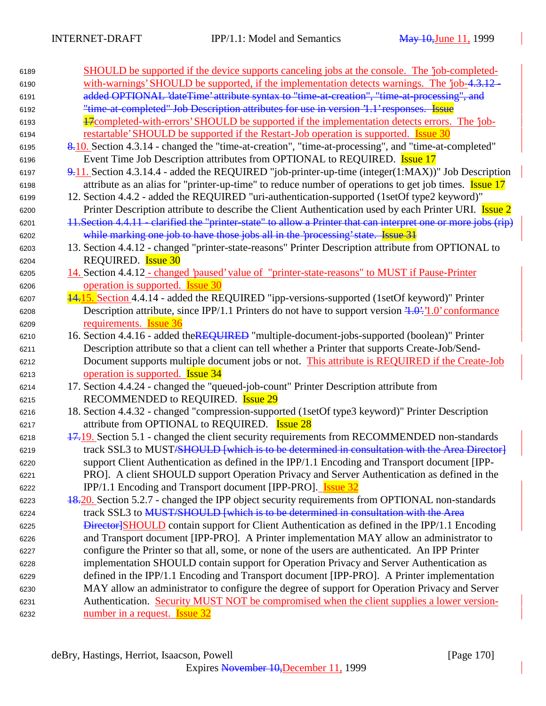| 6189 | <u>SHOULD be supported if the device supports canceling jobs at the console. The 'job-completed-</u>            |
|------|-----------------------------------------------------------------------------------------------------------------|
| 6190 | with-warnings' SHOULD be supported, if the implementation detects warnings. The 'job-4.3.12 -                   |
| 6191 | added OPTIONAL 'dateTime' attribute syntax to "time-at-creation", "time-at-processing", and                     |
| 6192 | "time at completed" Job Description attributes for use in version '1.1' responses. Issue                        |
| 6193 | 47 completed-with-errors' SHOULD be supported if the implementation detects errors. The job-                    |
|      | restartable' SHOULD be supported if the Restart-Job operation is supported. Issue 30                            |
| 6194 | 8.10. Section 4.3.14 - changed the "time-at-creation", "time-at-processing", and "time-at-completed"            |
| 6195 |                                                                                                                 |
| 6196 | Event Time Job Description attributes from OPTIONAL to REQUIRED. <b>Issue 17</b>                                |
| 6197 | 9.11. Section 4.3.14.4 - added the REQUIRED "job-printer-up-time (integer(1:MAX))" Job Description              |
| 6198 | attribute as an alias for "printer-up-time" to reduce number of operations to get job times. <b>Issue 17</b>    |
| 6199 | 12. Section 4.4.2 - added the REQUIRED "uri-authentication-supported (1setOf type2 keyword)"                    |
| 6200 | Printer Description attribute to describe the Client Authentication used by each Printer URI. <b>Issue 2</b>    |
| 6201 | 11. Section 4.4.11 - clarified the "printer state" to allow a Printer that can interpret one or more jobs (rip) |
| 6202 | while marking one job to have those jobs all in the 'processing' state. Issue 31                                |
| 6203 | 13. Section 4.4.12 - changed "printer-state-reasons" Printer Description attribute from OPTIONAL to             |
| 6204 | REQUIRED. <b>Issue 30</b>                                                                                       |
| 6205 | 14. Section 4.4.12 - changed 'paused' value of "printer-state-reasons" to MUST if Pause-Printer                 |
| 6206 | operation is supported. <b>Issue 30</b>                                                                         |
| 6207 | <b>14.15.</b> Section 4.4.14 - added the REQUIRED "ipp-versions-supported (1setOf keyword)" Printer             |
| 6208 | Description attribute, since IPP/1.1 Printers do not have to support version $4.0$ ; 1.0' conformance           |
| 6209 | requirements. Issue 36                                                                                          |
| 6210 | 16. Section 4.4.16 - added theREQUIRED "multiple-document-jobs-supported (boolean)" Printer                     |
| 6211 | Description attribute so that a client can tell whether a Printer that supports Create-Job/Send-                |
| 6212 | Document supports multiple document jobs or not. This attribute is REQUIRED if the Create-Job                   |
| 6213 | operation is supported. <b>Issue 34</b>                                                                         |
| 6214 | 17. Section 4.4.24 - changed the "queued-job-count" Printer Description attribute from                          |
| 6215 | RECOMMENDED to REQUIRED. <b>Issue 29</b>                                                                        |
| 6216 | 18. Section 4.4.32 - changed "compression-supported (1setOf type3 keyword)" Printer Description                 |
| 6217 | attribute from OPTIONAL to REQUIRED. Issue 28                                                                   |
| 6218 | 17.19. Section 5.1 - changed the client security requirements from RECOMMENDED non-standards                    |
| 6219 | track SSL3 to MUST/SHOULD [which is to be determined in consultation with the Area Director]                    |
| 6220 | support Client Authentication as defined in the IPP/1.1 Encoding and Transport document [IPP-                   |
| 6221 | PRO]. A client SHOULD support Operation Privacy and Server Authentication as defined in the                     |
| 6222 | IPP/1.1 Encoding and Transport document [IPP-PRO]. <b>Issue 32</b>                                              |
| 6223 | 18.20. Section 5.2.7 - changed the IPP object security requirements from OPTIONAL non-standards                 |
| 6224 | track SSL3 to MUST/SHOULD [which is to be determined in consultation with the Area                              |
| 6225 | <b>Director SHOULD</b> contain support for Client Authentication as defined in the IPP/1.1 Encoding             |
| 6226 | and Transport document [IPP-PRO]. A Printer implementation MAY allow an administrator to                        |
| 6227 | configure the Printer so that all, some, or none of the users are authenticated. An IPP Printer                 |
|      | implementation SHOULD contain support for Operation Privacy and Server Authentication as                        |
| 6228 | defined in the IPP/1.1 Encoding and Transport document [IPP-PRO]. A Printer implementation                      |
| 6229 | MAY allow an administrator to configure the degree of support for Operation Privacy and Server                  |
| 6230 |                                                                                                                 |
| 6231 | Authentication. Security MUST NOT be compromised when the client supplies a lower version-                      |
| 6232 | number in a request. <b>Issue 32</b>                                                                            |